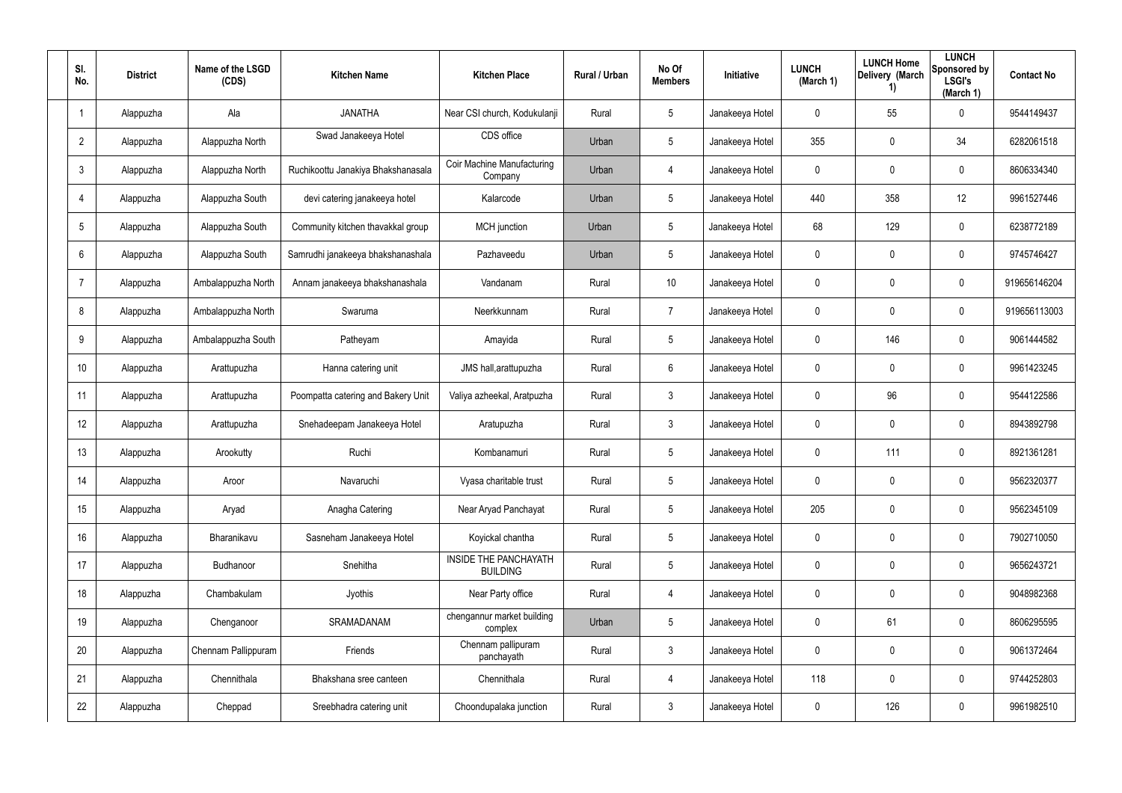| SI.<br>No.              | <b>District</b> | Name of the LSGD<br>(CDS) | <b>Kitchen Name</b>                | <b>Kitchen Place</b>                     | Rural / Urban | No Of<br><b>Members</b> | <b>Initiative</b> | <b>LUNCH</b><br>(March 1) | <b>LUNCH Home</b><br>Delivery (March<br>$\left( \mathbf{1}\right)$ | <b>LUNCH</b><br>Sponsored by<br><b>LSGI's</b><br>(March 1) | <b>Contact No</b> |
|-------------------------|-----------------|---------------------------|------------------------------------|------------------------------------------|---------------|-------------------------|-------------------|---------------------------|--------------------------------------------------------------------|------------------------------------------------------------|-------------------|
| $\overline{\mathbf{1}}$ | Alappuzha       | Ala                       | <b>JANATHA</b>                     | Near CSI church, Kodukulanji             | Rural         | 5                       | Janakeeya Hotel   | 0                         | 55                                                                 | $\mathbf 0$                                                | 9544149437        |
| $\overline{2}$          | Alappuzha       | Alappuzha North           | Swad Janakeeya Hotel               | CDS office                               | Urban         | 5                       | Janakeeya Hotel   | 355                       | 0                                                                  | 34                                                         | 6282061518        |
| $\mathfrak{Z}$          | Alappuzha       | Alappuzha North           | Ruchikoottu Janakiya Bhakshanasala | Coir Machine Manufacturing<br>Company    | Urban         | 4                       | Janakeeya Hotel   | 0                         | 0                                                                  | $\boldsymbol{0}$                                           | 8606334340        |
| $\overline{4}$          | Alappuzha       | Alappuzha South           | devi catering janakeeya hotel      | Kalarcode                                | Urban         | 5                       | Janakeeya Hotel   | 440                       | 358                                                                | 12                                                         | 9961527446        |
| $5\phantom{.0}$         | Alappuzha       | Alappuzha South           | Community kitchen thavakkal group  | <b>MCH</b> junction                      | Urban         | $5\phantom{.0}$         | Janakeeya Hotel   | 68                        | 129                                                                | $\pmb{0}$                                                  | 6238772189        |
| 6                       | Alappuzha       | Alappuzha South           | Samrudhi janakeeya bhakshanashala  | Pazhaveedu                               | Urban         | 5                       | Janakeeya Hotel   | 0                         | 0                                                                  | $\pmb{0}$                                                  | 9745746427        |
| $\overline{7}$          | Alappuzha       | Ambalappuzha North        | Annam janakeeya bhakshanashala     | Vandanam                                 | Rural         | 10                      | Janakeeya Hotel   | 0                         | 0                                                                  | $\pmb{0}$                                                  | 919656146204      |
| 8                       | Alappuzha       | Ambalappuzha North        | Swaruma                            | Neerkkunnam                              | Rural         | $\overline{7}$          | Janakeeya Hotel   | 0                         | 0                                                                  | $\mathbf 0$                                                | 919656113003      |
| 9                       | Alappuzha       | Ambalappuzha South        | Patheyam                           | Amayida                                  | Rural         | $5\phantom{.0}$         | Janakeeya Hotel   | 0                         | 146                                                                | $\boldsymbol{0}$                                           | 9061444582        |
| 10 <sup>°</sup>         | Alappuzha       | Arattupuzha               | Hanna catering unit                | JMS hall, arattupuzha                    | Rural         | 6                       | Janakeeya Hotel   | 0                         | 0                                                                  | $\mathbf 0$                                                | 9961423245        |
| 11                      | Alappuzha       | Arattupuzha               | Poompatta catering and Bakery Unit | Valiya azheekal, Aratpuzha               | Rural         | $\mathbf{3}$            | Janakeeya Hotel   | 0                         | 96                                                                 | $\boldsymbol{0}$                                           | 9544122586        |
| 12                      | Alappuzha       | Arattupuzha               | Snehadeepam Janakeeya Hotel        | Aratupuzha                               | Rural         | $\mathbf{3}$            | Janakeeya Hotel   | 0                         | 0                                                                  | $\mathbf 0$                                                | 8943892798        |
| 13                      | Alappuzha       | Arookutty                 | Ruchi                              | Kombanamuri                              | Rural         | $5\phantom{.0}$         | Janakeeya Hotel   | 0                         | 111                                                                | $\boldsymbol{0}$                                           | 8921361281        |
| 14                      | Alappuzha       | Aroor                     | Navaruchi                          | Vyasa charitable trust                   | Rural         | 5                       | Janakeeya Hotel   | 0                         | 0                                                                  | $\mathbf 0$                                                | 9562320377        |
| 15                      | Alappuzha       | Aryad                     | Anagha Catering                    | Near Aryad Panchayat                     | Rural         | $5\phantom{.0}$         | Janakeeya Hotel   | 205                       | 0                                                                  | $\mathbf 0$                                                | 9562345109        |
| 16                      | Alappuzha       | Bharanikavu               | Sasneham Janakeeya Hotel           | Koyickal chantha                         | Rural         | $5\phantom{.0}$         | Janakeeya Hotel   | $\pmb{0}$                 | 0                                                                  | $\mathbf 0$                                                | 7902710050        |
| 17                      | Alappuzha       | Budhanoor                 | Snehitha                           | INSIDE THE PANCHAYATH<br><b>BUILDING</b> | Rural         | $5\phantom{.0}$         | Janakeeya Hotel   | 0                         | 0                                                                  | $\mathbf 0$                                                | 9656243721        |
| 18                      | Alappuzha       | Chambakulam               | Jyothis                            | Near Party office                        | Rural         | 4                       | Janakeeya Hotel   | $\mathbf 0$               | 0                                                                  | $\mathbf 0$                                                | 9048982368        |
| 19                      | Alappuzha       | Chenganoor                | SRAMADANAM                         | chengannur market building<br>complex    | Urban         | $5\phantom{.0}$         | Janakeeya Hotel   | 0                         | 61                                                                 | $\mathbf 0$                                                | 8606295595        |
| 20                      | Alappuzha       | Chennam Pallippuram       | Friends                            | Chennam pallipuram<br>panchayath         | Rural         | $\mathbf{3}$            | Janakeeya Hotel   | 0                         | 0                                                                  | $\mathbf 0$                                                | 9061372464        |
| 21                      | Alappuzha       | Chennithala               | Bhakshana sree canteen             | Chennithala                              | Rural         | 4                       | Janakeeya Hotel   | 118                       | 0                                                                  | $\mathbf 0$                                                | 9744252803        |
| 22                      | Alappuzha       | Cheppad                   | Sreebhadra catering unit           | Choondupalaka junction                   | Rural         | $\mathfrak{Z}$          | Janakeeya Hotel   | 0                         | 126                                                                | $\mathsf{0}$                                               | 9961982510        |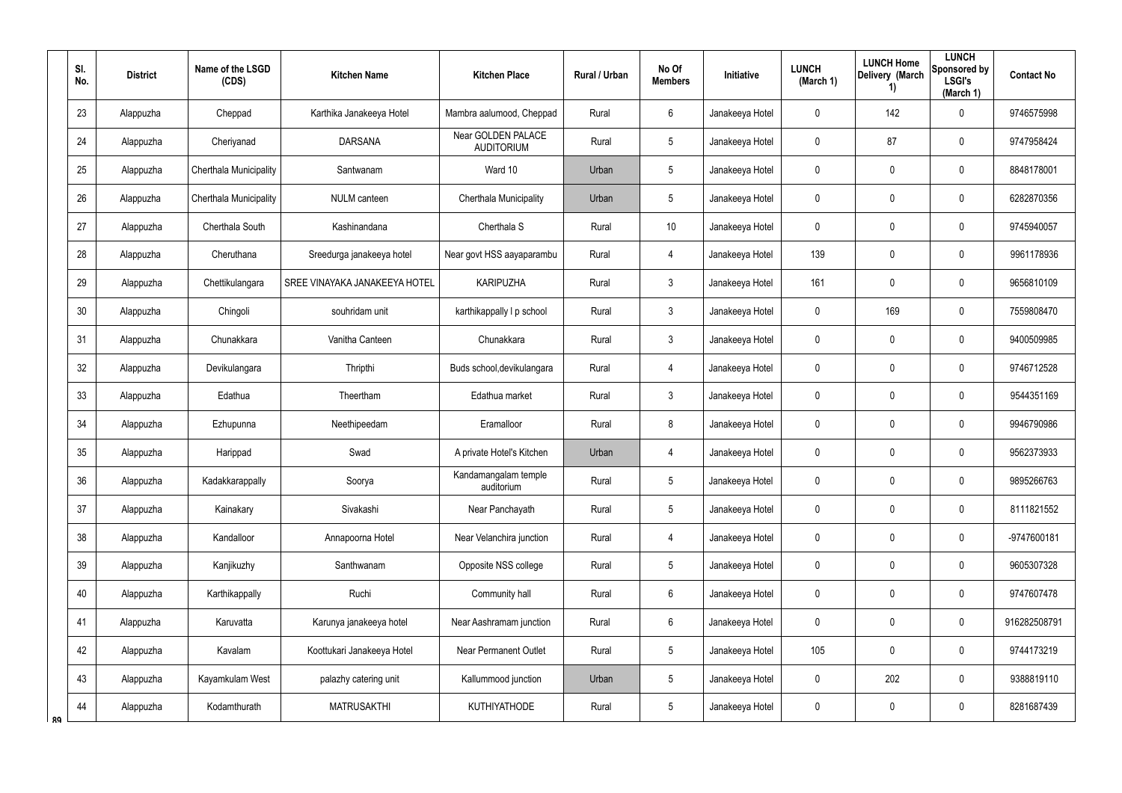|    | SI.<br>No. | <b>District</b> | Name of the LSGD<br>(CDS) | <b>Kitchen Name</b>           | <b>Kitchen Place</b>                    | Rural / Urban | No Of<br><b>Members</b> | Initiative      | <b>LUNCH</b><br>(March 1) | <b>LUNCH Home</b><br>Delivery (March<br>1) | <b>LUNCH</b><br>Sponsored by<br><b>LSGI's</b><br>(March 1) | <b>Contact No</b> |
|----|------------|-----------------|---------------------------|-------------------------------|-----------------------------------------|---------------|-------------------------|-----------------|---------------------------|--------------------------------------------|------------------------------------------------------------|-------------------|
|    | 23         | Alappuzha       | Cheppad                   | Karthika Janakeeya Hotel      | Mambra aalumood, Cheppad                | Rural         | $6\phantom{.}$          | Janakeeya Hotel | 0                         | 142                                        | $\mathbf 0$                                                | 9746575998        |
|    | 24         | Alappuzha       | Cheriyanad                | <b>DARSANA</b>                | Near GOLDEN PALACE<br><b>AUDITORIUM</b> | Rural         | $5\phantom{.0}$         | Janakeeya Hotel | 0                         | 87                                         | $\pmb{0}$                                                  | 9747958424        |
|    | 25         | Alappuzha       | Cherthala Municipality    | Santwanam                     | Ward 10                                 | Urban         | $5\phantom{.0}$         | Janakeeya Hotel | 0                         | $\mathbf 0$                                | $\pmb{0}$                                                  | 8848178001        |
|    | 26         | Alappuzha       | Cherthala Municipality    | NULM canteen                  | Cherthala Municipality                  | Urban         | $5\phantom{.0}$         | Janakeeya Hotel | 0                         | 0                                          | $\pmb{0}$                                                  | 6282870356        |
|    | 27         | Alappuzha       | Cherthala South           | Kashinandana                  | Cherthala S                             | Rural         | 10 <sup>°</sup>         | Janakeeya Hotel | 0                         | $\mathbf 0$                                | $\pmb{0}$                                                  | 9745940057        |
|    | 28         | Alappuzha       | Cheruthana                | Sreedurga janakeeya hotel     | Near govt HSS aayaparambu               | Rural         | $\overline{4}$          | Janakeeya Hotel | 139                       | 0                                          | $\pmb{0}$                                                  | 9961178936        |
|    | 29         | Alappuzha       | Chettikulangara           | SREE VINAYAKA JANAKEEYA HOTEL | KARIPUZHA                               | Rural         | $\mathbf{3}$            | Janakeeya Hotel | 161                       | 0                                          | $\pmb{0}$                                                  | 9656810109        |
|    | 30         | Alappuzha       | Chingoli                  | souhridam unit                | karthikappally I p school               | Rural         | $\mathbf{3}$            | Janakeeya Hotel | 0                         | 169                                        | $\mathbf 0$                                                | 7559808470        |
|    | 31         | Alappuzha       | Chunakkara                | Vanitha Canteen               | Chunakkara                              | Rural         | $\mathbf{3}$            | Janakeeya Hotel | 0                         | 0                                          | $\pmb{0}$                                                  | 9400509985        |
|    | 32         | Alappuzha       | Devikulangara             | Thripthi                      | Buds school, devikulangara              | Rural         | $\overline{4}$          | Janakeeya Hotel | 0                         | 0                                          | $\mathbf 0$                                                | 9746712528        |
|    | 33         | Alappuzha       | Edathua                   | Theertham                     | Edathua market                          | Rural         | $\mathbf{3}$            | Janakeeya Hotel | 0                         | $\mathbf 0$                                | $\pmb{0}$                                                  | 9544351169        |
|    | 34         | Alappuzha       | Ezhupunna                 | Neethipeedam                  | Eramalloor                              | Rural         | 8                       | Janakeeya Hotel | 0                         | 0                                          | $\pmb{0}$                                                  | 9946790986        |
|    | 35         | Alappuzha       | Harippad                  | Swad                          | A private Hotel's Kitchen               | Urban         | $\overline{4}$          | Janakeeya Hotel | 0                         | 0                                          | $\boldsymbol{0}$                                           | 9562373933        |
|    | 36         | Alappuzha       | Kadakkarappally           | Soorya                        | Kandamangalam temple<br>auditorium      | Rural         | $5\,$                   | Janakeeya Hotel | 0                         | $\pmb{0}$                                  | $\pmb{0}$                                                  | 9895266763        |
|    | 37         | Alappuzha       | Kainakary                 | Sivakashi                     | Near Panchayath                         | Rural         | $5\phantom{.0}$         | Janakeeya Hotel | 0                         | $\mathbf 0$                                | $\mathbf 0$                                                | 8111821552        |
|    | 38         | Alappuzha       | Kandalloor                | Annapoorna Hotel              | Near Velanchira junction                | Rural         | $\overline{4}$          | Janakeeya Hotel | 0                         | $\mathbf 0$                                | $\mathbf 0$                                                | -9747600181       |
|    | 39         | Alappuzha       | Kanjikuzhy                | Santhwanam                    | Opposite NSS college                    | Rural         | $5\phantom{.0}$         | Janakeeya Hotel | 0                         | $\mathbf 0$                                | $\mathbf 0$                                                | 9605307328        |
|    | 40         | Alappuzha       | Karthikappally            | Ruchi                         | Community hall                          | Rural         | $6\phantom{.0}$         | Janakeeya Hotel | 0                         | $\mathbf 0$                                | $\mathbf 0$                                                | 9747607478        |
|    | 41         | Alappuzha       | Karuvatta                 | Karunya janakeeya hotel       | Near Aashramam junction                 | Rural         | $6\phantom{.0}$         | Janakeeya Hotel | 0                         | $\mathbf 0$                                | $\mathbf 0$                                                | 916282508791      |
|    | 42         | Alappuzha       | Kavalam                   | Koottukari Janakeeya Hotel    | <b>Near Permanent Outlet</b>            | Rural         | $5\phantom{.0}$         | Janakeeya Hotel | 105                       | $\mathbf 0$                                | $\mathbf 0$                                                | 9744173219        |
|    | 43         | Alappuzha       | Kayamkulam West           | palazhy catering unit         | Kallummood junction                     | Urban         | $5\phantom{.0}$         | Janakeeya Hotel | 0                         | 202                                        | $\mathbf 0$                                                | 9388819110        |
| RΟ | 44         | Alappuzha       | Kodamthurath              | <b>MATRUSAKTHI</b>            | KUTHIYATHODE                            | Rural         | $5\phantom{.0}$         | Janakeeya Hotel | 0                         | 0                                          | $\pmb{0}$                                                  | 8281687439        |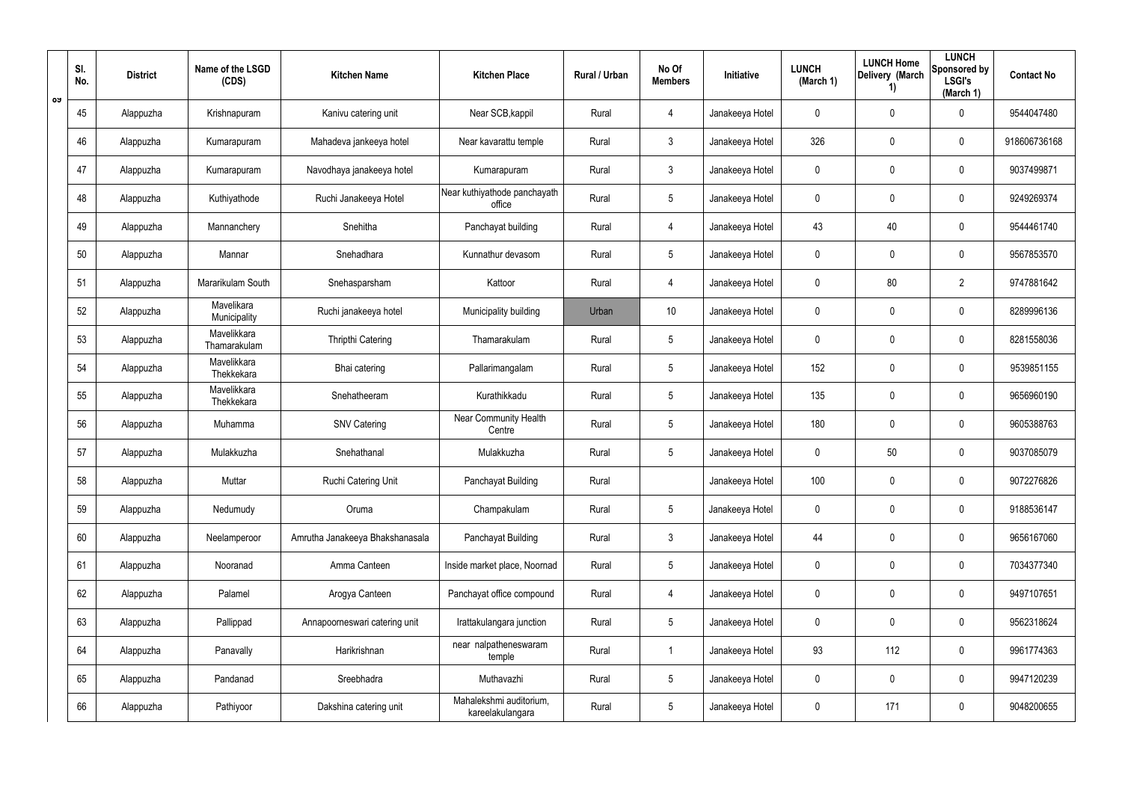|    | SI.<br>No. | <b>District</b> | Name of the LSGD<br>(CDS)   | <b>Kitchen Name</b>             | <b>Kitchen Place</b>                        | Rural / Urban | No Of<br><b>Members</b> | Initiative      | <b>LUNCH</b><br>(March 1) | <b>LUNCH Home</b><br>Delivery (March<br>1) | <b>LUNCH</b><br>Sponsored by<br><b>LSGI's</b><br>(March 1) | <b>Contact No</b> |
|----|------------|-----------------|-----------------------------|---------------------------------|---------------------------------------------|---------------|-------------------------|-----------------|---------------------------|--------------------------------------------|------------------------------------------------------------|-------------------|
| ರು | 45         | Alappuzha       | Krishnapuram                | Kanivu catering unit            | Near SCB, kappil                            | Rural         | 4                       | Janakeeya Hotel | 0                         | 0                                          | $\mathbf 0$                                                | 9544047480        |
|    | 46         | Alappuzha       | Kumarapuram                 | Mahadeva jankeeya hotel         | Near kavarattu temple                       | Rural         | 3                       | Janakeeya Hotel | 326                       | 0                                          | $\mathbf 0$                                                | 918606736168      |
|    | 47         | Alappuzha       | Kumarapuram                 | Navodhaya janakeeya hotel       | Kumarapuram                                 | Rural         | $\mathbf{3}$            | Janakeeya Hotel | 0                         | 0                                          | $\mathbf 0$                                                | 9037499871        |
|    | 48         | Alappuzha       | Kuthiyathode                | Ruchi Janakeeya Hotel           | Near kuthiyathode panchayath<br>office      | Rural         | $5\phantom{.0}$         | Janakeeya Hotel | 0                         | 0                                          | $\mathbf 0$                                                | 9249269374        |
|    | 49         | Alappuzha       | Mannanchery                 | Snehitha                        | Panchayat building                          | Rural         | 4                       | Janakeeya Hotel | 43                        | 40                                         | $\mathbf 0$                                                | 9544461740        |
|    | 50         | Alappuzha       | Mannar                      | Snehadhara                      | Kunnathur devasom                           | Rural         | $5\phantom{.0}$         | Janakeeya Hotel | 0                         | 0                                          | $\mathbf 0$                                                | 9567853570        |
|    | 51         | Alappuzha       | Mararikulam South           | Snehasparsham                   | Kattoor                                     | Rural         | 4                       | Janakeeya Hotel | 0                         | 80                                         | $\overline{2}$                                             | 9747881642        |
|    | 52         | Alappuzha       | Mavelikara<br>Municipality  | Ruchi janakeeya hotel           | Municipality building                       | Urban         | 10 <sup>°</sup>         | Janakeeya Hotel | 0                         | 0                                          | $\pmb{0}$                                                  | 8289996136        |
|    | 53         | Alappuzha       | Mavelikkara<br>Thamarakulam | Thripthi Catering               | Thamarakulam                                | Rural         | $5\phantom{.0}$         | Janakeeya Hotel | 0                         | 0                                          | $\pmb{0}$                                                  | 8281558036        |
|    | 54         | Alappuzha       | Mavelikkara<br>Thekkekara   | Bhai catering                   | Pallarimangalam                             | Rural         | $5\phantom{.0}$         | Janakeeya Hotel | 152                       | 0                                          | $\pmb{0}$                                                  | 9539851155        |
|    | 55         | Alappuzha       | Mavelikkara<br>Thekkekara   | Snehatheeram                    | Kurathikkadu                                | Rural         | $5\phantom{.0}$         | Janakeeya Hotel | 135                       | 0                                          | $\pmb{0}$                                                  | 9656960190        |
|    | 56         | Alappuzha       | Muhamma                     | <b>SNV Catering</b>             | <b>Near Community Health</b><br>Centre      | Rural         | $5\phantom{.0}$         | Janakeeya Hotel | 180                       | 0                                          | $\mathbf 0$                                                | 9605388763        |
|    | 57         | Alappuzha       | Mulakkuzha                  | Snehathanal                     | Mulakkuzha                                  | Rural         | $5\phantom{.0}$         | Janakeeya Hotel | 0                         | 50                                         | 0                                                          | 9037085079        |
|    | 58         | Alappuzha       | Muttar                      | Ruchi Catering Unit             | Panchayat Building                          | Rural         |                         | Janakeeya Hotel | 100                       | $\pmb{0}$                                  | $\pmb{0}$                                                  | 9072276826        |
|    | 59         | Alappuzha       | Nedumudy                    | Oruma                           | Champakulam                                 | Rural         | $5\phantom{.0}$         | Janakeeya Hotel | 0                         | $\mathbf 0$                                | $\mathsf{0}$                                               | 9188536147        |
|    | 60         | Alappuzha       | Neelamperoor                | Amrutha Janakeeya Bhakshanasala | Panchayat Building                          | Rural         | $\mathbf{3}$            | Janakeeya Hotel | 44                        | $\mathbf 0$                                | $\mathsf{0}$                                               | 9656167060        |
|    | 61         | Alappuzha       | Nooranad                    | Amma Canteen                    | Inside market place, Noornad                | Rural         | $5\phantom{.0}$         | Janakeeya Hotel | 0                         | $\mathbf 0$                                | $\mathsf{0}$                                               | 7034377340        |
|    | 62         | Alappuzha       | Palamel                     | Arogya Canteen                  | Panchayat office compound                   | Rural         | 4                       | Janakeeya Hotel | $\mathbf 0$               | $\mathbf 0$                                | $\mathbf 0$                                                | 9497107651        |
|    | 63         | Alappuzha       | Pallippad                   | Annapoorneswari catering unit   | Irattakulangara junction                    | Rural         | $5\phantom{.0}$         | Janakeeya Hotel | 0                         | $\mathbf 0$                                | $\mathbf 0$                                                | 9562318624        |
|    | 64         | Alappuzha       | Panavally                   | Harikrishnan                    | near nalpatheneswaram<br>temple             | Rural         |                         | Janakeeya Hotel | 93                        | 112                                        | $\mathsf{0}$                                               | 9961774363        |
|    | 65         | Alappuzha       | Pandanad                    | Sreebhadra                      | Muthavazhi                                  | Rural         | $5\phantom{.0}$         | Janakeeya Hotel | 0                         | $\mathbf 0$                                | $\mathbf 0$                                                | 9947120239        |
|    | 66         | Alappuzha       | Pathiyoor                   | Dakshina catering unit          | Mahalekshmi auditorium,<br>kareelakulangara | Rural         | $5\phantom{.0}$         | Janakeeya Hotel | 0                         | 171                                        | $\mathsf{0}$                                               | 9048200655        |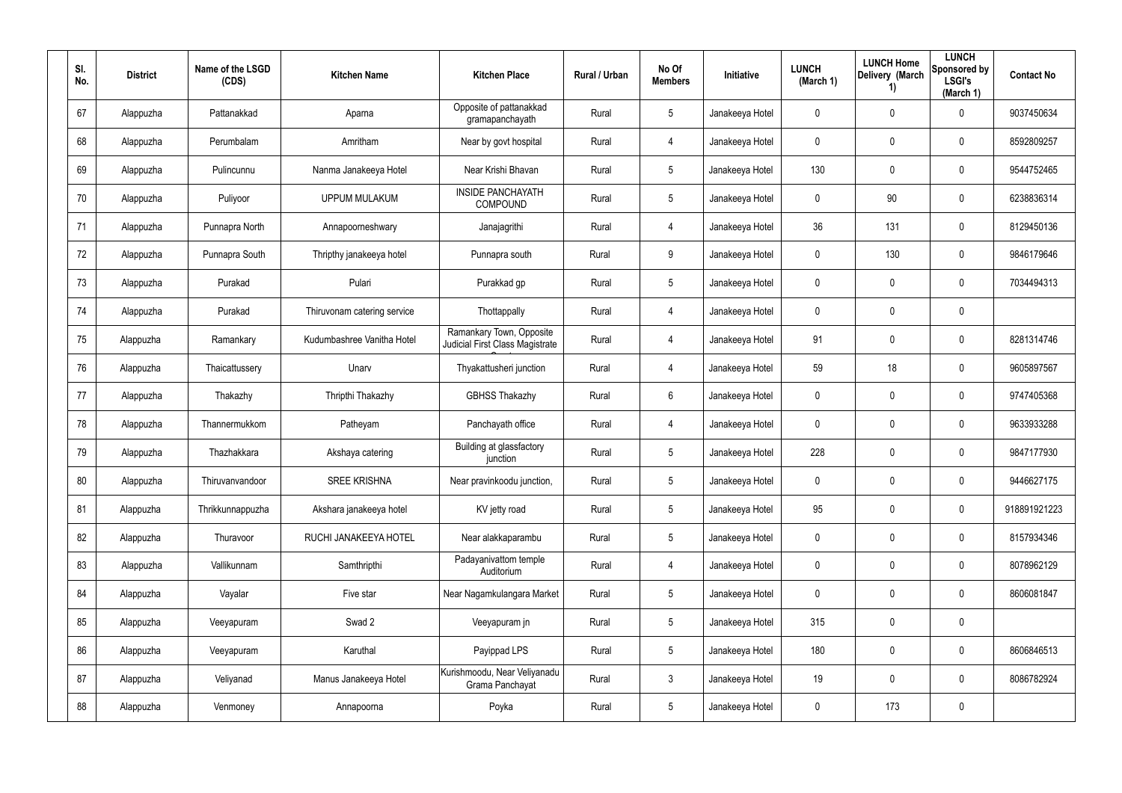| SI.<br>No. | <b>District</b> | Name of the LSGD<br>(CDS) | <b>Kitchen Name</b>         | <b>Kitchen Place</b>                                        | Rural / Urban | No Of<br><b>Members</b> | Initiative      | <b>LUNCH</b><br>(March 1) | <b>LUNCH Home</b><br>Delivery (March<br>1) | <b>LUNCH</b><br>Sponsored by<br><b>LSGI's</b><br>(March 1) | <b>Contact No</b> |
|------------|-----------------|---------------------------|-----------------------------|-------------------------------------------------------------|---------------|-------------------------|-----------------|---------------------------|--------------------------------------------|------------------------------------------------------------|-------------------|
| 67         | Alappuzha       | Pattanakkad               | Aparna                      | Opposite of pattanakkad<br>gramapanchayath                  | Rural         | $5\phantom{.0}$         | Janakeeya Hotel | 0                         | $\mathbf{0}$                               | 0                                                          | 9037450634        |
| 68         | Alappuzha       | Perumbalam                | Amritham                    | Near by govt hospital                                       | Rural         | 4                       | Janakeeya Hotel | 0                         | 0                                          | $\boldsymbol{0}$                                           | 8592809257        |
| 69         | Alappuzha       | Pulincunnu                | Nanma Janakeeya Hotel       | Near Krishi Bhavan                                          | Rural         | $5\phantom{.0}$         | Janakeeya Hotel | 130                       | 0                                          | $\boldsymbol{0}$                                           | 9544752465        |
| 70         | Alappuzha       | Puliyoor                  | <b>UPPUM MULAKUM</b>        | <b>INSIDE PANCHAYATH</b><br><b>COMPOUND</b>                 | Rural         | $5\phantom{.0}$         | Janakeeya Hotel | 0                         | 90                                         | $\boldsymbol{0}$                                           | 6238836314        |
| 71         | Alappuzha       | Punnapra North            | Annapoorneshwary            | Janajagrithi                                                | Rural         | $\overline{4}$          | Janakeeya Hotel | 36                        | 131                                        | $\boldsymbol{0}$                                           | 8129450136        |
| 72         | Alappuzha       | Punnapra South            | Thripthy janakeeya hotel    | Punnapra south                                              | Rural         | 9                       | Janakeeya Hotel | 0                         | 130                                        | $\boldsymbol{0}$                                           | 9846179646        |
| 73         | Alappuzha       | Purakad                   | Pulari                      | Purakkad gp                                                 | Rural         | $5\phantom{.0}$         | Janakeeya Hotel | 0                         | 0                                          | $\mathbf 0$                                                | 7034494313        |
| 74         | Alappuzha       | Purakad                   | Thiruvonam catering service | Thottappally                                                | Rural         | $\overline{4}$          | Janakeeya Hotel | 0                         | 0                                          | $\mathbf 0$                                                |                   |
| 75         | Alappuzha       | Ramankary                 | Kudumbashree Vanitha Hotel  | Ramankary Town, Opposite<br>Judicial First Class Magistrate | Rural         | $\overline{4}$          | Janakeeya Hotel | 91                        | 0                                          | $\boldsymbol{0}$                                           | 8281314746        |
| 76         | Alappuzha       | Thaicattussery            | Unarv                       | Thyakattusheri junction                                     | Rural         | $\overline{4}$          | Janakeeya Hotel | 59                        | 18                                         | $\boldsymbol{0}$                                           | 9605897567        |
| 77         | Alappuzha       | Thakazhy                  | Thripthi Thakazhy           | <b>GBHSS Thakazhy</b>                                       | Rural         | $6\phantom{.}6$         | Janakeeya Hotel | 0                         | 0                                          | 0                                                          | 9747405368        |
| 78         | Alappuzha       | Thannermukkom             | Patheyam                    | Panchayath office                                           | Rural         | $\overline{4}$          | Janakeeya Hotel | 0                         | $\boldsymbol{0}$                           | $\boldsymbol{0}$                                           | 9633933288        |
| 79         | Alappuzha       | Thazhakkara               | Akshaya catering            | Building at glassfactory<br>junction                        | Rural         | $5\phantom{.0}$         | Janakeeya Hotel | 228                       | $\boldsymbol{0}$                           | 0                                                          | 9847177930        |
| 80         | Alappuzha       | Thiruvanvandoor           | <b>SREE KRISHNA</b>         | Near pravinkoodu junction,                                  | Rural         | $5\,$                   | Janakeeya Hotel | $\pmb{0}$                 | $\pmb{0}$                                  | $\pmb{0}$                                                  | 9446627175        |
| 81         | Alappuzha       | Thrikkunnappuzha          | Akshara janakeeya hotel     | KV jetty road                                               | Rural         | $5\phantom{.0}$         | Janakeeya Hotel | 95                        | 0                                          | $\mathbf 0$                                                | 918891921223      |
| 82         | Alappuzha       | Thuravoor                 | RUCHI JANAKEEYA HOTEL       | Near alakkaparambu                                          | Rural         | 5 <sub>5</sub>          | Janakeeya Hotel | 0                         | $\pmb{0}$                                  | $\pmb{0}$                                                  | 8157934346        |
| 83         | Alappuzha       | Vallikunnam               | Samthripthi                 | Padayanivattom temple<br>Auditorium                         | Rural         | $\overline{4}$          | Janakeeya Hotel | $\pmb{0}$                 | 0                                          | $\mathbf 0$                                                | 8078962129        |
| 84         | Alappuzha       | Vayalar                   | Five star                   | Near Nagamkulangara Market                                  | Rural         | $5\phantom{.0}$         | Janakeeya Hotel | 0                         | 0                                          | $\mathbf 0$                                                | 8606081847        |
| 85         | Alappuzha       | Veeyapuram                | Swad 2                      | Veeyapuram jn                                               | Rural         | $5\phantom{.0}$         | Janakeeya Hotel | 315                       | $\mathbf 0$                                | $\pmb{0}$                                                  |                   |
| 86         | Alappuzha       | Veeyapuram                | Karuthal                    | Payippad LPS                                                | Rural         | $5\phantom{.0}$         | Janakeeya Hotel | 180                       | 0                                          | $\mathbf 0$                                                | 8606846513        |
| 87         | Alappuzha       | Veliyanad                 | Manus Janakeeya Hotel       | Kurishmoodu, Near Veliyanadu<br>Grama Panchayat             | Rural         | $\mathbf{3}$            | Janakeeya Hotel | 19                        | 0                                          | $\mathbf 0$                                                | 8086782924        |
| 88         | Alappuzha       | Venmoney                  | Annapoorna                  | Poyka                                                       | Rural         | $5\phantom{.0}$         | Janakeeya Hotel | 0                         | 173                                        | $\pmb{0}$                                                  |                   |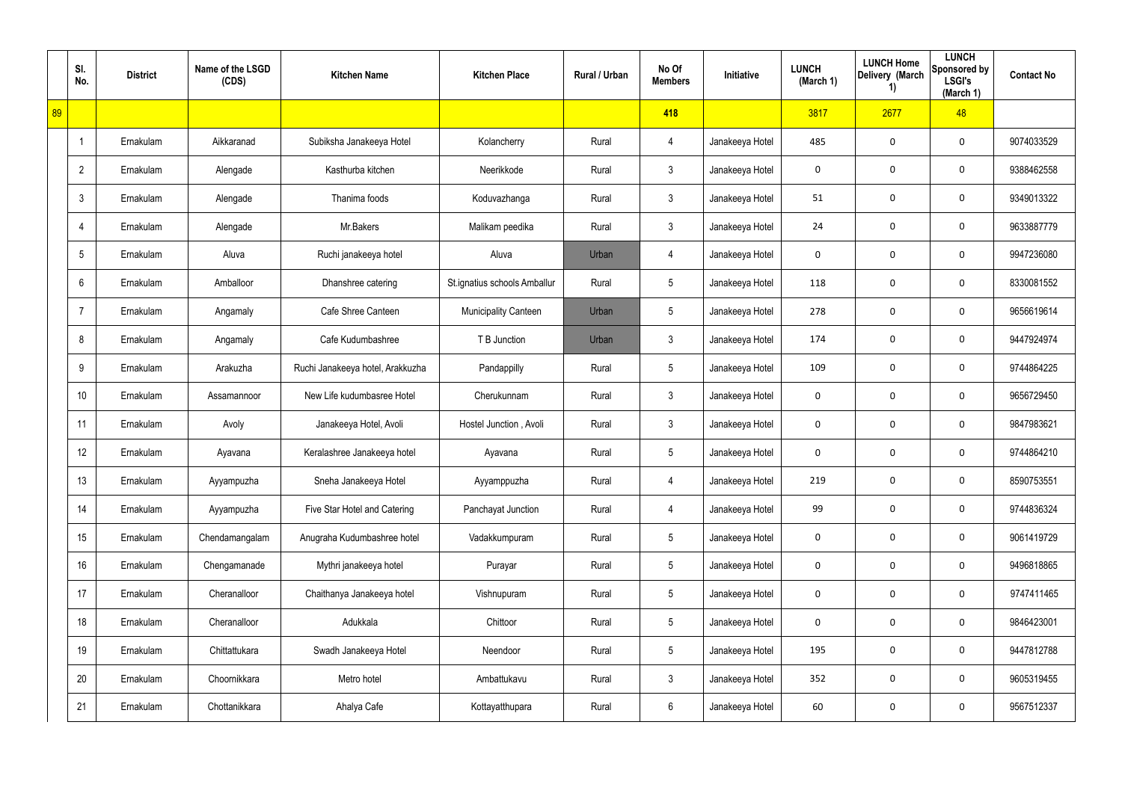|    | SI.<br>No.      | <b>District</b> | Name of the LSGD<br>(CDS) | <b>Kitchen Name</b>              | <b>Kitchen Place</b>         | Rural / Urban | No Of<br><b>Members</b> | <b>Initiative</b> | <b>LUNCH</b><br>(March 1) | <b>LUNCH Home</b><br>Delivery (March<br>1) | <b>LUNCH</b><br>Sponsored by<br><b>LSGI's</b><br>(March 1) | <b>Contact No</b> |
|----|-----------------|-----------------|---------------------------|----------------------------------|------------------------------|---------------|-------------------------|-------------------|---------------------------|--------------------------------------------|------------------------------------------------------------|-------------------|
| 89 |                 |                 |                           |                                  |                              |               | 418                     |                   | 3817                      | 2677                                       | 48                                                         |                   |
|    | $\overline{1}$  | Ernakulam       | Aikkaranad                | Subiksha Janakeeya Hotel         | Kolancherry                  | Rural         | 4                       | Janakeeya Hotel   | 485                       | 0                                          | $\boldsymbol{0}$                                           | 9074033529        |
|    | $\overline{2}$  | Ernakulam       | Alengade                  | Kasthurba kitchen                | Neerikkode                   | Rural         | $\mathbf{3}$            | Janakeeya Hotel   | $\mathbf 0$               | 0                                          | $\boldsymbol{0}$                                           | 9388462558        |
|    | $\mathfrak{Z}$  | Ernakulam       | Alengade                  | Thanima foods                    | Koduvazhanga                 | Rural         | $\mathbf{3}$            | Janakeeya Hotel   | 51                        | 0                                          | $\boldsymbol{0}$                                           | 9349013322        |
|    | $\overline{4}$  | Ernakulam       | Alengade                  | Mr.Bakers                        | Malikam peedika              | Rural         | $\mathbf{3}$            | Janakeeya Hotel   | 24                        | $\mathbf 0$                                | $\mathbf 0$                                                | 9633887779        |
|    | $5\phantom{.0}$ | Ernakulam       | Aluva                     | Ruchi janakeeya hotel            | Aluva                        | Urban         | 4                       | Janakeeya Hotel   | 0                         | $\mathbf 0$                                | $\mathbf 0$                                                | 9947236080        |
|    | 6               | Ernakulam       | Amballoor                 | Dhanshree catering               | St.ignatius schools Amballur | Rural         | $5\phantom{.0}$         | Janakeeya Hotel   | 118                       | $\mathbf 0$                                | $\mathbf 0$                                                | 8330081552        |
|    | $\overline{7}$  | Ernakulam       | Angamaly                  | Cafe Shree Canteen               | <b>Municipality Canteen</b>  | Urban         | $5\phantom{.0}$         | Janakeeya Hotel   | 278                       | 0                                          | $\mathbf 0$                                                | 9656619614        |
|    | 8               | Ernakulam       | Angamaly                  | Cafe Kudumbashree                | T B Junction                 | Urban         | $\mathfrak{Z}$          | Janakeeya Hotel   | 174                       | $\mathbf 0$                                | $\mathbf 0$                                                | 9447924974        |
|    | 9               | Ernakulam       | Arakuzha                  | Ruchi Janakeeya hotel, Arakkuzha | Pandappilly                  | Rural         | $5\phantom{.0}$         | Janakeeya Hotel   | 109                       | 0                                          | $\mathbf 0$                                                | 9744864225        |
|    | 10              | Ernakulam       | Assamannoor               | New Life kudumbasree Hotel       | Cherukunnam                  | Rural         | $\mathfrak{Z}$          | Janakeeya Hotel   | 0                         | $\mathbf 0$                                | $\mathbf 0$                                                | 9656729450        |
|    | 11              | Ernakulam       | Avoly                     | Janakeeya Hotel, Avoli           | Hostel Junction, Avoli       | Rural         | $\mathfrak{Z}$          | Janakeeya Hotel   | 0                         | 0                                          | $\mathbf 0$                                                | 9847983621        |
|    | 12              | Ernakulam       | Ayavana                   | Keralashree Janakeeya hotel      | Ayavana                      | Rural         | $5\phantom{.0}$         | Janakeeya Hotel   | 0                         | 0                                          | 0                                                          | 9744864210        |
|    | 13 <sup>°</sup> | Ernakulam       | Ayyampuzha                | Sneha Janakeeya Hotel            | Ayyamppuzha                  | Rural         | 4                       | Janakeeya Hotel   | 219                       | 0                                          | $\mathbf 0$                                                | 8590753551        |
|    | 14              | Ernakulam       | Ayyampuzha                | Five Star Hotel and Catering     | Panchayat Junction           | Rural         | 4                       | Janakeeya Hotel   | 99                        | 0                                          | $\mathbf 0$                                                | 9744836324        |
|    | 15              | Ernakulam       | Chendamangalam            | Anugraha Kudumbashree hotel      | Vadakkumpuram                | Rural         | $5\phantom{.0}$         | Janakeeya Hotel   | $\mathbf 0$               | 0                                          | $\boldsymbol{0}$                                           | 9061419729        |
|    | 16              | Ernakulam       | Chengamanade              | Mythri janakeeya hotel           | Purayar                      | Rural         | $5\phantom{.0}$         | Janakeeya Hotel   | $\mathbf 0$               | 0                                          | $\mathbf 0$                                                | 9496818865        |
|    | 17              | Ernakulam       | Cheranalloor              | Chaithanya Janakeeya hotel       | Vishnupuram                  | Rural         | $5\phantom{.0}$         | Janakeeya Hotel   | $\mathbf 0$               | 0                                          | $\mathbf 0$                                                | 9747411465        |
|    | 18              | Ernakulam       | Cheranalloor              | Adukkala                         | Chittoor                     | Rural         | $5\phantom{.0}$         | Janakeeya Hotel   | $\mathbf 0$               | 0                                          | $\mathbf 0$                                                | 9846423001        |
|    | 19              | Ernakulam       | Chittattukara             | Swadh Janakeeya Hotel            | Neendoor                     | Rural         | $5\phantom{.0}$         | Janakeeya Hotel   | 195                       | 0                                          | $\mathbf 0$                                                | 9447812788        |
|    | 20              | Ernakulam       | Choornikkara              | Metro hotel                      | Ambattukavu                  | Rural         | $\mathbf{3}$            | Janakeeya Hotel   | 352                       | 0                                          | $\mathbf 0$                                                | 9605319455        |
|    | 21              | Ernakulam       | Chottanikkara             | Ahalya Cafe                      | Kottayatthupara              | Rural         | 6                       | Janakeeya Hotel   | 60                        | $\pmb{0}$                                  | $\bf{0}$                                                   | 9567512337        |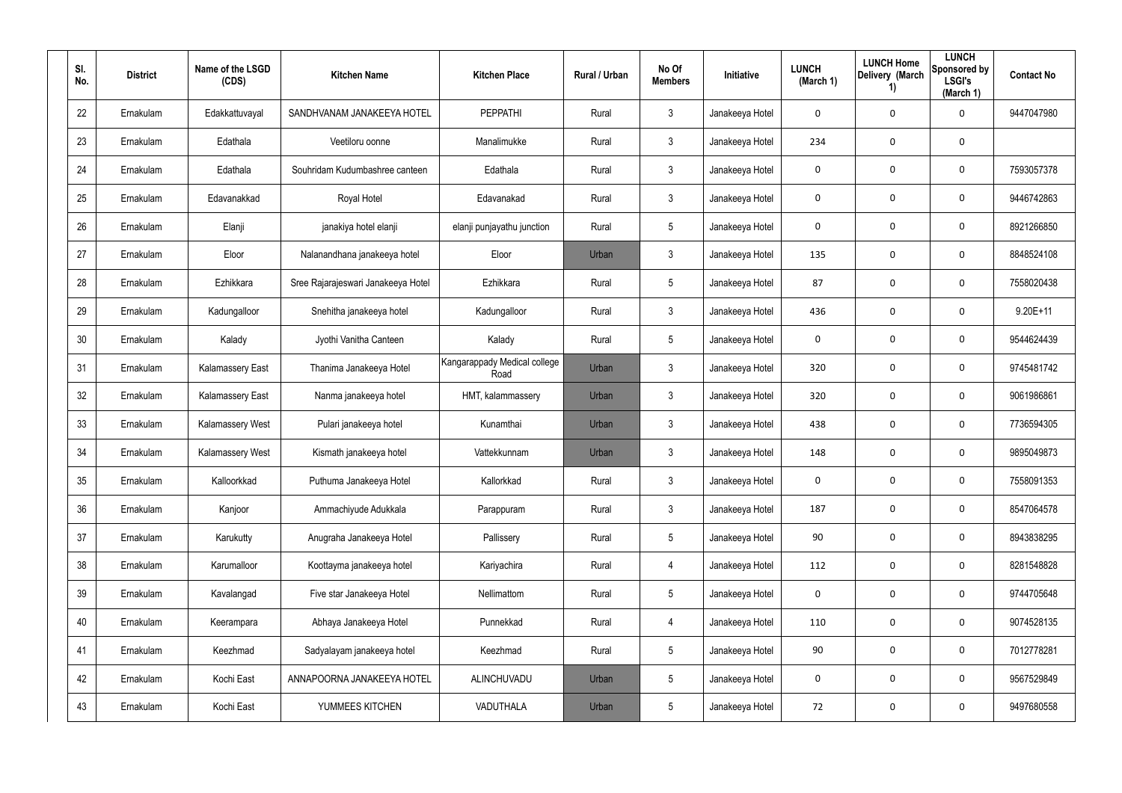| SI.<br>No. | <b>District</b> | Name of the LSGD<br>(CDS) | <b>Kitchen Name</b>                | <b>Kitchen Place</b>                 | Rural / Urban | No Of<br><b>Members</b> | Initiative      | <b>LUNCH</b><br>(March 1) | <b>LUNCH Home</b><br>Delivery (March<br>$\left( \mathbf{1}\right)$ | <b>LUNCH</b><br>Sponsored by<br><b>LSGI's</b><br>(March 1) | <b>Contact No</b> |
|------------|-----------------|---------------------------|------------------------------------|--------------------------------------|---------------|-------------------------|-----------------|---------------------------|--------------------------------------------------------------------|------------------------------------------------------------|-------------------|
| 22         | Ernakulam       | Edakkattuvayal            | SANDHVANAM JANAKEEYA HOTEL         | PEPPATHI                             | Rural         | $\mathbf{3}$            | Janakeeya Hotel | 0                         | 0                                                                  | $\mathbf 0$                                                | 9447047980        |
| 23         | Ernakulam       | Edathala                  | Veetiloru oonne                    | Manalimukke                          | Rural         | $\mathbf{3}$            | Janakeeya Hotel | 234                       | 0                                                                  | $\mathbf 0$                                                |                   |
| 24         | Ernakulam       | Edathala                  | Souhridam Kudumbashree canteen     | Edathala                             | Rural         | $\mathbf{3}$            | Janakeeya Hotel | 0                         | 0                                                                  | $\mathbf 0$                                                | 7593057378        |
| 25         | Ernakulam       | Edavanakkad               | Royal Hotel                        | Edavanakad                           | Rural         | $\mathbf{3}$            | Janakeeya Hotel | 0                         | 0                                                                  | $\mathbf 0$                                                | 9446742863        |
| 26         | Ernakulam       | Elanji                    | janakiya hotel elanji              | elanji punjayathu junction           | Rural         | 5                       | Janakeeya Hotel | 0                         | 0                                                                  | $\mathbf 0$                                                | 8921266850        |
| 27         | Ernakulam       | Eloor                     | Nalanandhana janakeeya hotel       | Eloor                                | Urban         | $\mathbf{3}$            | Janakeeya Hotel | 135                       | 0                                                                  | $\mathbf 0$                                                | 8848524108        |
| 28         | Ernakulam       | Ezhikkara                 | Sree Rajarajeswari Janakeeya Hotel | Ezhikkara                            | Rural         | $5\phantom{.0}$         | Janakeeya Hotel | 87                        | 0                                                                  | $\mathbf 0$                                                | 7558020438        |
| 29         | Ernakulam       | Kadungalloor              | Snehitha janakeeya hotel           | Kadungalloor                         | Rural         | $\mathbf{3}$            | Janakeeya Hotel | 436                       | 0                                                                  | $\mathbf 0$                                                | $9.20E+11$        |
| 30         | Ernakulam       | Kalady                    | Jyothi Vanitha Canteen             | Kalady                               | Rural         | $5\phantom{.0}$         | Janakeeya Hotel | 0                         | 0                                                                  | $\mathbf 0$                                                | 9544624439        |
| 31         | Ernakulam       | Kalamassery East          | Thanima Janakeeya Hotel            | Kangarappady Medical college<br>Road | Urban         | $\mathbf{3}$            | Janakeeya Hotel | 320                       | 0                                                                  | $\mathbf 0$                                                | 9745481742        |
| 32         | Ernakulam       | Kalamassery East          | Nanma janakeeya hotel              | HMT, kalammassery                    | Urban         | $\mathbf{3}$            | Janakeeya Hotel | 320                       | 0                                                                  | $\mathbf 0$                                                | 9061986861        |
| 33         | Ernakulam       | Kalamassery West          | Pulari janakeeya hotel             | Kunamthai                            | Urban         | $\mathbf{3}$            | Janakeeya Hotel | 438                       | 0                                                                  | 0                                                          | 7736594305        |
| 34         | Ernakulam       | Kalamassery West          | Kismath janakeeya hotel            | Vattekkunnam                         | Urban         | $\mathbf{3}$            | Janakeeya Hotel | 148                       | 0                                                                  | 0                                                          | 9895049873        |
| 35         | Ernakulam       | Kalloorkkad               | Puthuma Janakeeya Hotel            | Kallorkkad                           | Rural         | $\mathbf{3}$            | Janakeeya Hotel | $\mathbf 0$               | 0                                                                  | $\mathbf 0$                                                | 7558091353        |
| 36         | Ernakulam       | Kanjoor                   | Ammachiyude Adukkala               | Parappuram                           | Rural         | $\mathbf{3}$            | Janakeeya Hotel | 187                       | 0                                                                  | $\mathbf 0$                                                | 8547064578        |
| 37         | Ernakulam       | Karukutty                 | Anugraha Janakeeya Hotel           | Pallissery                           | Rural         | 5                       | Janakeeya Hotel | 90                        | 0                                                                  | $\mathbf 0$                                                | 8943838295        |
| 38         | Ernakulam       | Karumalloor               | Koottayma janakeeya hotel          | Kariyachira                          | Rural         | 4                       | Janakeeya Hotel | 112                       | 0                                                                  | $\mathbf 0$                                                | 8281548828        |
| 39         | Ernakulam       | Kavalangad                | Five star Janakeeya Hotel          | Nellimattom                          | Rural         | 5                       | Janakeeya Hotel | 0                         | 0                                                                  | $\mathbf 0$                                                | 9744705648        |
| 40         | Ernakulam       | Keerampara                | Abhaya Janakeeya Hotel             | Punnekkad                            | Rural         | $\overline{4}$          | Janakeeya Hotel | 110                       | 0                                                                  | $\mathbf 0$                                                | 9074528135        |
| 41         | Ernakulam       | Keezhmad                  | Sadyalayam janakeeya hotel         | Keezhmad                             | Rural         | 5                       | Janakeeya Hotel | 90                        | 0                                                                  | $\mathbf 0$                                                | 7012778281        |
| 42         | Ernakulam       | Kochi East                | ANNAPOORNA JANAKEEYA HOTEL         | ALINCHUVADU                          | Urban         | 5                       | Janakeeya Hotel | 0                         | 0                                                                  | $\mathbf 0$                                                | 9567529849        |
| 43         | Ernakulam       | Kochi East                | YUMMEES KITCHEN                    | VADUTHALA                            | Urban         | 5                       | Janakeeya Hotel | 72                        | 0                                                                  | 0                                                          | 9497680558        |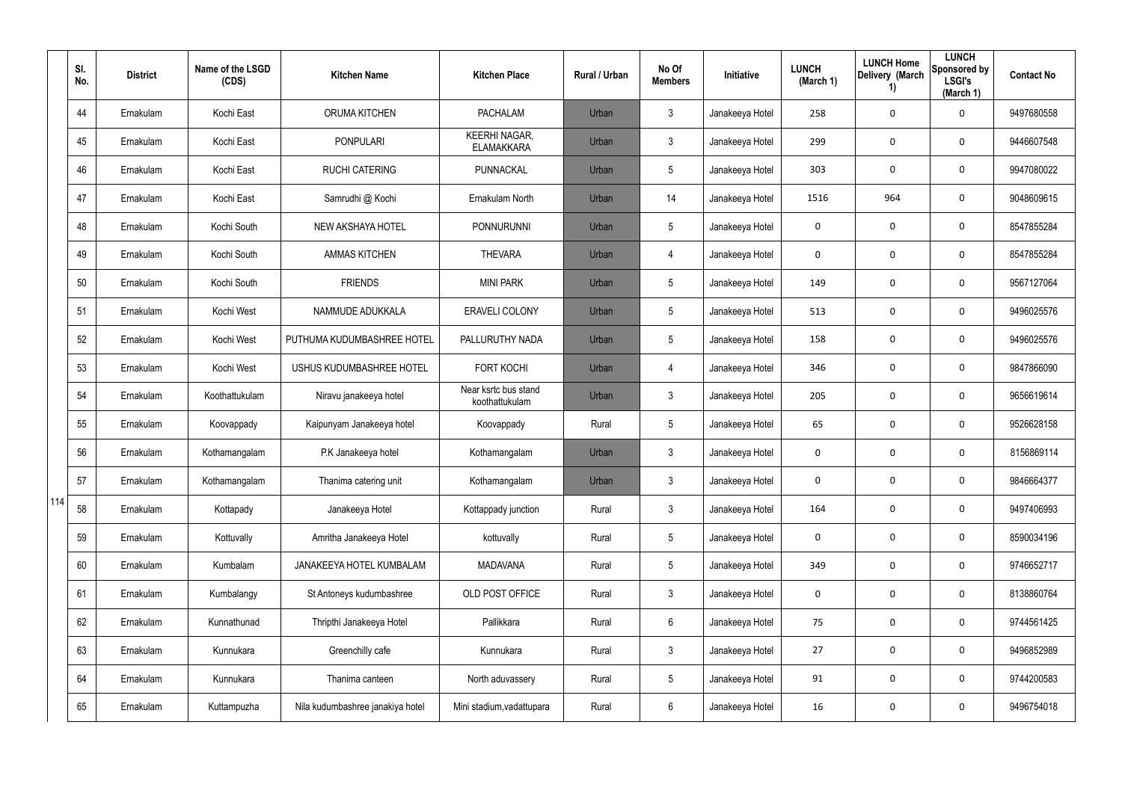|     | SI.<br>No. | <b>District</b> | Name of the LSGD<br>(CDS) | <b>Kitchen Name</b>              | <b>Kitchen Place</b>                      | Rural / Urban | No Of<br><b>Members</b> | <b>Initiative</b> | <b>LUNCH</b><br>(March 1) | <b>LUNCH Home</b><br>Delivery (March<br>1) | <b>LUNCH</b><br>Sponsored by<br><b>LSGI's</b><br>(March 1) | <b>Contact No</b> |
|-----|------------|-----------------|---------------------------|----------------------------------|-------------------------------------------|---------------|-------------------------|-------------------|---------------------------|--------------------------------------------|------------------------------------------------------------|-------------------|
|     | 44         | Ernakulam       | Kochi East                | <b>ORUMA KITCHEN</b>             | <b>PACHALAM</b>                           | Urban         | $\mathbf{3}$            | Janakeeya Hotel   | 258                       | 0                                          | $\mathbf 0$                                                | 9497680558        |
|     | 45         | Ernakulam       | Kochi East                | <b>PONPULARI</b>                 | <b>KEERHI NAGAR,</b><br><b>ELAMAKKARA</b> | Urban         | $\mathbf{3}$            | Janakeeya Hotel   | 299                       | 0                                          | $\mathbf 0$                                                | 9446607548        |
|     | 46         | Ernakulam       | Kochi East                | <b>RUCHI CATERING</b>            | PUNNACKAL                                 | Urban         | $5\phantom{.0}$         | Janakeeya Hotel   | 303                       | 0                                          | $\mathbf 0$                                                | 9947080022        |
|     | 47         | Ernakulam       | Kochi East                | Samrudhi @ Kochi                 | Ernakulam North                           | Urban         | 14                      | Janakeeya Hotel   | 1516                      | 964                                        | $\mathbf 0$                                                | 9048609615        |
|     | 48         | Ernakulam       | Kochi South               | NEW AKSHAYA HOTEL                | PONNURUNNI                                | Urban         | $5\phantom{.0}$         | Janakeeya Hotel   | $\mathbf 0$               | 0                                          | $\mathbf 0$                                                | 8547855284        |
|     | 49         | Ernakulam       | Kochi South               | <b>AMMAS KITCHEN</b>             | <b>THEVARA</b>                            | Urban         | 4                       | Janakeeya Hotel   | $\mathbf 0$               | 0                                          | $\mathbf 0$                                                | 8547855284        |
|     | 50         | Ernakulam       | Kochi South               | <b>FRIENDS</b>                   | <b>MINI PARK</b>                          | Urban         | $5\phantom{.0}$         | Janakeeya Hotel   | 149                       | 0                                          | $\mathbf 0$                                                | 9567127064        |
|     | 51         | Ernakulam       | Kochi West                | NAMMUDE ADUKKALA                 | ERAVELI COLONY                            | Urban         | $5\phantom{.0}$         | Janakeeya Hotel   | 513                       | 0                                          | $\mathbf 0$                                                | 9496025576        |
|     | 52         | Ernakulam       | Kochi West                | PUTHUMA KUDUMBASHREE HOTEL       | PALLURUTHY NADA                           | Urban         | $5\phantom{.0}$         | Janakeeya Hotel   | 158                       | 0                                          | $\mathbf 0$                                                | 9496025576        |
|     | 53         | Ernakulam       | Kochi West                | USHUS KUDUMBASHREE HOTEL         | <b>FORT KOCHI</b>                         | Urban         | 4                       | Janakeeya Hotel   | 346                       | 0                                          | $\mathbf 0$                                                | 9847866090        |
|     | 54         | Ernakulam       | Koothattukulam            | Niravu janakeeya hotel           | Near ksrtc bus stand<br>koothattukulam    | Urban         | $\mathbf{3}$            | Janakeeya Hotel   | 205                       | 0                                          | $\mathbf 0$                                                | 9656619614        |
|     | 55         | Ernakulam       | Koovappady                | Kaipunyam Janakeeya hotel        | Koovappady                                | Rural         | $5\phantom{.0}$         | Janakeeya Hotel   | 65                        | 0                                          | $\mathbf 0$                                                | 9526628158        |
|     | 56         | Ernakulam       | Kothamangalam             | P.K Janakeeya hotel              | Kothamangalam                             | Urban         | $\mathfrak{Z}$          | Janakeeya Hotel   | $\mathbf 0$               | 0                                          | 0                                                          | 8156869114        |
|     | 57         | Ernakulam       | Kothamangalam             | Thanima catering unit            | Kothamangalam                             | Urban         | $\mathbf{3}$            | Janakeeya Hotel   | 0                         | 0                                          | $\mathbf 0$                                                | 9846664377        |
| 114 | 58         | Ernakulam       | Kottapady                 | Janakeeya Hotel                  | Kottappady junction                       | Rural         | $\mathfrak{Z}$          | Janakeeya Hotel   | 164                       | 0                                          | $\mathbf 0$                                                | 9497406993        |
|     | 59         | Ernakulam       | Kottuvally                | Amritha Janakeeya Hotel          | kottuvally                                | Rural         | $5\overline{)}$         | Janakeeya Hotel   | 0                         | 0                                          | $\mathbf 0$                                                | 8590034196        |
|     | 60         | Ernakulam       | Kumbalam                  | JANAKEEYA HOTEL KUMBALAM         | MADAVANA                                  | Rural         | $5\phantom{.0}$         | Janakeeya Hotel   | 349                       | 0                                          | $\mathbf 0$                                                | 9746652717        |
|     | 61         | Ernakulam       | Kumbalangy                | St Antoneys kudumbashree         | OLD POST OFFICE                           | Rural         | $\mathfrak{Z}$          | Janakeeya Hotel   | 0                         | 0                                          | $\mathbf 0$                                                | 8138860764        |
|     | 62         | Ernakulam       | Kunnathunad               | Thripthi Janakeeya Hotel         | Pallikkara                                | Rural         | 6                       | Janakeeya Hotel   | 75                        | 0                                          | $\mathbf 0$                                                | 9744561425        |
|     | 63         | Ernakulam       | Kunnukara                 | Greenchilly cafe                 | Kunnukara                                 | Rural         | $\mathfrak{Z}$          | Janakeeya Hotel   | 27                        | 0                                          | $\mathbf 0$                                                | 9496852989        |
|     | 64         | Ernakulam       | Kunnukara                 | Thanima canteen                  | North aduvassery                          | Rural         | $5\phantom{.0}$         | Janakeeya Hotel   | 91                        | 0                                          | $\mathbf 0$                                                | 9744200583        |
|     | 65         | Ernakulam       | Kuttampuzha               | Nila kudumbashree janakiya hotel | Mini stadium, vadattupara                 | Rural         | 6                       | Janakeeya Hotel   | 16                        | 0                                          | $\bf{0}$                                                   | 9496754018        |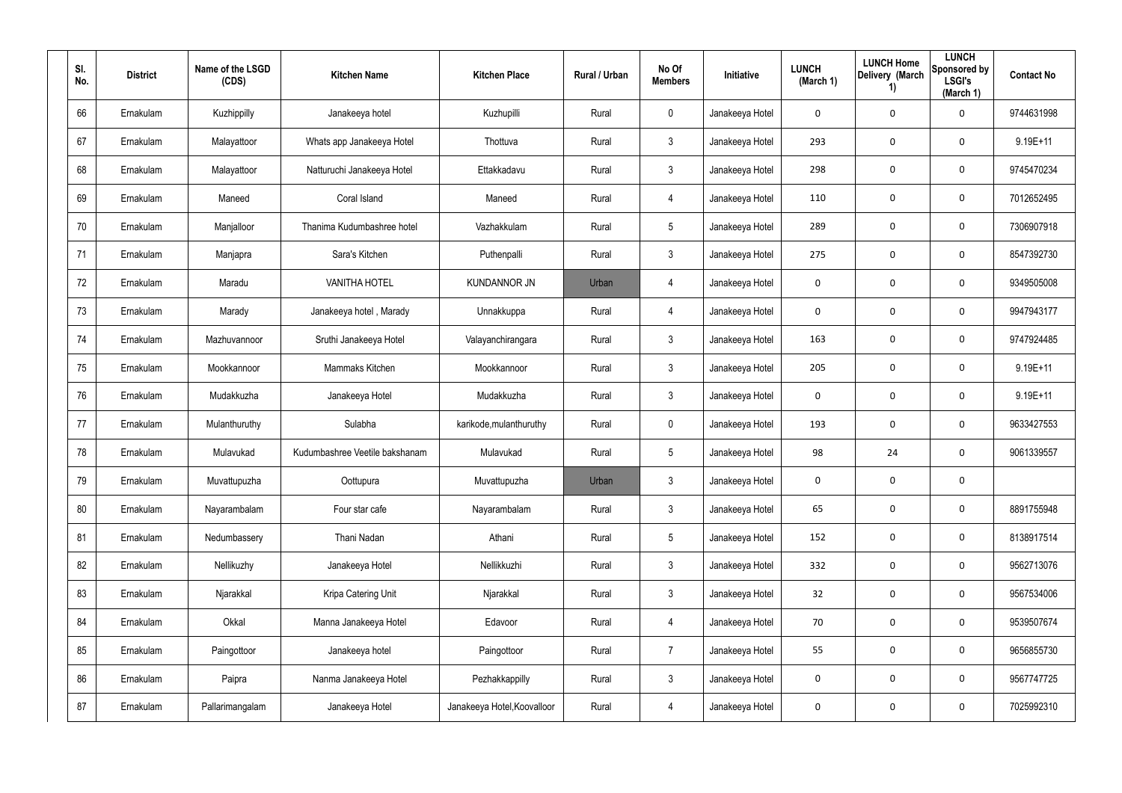| SI.<br>No. | <b>District</b> | Name of the LSGD<br>(CDS) | <b>Kitchen Name</b>            | <b>Kitchen Place</b>        | <b>Rural / Urban</b> | No Of<br><b>Members</b> | <b>Initiative</b> | <b>LUNCH</b><br>(March 1) | <b>LUNCH Home</b><br>Delivery (March<br>1) | <b>LUNCH</b><br>Sponsored by<br><b>LSGI's</b><br>(March 1) | <b>Contact No</b> |
|------------|-----------------|---------------------------|--------------------------------|-----------------------------|----------------------|-------------------------|-------------------|---------------------------|--------------------------------------------|------------------------------------------------------------|-------------------|
| 66         | Ernakulam       | Kuzhippilly               | Janakeeya hotel                | Kuzhupilli                  | Rural                | $\mathbf 0$             | Janakeeya Hotel   | 0                         | 0                                          | 0                                                          | 9744631998        |
| 67         | Ernakulam       | Malayattoor               | Whats app Janakeeya Hotel      | Thottuva                    | Rural                | 3                       | Janakeeya Hotel   | 293                       | 0                                          | $\mathbf 0$                                                | 9.19E+11          |
| 68         | Ernakulam       | Malayattoor               | Natturuchi Janakeeya Hotel     | Ettakkadavu                 | Rural                | $\mathbf{3}$            | Janakeeya Hotel   | 298                       | 0                                          | $\mathbf 0$                                                | 9745470234        |
| 69         | Ernakulam       | Maneed                    | Coral Island                   | Maneed                      | Rural                | 4                       | Janakeeya Hotel   | 110                       | 0                                          | $\mathbf 0$                                                | 7012652495        |
| 70         | Ernakulam       | Manjalloor                | Thanima Kudumbashree hotel     | Vazhakkulam                 | Rural                | $5\overline{)}$         | Janakeeya Hotel   | 289                       | $\bf{0}$                                   | $\mathbf 0$                                                | 7306907918        |
| 71         | Ernakulam       | Manjapra                  | Sara's Kitchen                 | Puthenpalli                 | Rural                | 3                       | Janakeeya Hotel   | 275                       | 0                                          | $\mathbf 0$                                                | 8547392730        |
| 72         | Ernakulam       | Maradu                    | <b>VANITHA HOTEL</b>           | <b>KUNDANNOR JN</b>         | Urban                | $\overline{4}$          | Janakeeya Hotel   | 0                         | $\mathbf 0$                                | $\mathbf 0$                                                | 9349505008        |
| 73         | Ernakulam       | Marady                    | Janakeeya hotel, Marady        | Unnakkuppa                  | Rural                | 4                       | Janakeeya Hotel   | 0                         | 0                                          | 0                                                          | 9947943177        |
| 74         | Ernakulam       | Mazhuvannoor              | Sruthi Janakeeya Hotel         | Valayanchirangara           | Rural                | $\mathbf{3}$            | Janakeeya Hotel   | 163                       | $\bf{0}$                                   | 0                                                          | 9747924485        |
| 75         | Ernakulam       | Mookkannoor               | Mammaks Kitchen                | Mookkannoor                 | Rural                | 3                       | Janakeeya Hotel   | 205                       | 0                                          | 0                                                          | $9.19E + 11$      |
| 76         | Ernakulam       | Mudakkuzha                | Janakeeya Hotel                | Mudakkuzha                  | Rural                | $\mathbf{3}$            | Janakeeya Hotel   | 0                         | $\bf{0}$                                   | 0                                                          | $9.19E + 11$      |
| 77         | Ernakulam       | Mulanthuruthy             | Sulabha                        | karikode, mulanthuruthy     | Rural                | $\mathbf 0$             | Janakeeya Hotel   | 193                       | $\boldsymbol{0}$                           | 0                                                          | 9633427553        |
| 78         | Ernakulam       | Mulavukad                 | Kudumbashree Veetile bakshanam | Mulavukad                   | Rural                | $5\overline{)}$         | Janakeeya Hotel   | 98                        | 24                                         | 0                                                          | 9061339557        |
| 79         | Ernakulam       | Muvattupuzha              | Oottupura                      | Muvattupuzha                | Urban                | $\mathfrak{Z}$          | Janakeeya Hotel   | 0                         | $\mathbf 0$                                | $\mathbf 0$                                                |                   |
| 80         | Ernakulam       | Nayarambalam              | Four star cafe                 | Nayarambalam                | Rural                | $\mathfrak{Z}$          | Janakeeya Hotel   | 65                        | $\mathbf 0$                                | 0                                                          | 8891755948        |
| 81         | Ernakulam       | Nedumbassery              | Thani Nadan                    | Athani                      | Rural                | $5\phantom{.0}$         | Janakeeya Hotel   | 152                       | $\mathbf 0$                                | 0                                                          | 8138917514        |
| 82         | Ernakulam       | Nellikuzhy                | Janakeeya Hotel                | Nellikkuzhi                 | Rural                | $\mathbf{3}$            | Janakeeya Hotel   | 332                       | $\pmb{0}$                                  | 0                                                          | 9562713076        |
| 83         | Ernakulam       | Njarakkal                 | Kripa Catering Unit            | Njarakkal                   | Rural                | $\mathfrak{Z}$          | Janakeeya Hotel   | 32                        | $\mathbf 0$                                | 0                                                          | 9567534006        |
| 84         | Ernakulam       | Okkal                     | Manna Janakeeya Hotel          | Edavoor                     | Rural                | 4                       | Janakeeya Hotel   | 70                        | $\pmb{0}$                                  | 0                                                          | 9539507674        |
| 85         | Ernakulam       | Paingottoor               | Janakeeya hotel                | Paingottoor                 | Rural                | $\overline{7}$          | Janakeeya Hotel   | 55                        | $\mathbf 0$                                | 0                                                          | 9656855730        |
| 86         | Ernakulam       | Paipra                    | Nanma Janakeeya Hotel          | Pezhakkappilly              | Rural                | $\mathbf{3}$            | Janakeeya Hotel   | 0                         | $\pmb{0}$                                  | 0                                                          | 9567747725        |
| 87         | Ernakulam       | Pallarimangalam           | Janakeeya Hotel                | Janakeeya Hotel, Koovalloor | Rural                | 4                       | Janakeeya Hotel   | 0                         | 0                                          | 0                                                          | 7025992310        |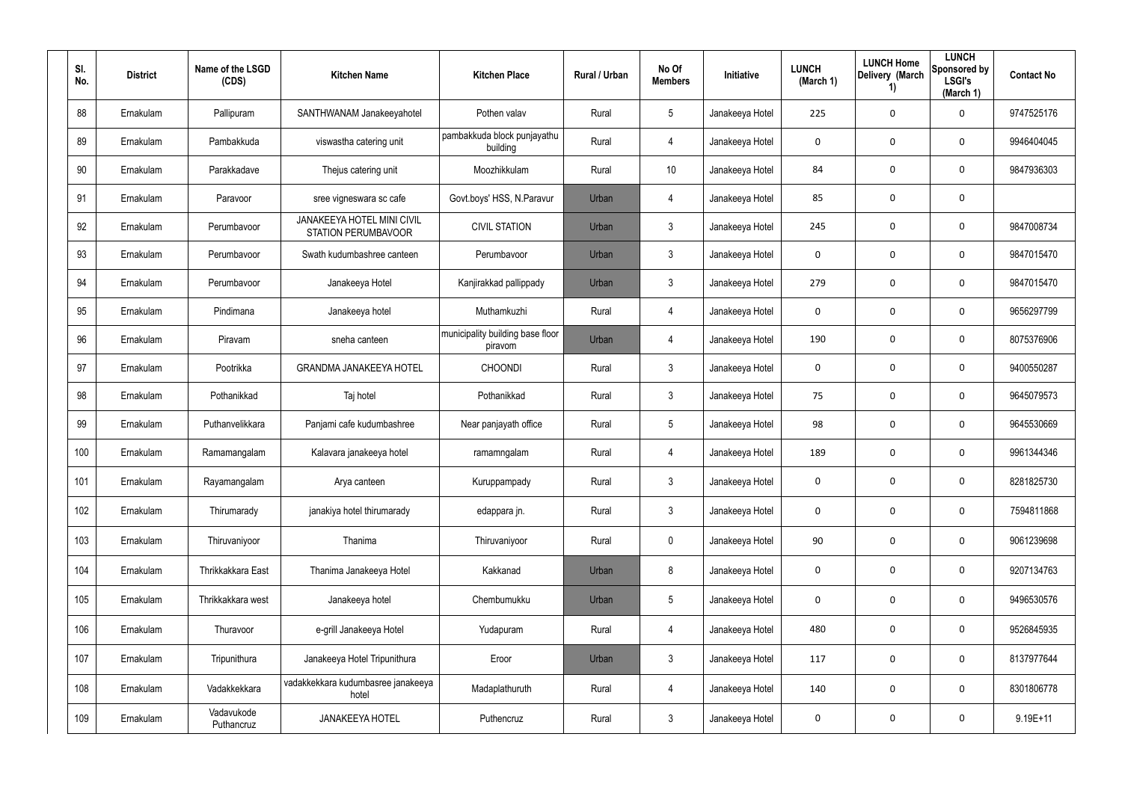| SI.<br>No. | <b>District</b> | Name of the LSGD<br>(CDS) | <b>Kitchen Name</b>                                             | <b>Kitchen Place</b>                        | <b>Rural / Urban</b> | No Of<br><b>Members</b> | <b>Initiative</b> | <b>LUNCH</b><br>(March 1) | <b>LUNCH Home</b><br>Delivery (March<br>$\left( \mathbf{1}\right)$ | <b>LUNCH</b><br>Sponsored by<br><b>LSGI's</b><br>(March 1) | <b>Contact No</b> |
|------------|-----------------|---------------------------|-----------------------------------------------------------------|---------------------------------------------|----------------------|-------------------------|-------------------|---------------------------|--------------------------------------------------------------------|------------------------------------------------------------|-------------------|
| 88         | Ernakulam       | Pallipuram                | SANTHWANAM Janakeeyahotel                                       | Pothen valav                                | Rural                | 5                       | Janakeeya Hotel   | 225                       | 0                                                                  | $\mathbf 0$                                                | 9747525176        |
| 89         | Ernakulam       | Pambakkuda                | viswastha catering unit                                         | pambakkuda block punjayathu<br>building     | Rural                | 4                       | Janakeeya Hotel   | 0                         | 0                                                                  | $\mathbf 0$                                                | 9946404045        |
| 90         | Ernakulam       | Parakkadave               | Thejus catering unit                                            | Moozhikkulam                                | Rural                | 10 <sup>°</sup>         | Janakeeya Hotel   | 84                        | 0                                                                  | $\mathbf 0$                                                | 9847936303        |
| 91         | Ernakulam       | Paravoor                  | sree vigneswara sc cafe                                         | Govt.boys' HSS, N.Paravur                   | Urban                | 4                       | Janakeeya Hotel   | 85                        | 0                                                                  | $\mathbf 0$                                                |                   |
| 92         | Ernakulam       | Perumbavoor               | <b>JANAKEEYA HOTEL MINI CIVIL</b><br><b>STATION PERUMBAVOOR</b> | <b>CIVIL STATION</b>                        | Urban                | $\mathfrak{Z}$          | Janakeeya Hotel   | 245                       | 0                                                                  | $\mathbf 0$                                                | 9847008734        |
| 93         | Ernakulam       | Perumbavoor               | Swath kudumbashree canteen                                      | Perumbavoor                                 | Urban                | $\mathfrak{Z}$          | Janakeeya Hotel   | 0                         | 0                                                                  | $\mathbf 0$                                                | 9847015470        |
| 94         | Ernakulam       | Perumbavoor               | Janakeeya Hotel                                                 | Kanjirakkad pallippady                      | Urban                | $\mathbf{3}$            | Janakeeya Hotel   | 279                       | 0                                                                  | $\mathbf 0$                                                | 9847015470        |
| 95         | Ernakulam       | Pindimana                 | Janakeeya hotel                                                 | Muthamkuzhi                                 | Rural                | 4                       | Janakeeya Hotel   | 0                         | 0                                                                  | $\mathbf 0$                                                | 9656297799        |
| 96         | Ernakulam       | Piravam                   | sneha canteen                                                   | municipality building base floor<br>piravom | Urban                | 4                       | Janakeeya Hotel   | 190                       | 0                                                                  | $\mathbf 0$                                                | 8075376906        |
| 97         | Ernakulam       | Pootrikka                 | <b>GRANDMA JANAKEEYA HOTEL</b>                                  | <b>CHOONDI</b>                              | Rural                | $\mathbf{3}$            | Janakeeya Hotel   | 0                         | 0                                                                  | $\mathbf 0$                                                | 9400550287        |
| 98         | Ernakulam       | Pothanikkad               | Taj hotel                                                       | Pothanikkad                                 | Rural                | $\mathbf{3}$            | Janakeeya Hotel   | 75                        | 0                                                                  | $\mathbf 0$                                                | 9645079573        |
| 99         | Ernakulam       | Puthanvelikkara           | Panjami cafe kudumbashree                                       | Near panjayath office                       | Rural                | $5\phantom{.0}$         | Janakeeya Hotel   | 98                        | 0                                                                  | $\mathbf 0$                                                | 9645530669        |
| 100        | Ernakulam       | Ramamangalam              | Kalavara janakeeya hotel                                        | ramamngalam                                 | Rural                | 4                       | Janakeeya Hotel   | 189                       | 0                                                                  | $\mathbf 0$                                                | 9961344346        |
| 101        | Ernakulam       | Rayamangalam              | Arya canteen                                                    | Kuruppampady                                | Rural                | $\mathfrak{Z}$          | Janakeeya Hotel   | $\mathbf 0$               | 0                                                                  | $\boldsymbol{0}$                                           | 8281825730        |
| 102        | Ernakulam       | Thirumarady               | janakiya hotel thirumarady                                      | edappara jn.                                | Rural                | $\mathfrak{Z}$          | Janakeeya Hotel   | $\mathbf 0$               | 0                                                                  | $\mathbf 0$                                                | 7594811868        |
| 103        | Ernakulam       | Thiruvaniyoor             | Thanima                                                         | Thiruvaniyoor                               | Rural                | $\pmb{0}$               | Janakeeya Hotel   | 90                        | 0                                                                  | $\mathbf 0$                                                | 9061239698        |
| 104        | Ernakulam       | Thrikkakkara East         | Thanima Janakeeya Hotel                                         | Kakkanad                                    | Urban                | 8                       | Janakeeya Hotel   | 0                         | 0                                                                  | $\mathbf 0$                                                | 9207134763        |
| 105        | Ernakulam       | Thrikkakkara west         | Janakeeya hotel                                                 | Chembumukku                                 | Urban                | $5\phantom{.0}$         | Janakeeya Hotel   | $\mathbf 0$               | 0                                                                  | $\mathbf 0$                                                | 9496530576        |
| 106        | Ernakulam       | Thuravoor                 | e-grill Janakeeya Hotel                                         | Yudapuram                                   | Rural                | 4                       | Janakeeya Hotel   | 480                       | $\mathbf 0$                                                        | $\mathbf 0$                                                | 9526845935        |
| 107        | Ernakulam       | Tripunithura              | Janakeeya Hotel Tripunithura                                    | Eroor                                       | Urban                | $\mathbf{3}$            | Janakeeya Hotel   | 117                       | 0                                                                  | $\mathbf 0$                                                | 8137977644        |
| 108        | Ernakulam       | Vadakkekkara              | vadakkekkara kudumbasree janakeeya<br>hotel                     | Madaplathuruth                              | Rural                | $\overline{4}$          | Janakeeya Hotel   | 140                       | 0                                                                  | $\mathbf 0$                                                | 8301806778        |
| 109        | Ernakulam       | Vadavukode<br>Puthancruz  | <b>JANAKEEYA HOTEL</b>                                          | Puthencruz                                  | Rural                | $\mathfrak{Z}$          | Janakeeya Hotel   | 0                         | 0                                                                  | 0                                                          | $9.19E + 11$      |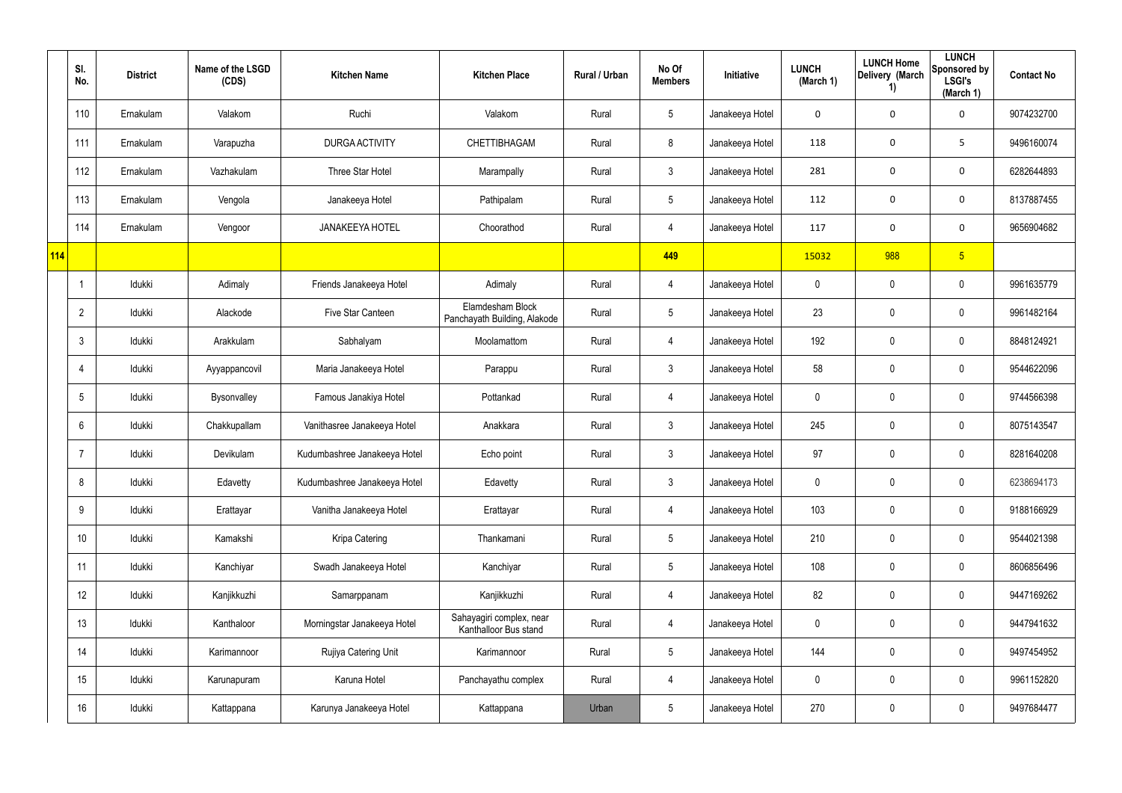|     | SI.<br>No.       | <b>District</b> | Name of the LSGD<br>(CDS) | <b>Kitchen Name</b>          | <b>Kitchen Place</b>                              | Rural / Urban | No Of<br><b>Members</b> | Initiative      | <b>LUNCH</b><br>(March 1) | <b>LUNCH Home</b><br>Delivery (March<br>1) | <b>LUNCH</b><br>Sponsored by<br><b>LSGI's</b><br>(March 1) | <b>Contact No</b> |
|-----|------------------|-----------------|---------------------------|------------------------------|---------------------------------------------------|---------------|-------------------------|-----------------|---------------------------|--------------------------------------------|------------------------------------------------------------|-------------------|
|     | 110              | Ernakulam       | Valakom                   | Ruchi                        | Valakom                                           | Rural         | $\sqrt{5}$              | Janakeeya Hotel | 0                         | $\mathbf 0$                                | $\mathbf 0$                                                | 9074232700        |
|     | 111              | Ernakulam       | Varapuzha                 | DURGA ACTIVITY               | CHETTIBHAGAM                                      | Rural         | 8                       | Janakeeya Hotel | 118                       | $\mathbf 0$                                | 5                                                          | 9496160074        |
|     | 112              | Ernakulam       | Vazhakulam                | Three Star Hotel             | Marampally                                        | Rural         | $\mathfrak{Z}$          | Janakeeya Hotel | 281                       | $\mathbf 0$                                | $\mathbf 0$                                                | 6282644893        |
|     | 113              | Ernakulam       | Vengola                   | Janakeeya Hotel              | Pathipalam                                        | Rural         | $5\phantom{.0}$         | Janakeeya Hotel | 112                       | 0                                          | $\mathbf 0$                                                | 8137887455        |
|     | 114              | Ernakulam       | Vengoor                   | <b>JANAKEEYA HOTEL</b>       | Choorathod                                        | Rural         | $\overline{4}$          | Janakeeya Hotel | 117                       | $\mathbf 0$                                | $\boldsymbol{0}$                                           | 9656904682        |
| 114 |                  |                 |                           |                              |                                                   |               | 449                     |                 | 15032                     | 988                                        | 5 <sup>5</sup>                                             |                   |
|     |                  | Idukki          | Adimaly                   | Friends Janakeeya Hotel      | Adimaly                                           | Rural         | 4                       | Janakeeya Hotel | 0                         | 0                                          | $\mathbf 0$                                                | 9961635779        |
|     | $\overline{2}$   | Idukki          | Alackode                  | Five Star Canteen            | Elamdesham Block<br>Panchayath Building, Alakode  | Rural         | $5\phantom{.0}$         | Janakeeya Hotel | 23                        | 0                                          | $\mathbf 0$                                                | 9961482164        |
|     | $\mathbf{3}$     | Idukki          | Arakkulam                 | Sabhalyam                    | Moolamattom                                       | Rural         | $\overline{4}$          | Janakeeya Hotel | 192                       | $\mathbf 0$                                | $\pmb{0}$                                                  | 8848124921        |
|     | $\overline{4}$   | Idukki          | Ayyappancovil             | Maria Janakeeya Hotel        | Parappu                                           | Rural         | $\mathbf{3}$            | Janakeeya Hotel | 58                        | 0                                          | $\mathbf 0$                                                | 9544622096        |
|     | $5\phantom{.0}$  | Idukki          | Bysonvalley               | Famous Janakiya Hotel        | Pottankad                                         | Rural         | $\overline{4}$          | Janakeeya Hotel | 0                         | $\mathbf 0$                                | $\pmb{0}$                                                  | 9744566398        |
|     | 6                | Idukki          | Chakkupallam              | Vanithasree Janakeeya Hotel  | Anakkara                                          | Rural         | $\mathbf{3}$            | Janakeeya Hotel | 245                       | 0                                          | $\mathbf 0$                                                | 8075143547        |
|     | 7                | Idukki          | Devikulam                 | Kudumbashree Janakeeya Hotel | Echo point                                        | Rural         | $\mathbf{3}$            | Janakeeya Hotel | 97                        | 0                                          | $\mathbf 0$                                                | 8281640208        |
|     | 8                | Idukki          | Edavetty                  | Kudumbashree Janakeeya Hotel | Edavetty                                          | Rural         | $\mathbf{3}$            | Janakeeya Hotel | 0                         | 0                                          | $\pmb{0}$                                                  | 6238694173        |
|     | 9                | Idukki          | Erattayar                 | Vanitha Janakeeya Hotel      | Erattayar                                         | Rural         | $\overline{4}$          | Janakeeya Hotel | 103                       | $\mathbf 0$                                | $\mathbf 0$                                                | 9188166929        |
|     | 10 <sup>°</sup>  | Idukki          | Kamakshi                  | Kripa Catering               | Thankamani                                        | Rural         | $5\phantom{.0}$         | Janakeeya Hotel | 210                       | 0                                          | $\pmb{0}$                                                  | 9544021398        |
|     | 11               | Idukki          | Kanchiyar                 | Swadh Janakeeya Hotel        | Kanchiyar                                         | Rural         | $5\phantom{.0}$         | Janakeeya Hotel | 108                       | $\pmb{0}$                                  | $\pmb{0}$                                                  | 8606856496        |
|     | 12               | Idukki          | Kanjikkuzhi               | Samarppanam                  | Kanjikkuzhi                                       | Rural         | $\overline{4}$          | Janakeeya Hotel | 82                        | 0                                          | $\pmb{0}$                                                  | 9447169262        |
|     | 13               | Idukki          | Kanthaloor                | Morningstar Janakeeya Hotel  | Sahayagiri complex, near<br>Kanthalloor Bus stand | Rural         | $\overline{4}$          | Janakeeya Hotel | 0                         | $\pmb{0}$                                  | $\pmb{0}$                                                  | 9447941632        |
|     | 14               | Idukki          | Karimannoor               | Rujiya Catering Unit         | Karimannoor                                       | Rural         | $5\phantom{.0}$         | Janakeeya Hotel | 144                       | 0                                          | $\pmb{0}$                                                  | 9497454952        |
|     | 15 <sup>15</sup> | Idukki          | Karunapuram               | Karuna Hotel                 | Panchayathu complex                               | Rural         | $\overline{4}$          | Janakeeya Hotel | 0                         | $\mathbf 0$                                | $\mathbf 0$                                                | 9961152820        |
|     | 16               | Idukki          | Kattappana                | Karunya Janakeeya Hotel      | Kattappana                                        | Urban         | $5\,$                   | Janakeeya Hotel | 270                       | $\pmb{0}$                                  | $\pmb{0}$                                                  | 9497684477        |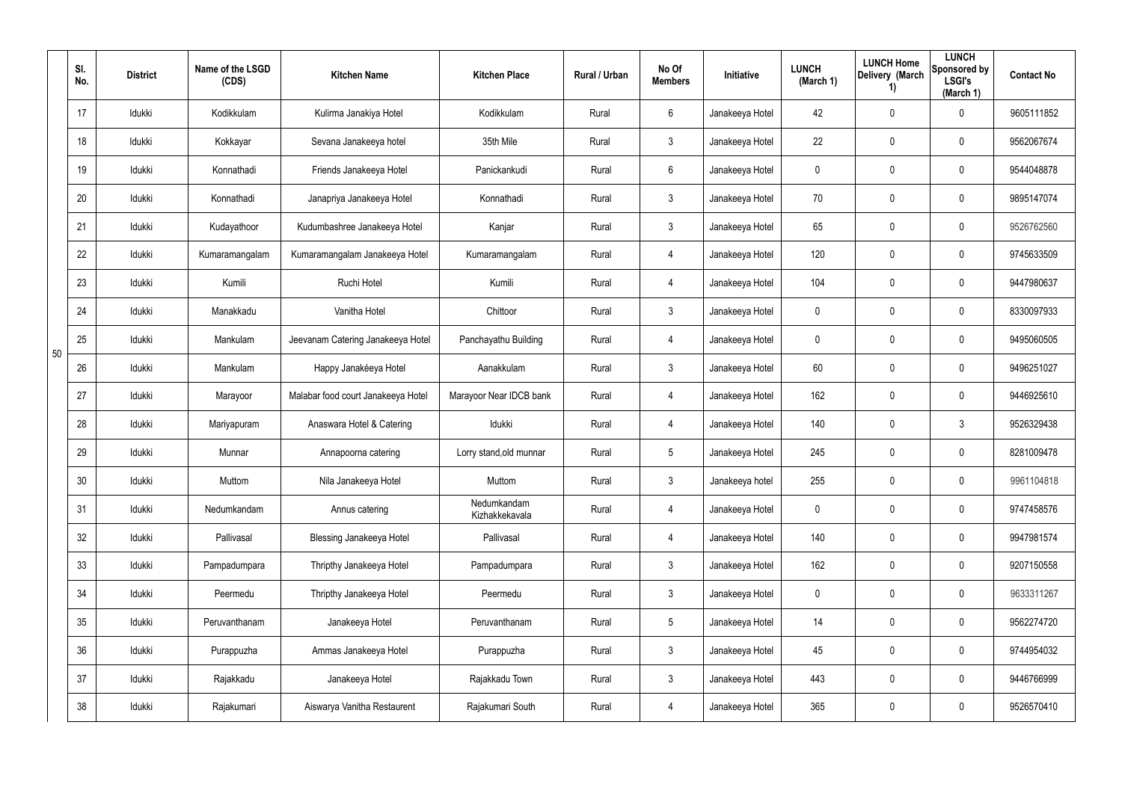|    | SI.<br>No. | <b>District</b> | Name of the LSGD<br>(CDS) | <b>Kitchen Name</b>                | <b>Kitchen Place</b>          | Rural / Urban | No Of<br><b>Members</b> | Initiative      | <b>LUNCH</b><br>(March 1) | <b>LUNCH Home</b><br>Delivery (March<br>1) | <b>LUNCH</b><br>Sponsored by<br><b>LSGI's</b><br>(March 1) | <b>Contact No</b> |
|----|------------|-----------------|---------------------------|------------------------------------|-------------------------------|---------------|-------------------------|-----------------|---------------------------|--------------------------------------------|------------------------------------------------------------|-------------------|
|    | 17         | Idukki          | Kodikkulam                | Kulirma Janakiya Hotel             | Kodikkulam                    | Rural         | $6\phantom{.}$          | Janakeeya Hotel | 42                        | $\mathbf 0$                                | $\mathbf 0$                                                | 9605111852        |
|    | 18         | Idukki          | Kokkayar                  | Sevana Janakeeya hotel             | 35th Mile                     | Rural         | $\mathbf{3}$            | Janakeeya Hotel | 22                        | $\mathbf 0$                                | $\pmb{0}$                                                  | 9562067674        |
|    | 19         | Idukki          | Konnathadi                | Friends Janakeeya Hotel            | Panickankudi                  | Rural         | $6\phantom{.}6$         | Janakeeya Hotel | 0                         | 0                                          | $\mathbf 0$                                                | 9544048878        |
|    | 20         | Idukki          | Konnathadi                | Janapriya Janakeeya Hotel          | Konnathadi                    | Rural         | $\mathbf{3}$            | Janakeeya Hotel | 70                        | 0                                          | $\boldsymbol{0}$                                           | 9895147074        |
|    | 21         | Idukki          | Kudayathoor               | Kudumbashree Janakeeya Hotel       | Kanjar                        | Rural         | 3 <sup>1</sup>          | Janakeeya Hotel | 65                        | 0                                          | $\mathbf 0$                                                | 9526762560        |
|    | 22         | Idukki          | Kumaramangalam            | Kumaramangalam Janakeeya Hotel     | Kumaramangalam                | Rural         | $\overline{4}$          | Janakeeya Hotel | 120                       | 0                                          | $\mathbf 0$                                                | 9745633509        |
|    | 23         | Idukki          | Kumili                    | Ruchi Hotel                        | Kumili                        | Rural         | $\overline{4}$          | Janakeeya Hotel | 104                       | 0                                          | $\mathbf 0$                                                | 9447980637        |
|    | 24         | Idukki          | Manakkadu                 | Vanitha Hotel                      | Chittoor                      | Rural         | $\mathbf{3}$            | Janakeeya Hotel | 0                         | 0                                          | $\mathbf 0$                                                | 8330097933        |
| 50 | 25         | Idukki          | Mankulam                  | Jeevanam Catering Janakeeya Hotel  | Panchayathu Building          | Rural         | $\overline{4}$          | Janakeeya Hotel | 0                         | 0                                          | $\mathbf 0$                                                | 9495060505        |
|    | 26         | Idukki          | Mankulam                  | Happy Janakéeya Hotel              | Aanakkulam                    | Rural         | $\mathbf{3}$            | Janakeeya Hotel | 60                        | 0                                          | $\mathbf 0$                                                | 9496251027        |
|    | 27         | Idukki          | Marayoor                  | Malabar food court Janakeeya Hotel | Marayoor Near IDCB bank       | Rural         | $\overline{4}$          | Janakeeya Hotel | 162                       | 0                                          | $\mathbf 0$                                                | 9446925610        |
|    | 28         | Idukki          | Mariyapuram               | Anaswara Hotel & Catering          | Idukki                        | Rural         | 4                       | Janakeeya Hotel | 140                       | 0                                          | 3                                                          | 9526329438        |
|    | 29         | Idukki          | Munnar                    | Annapoorna catering                | Lorry stand, old munnar       | Rural         | $5\overline{)}$         | Janakeeya Hotel | 245                       | 0                                          | $\mathbf 0$                                                | 8281009478        |
|    | 30         | Idukki          | Muttom                    | Nila Janakeeya Hotel               | Muttom                        | Rural         | $\mathbf{3}$            | Janakeeya hotel | 255                       | $\mathbf 0$                                | $\mathbf 0$                                                | 9961104818        |
|    | 31         | Idukki          | Nedumkandam               | Annus catering                     | Nedumkandam<br>Kizhakkekavala | Rural         | $\overline{4}$          | Janakeeya Hotel | 0                         | $\mathbf 0$                                | $\mathbf 0$                                                | 9747458576        |
|    | 32         | Idukki          | Pallivasal                | <b>Blessing Janakeeya Hotel</b>    | Pallivasal                    | Rural         | $\overline{4}$          | Janakeeya Hotel | 140                       | $\mathbf 0$                                | $\mathbf 0$                                                | 9947981574        |
|    | 33         | Idukki          | Pampadumpara              | Thripthy Janakeeya Hotel           | Pampadumpara                  | Rural         | $\mathbf{3}$            | Janakeeya Hotel | 162                       | $\mathbf 0$                                | $\mathbf 0$                                                | 9207150558        |
|    | 34         | Idukki          | Peermedu                  | Thripthy Janakeeya Hotel           | Peermedu                      | Rural         | 3 <sup>1</sup>          | Janakeeya Hotel | 0                         | $\mathbf 0$                                | $\mathbf 0$                                                | 9633311267        |
|    | 35         | Idukki          | Peruvanthanam             | Janakeeya Hotel                    | Peruvanthanam                 | Rural         | $5\phantom{.0}$         | Janakeeya Hotel | 14                        | $\mathbf 0$                                | $\mathbf 0$                                                | 9562274720        |
|    | 36         | Idukki          | Purappuzha                | Ammas Janakeeya Hotel              | Purappuzha                    | Rural         | 3 <sup>1</sup>          | Janakeeya Hotel | 45                        | 0                                          | $\mathbf 0$                                                | 9744954032        |
|    | 37         | Idukki          | Rajakkadu                 | Janakeeya Hotel                    | Rajakkadu Town                | Rural         | $\mathbf{3}$            | Janakeeya Hotel | 443                       | 0                                          | $\mathbf 0$                                                | 9446766999        |
|    | 38         | Idukki          | Rajakumari                | Aiswarya Vanitha Restaurent        | Rajakumari South              | Rural         | 4                       | Janakeeya Hotel | 365                       | 0                                          | $\mathbf 0$                                                | 9526570410        |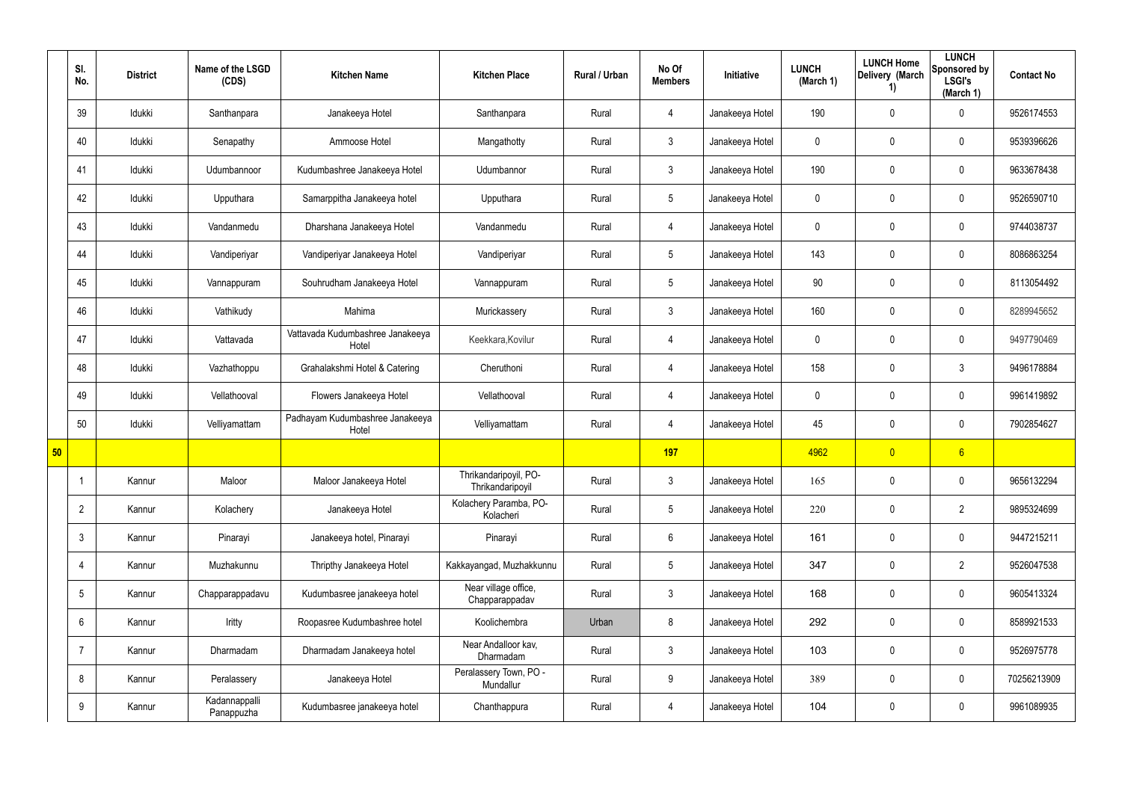|    | SI.<br>No.      | <b>District</b> | Name of the LSGD<br>(CDS)   | <b>Kitchen Name</b>                       | <b>Kitchen Place</b>                      | Rural / Urban | No Of<br><b>Members</b> | Initiative      | <b>LUNCH</b><br>(March 1) | <b>LUNCH Home</b><br>Delivery (March<br>1) | <b>LUNCH</b><br>Sponsored by<br><b>LSGI's</b><br>(March 1) | <b>Contact No</b> |
|----|-----------------|-----------------|-----------------------------|-------------------------------------------|-------------------------------------------|---------------|-------------------------|-----------------|---------------------------|--------------------------------------------|------------------------------------------------------------|-------------------|
|    | 39              | Idukki          | Santhanpara                 | Janakeeya Hotel                           | Santhanpara                               | Rural         | 4                       | Janakeeya Hotel | 190                       | 0                                          | $\mathbf 0$                                                | 9526174553        |
|    | 40              | Idukki          | Senapathy                   | Ammoose Hotel                             | Mangathotty                               | Rural         | $\mathbf{3}$            | Janakeeya Hotel | $\mathbf 0$               | 0                                          | $\pmb{0}$                                                  | 9539396626        |
|    | 41              | Idukki          | Udumbannoor                 | Kudumbashree Janakeeya Hotel              | Udumbannor                                | Rural         | $3\phantom{.0}$         | Janakeeya Hotel | 190                       | 0                                          | $\mathbf 0$                                                | 9633678438        |
|    | 42              | Idukki          | Upputhara                   | Samarppitha Janakeeya hotel               | Upputhara                                 | Rural         | $5\phantom{.0}$         | Janakeeya Hotel | $\mathbf 0$               | 0                                          | $\pmb{0}$                                                  | 9526590710        |
|    | 43              | Idukki          | Vandanmedu                  | Dharshana Janakeeya Hotel                 | Vandanmedu                                | Rural         | $\overline{4}$          | Janakeeya Hotel | 0                         | 0                                          | $\mathbf 0$                                                | 9744038737        |
|    | 44              | Idukki          | Vandiperiyar                | Vandiperiyar Janakeeya Hotel              | Vandiperiyar                              | Rural         | $5\phantom{.0}$         | Janakeeya Hotel | 143                       | 0                                          | $\pmb{0}$                                                  | 8086863254        |
|    | 45              | Idukki          | Vannappuram                 | Souhrudham Janakeeya Hotel                | Vannappuram                               | Rural         | $5\overline{)}$         | Janakeeya Hotel | 90                        | 0                                          | $\mathbf 0$                                                | 8113054492        |
|    | 46              | Idukki          | Vathikudy                   | Mahima                                    | Murickassery                              | Rural         | $\mathbf{3}$            | Janakeeya Hotel | 160                       | 0                                          | $\mathbf 0$                                                | 8289945652        |
|    | 47              | Idukki          | Vattavada                   | Vattavada Kudumbashree Janakeeya<br>Hotel | Keekkara, Kovilur                         | Rural         | $\overline{4}$          | Janakeeya Hotel | 0                         | 0                                          | $\pmb{0}$                                                  | 9497790469        |
|    | 48              | Idukki          | Vazhathoppu                 | Grahalakshmi Hotel & Catering             | Cheruthoni                                | Rural         | 4                       | Janakeeya Hotel | 158                       | 0                                          | 3                                                          | 9496178884        |
|    | 49              | Idukki          | Vellathooval                | Flowers Janakeeya Hotel                   | Vellathooval                              | Rural         | $\overline{4}$          | Janakeeya Hotel | 0                         | 0                                          | $\pmb{0}$                                                  | 9961419892        |
|    | 50              | Idukki          | Velliyamattam               | Padhayam Kudumbashree Janakeeya<br>Hotel  | Velliyamattam                             | Rural         | 4                       | Janakeeya Hotel | 45                        | 0                                          | $\mathbf 0$                                                | 7902854627        |
| 50 |                 |                 |                             |                                           |                                           |               | <b>197</b>              |                 | 4962                      | $\overline{\mathbf{0}}$                    | $6 \overline{6}$                                           |                   |
|    |                 | Kannur          | Maloor                      | Maloor Janakeeya Hotel                    | Thrikandaripoyil, PO-<br>Thrikandaripoyil | Rural         | $\mathbf{3}$            | Janakeeya Hotel | 165                       | 0                                          | $\pmb{0}$                                                  | 9656132294        |
|    | $\overline{2}$  | Kannur          | Kolachery                   | Janakeeya Hotel                           | Kolachery Paramba, PO-<br>Kolacheri       | Rural         | $5\overline{)}$         | Janakeeya Hotel | 220                       | 0                                          | $\overline{2}$                                             | 9895324699        |
|    | $\mathbf{3}$    | Kannur          | Pinarayi                    | Janakeeya hotel, Pinarayi                 | Pinarayi                                  | Rural         | $6\overline{6}$         | Janakeeya Hotel | 161                       | 0                                          | $\mathbf 0$                                                | 9447215211        |
|    | -4              | Kannur          | Muzhakunnu                  | Thripthy Janakeeya Hotel                  | Kakkayangad, Muzhakkunnu                  | Rural         | $5\overline{)}$         | Janakeeya Hotel | 347                       | 0                                          | $\overline{2}$                                             | 9526047538        |
|    | $5\overline{)}$ | Kannur          | Chapparappadavu             | Kudumbasree janakeeya hotel               | Near village office,<br>Chapparappadav    | Rural         | $3\phantom{.0}$         | Janakeeya Hotel | 168                       | 0                                          | $\mathbf 0$                                                | 9605413324        |
|    | 6               | Kannur          | Iritty                      | Roopasree Kudumbashree hotel              | Koolichembra                              | Urban         | 8                       | Janakeeya Hotel | 292                       | $\mathbf 0$                                | $\mathbf 0$                                                | 8589921533        |
|    | $\overline{7}$  | Kannur          | Dharmadam                   | Dharmadam Janakeeya hotel                 | Near Andalloor kav,<br>Dharmadam          | Rural         | $3\phantom{.0}$         | Janakeeya Hotel | 103                       | 0                                          | $\pmb{0}$                                                  | 9526975778        |
|    | 8               | Kannur          | Peralassery                 | Janakeeya Hotel                           | Peralassery Town, PO -<br>Mundallur       | Rural         | 9                       | Janakeeya Hotel | 389                       | 0                                          | $\mathbf 0$                                                | 70256213909       |
|    | 9               | Kannur          | Kadannappalli<br>Panappuzha | Kudumbasree janakeeya hotel               | Chanthappura                              | Rural         | $\overline{4}$          | Janakeeya Hotel | 104                       | 0                                          | $\pmb{0}$                                                  | 9961089935        |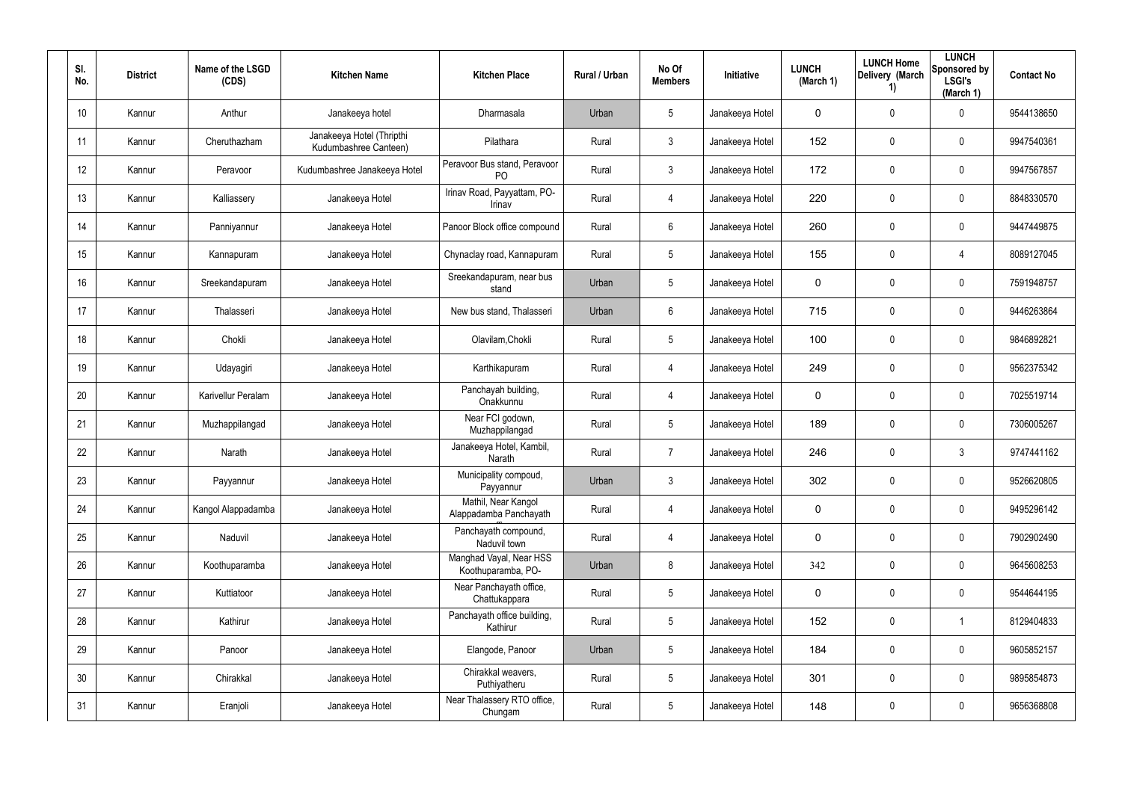| SI.<br>No.      | <b>District</b> | Name of the LSGD<br>(CDS) | <b>Kitchen Name</b>                                | <b>Kitchen Place</b>                           | Rural / Urban | No Of<br><b>Members</b> | <b>Initiative</b> | <b>LUNCH</b><br>(March 1) | <b>LUNCH Home</b><br>Delivery (March<br>1) | <b>LUNCH</b><br>Sponsored by<br><b>LSGI's</b><br>(March 1) | <b>Contact No</b> |
|-----------------|-----------------|---------------------------|----------------------------------------------------|------------------------------------------------|---------------|-------------------------|-------------------|---------------------------|--------------------------------------------|------------------------------------------------------------|-------------------|
| 10 <sup>°</sup> | Kannur          | Anthur                    | Janakeeya hotel                                    | <b>Dharmasala</b>                              | Urban         | $5\phantom{.0}$         | Janakeeya Hotel   | $\mathbf 0$               | 0                                          | $\mathbf 0$                                                | 9544138650        |
| 11              | Kannur          | Cheruthazham              | Janakeeya Hotel (Thripthi<br>Kudumbashree Canteen) | Pilathara                                      | Rural         | $\mathbf{3}$            | Janakeeya Hotel   | 152                       | 0                                          | $\mathbf 0$                                                | 9947540361        |
| 12              | Kannur          | Peravoor                  | Kudumbashree Janakeeya Hotel                       | Peravoor Bus stand, Peravoor<br>P <sub>O</sub> | Rural         | $\mathbf{3}$            | Janakeeya Hotel   | 172                       | 0                                          | $\mathbf 0$                                                | 9947567857        |
| 13              | Kannur          | Kalliassery               | Janakeeya Hotel                                    | Irinav Road, Payyattam, PO-<br>Irinav          | Rural         | 4                       | Janakeeya Hotel   | 220                       | 0                                          | $\mathbf 0$                                                | 8848330570        |
| 14              | Kannur          | Panniyannur               | Janakeeya Hotel                                    | Panoor Block office compound                   | Rural         | $6\phantom{.}$          | Janakeeya Hotel   | 260                       | 0                                          | $\mathbf 0$                                                | 9447449875        |
| 15              | Kannur          | Kannapuram                | Janakeeya Hotel                                    | Chynaclay road, Kannapuram                     | Rural         | $5\phantom{.0}$         | Janakeeya Hotel   | 155                       | 0                                          | 4                                                          | 8089127045        |
| 16              | Kannur          | Sreekandapuram            | Janakeeya Hotel                                    | Sreekandapuram, near bus<br>stand              | Urban         | $5\phantom{.0}$         | Janakeeya Hotel   | $\mathbf 0$               | 0                                          | $\pmb{0}$                                                  | 7591948757        |
| 17              | Kannur          | Thalasseri                | Janakeeya Hotel                                    | New bus stand, Thalasseri                      | Urban         | $6\phantom{.}$          | Janakeeya Hotel   | 715                       | 0                                          | $\pmb{0}$                                                  | 9446263864        |
| 18              | Kannur          | Chokli                    | Janakeeya Hotel                                    | Olavilam, Chokli                               | Rural         | $5\phantom{.0}$         | Janakeeya Hotel   | 100                       | 0                                          | $\pmb{0}$                                                  | 9846892821        |
| 19              | Kannur          | Udayagiri                 | Janakeeya Hotel                                    | Karthikapuram                                  | Rural         | 4                       | Janakeeya Hotel   | 249                       | 0                                          | $\pmb{0}$                                                  | 9562375342        |
| 20              | Kannur          | Karivellur Peralam        | Janakeeya Hotel                                    | Panchayah building,<br>Onakkunnu               | Rural         | 4                       | Janakeeya Hotel   | $\mathbf 0$               | 0                                          | $\pmb{0}$                                                  | 7025519714        |
| 21              | Kannur          | Muzhappilangad            | Janakeeya Hotel                                    | Near FCI godown,<br>Muzhappilangad             | Rural         | $5\phantom{.0}$         | Janakeeya Hotel   | 189                       | 0                                          | $\pmb{0}$                                                  | 7306005267        |
| 22              | Kannur          | Narath                    | Janakeeya Hotel                                    | Janakeeya Hotel, Kambil,<br>Narath             | Rural         | $\overline{7}$          | Janakeeya Hotel   | 246                       | 0                                          | 3                                                          | 9747441162        |
| 23              | Kannur          | Payyannur                 | Janakeeya Hotel                                    | Municipality compoud,<br>Payyannur             | Urban         | 3                       | Janakeeya Hotel   | 302                       | 0                                          | $\pmb{0}$                                                  | 9526620805        |
| 24              | Kannur          | Kangol Alappadamba        | Janakeeya Hotel                                    | Mathil, Near Kangol<br>Alappadamba Panchayath  | Rural         | 4                       | Janakeeya Hotel   | $\mathbf 0$               | 0                                          | $\mathsf{0}$                                               | 9495296142        |
| 25              | Kannur          | Naduvil                   | Janakeeya Hotel                                    | Panchayath compound,<br>Naduvil town           | Rural         | 4                       | Janakeeya Hotel   | $\mathbf 0$               | 0                                          | $\mathsf{0}$                                               | 7902902490        |
| 26              | Kannur          | Koothuparamba             | Janakeeya Hotel                                    | Manghad Vayal, Near HSS<br>Koothuparamba, PO-  | Urban         | 8                       | Janakeeya Hotel   | 342                       | 0                                          | $\mathsf{0}$                                               | 9645608253        |
| 27              | Kannur          | Kuttiatoor                | Janakeeya Hotel                                    | Near Panchayath office,<br>Chattukappara       | Rural         | $\overline{5}$          | Janakeeya Hotel   | $\mathbf 0$               | 0                                          | $\mathbf 0$                                                | 9544644195        |
| 28              | Kannur          | Kathirur                  | Janakeeya Hotel                                    | Panchayath office building,<br>Kathirur        | Rural         | $5\phantom{.0}$         | Janakeeya Hotel   | 152                       | 0                                          | $\mathbf{1}$                                               | 8129404833        |
| 29              | Kannur          | Panoor                    | Janakeeya Hotel                                    | Elangode, Panoor                               | Urban         | $5\phantom{.0}$         | Janakeeya Hotel   | 184                       | 0                                          | $\mathbf 0$                                                | 9605852157        |
| 30              | Kannur          | Chirakkal                 | Janakeeya Hotel                                    | Chirakkal weavers,<br>Puthiyatheru             | Rural         | $5\phantom{.0}$         | Janakeeya Hotel   | 301                       | 0                                          | $\mathbf 0$                                                | 9895854873        |
| 31              | Kannur          | Eranjoli                  | Janakeeya Hotel                                    | Near Thalassery RTO office,<br>Chungam         | Rural         | $5\phantom{.0}$         | Janakeeya Hotel   | 148                       | 0                                          | $\mathsf{0}$                                               | 9656368808        |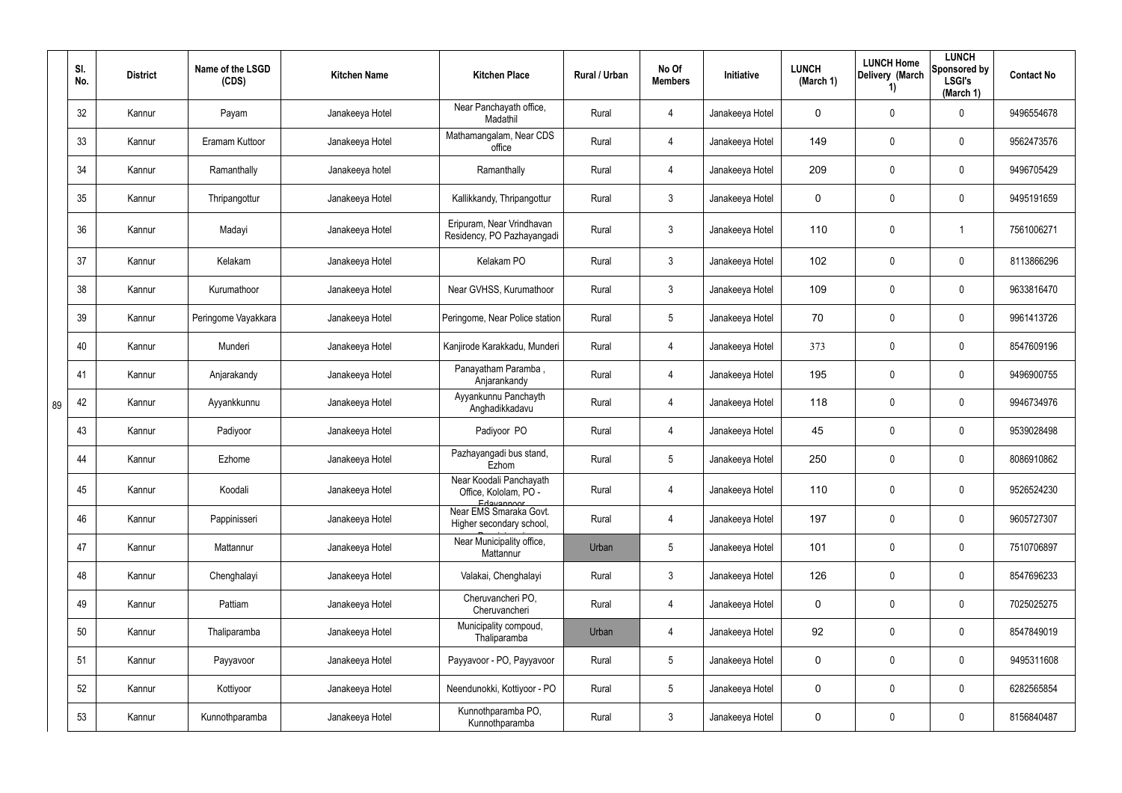|    | SI.<br>No. | <b>District</b> | Name of the LSGD<br>(CDS) | <b>Kitchen Name</b> | <b>Kitchen Place</b>                                           | Rural / Urban | No Of<br><b>Members</b> | Initiative      | <b>LUNCH</b><br>(March 1) | <b>LUNCH Home</b><br>Delivery (March<br>1) | <b>LUNCH</b><br>Sponsored by<br><b>LSGI's</b><br>(March 1) | <b>Contact No</b> |
|----|------------|-----------------|---------------------------|---------------------|----------------------------------------------------------------|---------------|-------------------------|-----------------|---------------------------|--------------------------------------------|------------------------------------------------------------|-------------------|
|    | 32         | Kannur          | Payam                     | Janakeeya Hotel     | Near Panchayath office,<br>Madathil                            | Rural         | 4                       | Janakeeya Hotel | 0                         | 0                                          | $\mathbf 0$                                                | 9496554678        |
|    | 33         | Kannur          | Eramam Kuttoor            | Janakeeya Hotel     | Mathamangalam, Near CDS<br>office                              | Rural         | 4                       | Janakeeya Hotel | 149                       | $\mathbf 0$                                | $\pmb{0}$                                                  | 9562473576        |
|    | 34         | Kannur          | Ramanthally               | Janakeeya hotel     | Ramanthally                                                    | Rural         | 4                       | Janakeeya Hotel | 209                       | $\mathbf 0$                                | $\pmb{0}$                                                  | 9496705429        |
|    | 35         | Kannur          | Thripangottur             | Janakeeya Hotel     | Kallikkandy, Thripangottur                                     | Rural         | 3                       | Janakeeya Hotel | 0                         | 0                                          | $\pmb{0}$                                                  | 9495191659        |
|    | 36         | Kannur          | Madayi                    | Janakeeya Hotel     | Eripuram, Near Vrindhavan<br>Residency, PO Pazhayangadi        | Rural         | 3                       | Janakeeya Hotel | 110                       | 0                                          | 1                                                          | 7561006271        |
|    | 37         | Kannur          | Kelakam                   | Janakeeya Hotel     | Kelakam PO                                                     | Rural         | $\mathfrak{Z}$          | Janakeeya Hotel | 102                       | 0                                          | $\mathbf 0$                                                | 8113866296        |
|    | 38         | Kannur          | Kurumathoor               | Janakeeya Hotel     | Near GVHSS, Kurumathoor                                        | Rural         | 3                       | Janakeeya Hotel | 109                       | 0                                          | $\mathbf 0$                                                | 9633816470        |
|    | 39         | Kannur          | Peringome Vayakkara       | Janakeeya Hotel     | Peringome, Near Police station                                 | Rural         | 5                       | Janakeeya Hotel | 70                        | 0                                          | $\mathbf 0$                                                | 9961413726        |
|    | 40         | Kannur          | Munderi                   | Janakeeya Hotel     | Kanjirode Karakkadu, Munderi                                   | Rural         | 4                       | Janakeeya Hotel | 373                       | 0                                          | $\mathbf 0$                                                | 8547609196        |
|    | 41         | Kannur          | Anjarakandy               | Janakeeya Hotel     | Panayatham Paramba,<br>Anjarankandy                            | Rural         | 4                       | Janakeeya Hotel | 195                       | 0                                          | $\mathbf 0$                                                | 9496900755        |
| 89 | 42         | Kannur          | Ayyankkunnu               | Janakeeya Hotel     | Ayyankunnu Panchayth<br>Anghadikkadavu                         | Rural         | 4                       | Janakeeya Hotel | 118                       | 0                                          | $\mathbf 0$                                                | 9946734976        |
|    | 43         | Kannur          | Padiyoor                  | Janakeeya Hotel     | Padiyoor PO                                                    | Rural         | 4                       | Janakeeya Hotel | 45                        | 0                                          | 0                                                          | 9539028498        |
|    | 44         | Kannur          | Ezhome                    | Janakeeya Hotel     | Pazhayangadi bus stand,<br>Ezhom                               | Rural         | 5                       | Janakeeya Hotel | 250                       | 0                                          | $\mathbf 0$                                                | 8086910862        |
|    | 45         | Kannur          | Koodali                   | Janakeeya Hotel     | Near Koodali Panchayath<br>Office, Kololam, PO -<br>Edayannoor | Rural         | 4                       | Janakeeya Hotel | 110                       | $\mathbf 0$                                | $\pmb{0}$                                                  | 9526524230        |
|    | 46         | Kannur          | Pappinisseri              | Janakeeya Hotel     | Near EMS Smaraka Govt.<br>Higher secondary school,             | Rural         | 4                       | Janakeeya Hotel | 197                       | $\mathbf 0$                                | $\mathsf{0}$                                               | 9605727307        |
|    | 47         | Kannur          | Mattannur                 | Janakeeya Hotel     | Near Municipality office,<br>Mattannur                         | Urban         | $\overline{5}$          | Janakeeya Hotel | 101                       | $\mathbf 0$                                | $\mathsf{0}$                                               | 7510706897        |
|    | 48         | Kannur          | Chenghalayi               | Janakeeya Hotel     | Valakai, Chenghalayi                                           | Rural         | $\mathbf{3}$            | Janakeeya Hotel | 126                       | $\mathbf 0$                                | $\mathsf{0}$                                               | 8547696233        |
|    | 49         | Kannur          | Pattiam                   | Janakeeya Hotel     | Cheruvancheri PO,<br>Cheruvancheri                             | Rural         | $\overline{4}$          | Janakeeya Hotel | 0                         | $\mathbf 0$                                | $\pmb{0}$                                                  | 7025025275        |
|    | 50         | Kannur          | Thaliparamba              | Janakeeya Hotel     | Municipality compoud,<br>Thaliparamba                          | Urban         | 4                       | Janakeeya Hotel | 92                        | $\mathbf 0$                                | $\mathsf{0}$                                               | 8547849019        |
|    | 51         | Kannur          | Payyavoor                 | Janakeeya Hotel     | Payyavoor - PO, Payyavoor                                      | Rural         | $5\,$                   | Janakeeya Hotel | 0                         | $\mathbf 0$                                | $\pmb{0}$                                                  | 9495311608        |
|    | 52         | Kannur          | Kottiyoor                 | Janakeeya Hotel     | Neendunokki, Kottiyoor - PO                                    | Rural         | $\overline{5}$          | Janakeeya Hotel | 0                         | $\mathbf 0$                                | $\mathsf{0}$                                               | 6282565854        |
|    | 53         | Kannur          | Kunnothparamba            | Janakeeya Hotel     | Kunnothparamba PO,<br>Kunnothparamba                           | Rural         | $\mathfrak{Z}$          | Janakeeya Hotel | 0                         | $\pmb{0}$                                  | $\mathsf{0}$                                               | 8156840487        |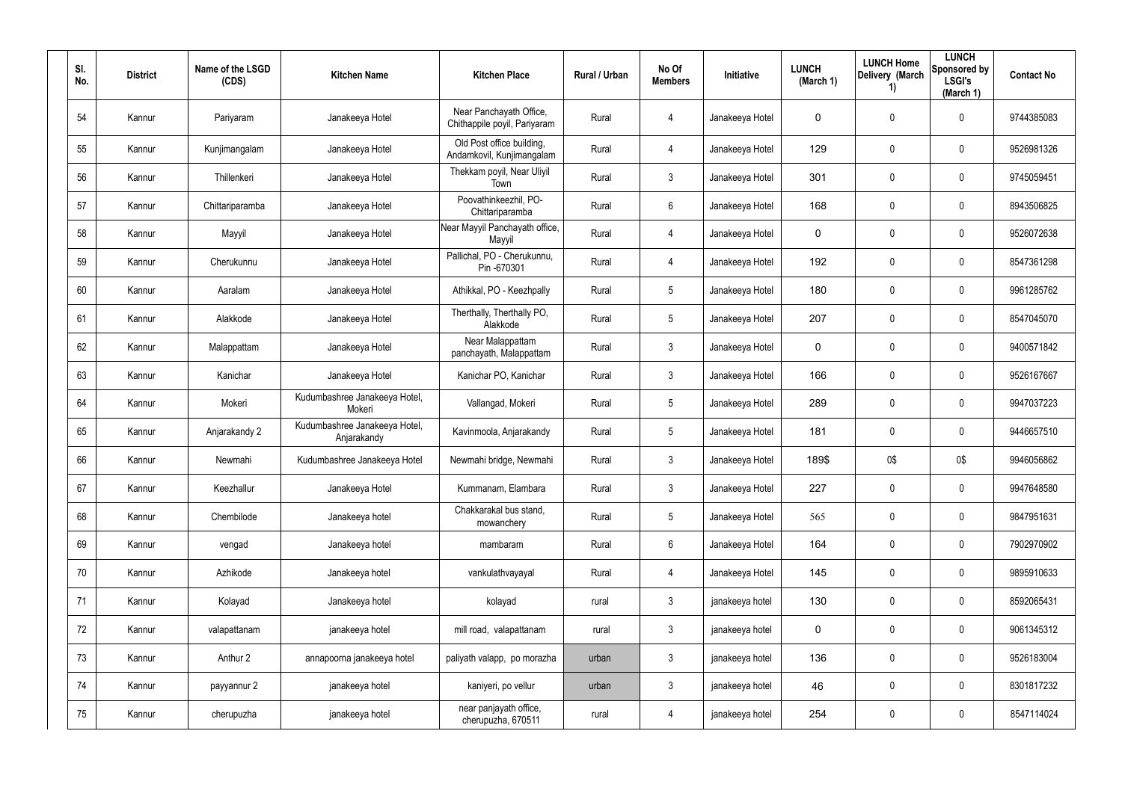| SI.<br>No. | <b>District</b> | Name of the LSGD<br>(CDS) | <b>Kitchen Name</b>                          | <b>Kitchen Place</b>                                    | Rural / Urban | No Of<br><b>Members</b> | Initiative      | <b>LUNCH</b><br>(March 1) | <b>LUNCH Home</b><br>Delivery (March<br>1) | <b>LUNCH</b><br>Sponsored by<br><b>LSGI's</b><br>(March 1) | <b>Contact No</b> |
|------------|-----------------|---------------------------|----------------------------------------------|---------------------------------------------------------|---------------|-------------------------|-----------------|---------------------------|--------------------------------------------|------------------------------------------------------------|-------------------|
| 54         | Kannur          | Pariyaram                 | Janakeeya Hotel                              | Near Panchayath Office,<br>Chithappile poyil, Pariyaram | Rural         | 4                       | Janakeeya Hotel | $\mathbf 0$               | 0                                          | $\boldsymbol{0}$                                           | 9744385083        |
| 55         | Kannur          | Kunjimangalam             | Janakeeya Hotel                              | Old Post office building,<br>Andamkovil, Kunjimangalam  | Rural         | $\overline{4}$          | Janakeeya Hotel | 129                       | $\mathsf{0}$                               | $\mathbf 0$                                                | 9526981326        |
| 56         | Kannur          | Thillenkeri               | Janakeeya Hotel                              | Thekkam poyil, Near Uliyil<br>Town                      | Rural         | $\mathbf{3}$            | Janakeeya Hotel | 301                       | $\mathbf 0$                                | $\mathbf 0$                                                | 9745059451        |
| 57         | Kannur          | Chittariparamba           | Janakeeya Hotel                              | Poovathinkeezhil, PO-<br>Chittariparamba                | Rural         | $6\phantom{.}$          | Janakeeya Hotel | 168                       | $\mathsf{0}$                               | $\pmb{0}$                                                  | 8943506825        |
| 58         | Kannur          | Mayyil                    | Janakeeya Hotel                              | Near Mayyil Panchayath office,<br>Mayyil                | Rural         | $\overline{4}$          | Janakeeya Hotel | $\mathbf 0$               | 0                                          | $\mathbf 0$                                                | 9526072638        |
| 59         | Kannur          | Cherukunnu                | Janakeeya Hotel                              | Pallichal, PO - Cherukunnu,<br>Pin-670301               | Rural         | $\overline{4}$          | Janakeeya Hotel | 192                       | 0                                          | $\pmb{0}$                                                  | 8547361298        |
| 60         | Kannur          | Aaralam                   | Janakeeya Hotel                              | Athikkal, PO - Keezhpally                               | Rural         | $5\phantom{.0}$         | Janakeeya Hotel | 180                       | $\boldsymbol{0}$                           | $\mathbf 0$                                                | 9961285762        |
| 61         | Kannur          | Alakkode                  | Janakeeya Hotel                              | Therthally, Therthally PO,<br>Alakkode                  | Rural         | $5\phantom{.0}$         | Janakeeya Hotel | 207                       | $\mathbf 0$                                | $\pmb{0}$                                                  | 8547045070        |
| 62         | Kannur          | Malappattam               | Janakeeya Hotel                              | Near Malappattam<br>panchayath, Malappattam             | Rural         | $\mathfrak{Z}$          | Janakeeya Hotel | $\mathbf 0$               | 0                                          | $\mathbf 0$                                                | 9400571842        |
| 63         | Kannur          | Kanichar                  | Janakeeya Hotel                              | Kanichar PO, Kanichar                                   | Rural         | $\mathfrak{Z}$          | Janakeeya Hotel | 166                       | $\mathbf 0$                                | $\pmb{0}$                                                  | 9526167667        |
| 64         | Kannur          | Mokeri                    | Kudumbashree Janakeeya Hotel,<br>Mokeri      | Vallangad, Mokeri                                       | Rural         | $5\phantom{.0}$         | Janakeeya Hotel | 289                       | $\boldsymbol{0}$                           | $\mathbf 0$                                                | 9947037223        |
| 65         | Kannur          | Anjarakandy 2             | Kudumbashree Janakeeya Hotel,<br>Anjarakandy | Kavinmoola, Anjarakandy                                 | Rural         | $5\phantom{.0}$         | Janakeeya Hotel | 181                       | $\mathbf 0$                                | $\pmb{0}$                                                  | 9446657510        |
| 66         | Kannur          | Newmahi                   | Kudumbashree Janakeeya Hotel                 | Newmahi bridge, Newmahi                                 | Rural         | $\mathfrak{Z}$          | Janakeeya Hotel | 189\$                     | 0\$                                        | 0\$                                                        | 9946056862        |
| 67         | Kannur          | Keezhallur                | Janakeeya Hotel                              | Kummanam, Elambara                                      | Rural         | $\mathfrak{Z}$          | Janakeeya Hotel | 227                       | 0                                          | $\pmb{0}$                                                  | 9947648580        |
| 68         | Kannur          | Chembilode                | Janakeeya hotel                              | Chakkarakal bus stand,<br>mowanchery                    | Rural         | $5\phantom{.0}$         | Janakeeya Hotel | 565                       | 0                                          | $\pmb{0}$                                                  | 9847951631        |
| 69         | Kannur          | vengad                    | Janakeeya hotel                              | mambaram                                                | Rural         | $6\,$                   | Janakeeya Hotel | 164                       | $\mathbf 0$                                | $\pmb{0}$                                                  | 7902970902        |
| 70         | Kannur          | Azhikode                  | Janakeeya hotel                              | vankulathvayayal                                        | Rural         | $\overline{4}$          | Janakeeya Hotel | 145                       | 0                                          | $\pmb{0}$                                                  | 9895910633        |
| 71         | Kannur          | Kolayad                   | Janakeeya hotel                              | kolayad                                                 | rural         | $\mathbf{3}$            | janakeeya hotel | 130                       | 0                                          | $\pmb{0}$                                                  | 8592065431        |
| 72         | Kannur          | valapattanam              | janakeeya hotel                              | mill road, valapattanam                                 | rural         | $\mathfrak{Z}$          | janakeeya hotel | $\pmb{0}$                 | 0                                          | $\mathbf 0$                                                | 9061345312        |
| 73         | Kannur          | Anthur 2                  | annapoorna janakeeya hotel                   | paliyath valapp, po morazha                             | urban         | $\mathbf{3}$            | janakeeya hotel | 136                       | 0                                          | $\mathbf 0$                                                | 9526183004        |
| 74         | Kannur          | payyannur 2               | janakeeya hotel                              | kaniyeri, po vellur                                     | urban         | $\mathbf{3}$            | janakeeya hotel | 46                        | 0                                          | $\mathbf 0$                                                | 8301817232        |
| 75         | Kannur          | cherupuzha                | janakeeya hotel                              | near panjayath office,<br>cherupuzha, 670511            | rural         | 4                       | janakeeya hotel | 254                       | 0                                          | $\pmb{0}$                                                  | 8547114024        |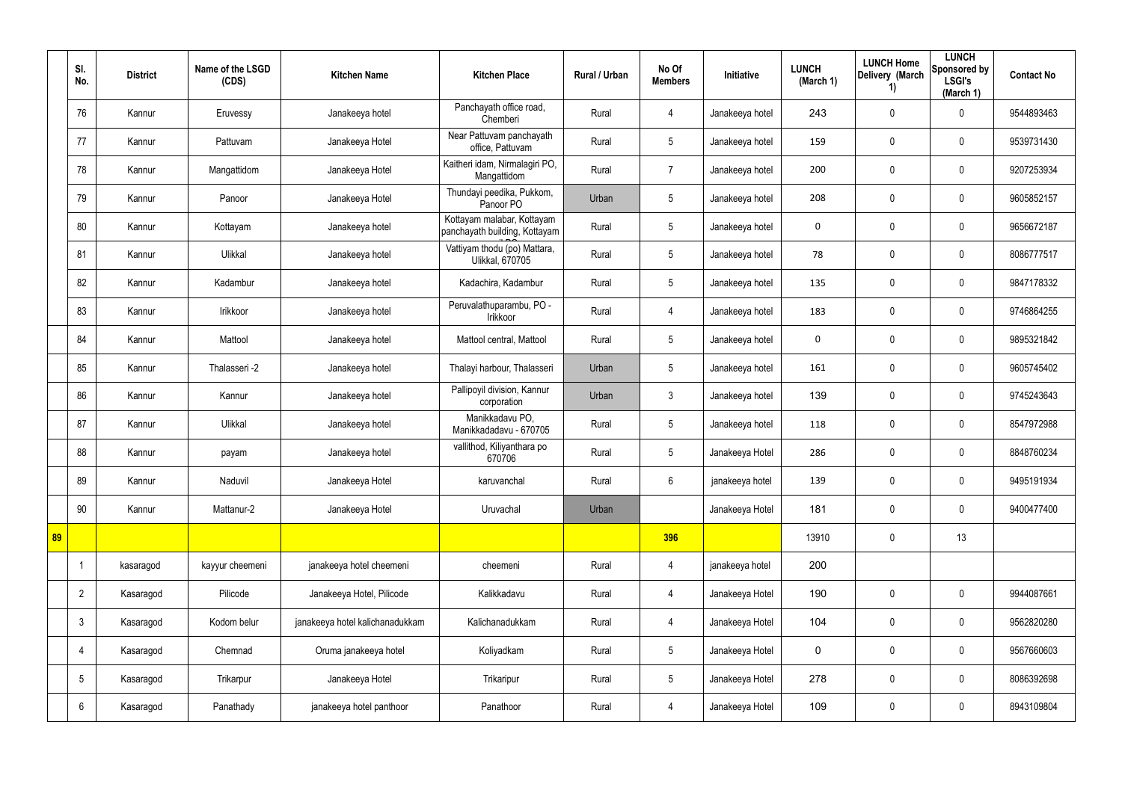|    | SI.<br>No.     | <b>District</b> | Name of the LSGD<br>(CDS) | <b>Kitchen Name</b>             | <b>Kitchen Place</b>                                        | Rural / Urban | No Of<br><b>Members</b> | Initiative      | <b>LUNCH</b><br>(March 1) | <b>LUNCH Home</b><br>Delivery (March<br>1) | <b>LUNCH</b><br>Sponsored by<br><b>LSGI's</b><br>(March 1) | <b>Contact No</b> |
|----|----------------|-----------------|---------------------------|---------------------------------|-------------------------------------------------------------|---------------|-------------------------|-----------------|---------------------------|--------------------------------------------|------------------------------------------------------------|-------------------|
|    | 76             | Kannur          | Eruvessy                  | Janakeeya hotel                 | Panchayath office road,<br>Chemberi                         | Rural         | $\overline{4}$          | Janakeeya hotel | 243                       | $\pmb{0}$                                  | 0                                                          | 9544893463        |
|    | 77             | Kannur          | Pattuvam                  | Janakeeya Hotel                 | Near Pattuvam panchayath<br>office, Pattuvam                | Rural         | $5\phantom{.0}$         | Janakeeya hotel | 159                       | 0                                          | $\pmb{0}$                                                  | 9539731430        |
|    | 78             | Kannur          | Mangattidom               | Janakeeya Hotel                 | Kaitheri idam, Nirmalagiri PO,<br>Mangattidom               | Rural         | $\overline{7}$          | Janakeeya hotel | 200                       | 0                                          | $\mathbf 0$                                                | 9207253934        |
|    | 79             | Kannur          | Panoor                    | Janakeeya Hotel                 | Thundayi peedika, Pukkom,<br>Panoor PO                      | Urban         | $\sqrt{5}$              | Janakeeya hotel | 208                       | $\mathbf 0$                                | $\mathbf 0$                                                | 9605852157        |
|    | 80             | Kannur          | Kottayam                  | Janakeeya hotel                 | Kottayam malabar, Kottayam<br>panchayath building, Kottayam | Rural         | $5\phantom{.0}$         | Janakeeya hotel | $\mathbf 0$               | $\mathbf 0$                                | $\mathbf 0$                                                | 9656672187        |
|    | 81             | Kannur          | Ulikkal                   | Janakeeya hotel                 | Vattiyam thodu (po) Mattara,<br><b>Ulikkal, 670705</b>      | Rural         | $5\overline{)}$         | Janakeeya hotel | 78                        | $\mathbf 0$                                | $\mathbf 0$                                                | 8086777517        |
|    | 82             | Kannur          | Kadambur                  | Janakeeya hotel                 | Kadachira, Kadambur                                         | Rural         | $5\phantom{.0}$         | Janakeeya hotel | 135                       | $\mathbf 0$                                | $\mathbf 0$                                                | 9847178332        |
|    | 83             | Kannur          | Irikkoor                  | Janakeeya hotel                 | Peruvalathuparambu, PO -<br>Irikkoor                        | Rural         | 4                       | Janakeeya hotel | 183                       | $\mathbf 0$                                | $\mathbf 0$                                                | 9746864255        |
|    | 84             | Kannur          | Mattool                   | Janakeeya hotel                 | Mattool central, Mattool                                    | Rural         | $5\phantom{.0}$         | Janakeeya hotel | $\mathbf 0$               | $\mathbf 0$                                | $\mathbf 0$                                                | 9895321842        |
|    | 85             | Kannur          | Thalasseri -2             | Janakeeya hotel                 | Thalayi harbour, Thalasseri                                 | Urban         | $5\overline{)}$         | Janakeeya hotel | 161                       | $\mathbf 0$                                | $\mathbf 0$                                                | 9605745402        |
|    | 86             | Kannur          | Kannur                    | Janakeeya hotel                 | Pallipoyil division, Kannur<br>corporation                  | Urban         | $\mathbf{3}$            | Janakeeya hotel | 139                       | 0                                          | $\mathbf 0$                                                | 9745243643        |
|    | 87             | Kannur          | Ulikkal                   | Janakeeya hotel                 | Manikkadavu PO,<br>Manikkadadavu - 670705                   | Rural         | $5\phantom{.0}$         | Janakeeya hotel | 118                       | 0                                          | $\mathbf 0$                                                | 8547972988        |
|    | 88             | Kannur          | payam                     | Janakeeya hotel                 | vallithod, Kiliyanthara po<br>670706                        | Rural         | $5\phantom{.0}$         | Janakeeya Hotel | 286                       | 0                                          | $\mathbf 0$                                                | 8848760234        |
|    | 89             | Kannur          | Naduvil                   | Janakeeya Hotel                 | karuvanchal                                                 | Rural         | 6                       | janakeeya hotel | 139                       | $\pmb{0}$                                  | $\pmb{0}$                                                  | 9495191934        |
|    | 90             | Kannur          | Mattanur-2                | Janakeeya Hotel                 | Uruvachal                                                   | Urban         |                         | Janakeeya Hotel | 181                       | $\pmb{0}$                                  | $\mathbf 0$                                                | 9400477400        |
| 89 |                |                 |                           |                                 |                                                             |               | 396                     |                 | 13910                     | $\pmb{0}$                                  | 13                                                         |                   |
|    | $\overline{1}$ | kasaragod       | kayyur cheemeni           | janakeeya hotel cheemeni        | cheemeni                                                    | Rural         | $\overline{4}$          | janakeeya hotel | 200                       |                                            |                                                            |                   |
|    | $\overline{2}$ | Kasaragod       | Pilicode                  | Janakeeya Hotel, Pilicode       | Kalikkadavu                                                 | Rural         | $\overline{4}$          | Janakeeya Hotel | 190                       | $\pmb{0}$                                  | $\mathbf 0$                                                | 9944087661        |
|    | $\mathbf{3}$   | Kasaragod       | Kodom belur               | janakeeya hotel kalichanadukkam | Kalichanadukkam                                             | Rural         | $\overline{4}$          | Janakeeya Hotel | 104                       | $\mathbf 0$                                | $\mathbf 0$                                                | 9562820280        |
|    | 4              | Kasaragod       | Chemnad                   | Oruma janakeeya hotel           | Koliyadkam                                                  | Rural         | $5\overline{)}$         | Janakeeya Hotel | $\mathbf 0$               | $\pmb{0}$                                  | $\mathbf 0$                                                | 9567660603        |
|    | $\sqrt{5}$     | Kasaragod       | Trikarpur                 | Janakeeya Hotel                 | Trikaripur                                                  | Rural         | $5\overline{)}$         | Janakeeya Hotel | 278                       | $\pmb{0}$                                  | $\mathbf 0$                                                | 8086392698        |
|    | 6              | Kasaragod       | Panathady                 | janakeeya hotel panthoor        | Panathoor                                                   | Rural         | $\overline{4}$          | Janakeeya Hotel | 109                       | 0                                          | $\mathbf 0$                                                | 8943109804        |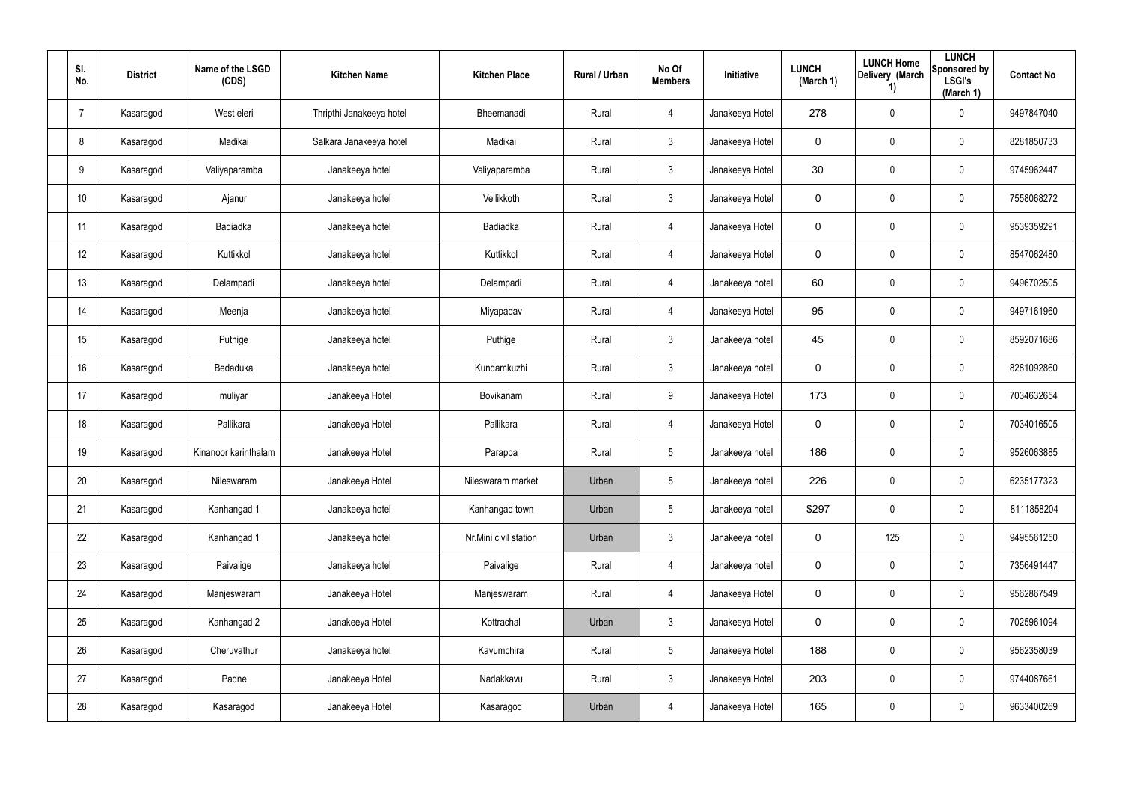| SI.<br>No.      | <b>District</b> | Name of the LSGD<br>(CDS) | <b>Kitchen Name</b>      | <b>Kitchen Place</b>  | Rural / Urban | No Of<br><b>Members</b> | Initiative      | <b>LUNCH</b><br>(March 1) | <b>LUNCH Home</b><br>Delivery (March<br>1) | <b>LUNCH</b><br>Sponsored by<br><b>LSGI's</b><br>(March 1) | <b>Contact No</b> |
|-----------------|-----------------|---------------------------|--------------------------|-----------------------|---------------|-------------------------|-----------------|---------------------------|--------------------------------------------|------------------------------------------------------------|-------------------|
| -7              | Kasaragod       | West eleri                | Thripthi Janakeeya hotel | Bheemanadi            | Rural         | $\overline{4}$          | Janakeeya Hotel | 278                       | $\pmb{0}$                                  | $\boldsymbol{0}$                                           | 9497847040        |
| 8               | Kasaragod       | Madikai                   | Salkara Janakeeya hotel  | Madikai               | Rural         | $\mathbf{3}$            | Janakeeya Hotel | $\pmb{0}$                 | 0                                          | $\mathbf 0$                                                | 8281850733        |
| 9               | Kasaragod       | Valiyaparamba             | Janakeeya hotel          | Valiyaparamba         | Rural         | $\mathbf{3}$            | Janakeeya Hotel | 30                        | 0                                          | $\pmb{0}$                                                  | 9745962447        |
| 10 <sup>°</sup> | Kasaragod       | Ajanur                    | Janakeeya hotel          | Vellikkoth            | Rural         | $\mathbf{3}$            | Janakeeya Hotel | $\pmb{0}$                 | 0                                          | $\boldsymbol{0}$                                           | 7558068272        |
| 11              | Kasaragod       | Badiadka                  | Janakeeya hotel          | Badiadka              | Rural         | $\overline{4}$          | Janakeeya Hotel | $\pmb{0}$                 | 0                                          | $\boldsymbol{0}$                                           | 9539359291        |
| 12              | Kasaragod       | Kuttikkol                 | Janakeeya hotel          | Kuttikkol             | Rural         | $\overline{4}$          | Janakeeya Hotel | $\pmb{0}$                 | 0                                          | $\mathbf 0$                                                | 8547062480        |
| 13              | Kasaragod       | Delampadi                 | Janakeeya hotel          | Delampadi             | Rural         | $\overline{4}$          | Janakeeya hotel | 60                        | 0                                          | $\pmb{0}$                                                  | 9496702505        |
| 14              | Kasaragod       | Meenja                    | Janakeeya hotel          | Miyapadav             | Rural         | $\overline{4}$          | Janakeeya Hotel | 95                        | 0                                          | $\mathbf 0$                                                | 9497161960        |
| 15              | Kasaragod       | Puthige                   | Janakeeya hotel          | Puthige               | Rural         | $\mathbf{3}$            | Janakeeya hotel | 45                        | 0                                          | $\boldsymbol{0}$                                           | 8592071686        |
| 16              | Kasaragod       | Bedaduka                  | Janakeeya hotel          | Kundamkuzhi           | Rural         | $\mathbf{3}$            | Janakeeya hotel | $\mathbf 0$               | 0                                          | $\mathbf 0$                                                | 8281092860        |
| 17              | Kasaragod       | muliyar                   | Janakeeya Hotel          | Bovikanam             | Rural         | 9                       | Janakeeya Hotel | 173                       | 0                                          | $\pmb{0}$                                                  | 7034632654        |
| 18              | Kasaragod       | Pallikara                 | Janakeeya Hotel          | Pallikara             | Rural         | $\overline{4}$          | Janakeeya Hotel | $\mathbf 0$               | 0                                          | $\pmb{0}$                                                  | 7034016505        |
| 19              | Kasaragod       | Kinanoor karinthalam      | Janakeeya Hotel          | Parappa               | Rural         | $5\phantom{.0}$         | Janakeeya hotel | 186                       | 0                                          | $\boldsymbol{0}$                                           | 9526063885        |
| 20              | Kasaragod       | Nileswaram                | Janakeeya Hotel          | Nileswaram market     | Urban         | $5\phantom{.0}$         | Janakeeya hotel | 226                       | $\pmb{0}$                                  | $\pmb{0}$                                                  | 6235177323        |
| 21              | Kasaragod       | Kanhangad 1               | Janakeeya hotel          | Kanhangad town        | Urban         | $5\phantom{.0}$         | Janakeeya hotel | \$297                     | $\pmb{0}$                                  | $\mathbf 0$                                                | 8111858204        |
| 22              | Kasaragod       | Kanhangad 1               | Janakeeya hotel          | Nr.Mini civil station | Urban         | $\mathbf{3}$            | Janakeeya hotel | $\mathbf 0$               | 125                                        | $\mathbf 0$                                                | 9495561250        |
| 23              | Kasaragod       | Paivalige                 | Janakeeya hotel          | Paivalige             | Rural         | $\overline{4}$          | Janakeeya hotel | $\mathbf 0$               | 0                                          | $\mathbf 0$                                                | 7356491447        |
| 24              | Kasaragod       | Manjeswaram               | Janakeeya Hotel          | Manjeswaram           | Rural         | $\overline{4}$          | Janakeeya Hotel | $\mathbf 0$               | $\pmb{0}$                                  | $\mathbf 0$                                                | 9562867549        |
| 25              | Kasaragod       | Kanhangad 2               | Janakeeya Hotel          | Kottrachal            | Urban         | $\mathbf{3}$            | Janakeeya Hotel | $\mathbf 0$               | $\pmb{0}$                                  | $\mathbf 0$                                                | 7025961094        |
| 26              | Kasaragod       | Cheruvathur               | Janakeeya hotel          | Kavumchira            | Rural         | $5\overline{)}$         | Janakeeya Hotel | 188                       | $\pmb{0}$                                  | $\mathbf 0$                                                | 9562358039        |
| 27              | Kasaragod       | Padne                     | Janakeeya Hotel          | Nadakkavu             | Rural         | $\mathbf{3}$            | Janakeeya Hotel | 203                       | $\pmb{0}$                                  | $\mathbf 0$                                                | 9744087661        |
| 28              | Kasaragod       | Kasaragod                 | Janakeeya Hotel          | Kasaragod             | Urban         | 4                       | Janakeeya Hotel | 165                       | $\pmb{0}$                                  | $\boldsymbol{0}$                                           | 9633400269        |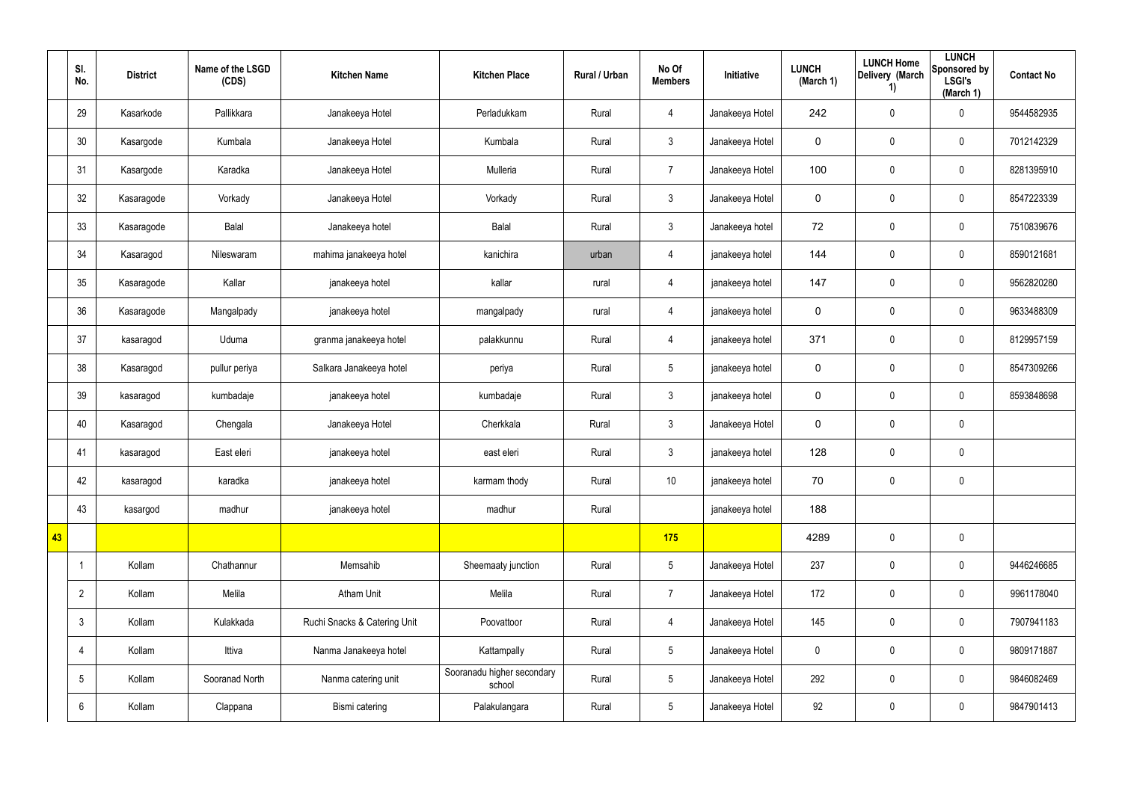|    | SI.<br>No.      | <b>District</b> | Name of the LSGD<br>(CDS) | <b>Kitchen Name</b>          | <b>Kitchen Place</b>                 | Rural / Urban | No Of<br><b>Members</b> | Initiative      | <b>LUNCH</b><br>(March 1) | <b>LUNCH Home</b><br>Delivery (March<br>1) | <b>LUNCH</b><br>Sponsored by<br><b>LSGI's</b><br>(March 1) | <b>Contact No</b> |
|----|-----------------|-----------------|---------------------------|------------------------------|--------------------------------------|---------------|-------------------------|-----------------|---------------------------|--------------------------------------------|------------------------------------------------------------|-------------------|
|    | 29              | Kasarkode       | Pallikkara                | Janakeeya Hotel              | Perladukkam                          | Rural         | $\overline{4}$          | Janakeeya Hotel | 242                       | $\pmb{0}$                                  | $\pmb{0}$                                                  | 9544582935        |
|    | 30              | Kasargode       | Kumbala                   | Janakeeya Hotel              | Kumbala                              | Rural         | 3 <sup>5</sup>          | Janakeeya Hotel | $\pmb{0}$                 | 0                                          | $\mathbf 0$                                                | 7012142329        |
|    | 31              | Kasargode       | Karadka                   | Janakeeya Hotel              | Mulleria                             | Rural         | $\overline{7}$          | Janakeeya Hotel | 100                       | $\pmb{0}$                                  | $\pmb{0}$                                                  | 8281395910        |
|    | 32              | Kasaragode      | Vorkady                   | Janakeeya Hotel              | Vorkady                              | Rural         | 3 <sup>5</sup>          | Janakeeya Hotel | $\pmb{0}$                 | 0                                          | $\mathbf 0$                                                | 8547223339        |
|    | 33              | Kasaragode      | Balal                     | Janakeeya hotel              | Balal                                | Rural         | 3 <sup>5</sup>          | Janakeeya hotel | 72                        | 0                                          | $\pmb{0}$                                                  | 7510839676        |
|    | 34              | Kasaragod       | Nileswaram                | mahima janakeeya hotel       | kanichira                            | urban         | 4                       | janakeeya hotel | 144                       | 0                                          | $\mathbf 0$                                                | 8590121681        |
|    | 35              | Kasaragode      | Kallar                    | janakeeya hotel              | kallar                               | rural         | $\overline{4}$          | janakeeya hotel | 147                       | $\pmb{0}$                                  | $\pmb{0}$                                                  | 9562820280        |
|    | 36              | Kasaragode      | Mangalpady                | janakeeya hotel              | mangalpady                           | rural         | 4                       | janakeeya hotel | $\mathbf 0$               | 0                                          | $\mathbf 0$                                                | 9633488309        |
|    | 37              | kasaragod       | Uduma                     | granma janakeeya hotel       | palakkunnu                           | Rural         | $\overline{4}$          | janakeeya hotel | 371                       | 0                                          | $\pmb{0}$                                                  | 8129957159        |
|    | 38              | Kasaragod       | pullur periya             | Salkara Janakeeya hotel      | periya                               | Rural         | $5\phantom{.0}$         | janakeeya hotel | $\mathbf 0$               | 0                                          | $\mathbf 0$                                                | 8547309266        |
|    | 39              | kasaragod       | kumbadaje                 | janakeeya hotel              | kumbadaje                            | Rural         | 3 <sup>5</sup>          | janakeeya hotel | $\mathbf 0$               | $\pmb{0}$                                  | $\mathbf 0$                                                | 8593848698        |
|    | 40              | Kasaragod       | Chengala                  | Janakeeya Hotel              | Cherkkala                            | Rural         | 3 <sup>5</sup>          | Janakeeya Hotel | $\mathbf 0$               | 0                                          | $\pmb{0}$                                                  |                   |
|    | 41              | kasaragod       | East eleri                | janakeeya hotel              | east eleri                           | Rural         | $\mathbf{3}$            | janakeeya hotel | 128                       | $\pmb{0}$                                  | $\pmb{0}$                                                  |                   |
|    | 42              | kasaragod       | karadka                   | janakeeya hotel              | karmam thody                         | Rural         | 10                      | janakeeya hotel | 70                        | $\pmb{0}$                                  | $\pmb{0}$                                                  |                   |
|    | 43              | kasargod        | madhur                    | janakeeya hotel              | madhur                               | Rural         |                         | janakeeya hotel | 188                       |                                            |                                                            |                   |
| 43 |                 |                 |                           |                              |                                      |               | 175                     |                 | 4289                      | 0                                          | $\mathbf 0$                                                |                   |
|    | -1              | Kollam          | Chathannur                | Memsahib                     | Sheemaaty junction                   | Rural         | $5\overline{)}$         | Janakeeya Hotel | 237                       | 0                                          | $\mathbf 0$                                                | 9446246685        |
|    | $\overline{2}$  | Kollam          | Melila                    | <b>Atham Unit</b>            | Melila                               | Rural         | $\overline{7}$          | Janakeeya Hotel | 172                       | 0                                          | $\mathbf 0$                                                | 9961178040        |
|    | $\mathbf{3}$    | Kollam          | Kulakkada                 | Ruchi Snacks & Catering Unit | Poovattoor                           | Rural         | $\overline{4}$          | Janakeeya Hotel | 145                       | 0                                          | $\mathbf 0$                                                | 7907941183        |
|    | 4               | Kollam          | Ittiva                    | Nanma Janakeeya hotel        | Kattampally                          | Rural         | $5\overline{)}$         | Janakeeya Hotel | $\mathbf 0$               | 0                                          | $\mathbf 0$                                                | 9809171887        |
|    | $5\phantom{.0}$ | Kollam          | Sooranad North            | Nanma catering unit          | Sooranadu higher secondary<br>school | Rural         | $5\overline{)}$         | Janakeeya Hotel | 292                       | 0                                          | $\mathbf 0$                                                | 9846082469        |
|    | 6               | Kollam          | Clappana                  | Bismi catering               | Palakulangara                        | Rural         | $5\overline{)}$         | Janakeeya Hotel | 92                        | $\pmb{0}$                                  | $\pmb{0}$                                                  | 9847901413        |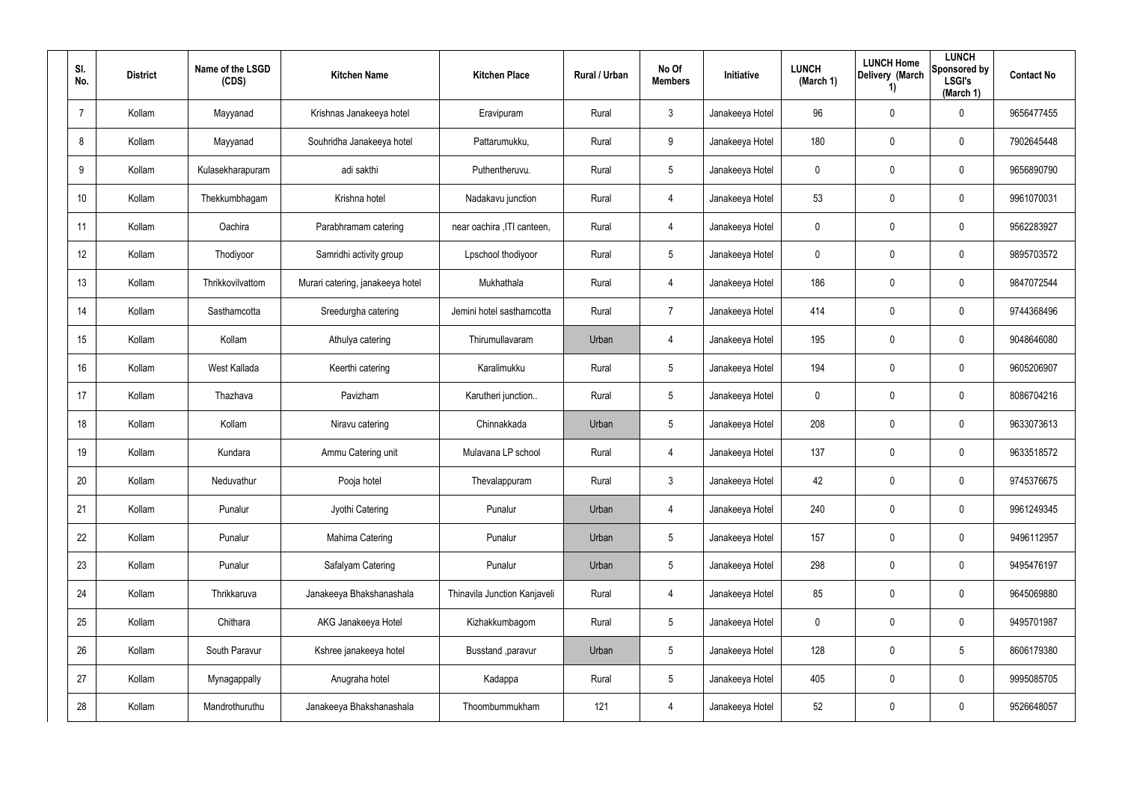| SI.<br>No.      | <b>District</b> | Name of the LSGD<br>(CDS) | <b>Kitchen Name</b>              | <b>Kitchen Place</b>         | Rural / Urban | No Of<br><b>Members</b> | Initiative      | <b>LUNCH</b><br>(March 1) | <b>LUNCH Home</b><br>Delivery (March<br>1) | <b>LUNCH</b><br>Sponsored by<br><b>LSGI's</b><br>(March 1) | <b>Contact No</b> |
|-----------------|-----------------|---------------------------|----------------------------------|------------------------------|---------------|-------------------------|-----------------|---------------------------|--------------------------------------------|------------------------------------------------------------|-------------------|
| $\overline{7}$  | Kollam          | Mayyanad                  | Krishnas Janakeeya hotel         | Eravipuram                   | Rural         | $\mathfrak{Z}$          | Janakeeya Hotel | 96                        | 0                                          | $\mathbf 0$                                                | 9656477455        |
| 8               | Kollam          | Mayyanad                  | Souhridha Janakeeya hotel        | Pattarumukku,                | Rural         | 9                       | Janakeeya Hotel | 180                       | 0                                          | $\pmb{0}$                                                  | 7902645448        |
| 9               | Kollam          | Kulasekharapuram          | adi sakthi                       | Puthentheruvu.               | Rural         | $5\phantom{.0}$         | Janakeeya Hotel | 0                         | 0                                          | $\pmb{0}$                                                  | 9656890790        |
| 10 <sup>°</sup> | Kollam          | Thekkumbhagam             | Krishna hotel                    | Nadakavu junction            | Rural         | 4                       | Janakeeya Hotel | 53                        | 0                                          | $\pmb{0}$                                                  | 9961070031        |
| 11              | Kollam          | Oachira                   | Parabhramam catering             | near oachira , ITI canteen,  | Rural         | 4                       | Janakeeya Hotel | 0                         | 0                                          | $\pmb{0}$                                                  | 9562283927        |
| 12              | Kollam          | Thodiyoor                 | Samridhi activity group          | Lpschool thodiyoor           | Rural         | $5\phantom{.0}$         | Janakeeya Hotel | 0                         | $\mathbf{0}$                               | $\pmb{0}$                                                  | 9895703572        |
| 13              | Kollam          | Thrikkovilvattom          | Murari catering, janakeeya hotel | Mukhathala                   | Rural         | 4                       | Janakeeya Hotel | 186                       | 0                                          | $\mathbf 0$                                                | 9847072544        |
| 14              | Kollam          | Sasthamcotta              | Sreedurgha catering              | Jemini hotel sasthamcotta    | Rural         | $\overline{7}$          | Janakeeya Hotel | 414                       | 0                                          | $\mathbf 0$                                                | 9744368496        |
| 15              | Kollam          | Kollam                    | Athulya catering                 | Thirumullavaram              | Urban         | 4                       | Janakeeya Hotel | 195                       | 0                                          | $\mathbf 0$                                                | 9048646080        |
| 16              | Kollam          | West Kallada              | Keerthi catering                 | Karalimukku                  | Rural         | $5\overline{)}$         | Janakeeya Hotel | 194                       | 0                                          | $\mathbf 0$                                                | 9605206907        |
| 17              | Kollam          | Thazhava                  | Pavizham                         | Karutheri junction           | Rural         | $5\phantom{.0}$         | Janakeeya Hotel | $\mathbf 0$               | 0                                          | $\mathbf 0$                                                | 8086704216        |
| 18              | Kollam          | Kollam                    | Niravu catering                  | Chinnakkada                  | Urban         | $5\overline{)}$         | Janakeeya Hotel | 208                       | 0                                          | $\mathbf 0$                                                | 9633073613        |
| 19              | Kollam          | Kundara                   | Ammu Catering unit               | Mulavana LP school           | Rural         | 4                       | Janakeeya Hotel | 137                       | 0                                          | $\mathbf 0$                                                | 9633518572        |
| 20              | Kollam          | Neduvathur                | Pooja hotel                      | Thevalappuram                | Rural         | 3                       | Janakeeya Hotel | 42                        | 0                                          | $\pmb{0}$                                                  | 9745376675        |
| 21              | Kollam          | Punalur                   | Jyothi Catering                  | Punalur                      | Urban         | 4                       | Janakeeya Hotel | 240                       | 0                                          | $\mathbf 0$                                                | 9961249345        |
| 22              | Kollam          | Punalur                   | Mahima Catering                  | Punalur                      | Urban         | $5\phantom{.0}$         | Janakeeya Hotel | 157                       | 0                                          | $\mathbf 0$                                                | 9496112957        |
| 23              | Kollam          | Punalur                   | Safalyam Catering                | Punalur                      | Urban         | $5\phantom{.0}$         | Janakeeya Hotel | 298                       | 0                                          | $\mathbf 0$                                                | 9495476197        |
| 24              | Kollam          | Thrikkaruva               | Janakeeya Bhakshanashala         | Thinavila Junction Kanjaveli | Rural         | 4                       | Janakeeya Hotel | 85                        | 0                                          | $\mathsf{0}$                                               | 9645069880        |
| 25              | Kollam          | Chithara                  | AKG Janakeeya Hotel              | Kizhakkumbagom               | Rural         | $5\phantom{.0}$         | Janakeeya Hotel | $\mathbf 0$               | 0                                          | $\mathsf{0}$                                               | 9495701987        |
| 26              | Kollam          | South Paravur             | Kshree janakeeya hotel           | Busstand , paravur           | Urban         | $5\phantom{.0}$         | Janakeeya Hotel | 128                       | 0                                          | $5\phantom{.0}$                                            | 8606179380        |
| 27              | Kollam          | Mynagappally              | Anugraha hotel                   | Kadappa                      | Rural         | $5\phantom{.0}$         | Janakeeya Hotel | 405                       | 0                                          | $\mathsf{0}$                                               | 9995085705        |
| 28              | Kollam          | Mandrothuruthu            | Janakeeya Bhakshanashala         | Thoombummukham               | 121           | 4                       | Janakeeya Hotel | 52                        | 0                                          | $\pmb{0}$                                                  | 9526648057        |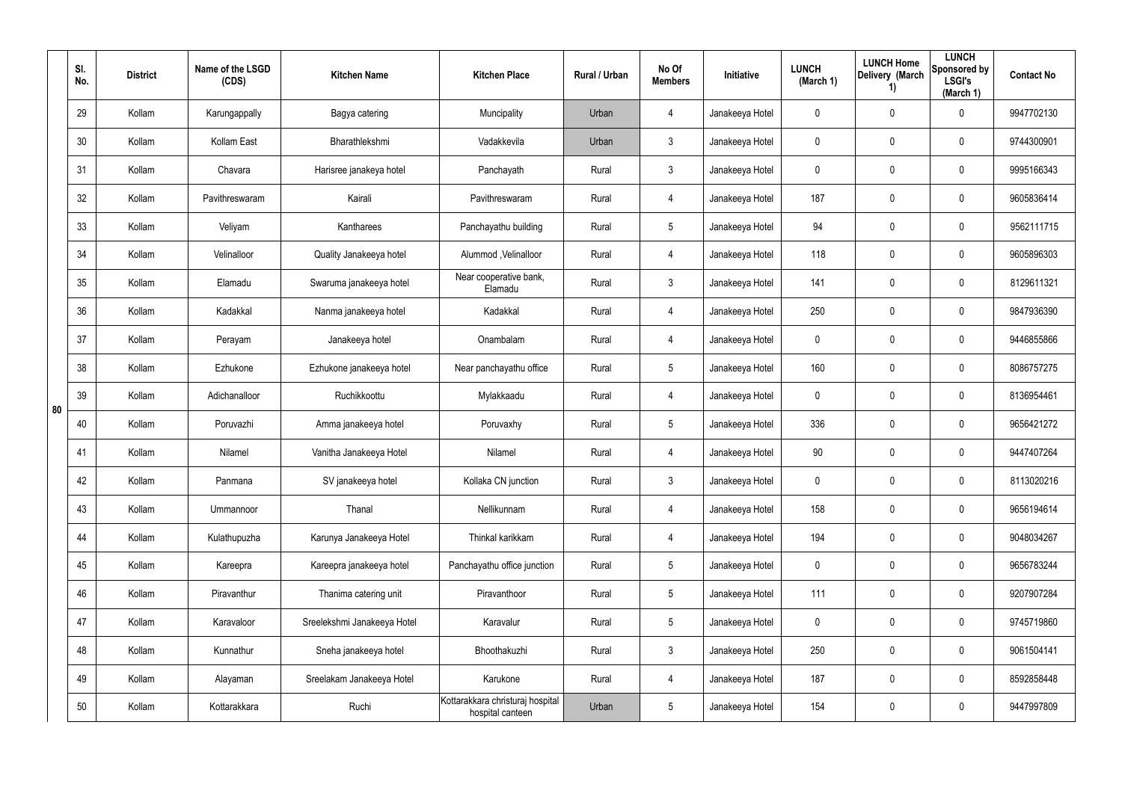|    | SI.<br>No. | <b>District</b> | Name of the LSGD<br>(CDS) | <b>Kitchen Name</b>         | <b>Kitchen Place</b>                                 | Rural / Urban | No Of<br><b>Members</b> | Initiative      | <b>LUNCH</b><br>(March 1) | <b>LUNCH Home</b><br>Delivery (March<br>1) | <b>LUNCH</b><br>Sponsored by<br><b>LSGI's</b><br>(March 1) | <b>Contact No</b> |
|----|------------|-----------------|---------------------------|-----------------------------|------------------------------------------------------|---------------|-------------------------|-----------------|---------------------------|--------------------------------------------|------------------------------------------------------------|-------------------|
|    | 29         | Kollam          | Karungappally             | Bagya catering              | Muncipality                                          | Urban         | 4                       | Janakeeya Hotel | 0                         | 0                                          | $\mathbf 0$                                                | 9947702130        |
|    | 30         | Kollam          | Kollam East               | Bharathlekshmi              | Vadakkevila                                          | Urban         | $\mathfrak{Z}$          | Janakeeya Hotel | 0                         | $\mathbf{0}$                               | $\pmb{0}$                                                  | 9744300901        |
|    | 31         | Kollam          | Chavara                   | Harisree janakeya hotel     | Panchayath                                           | Rural         | $\mathfrak{Z}$          | Janakeeya Hotel | 0                         | 0                                          | $\pmb{0}$                                                  | 9995166343        |
|    | 32         | Kollam          | Pavithreswaram            | Kairali                     | Pavithreswaram                                       | Rural         | 4                       | Janakeeya Hotel | 187                       | $\mathbf{0}$                               | $\pmb{0}$                                                  | 9605836414        |
|    | 33         | Kollam          | Veliyam                   | Kantharees                  | Panchayathu building                                 | Rural         | $5\phantom{.0}$         | Janakeeya Hotel | 94                        | 0                                          | $\pmb{0}$                                                  | 9562111715        |
|    | 34         | Kollam          | Velinalloor               | Quality Janakeeya hotel     | Alummod, Velinalloor                                 | Rural         | 4                       | Janakeeya Hotel | 118                       | $\mathbf{0}$                               | $\pmb{0}$                                                  | 9605896303        |
|    | 35         | Kollam          | Elamadu                   | Swaruma janakeeya hotel     | Near cooperative bank,<br>Elamadu                    | Rural         | $\mathfrak{Z}$          | Janakeeya Hotel | 141                       | 0                                          | $\mathbf 0$                                                | 8129611321        |
|    | 36         | Kollam          | Kadakkal                  | Nanma janakeeya hotel       | Kadakkal                                             | Rural         | 4                       | Janakeeya Hotel | 250                       | 0                                          | $\mathbf 0$                                                | 9847936390        |
|    | 37         | Kollam          | Perayam                   | Janakeeya hotel             | Onambalam                                            | Rural         | 4                       | Janakeeya Hotel | $\mathbf 0$               | 0                                          | $\mathbf 0$                                                | 9446855866        |
|    | 38         | Kollam          | Ezhukone                  | Ezhukone janakeeya hotel    | Near panchayathu office                              | Rural         | $5\phantom{.0}$         | Janakeeya Hotel | 160                       | 0                                          | $\mathbf 0$                                                | 8086757275        |
| 80 | 39         | Kollam          | Adichanalloor             | Ruchikkoottu                | Mylakkaadu                                           | Rural         | 4                       | Janakeeya Hotel | $\mathbf 0$               | 0                                          | $\mathbf 0$                                                | 8136954461        |
|    | 40         | Kollam          | Poruvazhi                 | Amma janakeeya hotel        | Poruvaxhy                                            | Rural         | $5\overline{)}$         | Janakeeya Hotel | 336                       | 0                                          | $\mathbf 0$                                                | 9656421272        |
|    | 41         | Kollam          | Nilamel                   | Vanitha Janakeeya Hotel     | Nilamel                                              | Rural         | 4                       | Janakeeya Hotel | 90                        | 0                                          | $\mathbf 0$                                                | 9447407264        |
|    | 42         | Kollam          | Panmana                   | SV janakeeya hotel          | Kollaka CN junction                                  | Rural         | $\mathbf{3}$            | Janakeeya Hotel | $\mathbf 0$               | 0                                          | $\pmb{0}$                                                  | 8113020216        |
|    | 43         | Kollam          | Ummannoor                 | Thanal                      | Nellikunnam                                          | Rural         | 4                       | Janakeeya Hotel | 158                       | 0                                          | $\mathbf 0$                                                | 9656194614        |
|    | 44         | Kollam          | Kulathupuzha              | Karunya Janakeeya Hotel     | Thinkal karikkam                                     | Rural         | 4                       | Janakeeya Hotel | 194                       | 0                                          | $\mathbf 0$                                                | 9048034267        |
|    | 45         | Kollam          | Kareepra                  | Kareepra janakeeya hotel    | Panchayathu office junction                          | Rural         | $5\phantom{.0}$         | Janakeeya Hotel | $\mathbf 0$               | 0                                          | $\mathbf 0$                                                | 9656783244        |
|    | 46         | Kollam          | Piravanthur               | Thanima catering unit       | Piravanthoor                                         | Rural         | $5\phantom{.0}$         | Janakeeya Hotel | 111                       | 0                                          | $\mathsf{0}$                                               | 9207907284        |
|    | 47         | Kollam          | Karavaloor                | Sreelekshmi Janakeeya Hotel | Karavalur                                            | Rural         | $5\phantom{.0}$         | Janakeeya Hotel | $\mathbf 0$               | 0                                          | $\mathsf{0}$                                               | 9745719860        |
|    | 48         | Kollam          | Kunnathur                 | Sneha janakeeya hotel       | Bhoothakuzhi                                         | Rural         | $\mathfrak{Z}$          | Janakeeya Hotel | 250                       | 0                                          | $\mathsf{0}$                                               | 9061504141        |
|    | 49         | Kollam          | Alayaman                  | Sreelakam Janakeeya Hotel   | Karukone                                             | Rural         | 4                       | Janakeeya Hotel | 187                       | 0                                          | $\mathsf{0}$                                               | 8592858448        |
|    | 50         | Kollam          | Kottarakkara              | Ruchi                       | Kottarakkara christuraj hospital<br>hospital canteen | Urban         | $5\phantom{.0}$         | Janakeeya Hotel | 154                       | 0                                          | $\mathsf{0}$                                               | 9447997809        |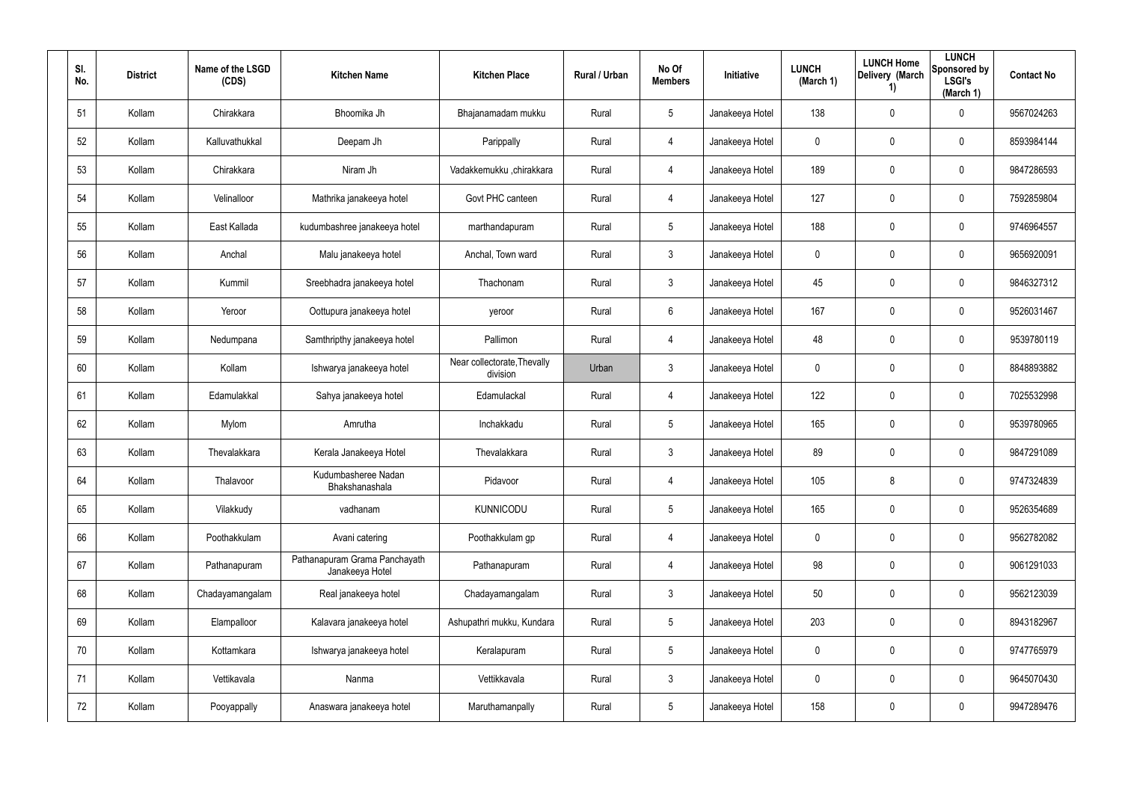| SI.<br>No. | <b>District</b> | Name of the LSGD<br>(CDS) | <b>Kitchen Name</b>                              | <b>Kitchen Place</b>                    | <b>Rural / Urban</b> | No Of<br><b>Members</b> | <b>Initiative</b> | <b>LUNCH</b><br>(March 1) | <b>LUNCH Home</b><br>Delivery (March<br>1) | <b>LUNCH</b><br>Sponsored by<br><b>LSGI's</b><br>(March 1) | <b>Contact No</b> |
|------------|-----------------|---------------------------|--------------------------------------------------|-----------------------------------------|----------------------|-------------------------|-------------------|---------------------------|--------------------------------------------|------------------------------------------------------------|-------------------|
| 51         | Kollam          | Chirakkara                | Bhoomika Jh                                      | Bhajanamadam mukku                      | Rural                | $5\overline{)}$         | Janakeeya Hotel   | 138                       | 0                                          | $\mathbf 0$                                                | 9567024263        |
| 52         | Kollam          | Kalluvathukkal            | Deepam Jh                                        | Parippally                              | Rural                | 4                       | Janakeeya Hotel   | $\mathbf 0$               | 0                                          | $\mathbf 0$                                                | 8593984144        |
| 53         | Kollam          | Chirakkara                | Niram Jh                                         | Vadakkemukku ,chirakkara                | Rural                | 4                       | Janakeeya Hotel   | 189                       | 0                                          | $\mathbf 0$                                                | 9847286593        |
| 54         | Kollam          | Velinalloor               | Mathrika janakeeya hotel                         | Govt PHC canteen                        | Rural                | 4                       | Janakeeya Hotel   | 127                       | 0                                          | $\mathbf 0$                                                | 7592859804        |
| 55         | Kollam          | East Kallada              | kudumbashree janakeeya hotel                     | marthandapuram                          | Rural                | $5\phantom{.0}$         | Janakeeya Hotel   | 188                       | 0                                          | $\mathbf 0$                                                | 9746964557        |
| 56         | Kollam          | Anchal                    | Malu janakeeya hotel                             | Anchal, Town ward                       | Rural                | 3                       | Janakeeya Hotel   | 0                         | 0                                          | $\mathbf 0$                                                | 9656920091        |
| 57         | Kollam          | Kummil                    | Sreebhadra janakeeya hotel                       | Thachonam                               | Rural                | $\mathbf{3}$            | Janakeeya Hotel   | 45                        | 0                                          | $\pmb{0}$                                                  | 9846327312        |
| 58         | Kollam          | Yeroor                    | Oottupura janakeeya hotel                        | yeroor                                  | Rural                | 6                       | Janakeeya Hotel   | 167                       | 0                                          | $\mathbf 0$                                                | 9526031467        |
| 59         | Kollam          | Nedumpana                 | Samthripthy janakeeya hotel                      | Pallimon                                | Rural                | 4                       | Janakeeya Hotel   | 48                        | 0                                          | $\mathbf 0$                                                | 9539780119        |
| 60         | Kollam          | Kollam                    | Ishwarya janakeeya hotel                         | Near collectorate, Thevally<br>division | Urban                | $\mathbf{3}$            | Janakeeya Hotel   | 0                         | 0                                          | $\mathbf 0$                                                | 8848893882        |
| 61         | Kollam          | Edamulakkal               | Sahya janakeeya hotel                            | Edamulackal                             | Rural                | 4                       | Janakeeya Hotel   | 122                       | 0                                          | $\mathbf 0$                                                | 7025532998        |
| 62         | Kollam          | Mylom                     | Amrutha                                          | Inchakkadu                              | Rural                | 5                       | Janakeeya Hotel   | 165                       | 0                                          | $\mathbf 0$                                                | 9539780965        |
| 63         | Kollam          | Thevalakkara              | Kerala Janakeeya Hotel                           | Thevalakkara                            | Rural                | $\mathbf{3}$            | Janakeeya Hotel   | 89                        | 0                                          | $\mathbf 0$                                                | 9847291089        |
| 64         | Kollam          | Thalavoor                 | Kudumbasheree Nadan<br>Bhakshanashala            | Pidavoor                                | Rural                | 4                       | Janakeeya Hotel   | 105                       | 8                                          | $\pmb{0}$                                                  | 9747324839        |
| 65         | Kollam          | Vilakkudy                 | vadhanam                                         | KUNNICODU                               | Rural                | $5\phantom{.0}$         | Janakeeya Hotel   | 165                       | 0                                          | $\mathsf{0}$                                               | 9526354689        |
| 66         | Kollam          | Poothakkulam              | Avani catering                                   | Poothakkulam gp                         | Rural                | 4                       | Janakeeya Hotel   | $\mathbf 0$               | 0                                          | $\mathsf{0}$                                               | 9562782082        |
| 67         | Kollam          | Pathanapuram              | Pathanapuram Grama Panchayath<br>Janakeeya Hotel | Pathanapuram                            | Rural                | 4                       | Janakeeya Hotel   | 98                        | 0                                          | $\mathsf{0}$                                               | 9061291033        |
| 68         | Kollam          | Chadayamangalam           | Real janakeeya hotel                             | Chadayamangalam                         | Rural                | $\mathbf{3}$            | Janakeeya Hotel   | 50                        | 0                                          | $\mathbf 0$                                                | 9562123039        |
| 69         | Kollam          | Elampalloor               | Kalavara janakeeya hotel                         | Ashupathri mukku, Kundara               | Rural                | $5\phantom{.0}$         | Janakeeya Hotel   | 203                       | 0                                          | $\mathbf 0$                                                | 8943182967        |
| 70         | Kollam          | Kottamkara                | Ishwarya janakeeya hotel                         | Keralapuram                             | Rural                | $5\phantom{.0}$         | Janakeeya Hotel   | $\mathbf 0$               | 0                                          | $\mathsf{0}$                                               | 9747765979        |
| 71         | Kollam          | Vettikavala               | Nanma                                            | Vettikkavala                            | Rural                | $\mathbf{3}$            | Janakeeya Hotel   | $\mathbf 0$               | 0                                          | $\mathbf 0$                                                | 9645070430        |
| 72         | Kollam          | Pooyappally               | Anaswara janakeeya hotel                         | Maruthamanpally                         | Rural                | $5\phantom{.0}$         | Janakeeya Hotel   | 158                       | 0                                          | $\mathsf{0}$                                               | 9947289476        |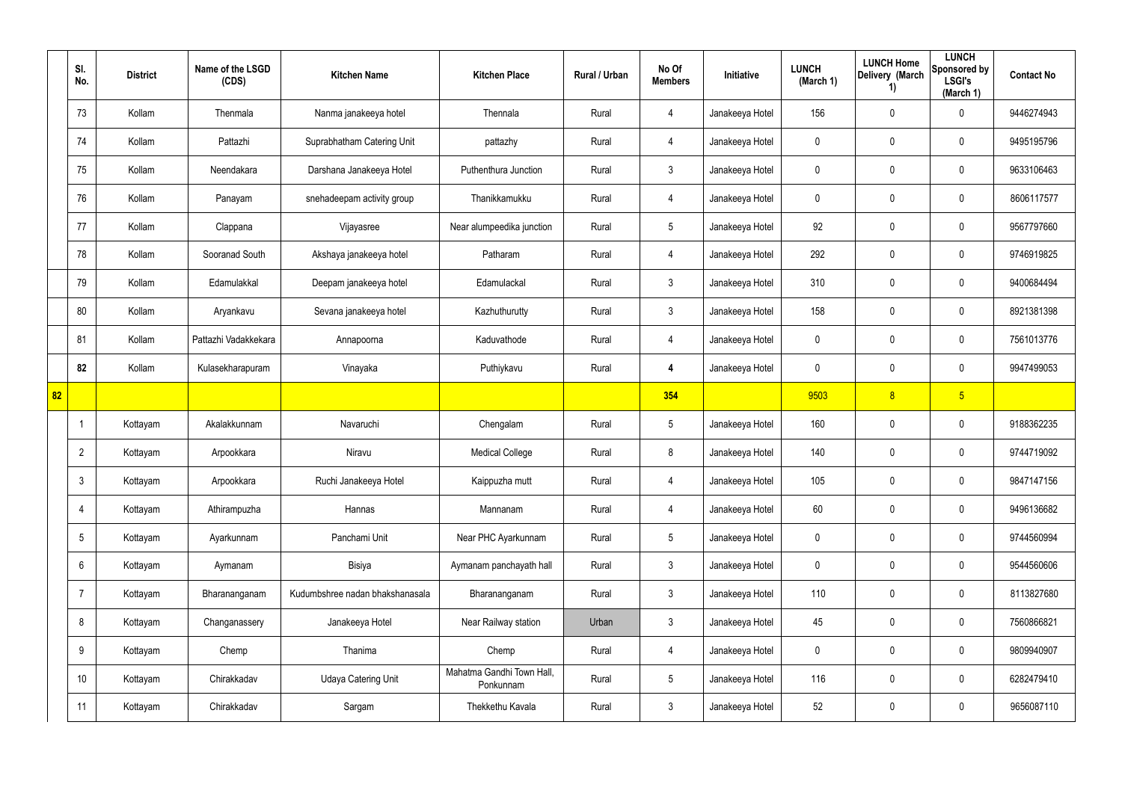|    | SI.<br>No.      | <b>District</b> | Name of the LSGD<br>(CDS) | <b>Kitchen Name</b>             | <b>Kitchen Place</b>                   | Rural / Urban | No Of<br><b>Members</b> | Initiative      | <b>LUNCH</b><br>(March 1) | <b>LUNCH Home</b><br>Delivery (March<br>1) | <b>LUNCH</b><br>Sponsored by<br><b>LSGI's</b><br>(March 1) | <b>Contact No</b> |
|----|-----------------|-----------------|---------------------------|---------------------------------|----------------------------------------|---------------|-------------------------|-----------------|---------------------------|--------------------------------------------|------------------------------------------------------------|-------------------|
|    | 73              | Kollam          | Thenmala                  | Nanma janakeeya hotel           | Thennala                               | Rural         | $\overline{4}$          | Janakeeya Hotel | 156                       | $\mathbf 0$                                | $\mathbf 0$                                                | 9446274943        |
|    | 74              | Kollam          | Pattazhi                  | Suprabhatham Catering Unit      | pattazhy                               | Rural         | $\overline{4}$          | Janakeeya Hotel | 0                         | $\mathbf 0$                                | $\pmb{0}$                                                  | 9495195796        |
|    | 75              | Kollam          | Neendakara                | Darshana Janakeeya Hotel        | Puthenthura Junction                   | Rural         | $\mathbf{3}$            | Janakeeya Hotel | 0                         | 0                                          | $\pmb{0}$                                                  | 9633106463        |
|    | 76              | Kollam          | Panayam                   | snehadeepam activity group      | Thanikkamukku                          | Rural         | $\overline{4}$          | Janakeeya Hotel | 0                         | 0                                          | $\pmb{0}$                                                  | 8606117577        |
|    | 77              | Kollam          | Clappana                  | Vijayasree                      | Near alumpeedika junction              | Rural         | $5\phantom{.0}$         | Janakeeya Hotel | 92                        | 0                                          | $\mathbf 0$                                                | 9567797660        |
|    | 78              | Kollam          | Sooranad South            | Akshaya janakeeya hotel         | Patharam                               | Rural         | $\overline{4}$          | Janakeeya Hotel | 292                       | 0                                          | $\boldsymbol{0}$                                           | 9746919825        |
|    | 79              | Kollam          | Edamulakkal               | Deepam janakeeya hotel          | Edamulackal                            | Rural         | $\mathbf{3}$            | Janakeeya Hotel | 310                       | 0                                          | $\mathbf 0$                                                | 9400684494        |
|    | 80              | Kollam          | Aryankavu                 | Sevana janakeeya hotel          | Kazhuthurutty                          | Rural         | $\mathbf{3}$            | Janakeeya Hotel | 158                       | 0                                          | $\mathbf 0$                                                | 8921381398        |
|    | 81              | Kollam          | Pattazhi Vadakkekara      | Annapoorna                      | Kaduvathode                            | Rural         | $\overline{4}$          | Janakeeya Hotel | 0                         | 0                                          | $\mathbf 0$                                                | 7561013776        |
|    | 82              | Kollam          | Kulasekharapuram          | Vinayaka                        | Puthiykavu                             | Rural         | 4                       | Janakeeya Hotel | 0                         | 0                                          | $\mathbf 0$                                                | 9947499053        |
| 82 |                 |                 |                           |                                 |                                        |               | 354                     |                 | 9503                      | 8                                          | 5 <sub>5</sub>                                             |                   |
|    |                 | Kottayam        | Akalakkunnam              | Navaruchi                       | Chengalam                              | Rural         | $5\phantom{.0}$         | Janakeeya Hotel | 160                       | 0                                          | $\mathbf 0$                                                | 9188362235        |
|    | $\overline{2}$  | Kottayam        | Arpookkara                | Niravu                          | <b>Medical College</b>                 | Rural         | 8                       | Janakeeya Hotel | 140                       | 0                                          | $\mathbf 0$                                                | 9744719092        |
|    | $\mathbf{3}$    | Kottayam        | Arpookkara                | Ruchi Janakeeya Hotel           | Kaippuzha mutt                         | Rural         | $\overline{4}$          | Janakeeya Hotel | 105                       | 0                                          | $\mathbf 0$                                                | 9847147156        |
|    | 4               | Kottayam        | Athirampuzha              | Hannas                          | Mannanam                               | Rural         | $\overline{4}$          | Janakeeya Hotel | 60                        | $\mathbf 0$                                | $\pmb{0}$                                                  | 9496136682        |
|    | $5\overline{)}$ | Kottayam        | Ayarkunnam                | Panchami Unit                   | Near PHC Ayarkunnam                    | Rural         | $5\phantom{.0}$         | Janakeeya Hotel | 0                         | 0                                          | $\mathbf 0$                                                | 9744560994        |
|    | $6\overline{6}$ | Kottayam        | Aymanam                   | Bisiya                          | Aymanam panchayath hall                | Rural         | $\mathfrak{Z}$          | Janakeeya Hotel | 0                         | $\mathbf 0$                                | $\pmb{0}$                                                  | 9544560606        |
|    | $\overline{7}$  | Kottayam        | Bharananganam             | Kudumbshree nadan bhakshanasala | Bharananganam                          | Rural         | $\mathbf{3}$            | Janakeeya Hotel | 110                       | 0                                          | $\mathbf 0$                                                | 8113827680        |
|    | 8               | Kottayam        | Changanassery             | Janakeeya Hotel                 | Near Railway station                   | Urban         | $\mathbf{3}$            | Janakeeya Hotel | 45                        | $\mathbf 0$                                | $\mathbf 0$                                                | 7560866821        |
|    | 9               | Kottayam        | Chemp                     | Thanima                         | Chemp                                  | Rural         | $\overline{4}$          | Janakeeya Hotel | 0                         | 0                                          | $\pmb{0}$                                                  | 9809940907        |
|    | 10              | Kottayam        | Chirakkadav               | <b>Udaya Catering Unit</b>      | Mahatma Gandhi Town Hall,<br>Ponkunnam | Rural         | $5\phantom{.0}$         | Janakeeya Hotel | 116                       | $\mathbf 0$                                | $\mathbf 0$                                                | 6282479410        |
|    | 11              | Kottayam        | Chirakkadav               | Sargam                          | Thekkethu Kavala                       | Rural         | $\mathbf{3}$            | Janakeeya Hotel | 52                        | 0                                          | $\pmb{0}$                                                  | 9656087110        |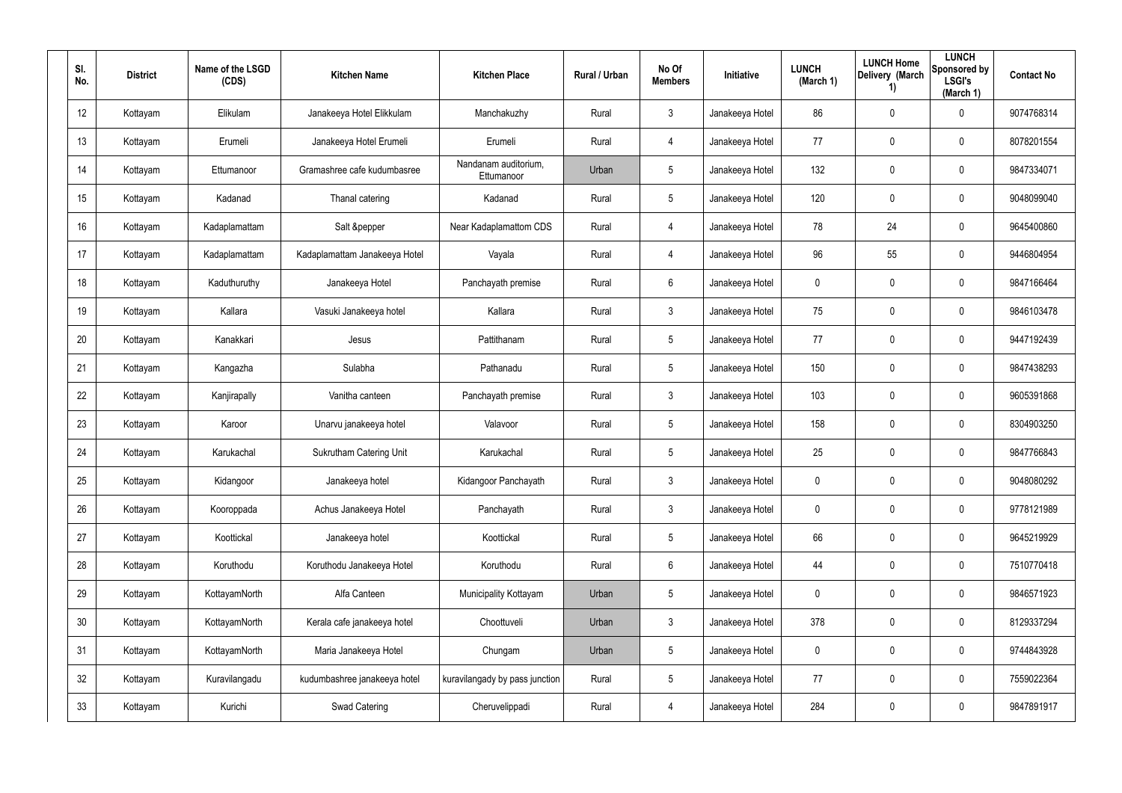| SI.<br>No. | <b>District</b> | Name of the LSGD<br>(CDS) | <b>Kitchen Name</b>            | <b>Kitchen Place</b>               | Rural / Urban | No Of<br><b>Members</b> | <b>Initiative</b> | <b>LUNCH</b><br>(March 1) | <b>LUNCH Home</b><br>Delivery (March<br>$\left( \mathbf{1}\right)$ | <b>LUNCH</b><br>Sponsored by<br><b>LSGI's</b><br>(March 1) | <b>Contact No</b> |
|------------|-----------------|---------------------------|--------------------------------|------------------------------------|---------------|-------------------------|-------------------|---------------------------|--------------------------------------------------------------------|------------------------------------------------------------|-------------------|
| 12         | Kottayam        | Elikulam                  | Janakeeya Hotel Elikkulam      | Manchakuzhy                        | Rural         | 3                       | Janakeeya Hotel   | 86                        | $\mathbf 0$                                                        | $\mathbf 0$                                                | 9074768314        |
| 13         | Kottayam        | Erumeli                   | Janakeeya Hotel Erumeli        | Erumeli                            | Rural         | 4                       | Janakeeya Hotel   | 77                        | 0                                                                  | $\mathbf 0$                                                | 8078201554        |
| 14         | Kottayam        | Ettumanoor                | Gramashree cafe kudumbasree    | Nandanam auditorium,<br>Ettumanoor | Urban         | 5                       | Janakeeya Hotel   | 132                       | $\mathbf 0$                                                        | $\mathbf 0$                                                | 9847334071        |
| 15         | Kottayam        | Kadanad                   | Thanal catering                | Kadanad                            | Rural         | 5                       | Janakeeya Hotel   | 120                       | $\mathbf 0$                                                        | $\mathbf 0$                                                | 9048099040        |
| 16         | Kottayam        | Kadaplamattam             | Salt &pepper                   | Near Kadaplamattom CDS             | Rural         | $\overline{4}$          | Janakeeya Hotel   | 78                        | 24                                                                 | $\mathbf 0$                                                | 9645400860        |
| 17         | Kottayam        | Kadaplamattam             | Kadaplamattam Janakeeya Hotel  | Vayala                             | Rural         | 4                       | Janakeeya Hotel   | 96                        | 55                                                                 | $\mathbf 0$                                                | 9446804954        |
| 18         | Kottayam        | Kaduthuruthy              | Janakeeya Hotel                | Panchayath premise                 | Rural         | $6\phantom{.}6$         | Janakeeya Hotel   | 0                         | 0                                                                  | $\pmb{0}$                                                  | 9847166464        |
| 19         | Kottayam        | Kallara                   | Vasuki Janakeeya hotel         | Kallara                            | Rural         | $\mathbf{3}$            | Janakeeya Hotel   | 75                        | 0                                                                  | $\mathbf 0$                                                | 9846103478        |
| 20         | Kottayam        | Kanakkari                 | Jesus                          | Pattithanam                        | Rural         | 5                       | Janakeeya Hotel   | 77                        | 0                                                                  | $\mathbf 0$                                                | 9447192439        |
| 21         | Kottayam        | Kangazha                  | Sulabha                        | Pathanadu                          | Rural         | 5                       | Janakeeya Hotel   | 150                       | 0                                                                  | $\mathbf 0$                                                | 9847438293        |
| 22         | Kottayam        | Kanjirapally              | Vanitha canteen                | Panchayath premise                 | Rural         | $\mathbf{3}$            | Janakeeya Hotel   | 103                       | 0                                                                  | $\mathbf 0$                                                | 9605391868        |
| 23         | Kottayam        | Karoor                    | Unarvu janakeeya hotel         | Valavoor                           | Rural         | 5                       | Janakeeya Hotel   | 158                       | 0                                                                  | $\mathbf 0$                                                | 8304903250        |
| 24         | Kottayam        | Karukachal                | <b>Sukrutham Catering Unit</b> | Karukachal                         | Rural         | 5                       | Janakeeya Hotel   | 25                        | $\mathbf 0$                                                        | $\mathbf 0$                                                | 9847766843        |
| 25         | Kottayam        | Kidangoor                 | Janakeeya hotel                | Kidangoor Panchayath               | Rural         | 3                       | Janakeeya Hotel   | 0                         | 0                                                                  | $\pmb{0}$                                                  | 9048080292        |
| 26         | Kottayam        | Kooroppada                | Achus Janakeeya Hotel          | Panchayath                         | Rural         | $\mathfrak{Z}$          | Janakeeya Hotel   | 0                         | 0                                                                  | $\mathsf{0}$                                               | 9778121989        |
| 27         | Kottayam        | Koottickal                | Janakeeya hotel                | Koottickal                         | Rural         | 5                       | Janakeeya Hotel   | 66                        | 0                                                                  | $\mathsf{0}$                                               | 9645219929        |
| 28         | Kottayam        | Koruthodu                 | Koruthodu Janakeeya Hotel      | Koruthodu                          | Rural         | $6\phantom{.}6$         | Janakeeya Hotel   | 44                        | 0                                                                  | $\mathsf{0}$                                               | 7510770418        |
| 29         | Kottayam        | KottayamNorth             | Alfa Canteen                   | Municipality Kottayam              | Urban         | $5\phantom{.0}$         | Janakeeya Hotel   | 0                         | $\mathbf 0$                                                        | $\mathsf{0}$                                               | 9846571923        |
| 30         | Kottayam        | KottayamNorth             | Kerala cafe janakeeya hotel    | Choottuveli                        | Urban         | $\mathbf{3}$            | Janakeeya Hotel   | 378                       | $\mathbf 0$                                                        | $\mathsf{0}$                                               | 8129337294        |
| 31         | Kottayam        | KottayamNorth             | Maria Janakeeya Hotel          | Chungam                            | Urban         | $5\phantom{.0}$         | Janakeeya Hotel   | 0                         | $\mathbf 0$                                                        | $\mathsf{0}$                                               | 9744843928        |
| 32         | Kottayam        | Kuravilangadu             | kudumbashree janakeeya hotel   | kuravilangady by pass junction     | Rural         | $5\phantom{.0}$         | Janakeeya Hotel   | 77                        | $\mathbf 0$                                                        | $\pmb{0}$                                                  | 7559022364        |
| 33         | Kottayam        | Kurichi                   | Swad Catering                  | Cheruvelippadi                     | Rural         | $\overline{4}$          | Janakeeya Hotel   | 284                       | 0                                                                  | $\pmb{0}$                                                  | 9847891917        |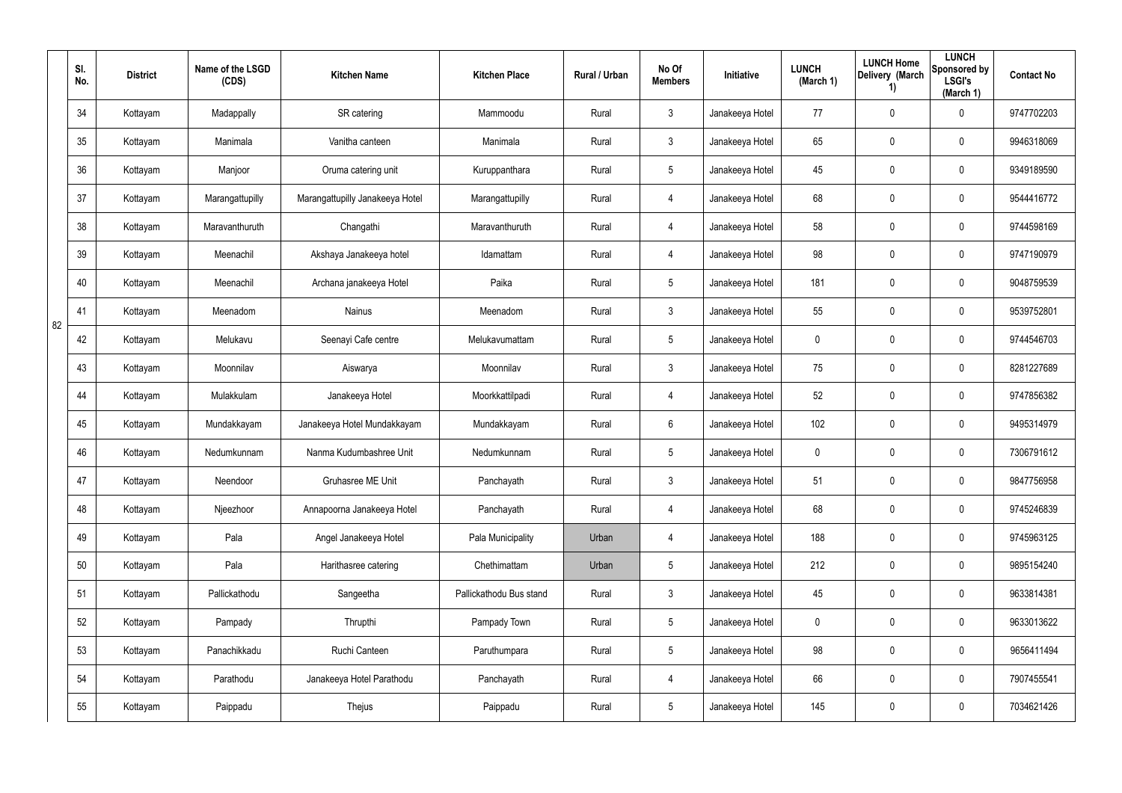|    | SI.<br>No. | <b>District</b> | Name of the LSGD<br>(CDS) | <b>Kitchen Name</b>             | <b>Kitchen Place</b>    | Rural / Urban | No Of<br><b>Members</b> | Initiative      | <b>LUNCH</b><br>(March 1) | <b>LUNCH Home</b><br>Delivery (March<br>1) | <b>LUNCH</b><br>Sponsored by<br><b>LSGI's</b><br>(March 1) | <b>Contact No</b> |
|----|------------|-----------------|---------------------------|---------------------------------|-------------------------|---------------|-------------------------|-----------------|---------------------------|--------------------------------------------|------------------------------------------------------------|-------------------|
|    | 34         | Kottayam        | Madappally                | SR catering                     | Mammoodu                | Rural         | $\mathfrak{Z}$          | Janakeeya Hotel | 77                        | $\mathbf 0$                                | 0                                                          | 9747702203        |
|    | 35         | Kottayam        | Manimala                  | Vanitha canteen                 | Manimala                | Rural         | $\mathfrak{Z}$          | Janakeeya Hotel | 65                        | $\mathbf 0$                                | $\pmb{0}$                                                  | 9946318069        |
|    | 36         | Kottayam        | Manjoor                   | Oruma catering unit             | Kuruppanthara           | Rural         | $5\phantom{.0}$         | Janakeeya Hotel | 45                        | $\mathbf 0$                                | $\pmb{0}$                                                  | 9349189590        |
|    | 37         | Kottayam        | Marangattupilly           | Marangattupilly Janakeeya Hotel | Marangattupilly         | Rural         | 4                       | Janakeeya Hotel | 68                        | $\mathbf 0$                                | $\pmb{0}$                                                  | 9544416772        |
|    | 38         | Kottayam        | Maravanthuruth            | Changathi                       | Maravanthuruth          | Rural         | 4                       | Janakeeya Hotel | 58                        | $\mathbf 0$                                | $\pmb{0}$                                                  | 9744598169        |
|    | 39         | Kottayam        | Meenachil                 | Akshaya Janakeeya hotel         | Idamattam               | Rural         | 4                       | Janakeeya Hotel | 98                        | $\mathbf 0$                                | $\pmb{0}$                                                  | 9747190979        |
|    | 40         | Kottayam        | Meenachil                 | Archana janakeeya Hotel         | Paika                   | Rural         | $5\overline{)}$         | Janakeeya Hotel | 181                       | 0                                          | $\mathbf 0$                                                | 9048759539        |
| 82 | 41         | Kottayam        | Meenadom                  | Nainus                          | Meenadom                | Rural         | 3                       | Janakeeya Hotel | 55                        | 0                                          | $\mathbf 0$                                                | 9539752801        |
|    | 42         | Kottayam        | Melukavu                  | Seenayi Cafe centre             | Melukavumattam          | Rural         | $5\overline{)}$         | Janakeeya Hotel | $\mathbf 0$               | 0                                          | $\mathbf 0$                                                | 9744546703        |
|    | 43         | Kottayam        | Moonnilav                 | Aiswarya                        | Moonnilav               | Rural         | 3                       | Janakeeya Hotel | 75                        | 0                                          | $\mathbf 0$                                                | 8281227689        |
|    | 44         | Kottayam        | Mulakkulam                | Janakeeya Hotel                 | Moorkkattilpadi         | Rural         | 4                       | Janakeeya Hotel | 52                        | 0                                          | $\mathbf 0$                                                | 9747856382        |
|    | 45         | Kottayam        | Mundakkayam               | Janakeeya Hotel Mundakkayam     | Mundakkayam             | Rural         | 6                       | Janakeeya Hotel | 102                       | 0                                          | $\mathbf 0$                                                | 9495314979        |
|    | 46         | Kottayam        | Nedumkunnam               | Nanma Kudumbashree Unit         | Nedumkunnam             | Rural         | $5\phantom{.0}$         | Janakeeya Hotel | 0                         | 0                                          | $\mathbf 0$                                                | 7306791612        |
|    | 47         | Kottayam        | Neendoor                  | Gruhasree ME Unit               | Panchayath              | Rural         | $\mathfrak{Z}$          | Janakeeya Hotel | 51                        | $\mathbf 0$                                | $\pmb{0}$                                                  | 9847756958        |
|    | 48         | Kottayam        | Njeezhoor                 | Annapoorna Janakeeya Hotel      | Panchayath              | Rural         | 4                       | Janakeeya Hotel | 68                        | $\mathbf 0$                                | $\mathsf{0}$                                               | 9745246839        |
|    | 49         | Kottayam        | Pala                      | Angel Janakeeya Hotel           | Pala Municipality       | Urban         | 4                       | Janakeeya Hotel | 188                       | 0                                          | $\mathbf 0$                                                | 9745963125        |
|    | 50         | Kottayam        | Pala                      | Harithasree catering            | Chethimattam            | Urban         | $5\phantom{.0}$         | Janakeeya Hotel | 212                       | $\mathbf 0$                                | $\mathbf 0$                                                | 9895154240        |
|    | 51         | Kottayam        | Pallickathodu             | Sangeetha                       | Pallickathodu Bus stand | Rural         | $\mathfrak{Z}$          | Janakeeya Hotel | 45                        | $\pmb{0}$                                  | $\mathsf{0}$                                               | 9633814381        |
|    | 52         | Kottayam        | Pampady                   | Thrupthi                        | Pampady Town            | Rural         | $5\phantom{.0}$         | Janakeeya Hotel | $\mathbf 0$               | $\pmb{0}$                                  | $\mathsf{0}$                                               | 9633013622        |
|    | 53         | Kottayam        | Panachikkadu              | Ruchi Canteen                   | Paruthumpara            | Rural         | $5\phantom{.0}$         | Janakeeya Hotel | 98                        | $\pmb{0}$                                  | $\mathsf{0}$                                               | 9656411494        |
|    | 54         | Kottayam        | Parathodu                 | Janakeeya Hotel Parathodu       | Panchayath              | Rural         | 4                       | Janakeeya Hotel | 66                        | $\pmb{0}$                                  | $\mathsf{0}$                                               | 7907455541        |
|    | 55         | Kottayam        | Paippadu                  | Thejus                          | Paippadu                | Rural         | $5\phantom{.0}$         | Janakeeya Hotel | 145                       | $\pmb{0}$                                  | $\pmb{0}$                                                  | 7034621426        |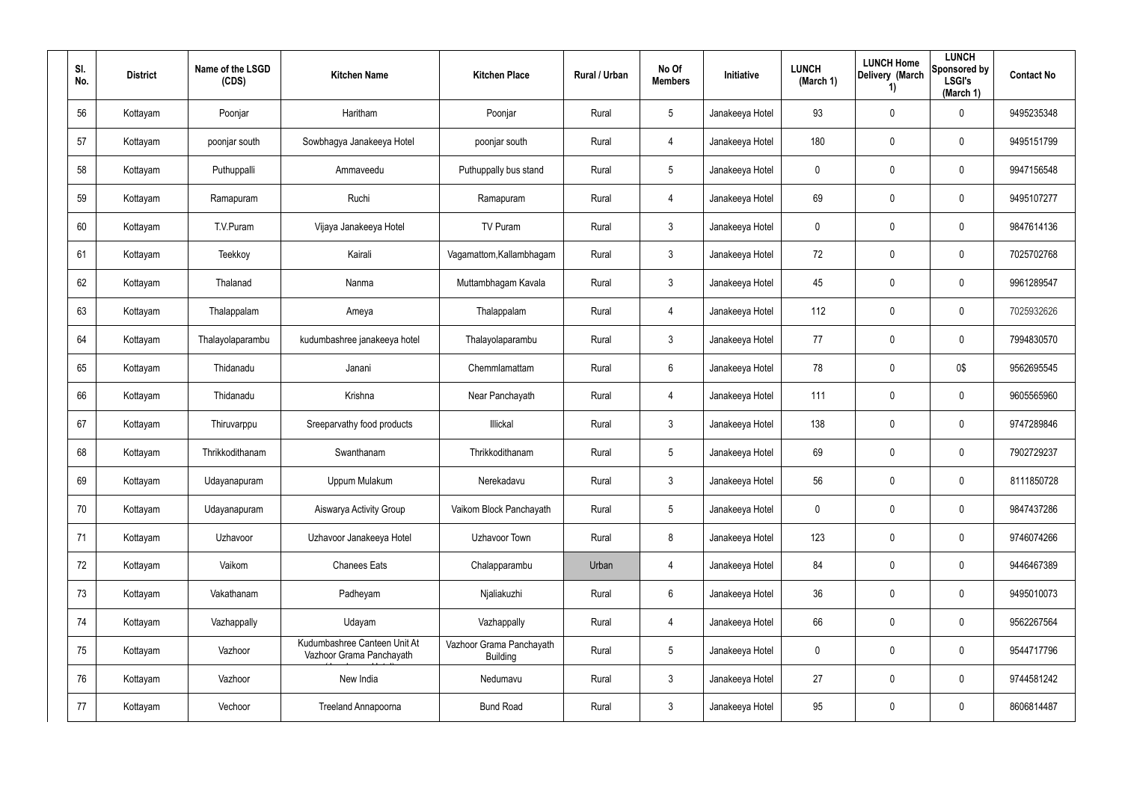| SI.<br>No. | <b>District</b> | Name of the LSGD<br>(CDS) | <b>Kitchen Name</b>                                      | <b>Kitchen Place</b>                        | Rural / Urban | No Of<br><b>Members</b> | Initiative      | <b>LUNCH</b><br>(March 1) | <b>LUNCH Home</b><br>Delivery (March<br>1) | <b>LUNCH</b><br>Sponsored by<br><b>LSGI's</b><br>(March 1) | <b>Contact No</b> |
|------------|-----------------|---------------------------|----------------------------------------------------------|---------------------------------------------|---------------|-------------------------|-----------------|---------------------------|--------------------------------------------|------------------------------------------------------------|-------------------|
| 56         | Kottayam        | Poonjar                   | Haritham                                                 | Poonjar                                     | Rural         | $5\phantom{.0}$         | Janakeeya Hotel | 93                        | 0                                          | $\mathbf 0$                                                | 9495235348        |
| 57         | Kottayam        | poonjar south             | Sowbhagya Janakeeya Hotel                                | poonjar south                               | Rural         | 4                       | Janakeeya Hotel | 180                       | 0                                          | $\pmb{0}$                                                  | 9495151799        |
| 58         | Kottayam        | Puthuppalli               | Ammaveedu                                                | Puthuppally bus stand                       | Rural         | $5\phantom{.0}$         | Janakeeya Hotel | 0                         | 0                                          | $\pmb{0}$                                                  | 9947156548        |
| 59         | Kottayam        | Ramapuram                 | Ruchi                                                    | Ramapuram                                   | Rural         | 4                       | Janakeeya Hotel | 69                        | 0                                          | $\pmb{0}$                                                  | 9495107277        |
| 60         | Kottayam        | T.V.Puram                 | Vijaya Janakeeya Hotel                                   | TV Puram                                    | Rural         | 3                       | Janakeeya Hotel | 0                         | 0                                          | $\pmb{0}$                                                  | 9847614136        |
| 61         | Kottayam        | Teekkoy                   | Kairali                                                  | Vagamattom, Kallambhagam                    | Rural         | 3                       | Janakeeya Hotel | 72                        | 0                                          | $\pmb{0}$                                                  | 7025702768        |
| 62         | Kottayam        | Thalanad                  | Nanma                                                    | Muttambhagam Kavala                         | Rural         | 3                       | Janakeeya Hotel | 45                        | 0                                          | $\mathbf 0$                                                | 9961289547        |
| 63         | Kottayam        | Thalappalam               | Ameya                                                    | Thalappalam                                 | Rural         | 4                       | Janakeeya Hotel | 112                       | 0                                          | $\mathbf 0$                                                | 7025932626        |
| 64         | Kottayam        | Thalayolaparambu          | kudumbashree janakeeya hotel                             | Thalayolaparambu                            | Rural         | 3                       | Janakeeya Hotel | 77                        | 0                                          | $\mathbf 0$                                                | 7994830570        |
| 65         | Kottayam        | Thidanadu                 | Janani                                                   | Chemmlamattam                               | Rural         | 6                       | Janakeeya Hotel | 78                        | 0                                          | 0\$                                                        | 9562695545        |
| 66         | Kottayam        | Thidanadu                 | Krishna                                                  | Near Panchayath                             | Rural         | 4                       | Janakeeya Hotel | 111                       | 0                                          | $\mathbf 0$                                                | 9605565960        |
| 67         | Kottayam        | Thiruvarppu               | Sreeparvathy food products                               | Illickal                                    | Rural         | 3                       | Janakeeya Hotel | 138                       | 0                                          | $\mathbf 0$                                                | 9747289846        |
| 68         | Kottayam        | Thrikkodithanam           | Swanthanam                                               | Thrikkodithanam                             | Rural         | 5                       | Janakeeya Hotel | 69                        | 0                                          | $\mathbf 0$                                                | 7902729237        |
| 69         | Kottayam        | Udayanapuram              | Uppum Mulakum                                            | Nerekadavu                                  | Rural         | $\mathfrak{Z}$          | Janakeeya Hotel | 56                        | 0                                          | $\mathbf 0$                                                | 8111850728        |
| 70         | Kottayam        | Udayanapuram              | Aiswarya Activity Group                                  | Vaikom Block Panchayath                     | Rural         | $5\phantom{.0}$         | Janakeeya Hotel | $\mathbf 0$               | 0                                          | $\mathbf 0$                                                | 9847437286        |
| 71         | Kottayam        | Uzhavoor                  | Uzhavoor Janakeeya Hotel                                 | Uzhavoor Town                               | Rural         | 8                       | Janakeeya Hotel | 123                       | 0                                          | $\mathbf 0$                                                | 9746074266        |
| 72         | Kottayam        | Vaikom                    | <b>Chanees Eats</b>                                      | Chalapparambu                               | Urban         | 4                       | Janakeeya Hotel | 84                        | 0                                          | $\mathbf 0$                                                | 9446467389        |
| 73         | Kottayam        | Vakathanam                | Padheyam                                                 | Njaliakuzhi                                 | Rural         | $6\,$                   | Janakeeya Hotel | 36                        | 0                                          | $\mathsf{0}$                                               | 9495010073        |
| 74         | Kottayam        | Vazhappally               | Udayam                                                   | Vazhappally                                 | Rural         | 4                       | Janakeeya Hotel | 66                        | 0                                          | $\mathsf{0}$                                               | 9562267564        |
| 75         | Kottayam        | Vazhoor                   | Kudumbashree Canteen Unit At<br>Vazhoor Grama Panchayath | Vazhoor Grama Panchayath<br><b>Building</b> | Rural         | $5\phantom{.0}$         | Janakeeya Hotel | $\pmb{0}$                 | 0                                          | $\mathsf{0}$                                               | 9544717796        |
| 76         | Kottayam        | Vazhoor                   | New India                                                | Nedumavu                                    | Rural         | $\mathbf{3}$            | Janakeeya Hotel | 27                        | 0                                          | $\mathsf{0}$                                               | 9744581242        |
| 77         | Kottayam        | Vechoor                   | Treeland Annapoorna                                      | <b>Bund Road</b>                            | Rural         | $\mathfrak{Z}$          | Janakeeya Hotel | 95                        | 0                                          | $\pmb{0}$                                                  | 8606814487        |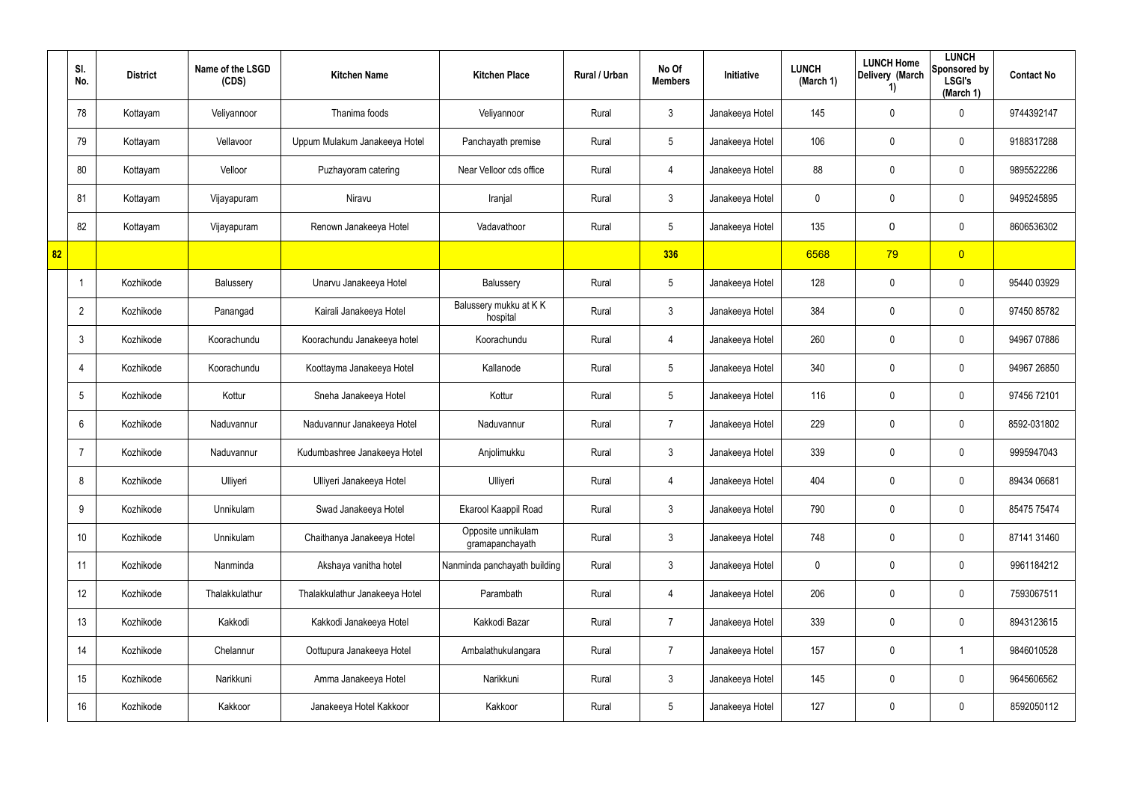|    | SI.<br>No.      | <b>District</b> | Name of the LSGD<br>(CDS) | <b>Kitchen Name</b>            | <b>Kitchen Place</b>                  | Rural / Urban | No Of<br><b>Members</b> | Initiative      | <b>LUNCH</b><br>(March 1) | <b>LUNCH Home</b><br>Delivery (March<br>1) | <b>LUNCH</b><br>Sponsored by<br><b>LSGI's</b><br>(March 1) | <b>Contact No</b> |
|----|-----------------|-----------------|---------------------------|--------------------------------|---------------------------------------|---------------|-------------------------|-----------------|---------------------------|--------------------------------------------|------------------------------------------------------------|-------------------|
|    | 78              | Kottayam        | Veliyannoor               | Thanima foods                  | Veliyannoor                           | Rural         | $\mathfrak{Z}$          | Janakeeya Hotel | 145                       | $\mathbf 0$                                | $\mathbf 0$                                                | 9744392147        |
|    | 79              | Kottayam        | Vellavoor                 | Uppum Mulakum Janakeeya Hotel  | Panchayath premise                    | Rural         | 5                       | Janakeeya Hotel | 106                       | $\mathbf 0$                                | $\pmb{0}$                                                  | 9188317288        |
|    | 80              | Kottayam        | Velloor                   | Puzhayoram catering            | Near Velloor cds office               | Rural         | 4                       | Janakeeya Hotel | 88                        | $\mathbf 0$                                | $\pmb{0}$                                                  | 9895522286        |
|    | 81              | Kottayam        | Vijayapuram               | Niravu                         | Iranjal                               | Rural         | 3                       | Janakeeya Hotel | 0                         | 0                                          | $\pmb{0}$                                                  | 9495245895        |
|    | 82              | Kottayam        | Vijayapuram               | Renown Janakeeya Hotel         | Vadavathoor                           | Rural         | $5\overline{)}$         | Janakeeya Hotel | 135                       | $\mathbf 0$                                | $\pmb{0}$                                                  | 8606536302        |
| 82 |                 |                 |                           |                                |                                       |               | 336                     |                 | 6568                      | 79                                         | $\overline{0}$                                             |                   |
|    |                 | Kozhikode       | Balussery                 | Unarvu Janakeeya Hotel         | Balussery                             | Rural         | $5\overline{)}$         | Janakeeya Hotel | 128                       | $\mathbf 0$                                | $\pmb{0}$                                                  | 95440 03929       |
|    | $\overline{2}$  | Kozhikode       | Panangad                  | Kairali Janakeeya Hotel        | Balussery mukku at KK<br>hospital     | Rural         | 3                       | Janakeeya Hotel | 384                       | 0                                          | $\mathbf 0$                                                | 97450 85782       |
|    | 3               | Kozhikode       | Koorachundu               | Koorachundu Janakeeya hotel    | Koorachundu                           | Rural         | 4                       | Janakeeya Hotel | 260                       | 0                                          | $\mathbf 0$                                                | 94967 07886       |
|    | 4               | Kozhikode       | Koorachundu               | Koottayma Janakeeya Hotel      | Kallanode                             | Rural         | $5\overline{)}$         | Janakeeya Hotel | 340                       | 0                                          | $\mathbf 0$                                                | 94967 26850       |
|    | 5               | Kozhikode       | Kottur                    | Sneha Janakeeya Hotel          | Kottur                                | Rural         | $5\overline{)}$         | Janakeeya Hotel | 116                       | 0                                          | $\mathbf 0$                                                | 97456 72101       |
|    | 6               | Kozhikode       | Naduvannur                | Naduvannur Janakeeya Hotel     | Naduvannur                            | Rural         | $\overline{7}$          | Janakeeya Hotel | 229                       | 0                                          | $\mathbf 0$                                                | 8592-031802       |
|    | -7              | Kozhikode       | Naduvannur                | Kudumbashree Janakeeya Hotel   | Anjolimukku                           | Rural         | $\mathbf{3}$            | Janakeeya Hotel | 339                       | 0                                          | $\mathbf 0$                                                | 9995947043        |
|    | 8               | Kozhikode       | Ulliyeri                  | Ulliyeri Janakeeya Hotel       | Ulliyeri                              | Rural         | 4                       | Janakeeya Hotel | 404                       | $\mathbf 0$                                | $\pmb{0}$                                                  | 89434 06681       |
|    | 9               | Kozhikode       | Unnikulam                 | Swad Janakeeya Hotel           | Ekarool Kaappil Road                  | Rural         | $\mathbf{3}$            | Janakeeya Hotel | 790                       | 0                                          | $\mathsf{0}$                                               | 85475 75474       |
|    | 10 <sup>°</sup> | Kozhikode       | Unnikulam                 | Chaithanya Janakeeya Hotel     | Opposite unnikulam<br>gramapanchayath | Rural         | $\mathbf{3}$            | Janakeeya Hotel | 748                       | 0                                          | $\mathbf 0$                                                | 87141 31460       |
|    | 11              | Kozhikode       | Nanminda                  | Akshaya vanitha hotel          | Nanminda panchayath building          | Rural         | $\mathfrak{Z}$          | Janakeeya Hotel | 0                         | $\mathbf 0$                                | $\mathbf 0$                                                | 9961184212        |
|    | 12              | Kozhikode       | Thalakkulathur            | Thalakkulathur Janakeeya Hotel | Parambath                             | Rural         | $\overline{4}$          | Janakeeya Hotel | 206                       | 0                                          | $\mathbf 0$                                                | 7593067511        |
|    | 13              | Kozhikode       | Kakkodi                   | Kakkodi Janakeeya Hotel        | Kakkodi Bazar                         | Rural         | $\overline{7}$          | Janakeeya Hotel | 339                       | 0                                          | $\mathbf 0$                                                | 8943123615        |
|    | 14              | Kozhikode       | Chelannur                 | Oottupura Janakeeya Hotel      | Ambalathukulangara                    | Rural         | $\overline{7}$          | Janakeeya Hotel | 157                       | $\mathbf 0$                                | $\mathbf{1}$                                               | 9846010528        |
|    | 15              | Kozhikode       | Narikkuni                 | Amma Janakeeya Hotel           | Narikkuni                             | Rural         | $\mathbf{3}$            | Janakeeya Hotel | 145                       | 0                                          | $\mathbf 0$                                                | 9645606562        |
|    | 16              | Kozhikode       | Kakkoor                   | Janakeeya Hotel Kakkoor        | Kakkoor                               | Rural         | $5\phantom{.0}$         | Janakeeya Hotel | 127                       | 0                                          | $\pmb{0}$                                                  | 8592050112        |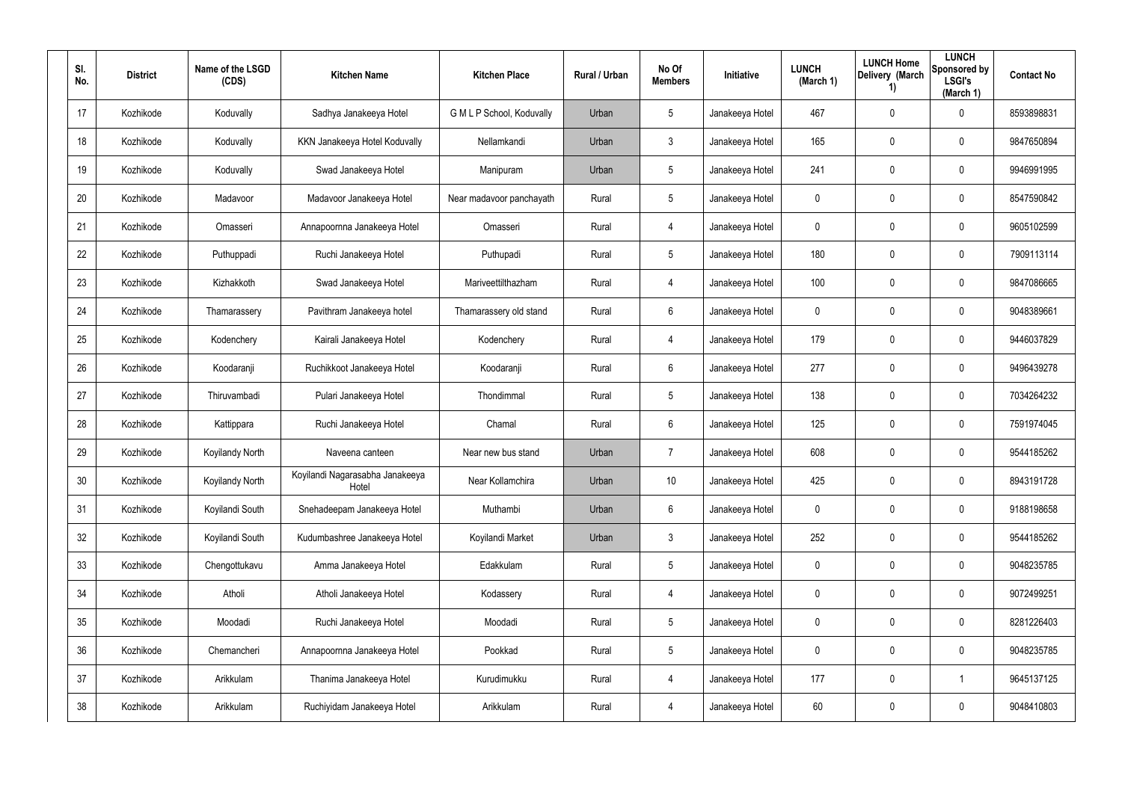| SI.<br>No.      | <b>District</b> | Name of the LSGD<br>(CDS) | <b>Kitchen Name</b>                      | <b>Kitchen Place</b>      | <b>Rural / Urban</b> | No Of<br><b>Members</b> | <b>Initiative</b> | <b>LUNCH</b><br>(March 1) | <b>LUNCH Home</b><br>Delivery (March<br>$\left( \mathbf{1}\right)$ | <b>LUNCH</b><br>Sponsored by<br><b>LSGI's</b><br>(March 1) | <b>Contact No</b> |
|-----------------|-----------------|---------------------------|------------------------------------------|---------------------------|----------------------|-------------------------|-------------------|---------------------------|--------------------------------------------------------------------|------------------------------------------------------------|-------------------|
| 17              | Kozhikode       | Koduvally                 | Sadhya Janakeeya Hotel                   | G M L P School, Koduvally | Urban                | $5\overline{)}$         | Janakeeya Hotel   | 467                       | 0                                                                  | $\mathbf 0$                                                | 8593898831        |
| 18              | Kozhikode       | Koduvally                 | KKN Janakeeya Hotel Koduvally            | Nellamkandi               | Urban                | $\mathbf{3}$            | Janakeeya Hotel   | 165                       | 0                                                                  | $\mathbf 0$                                                | 9847650894        |
| 19              | Kozhikode       | Koduvally                 | Swad Janakeeya Hotel                     | Manipuram                 | Urban                | $5\phantom{.0}$         | Janakeeya Hotel   | 241                       | 0                                                                  | $\mathbf 0$                                                | 9946991995        |
| 20              | Kozhikode       | Madavoor                  | Madavoor Janakeeya Hotel                 | Near madavoor panchayath  | Rural                | $5\overline{)}$         | Janakeeya Hotel   | 0                         | 0                                                                  | $\mathbf 0$                                                | 8547590842        |
| 21              | Kozhikode       | Omasseri                  | Annapoornna Janakeeya Hotel              | Omasseri                  | Rural                | 4                       | Janakeeya Hotel   | 0                         | 0                                                                  | $\mathbf 0$                                                | 9605102599        |
| 22              | Kozhikode       | Puthuppadi                | Ruchi Janakeeya Hotel                    | Puthupadi                 | Rural                | $5\overline{)}$         | Janakeeya Hotel   | 180                       | 0                                                                  | $\mathbf 0$                                                | 7909113114        |
| 23              | Kozhikode       | Kizhakkoth                | Swad Janakeeya Hotel                     | Mariveettilthazham        | Rural                | 4                       | Janakeeya Hotel   | 100                       | 0                                                                  | $\mathbf 0$                                                | 9847086665        |
| 24              | Kozhikode       | Thamarassery              | Pavithram Janakeeya hotel                | Thamarassery old stand    | Rural                | 6                       | Janakeeya Hotel   | 0                         | 0                                                                  | $\mathbf 0$                                                | 9048389661        |
| 25              | Kozhikode       | Kodenchery                | Kairali Janakeeya Hotel                  | Kodenchery                | Rural                | 4                       | Janakeeya Hotel   | 179                       | 0                                                                  | $\mathbf 0$                                                | 9446037829        |
| 26              | Kozhikode       | Koodaranji                | Ruchikkoot Janakeeya Hotel               | Koodaranji                | Rural                | 6                       | Janakeeya Hotel   | 277                       | 0                                                                  | $\mathbf 0$                                                | 9496439278        |
| 27              | Kozhikode       | Thiruvambadi              | Pulari Janakeeya Hotel                   | Thondimmal                | Rural                | $5\phantom{.0}$         | Janakeeya Hotel   | 138                       | 0                                                                  | $\mathbf 0$                                                | 7034264232        |
| 28              | Kozhikode       | Kattippara                | Ruchi Janakeeya Hotel                    | Chamal                    | Rural                | 6                       | Janakeeya Hotel   | 125                       | 0                                                                  | $\mathbf 0$                                                | 7591974045        |
| 29              | Kozhikode       | <b>Koyilandy North</b>    | Naveena canteen                          | Near new bus stand        | Urban                | $\overline{7}$          | Janakeeya Hotel   | 608                       | 0                                                                  | $\mathbf 0$                                                | 9544185262        |
| 30 <sup>°</sup> | Kozhikode       | Koyilandy North           | Koyilandi Nagarasabha Janakeeya<br>Hotel | Near Kollamchira          | Urban                | 10 <sup>°</sup>         | Janakeeya Hotel   | 425                       | 0                                                                  | $\pmb{0}$                                                  | 8943191728        |
| 31              | Kozhikode       | Koyilandi South           | Snehadeepam Janakeeya Hotel              | Muthambi                  | Urban                | $6\phantom{.}6$         | Janakeeya Hotel   | 0                         | 0                                                                  | $\mathsf{0}$                                               | 9188198658        |
| 32              | Kozhikode       | Koyilandi South           | Kudumbashree Janakeeya Hotel             | Koyilandi Market          | Urban                | $\mathfrak{Z}$          | Janakeeya Hotel   | 252                       | 0                                                                  | $\mathsf{0}$                                               | 9544185262        |
| 33              | Kozhikode       | Chengottukavu             | Amma Janakeeya Hotel                     | Edakkulam                 | Rural                | $5\phantom{.0}$         | Janakeeya Hotel   | 0                         | 0                                                                  | $\mathsf{0}$                                               | 9048235785        |
| 34              | Kozhikode       | Atholi                    | Atholi Janakeeya Hotel                   | Kodassery                 | Rural                | 4                       | Janakeeya Hotel   | 0                         | 0                                                                  | $\mathsf{0}$                                               | 9072499251        |
| 35              | Kozhikode       | Moodadi                   | Ruchi Janakeeya Hotel                    | Moodadi                   | Rural                | $5\phantom{.0}$         | Janakeeya Hotel   | 0                         | 0                                                                  | $\mathbf 0$                                                | 8281226403        |
| 36              | Kozhikode       | Chemancheri               | Annapoornna Janakeeya Hotel              | Pookkad                   | Rural                | $5\phantom{.0}$         | Janakeeya Hotel   | $\mathbf 0$               | 0                                                                  | $\mathsf{0}$                                               | 9048235785        |
| 37              | Kozhikode       | Arikkulam                 | Thanima Janakeeya Hotel                  | Kurudimukku               | Rural                | 4                       | Janakeeya Hotel   | 177                       | 0                                                                  | $\mathbf 1$                                                | 9645137125        |
| 38              | Kozhikode       | Arikkulam                 | Ruchiyidam Janakeeya Hotel               | Arikkulam                 | Rural                | 4                       | Janakeeya Hotel   | 60                        | 0                                                                  | $\mathbf 0$                                                | 9048410803        |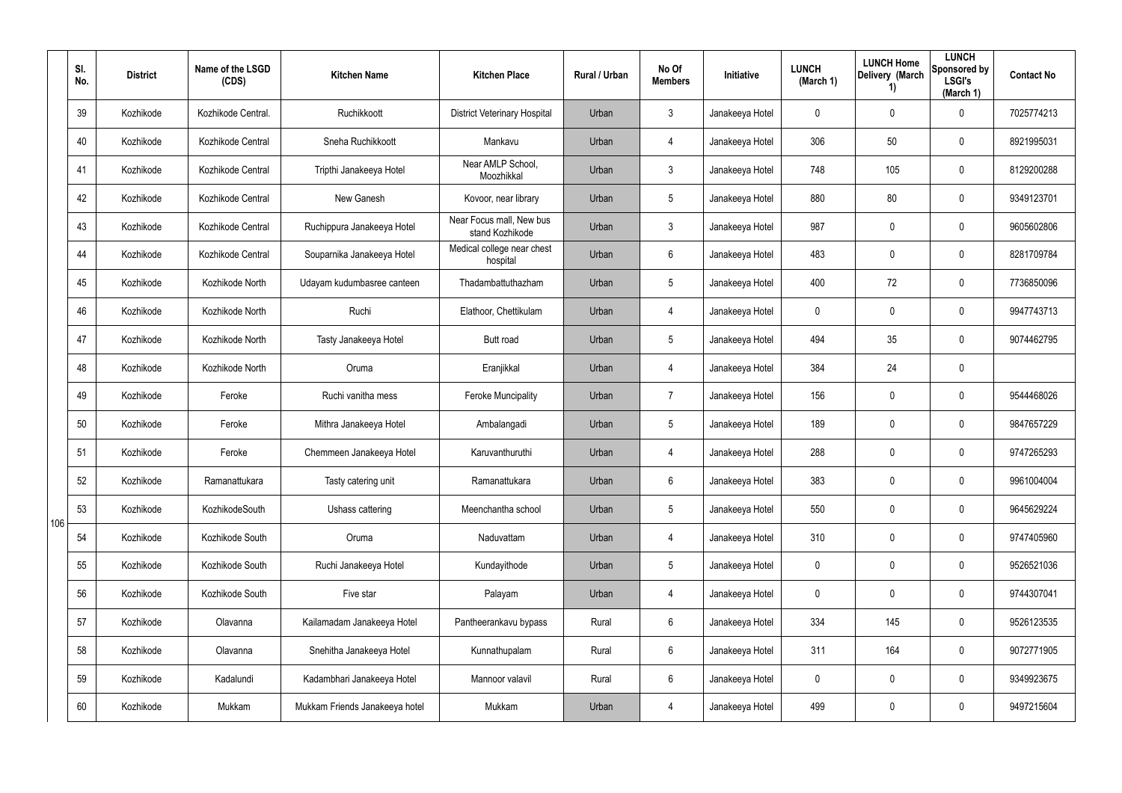|     | SI.<br>No. | <b>District</b> | Name of the LSGD<br>(CDS) | <b>Kitchen Name</b>            | <b>Kitchen Place</b>                        | Rural / Urban | No Of<br><b>Members</b> | Initiative      | <b>LUNCH</b><br>(March 1) | <b>LUNCH Home</b><br>Delivery (March<br>1) | <b>LUNCH</b><br>Sponsored by<br><b>LSGI's</b><br>(March 1) | <b>Contact No</b> |
|-----|------------|-----------------|---------------------------|--------------------------------|---------------------------------------------|---------------|-------------------------|-----------------|---------------------------|--------------------------------------------|------------------------------------------------------------|-------------------|
|     | 39         | Kozhikode       | Kozhikode Central.        | Ruchikkoott                    | <b>District Veterinary Hospital</b>         | Urban         | 3                       | Janakeeya Hotel | 0                         | 0                                          | $\mathbf 0$                                                | 7025774213        |
|     | 40         | Kozhikode       | Kozhikode Central         | Sneha Ruchikkoott              | Mankavu                                     | Urban         | 4                       | Janakeeya Hotel | 306                       | 50                                         | 0                                                          | 8921995031        |
|     | 41         | Kozhikode       | Kozhikode Central         | Tripthi Janakeeya Hotel        | Near AMLP School,<br>Moozhikkal             | Urban         | $\mathbf{3}$            | Janakeeya Hotel | 748                       | 105                                        | $\pmb{0}$                                                  | 8129200288        |
|     | 42         | Kozhikode       | Kozhikode Central         | New Ganesh                     | Kovoor, near library                        | Urban         | 5                       | Janakeeya Hotel | 880                       | 80                                         | $\pmb{0}$                                                  | 9349123701        |
|     | 43         | Kozhikode       | Kozhikode Central         | Ruchippura Janakeeya Hotel     | Near Focus mall, New bus<br>stand Kozhikode | Urban         | $\mathfrak{Z}$          | Janakeeya Hotel | 987                       | $\mathbf 0$                                | $\pmb{0}$                                                  | 9605602806        |
|     | 44         | Kozhikode       | Kozhikode Central         | Souparnika Janakeeya Hotel     | Medical college near chest<br>hospital      | Urban         | 6                       | Janakeeya Hotel | 483                       | 0                                          | $\pmb{0}$                                                  | 8281709784        |
|     | 45         | Kozhikode       | Kozhikode North           | Udayam kudumbasree canteen     | Thadambattuthazham                          | Urban         | $5\overline{)}$         | Janakeeya Hotel | 400                       | 72                                         | $\mathbf 0$                                                | 7736850096        |
|     | 46         | Kozhikode       | Kozhikode North           | Ruchi                          | Elathoor, Chettikulam                       | Urban         | 4                       | Janakeeya Hotel | 0                         | 0                                          | $\mathbf 0$                                                | 9947743713        |
|     | 47         | Kozhikode       | Kozhikode North           | Tasty Janakeeya Hotel          | <b>Butt road</b>                            | Urban         | $\sqrt{5}$              | Janakeeya Hotel | 494                       | 35                                         | $\pmb{0}$                                                  | 9074462795        |
|     | 48         | Kozhikode       | Kozhikode North           | Oruma                          | Eranjikkal                                  | Urban         | 4                       | Janakeeya Hotel | 384                       | 24                                         | $\pmb{0}$                                                  |                   |
|     | 49         | Kozhikode       | Feroke                    | Ruchi vanitha mess             | <b>Feroke Muncipality</b>                   | Urban         | $\overline{7}$          | Janakeeya Hotel | 156                       | $\mathbf 0$                                | $\pmb{0}$                                                  | 9544468026        |
|     | 50         | Kozhikode       | Feroke                    | Mithra Janakeeya Hotel         | Ambalangadi                                 | Urban         | 5                       | Janakeeya Hotel | 189                       | 0                                          | $\pmb{0}$                                                  | 9847657229        |
|     | 51         | Kozhikode       | Feroke                    | Chemmeen Janakeeya Hotel       | Karuvanthuruthi                             | Urban         | 4                       | Janakeeya Hotel | 288                       | 0                                          | $\mathbf 0$                                                | 9747265293        |
|     | 52         | Kozhikode       | Ramanattukara             | Tasty catering unit            | Ramanattukara                               | Urban         | 6                       | Janakeeya Hotel | 383                       | $\pmb{0}$                                  | $\pmb{0}$                                                  | 9961004004        |
| 106 | 53         | Kozhikode       | KozhikodeSouth            | Ushass cattering               | Meenchantha school                          | Urban         | 5                       | Janakeeya Hotel | 550                       | $\mathbf 0$                                | $\mathbf 0$                                                | 9645629224        |
|     | 54         | Kozhikode       | Kozhikode South           | Oruma                          | Naduvattam                                  | Urban         | $\overline{4}$          | Janakeeya Hotel | 310                       | $\mathbf 0$                                | $\mathbf 0$                                                | 9747405960        |
|     | 55         | Kozhikode       | Kozhikode South           | Ruchi Janakeeya Hotel          | Kundayithode                                | Urban         | 5                       | Janakeeya Hotel | 0                         | 0                                          | $\mathbf 0$                                                | 9526521036        |
|     | 56         | Kozhikode       | Kozhikode South           | Five star                      | Palayam                                     | Urban         | $\overline{4}$          | Janakeeya Hotel | 0                         | $\mathbf 0$                                | $\mathsf{0}$                                               | 9744307041        |
|     | 57         | Kozhikode       | Olavanna                  | Kailamadam Janakeeya Hotel     | Pantheerankavu bypass                       | Rural         | 6                       | Janakeeya Hotel | 334                       | 145                                        | $\mathsf{0}$                                               | 9526123535        |
|     | 58         | Kozhikode       | Olavanna                  | Snehitha Janakeeya Hotel       | Kunnathupalam                               | Rural         | $6\phantom{.0}$         | Janakeeya Hotel | 311                       | 164                                        | $\mathsf{0}$                                               | 9072771905        |
|     | 59         | Kozhikode       | Kadalundi                 | Kadambhari Janakeeya Hotel     | Mannoor valavil                             | Rural         | 6                       | Janakeeya Hotel | 0                         | 0                                          | $\mathbf 0$                                                | 9349923675        |
|     | 60         | Kozhikode       | Mukkam                    | Mukkam Friends Janakeeya hotel | Mukkam                                      | Urban         | 4                       | Janakeeya Hotel | 499                       | 0                                          | $\pmb{0}$                                                  | 9497215604        |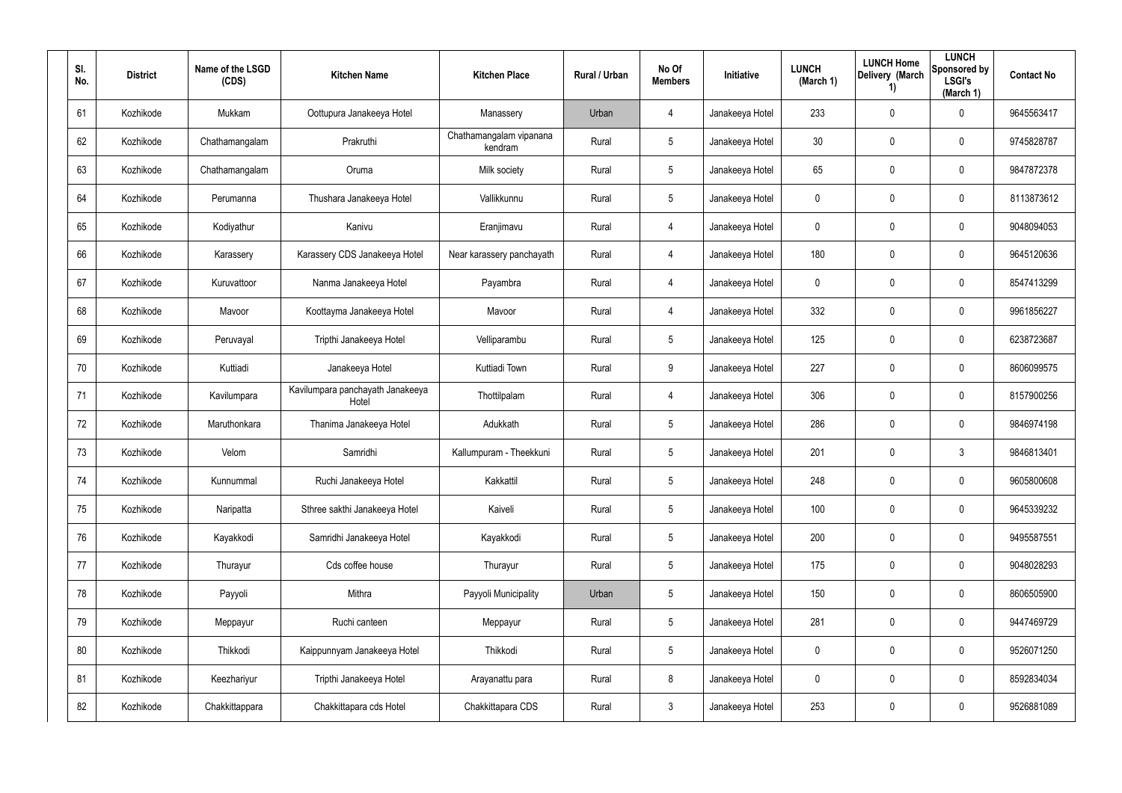| SI.<br>No. | <b>District</b> | Name of the LSGD<br>(CDS) | <b>Kitchen Name</b>                       | <b>Kitchen Place</b>               | Rural / Urban | No Of<br><b>Members</b> | Initiative      | <b>LUNCH</b><br>(March 1) | <b>LUNCH Home</b><br>Delivery (March<br>$\left( \mathbf{1}\right)$ | <b>LUNCH</b><br>Sponsored by<br><b>LSGI's</b><br>(March 1) | <b>Contact No</b> |
|------------|-----------------|---------------------------|-------------------------------------------|------------------------------------|---------------|-------------------------|-----------------|---------------------------|--------------------------------------------------------------------|------------------------------------------------------------|-------------------|
| 61         | Kozhikode       | Mukkam                    | Oottupura Janakeeya Hotel                 | Manassery                          | Urban         | 4                       | Janakeeya Hotel | 233                       | 0                                                                  | $\mathbf 0$                                                | 9645563417        |
| 62         | Kozhikode       | Chathamangalam            | Prakruthi                                 | Chathamangalam vipanana<br>kendram | Rural         | $5\phantom{.0}$         | Janakeeya Hotel | 30 <sub>o</sub>           | 0                                                                  | $\pmb{0}$                                                  | 9745828787        |
| 63         | Kozhikode       | Chathamangalam            | Oruma                                     | Milk society                       | Rural         | $5\phantom{.0}$         | Janakeeya Hotel | 65                        | 0                                                                  | $\pmb{0}$                                                  | 9847872378        |
| 64         | Kozhikode       | Perumanna                 | Thushara Janakeeya Hotel                  | Vallikkunnu                        | Rural         | $5\phantom{.0}$         | Janakeeya Hotel | 0                         | 0                                                                  | $\pmb{0}$                                                  | 8113873612        |
| 65         | Kozhikode       | Kodiyathur                | Kanivu                                    | Eranjimavu                         | Rural         | 4                       | Janakeeya Hotel | 0                         | 0                                                                  | $\pmb{0}$                                                  | 9048094053        |
| 66         | Kozhikode       | Karassery                 | Karassery CDS Janakeeya Hotel             | Near karassery panchayath          | Rural         | 4                       | Janakeeya Hotel | 180                       | 0                                                                  | $\pmb{0}$                                                  | 9645120636        |
| 67         | Kozhikode       | Kuruvattoor               | Nanma Janakeeya Hotel                     | Payambra                           | Rural         | $\overline{4}$          | Janakeeya Hotel | 0                         | 0                                                                  | $\mathbf 0$                                                | 8547413299        |
| 68         | Kozhikode       | Mavoor                    | Koottayma Janakeeya Hotel                 | Mavoor                             | Rural         | 4                       | Janakeeya Hotel | 332                       | 0                                                                  | $\mathbf 0$                                                | 9961856227        |
| 69         | Kozhikode       | Peruvayal                 | Tripthi Janakeeya Hotel                   | Velliparambu                       | Rural         | $5\phantom{.0}$         | Janakeeya Hotel | 125                       | 0                                                                  | $\mathbf 0$                                                | 6238723687        |
| 70         | Kozhikode       | Kuttiadi                  | Janakeeya Hotel                           | Kuttiadi Town                      | Rural         | 9                       | Janakeeya Hotel | 227                       | 0                                                                  | $\mathbf 0$                                                | 8606099575        |
| 71         | Kozhikode       | Kavilumpara               | Kavilumpara panchayath Janakeeya<br>Hotel | Thottilpalam                       | Rural         | $\overline{4}$          | Janakeeya Hotel | 306                       | 0                                                                  | $\mathbf 0$                                                | 8157900256        |
| 72         | Kozhikode       | Maruthonkara              | Thanima Janakeeya Hotel                   | Adukkath                           | Rural         | $5\overline{)}$         | Janakeeya Hotel | 286                       | 0                                                                  | $\mathbf 0$                                                | 9846974198        |
| 73         | Kozhikode       | Velom                     | Samridhi                                  | Kallumpuram - Theekkuni            | Rural         | $5\phantom{.0}$         | Janakeeya Hotel | 201                       | 0                                                                  | $\mathbf{3}$                                               | 9846813401        |
| 74         | Kozhikode       | Kunnummal                 | Ruchi Janakeeya Hotel                     | Kakkattil                          | Rural         | $5\phantom{.0}$         | Janakeeya Hotel | 248                       | 0                                                                  | $\pmb{0}$                                                  | 9605800608        |
| 75         | Kozhikode       | Naripatta                 | Sthree sakthi Janakeeya Hotel             | Kaiveli                            | Rural         | $5\phantom{.0}$         | Janakeeya Hotel | 100                       | 0                                                                  | $\mathbf 0$                                                | 9645339232        |
| 76         | Kozhikode       | Kayakkodi                 | Samridhi Janakeeya Hotel                  | Kayakkodi                          | Rural         | $5\phantom{.0}$         | Janakeeya Hotel | 200                       | 0                                                                  | $\mathbf 0$                                                | 9495587551        |
| 77         | Kozhikode       | Thurayur                  | Cds coffee house                          | Thurayur                           | Rural         | $5\phantom{.0}$         | Janakeeya Hotel | 175                       | 0                                                                  | $\mathbf 0$                                                | 9048028293        |
| 78         | Kozhikode       | Payyoli                   | Mithra                                    | Payyoli Municipality               | Urban         | $5\phantom{.0}$         | Janakeeya Hotel | 150                       | 0                                                                  | $\mathsf{0}$                                               | 8606505900        |
| 79         | Kozhikode       | Meppayur                  | Ruchi canteen                             | Meppayur                           | Rural         | $5\phantom{.0}$         | Janakeeya Hotel | 281                       | 0                                                                  | $\mathsf{0}$                                               | 9447469729        |
| 80         | Kozhikode       | Thikkodi                  | Kaippunnyam Janakeeya Hotel               | Thikkodi                           | Rural         | $5\phantom{.0}$         | Janakeeya Hotel | 0                         | 0                                                                  | $\mathsf{0}$                                               | 9526071250        |
| 81         | Kozhikode       | Keezhariyur               | Tripthi Janakeeya Hotel                   | Arayanattu para                    | Rural         | 8                       | Janakeeya Hotel | 0                         | 0                                                                  | $\mathsf{0}$                                               | 8592834034        |
| 82         | Kozhikode       | Chakkittappara            | Chakkittapara cds Hotel                   | Chakkittapara CDS                  | Rural         | $\mathfrak{Z}$          | Janakeeya Hotel | 253                       | 0                                                                  | $\pmb{0}$                                                  | 9526881089        |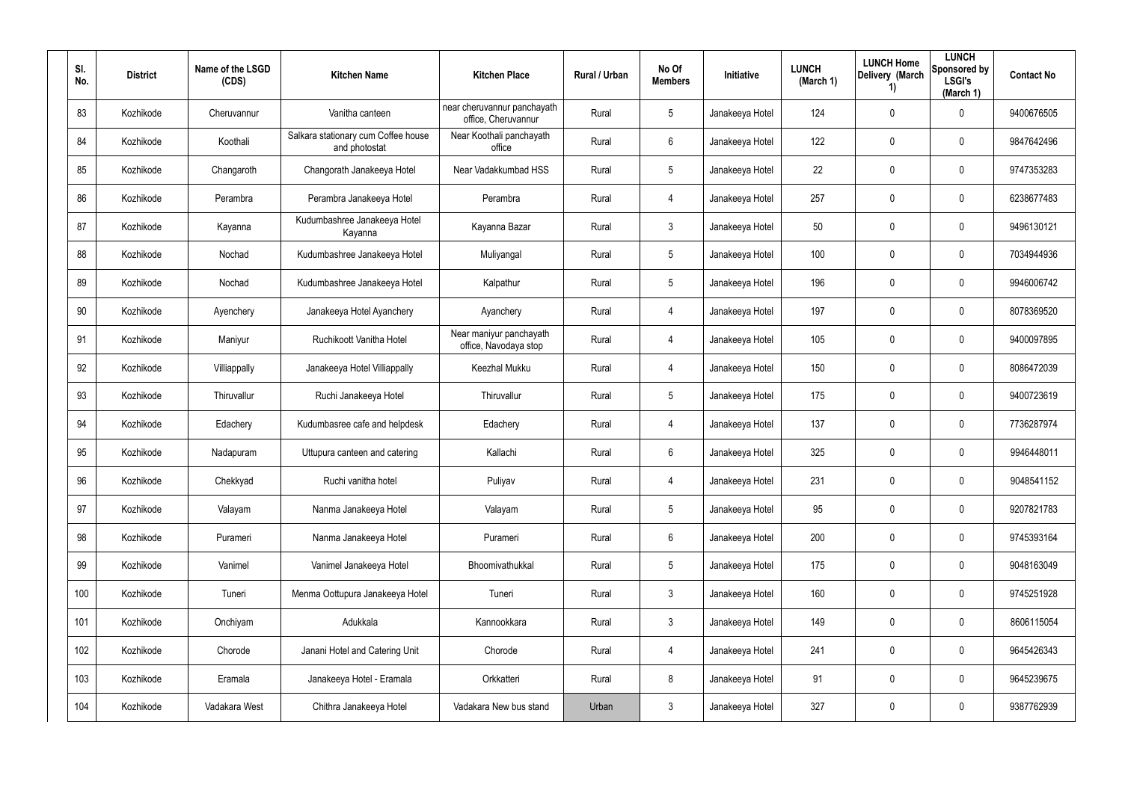| SI.<br>No. | <b>District</b> | Name of the LSGD<br>(CDS) | <b>Kitchen Name</b>                                  | <b>Kitchen Place</b>                               | Rural / Urban | No Of<br><b>Members</b> | Initiative      | <b>LUNCH</b><br>(March 1) | <b>LUNCH Home</b><br>Delivery (March<br>$\left( \mathbf{1}\right)$ | <b>LUNCH</b><br>Sponsored by<br><b>LSGI's</b><br>(March 1) | <b>Contact No</b> |
|------------|-----------------|---------------------------|------------------------------------------------------|----------------------------------------------------|---------------|-------------------------|-----------------|---------------------------|--------------------------------------------------------------------|------------------------------------------------------------|-------------------|
| 83         | Kozhikode       | Cheruvannur               | Vanitha canteen                                      | near cheruvannur panchayath<br>office, Cheruvannur | Rural         | $5\phantom{.0}$         | Janakeeya Hotel | 124                       | 0                                                                  | $\mathbf 0$                                                | 9400676505        |
| 84         | Kozhikode       | Koothali                  | Salkara stationary cum Coffee house<br>and photostat | Near Koothali panchayath<br>office                 | Rural         | 6                       | Janakeeya Hotel | 122                       | 0                                                                  | $\pmb{0}$                                                  | 9847642496        |
| 85         | Kozhikode       | Changaroth                | Changorath Janakeeya Hotel                           | Near Vadakkumbad HSS                               | Rural         | $5\phantom{.0}$         | Janakeeya Hotel | 22                        | 0                                                                  | $\pmb{0}$                                                  | 9747353283        |
| 86         | Kozhikode       | Perambra                  | Perambra Janakeeya Hotel                             | Perambra                                           | Rural         | 4                       | Janakeeya Hotel | 257                       | 0                                                                  | $\pmb{0}$                                                  | 6238677483        |
| 87         | Kozhikode       | Kayanna                   | Kudumbashree Janakeeya Hotel<br>Kayanna              | Kayanna Bazar                                      | Rural         | $\mathfrak{Z}$          | Janakeeya Hotel | 50                        | 0                                                                  | $\pmb{0}$                                                  | 9496130121        |
| 88         | Kozhikode       | Nochad                    | Kudumbashree Janakeeya Hotel                         | Muliyangal                                         | Rural         | $5\phantom{.0}$         | Janakeeya Hotel | 100                       | 0                                                                  | $\pmb{0}$                                                  | 7034944936        |
| 89         | Kozhikode       | Nochad                    | Kudumbashree Janakeeya Hotel                         | Kalpathur                                          | Rural         | $5\phantom{.0}$         | Janakeeya Hotel | 196                       | 0                                                                  | $\mathbf 0$                                                | 9946006742        |
| 90         | Kozhikode       | Ayenchery                 | Janakeeya Hotel Ayanchery                            | Ayanchery                                          | Rural         | 4                       | Janakeeya Hotel | 197                       | 0                                                                  | $\mathbf 0$                                                | 8078369520        |
| 91         | Kozhikode       | Maniyur                   | Ruchikoott Vanitha Hotel                             | Near maniyur panchayath<br>office, Navodaya stop   | Rural         | 4                       | Janakeeya Hotel | 105                       | 0                                                                  | $\mathbf 0$                                                | 9400097895        |
| 92         | Kozhikode       | Villiappally              | Janakeeya Hotel Villiappally                         | Keezhal Mukku                                      | Rural         | 4                       | Janakeeya Hotel | 150                       | 0                                                                  | $\mathbf 0$                                                | 8086472039        |
| 93         | Kozhikode       | Thiruvallur               | Ruchi Janakeeya Hotel                                | Thiruvallur                                        | Rural         | $5\phantom{.0}$         | Janakeeya Hotel | 175                       | 0                                                                  | $\mathbf 0$                                                | 9400723619        |
| 94         | Kozhikode       | Edachery                  | Kudumbasree cafe and helpdesk                        | Edachery                                           | Rural         | 4                       | Janakeeya Hotel | 137                       | 0                                                                  | $\mathbf 0$                                                | 7736287974        |
| 95         | Kozhikode       | Nadapuram                 | Uttupura canteen and catering                        | Kallachi                                           | Rural         | 6                       | Janakeeya Hotel | 325                       | 0                                                                  | $\mathbf 0$                                                | 9946448011        |
| 96         | Kozhikode       | Chekkyad                  | Ruchi vanitha hotel                                  | Puliyav                                            | Rural         | 4                       | Janakeeya Hotel | 231                       | 0                                                                  | $\mathbf 0$                                                | 9048541152        |
| 97         | Kozhikode       | Valayam                   | Nanma Janakeeya Hotel                                | Valayam                                            | Rural         | $5\phantom{.0}$         | Janakeeya Hotel | 95                        | 0                                                                  | $\mathbf 0$                                                | 9207821783        |
| 98         | Kozhikode       | Purameri                  | Nanma Janakeeya Hotel                                | Purameri                                           | Rural         | $6\phantom{.}$          | Janakeeya Hotel | 200                       | 0                                                                  | $\mathbf 0$                                                | 9745393164        |
| 99         | Kozhikode       | Vanimel                   | Vanimel Janakeeya Hotel                              | Bhoomivathukkal                                    | Rural         | $5\phantom{.0}$         | Janakeeya Hotel | 175                       | $\mathbf 0$                                                        | $\mathbf 0$                                                | 9048163049        |
| 100        | Kozhikode       | Tuneri                    | Menma Oottupura Janakeeya Hotel                      | Tuneri                                             | Rural         | $\mathfrak{Z}$          | Janakeeya Hotel | 160                       | 0                                                                  | $\mathsf{0}$                                               | 9745251928        |
| 101        | Kozhikode       | Onchiyam                  | Adukkala                                             | Kannookkara                                        | Rural         | $\mathfrak{Z}$          | Janakeeya Hotel | 149                       | 0                                                                  | $\mathsf{0}$                                               | 8606115054        |
| 102        | Kozhikode       | Chorode                   | Janani Hotel and Catering Unit                       | Chorode                                            | Rural         | 4                       | Janakeeya Hotel | 241                       | 0                                                                  | $\mathsf{0}$                                               | 9645426343        |
| 103        | Kozhikode       | Eramala                   | Janakeeya Hotel - Eramala                            | Orkkatteri                                         | Rural         | 8                       | Janakeeya Hotel | 91                        | 0                                                                  | $\mathsf{0}$                                               | 9645239675        |
| 104        | Kozhikode       | Vadakara West             | Chithra Janakeeya Hotel                              | Vadakara New bus stand                             | Urban         | $\mathfrak{Z}$          | Janakeeya Hotel | 327                       | 0                                                                  | $\pmb{0}$                                                  | 9387762939        |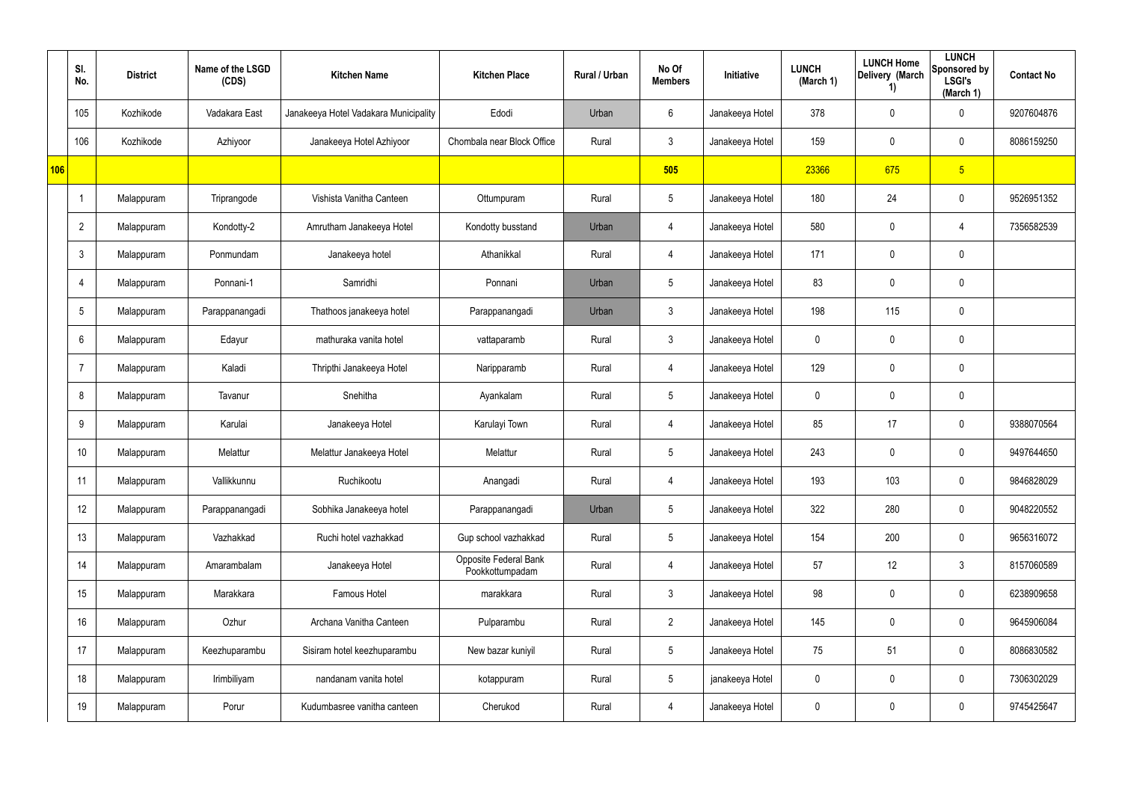|     | SI.<br>No.      | <b>District</b> | Name of the LSGD<br>(CDS) | <b>Kitchen Name</b>                   | <b>Kitchen Place</b>                     | Rural / Urban | No Of<br><b>Members</b> | Initiative      | <b>LUNCH</b><br>(March 1) | <b>LUNCH Home</b><br>Delivery (March<br>1) | <b>LUNCH</b><br>Sponsored by<br><b>LSGI's</b><br>(March 1) | <b>Contact No</b> |
|-----|-----------------|-----------------|---------------------------|---------------------------------------|------------------------------------------|---------------|-------------------------|-----------------|---------------------------|--------------------------------------------|------------------------------------------------------------|-------------------|
|     | 105             | Kozhikode       | Vadakara East             | Janakeeya Hotel Vadakara Municipality | Edodi                                    | Urban         | 6                       | Janakeeya Hotel | 378                       | 0                                          | $\mathbf 0$                                                | 9207604876        |
|     | 106             | Kozhikode       | Azhiyoor                  | Janakeeya Hotel Azhiyoor              | Chombala near Block Office               | Rural         | $\mathbf{3}$            | Janakeeya Hotel | 159                       | 0                                          | $\mathbf 0$                                                | 8086159250        |
| 106 |                 |                 |                           |                                       |                                          |               | 505                     |                 | 23366                     | 675                                        | 5 <sub>5</sub>                                             |                   |
|     |                 | Malappuram      | Triprangode               | Vishista Vanitha Canteen              | Ottumpuram                               | Rural         | $5\overline{)}$         | Janakeeya Hotel | 180                       | 24                                         | $\mathbf 0$                                                | 9526951352        |
|     | $\overline{2}$  | Malappuram      | Kondotty-2                | Amrutham Janakeeya Hotel              | Kondotty busstand                        | Urban         | $\overline{4}$          | Janakeeya Hotel | 580                       | 0                                          | 4                                                          | 7356582539        |
|     | $\mathbf{3}$    | Malappuram      | Ponmundam                 | Janakeeya hotel                       | Athanikkal                               | Rural         | 4                       | Janakeeya Hotel | 171                       | 0                                          | $\mathbf 0$                                                |                   |
|     | 4               | Malappuram      | Ponnani-1                 | Samridhi                              | Ponnani                                  | Urban         | $5\phantom{.0}$         | Janakeeya Hotel | 83                        | 0                                          | $\pmb{0}$                                                  |                   |
|     | $5\overline{)}$ | Malappuram      | Parappanangadi            | Thathoos janakeeya hotel              | Parappanangadi                           | Urban         | $\mathbf{3}$            | Janakeeya Hotel | 198                       | 115                                        | $\mathbf 0$                                                |                   |
|     | 6               | Malappuram      | Edayur                    | mathuraka vanita hotel                | vattaparamb                              | Rural         | $\mathbf{3}$            | Janakeeya Hotel | 0                         | 0                                          | $\mathbf 0$                                                |                   |
|     | 7               | Malappuram      | Kaladi                    | Thripthi Janakeeya Hotel              | Naripparamb                              | Rural         | 4                       | Janakeeya Hotel | 129                       | 0                                          | $\mathbf 0$                                                |                   |
|     | 8               | Malappuram      | Tavanur                   | Snehitha                              | Ayankalam                                | Rural         | $5\phantom{.0}$         | Janakeeya Hotel | 0                         | 0                                          | $\pmb{0}$                                                  |                   |
|     | 9               | Malappuram      | Karulai                   | Janakeeya Hotel                       | Karulayi Town                            | Rural         | 4                       | Janakeeya Hotel | 85                        | 17                                         | $\mathbf 0$                                                | 9388070564        |
|     | 10              | Malappuram      | Melattur                  | Melattur Janakeeya Hotel              | Melattur                                 | Rural         | $5\phantom{.0}$         | Janakeeya Hotel | 243                       | 0                                          | $\mathbf 0$                                                | 9497644650        |
|     | 11              | Malappuram      | Vallikkunnu               | Ruchikootu                            | Anangadi                                 | Rural         | 4                       | Janakeeya Hotel | 193                       | 103                                        | $\pmb{0}$                                                  | 9846828029        |
|     | 12              | Malappuram      | Parappanangadi            | Sobhika Janakeeya hotel               | Parappanangadi                           | Urban         | $5\phantom{.0}$         | Janakeeya Hotel | 322                       | 280                                        | $\mathbf 0$                                                | 9048220552        |
|     | 13              | Malappuram      | Vazhakkad                 | Ruchi hotel vazhakkad                 | Gup school vazhakkad                     | Rural         | $5\overline{)}$         | Janakeeya Hotel | 154                       | 200                                        | $\mathbf 0$                                                | 9656316072        |
|     | 14              | Malappuram      | Amarambalam               | Janakeeya Hotel                       | Opposite Federal Bank<br>Pookkottumpadam | Rural         | $\overline{4}$          | Janakeeya Hotel | 57                        | 12                                         | $\mathfrak{Z}$                                             | 8157060589        |
|     | 15              | Malappuram      | Marakkara                 | Famous Hotel                          | marakkara                                | Rural         | 3 <sup>1</sup>          | Janakeeya Hotel | 98                        | 0                                          | $\mathbf 0$                                                | 6238909658        |
|     | 16              | Malappuram      | Ozhur                     | Archana Vanitha Canteen               | Pulparambu                               | Rural         | $2\overline{ }$         | Janakeeya Hotel | 145                       | 0                                          | $\mathbf 0$                                                | 9645906084        |
|     | 17              | Malappuram      | Keezhuparambu             | Sisiram hotel keezhuparambu           | New bazar kuniyil                        | Rural         | $5\overline{)}$         | Janakeeya Hotel | 75                        | 51                                         | $\pmb{0}$                                                  | 8086830582        |
|     | 18              | Malappuram      | Irimbiliyam               | nandanam vanita hotel                 | kotappuram                               | Rural         | $5\phantom{.0}$         | janakeeya Hotel | 0                         | 0                                          | $\mathbf 0$                                                | 7306302029        |
|     | 19              | Malappuram      | Porur                     | Kudumbasree vanitha canteen           | Cherukod                                 | Rural         | 4                       | Janakeeya Hotel | 0                         | 0                                          | $\pmb{0}$                                                  | 9745425647        |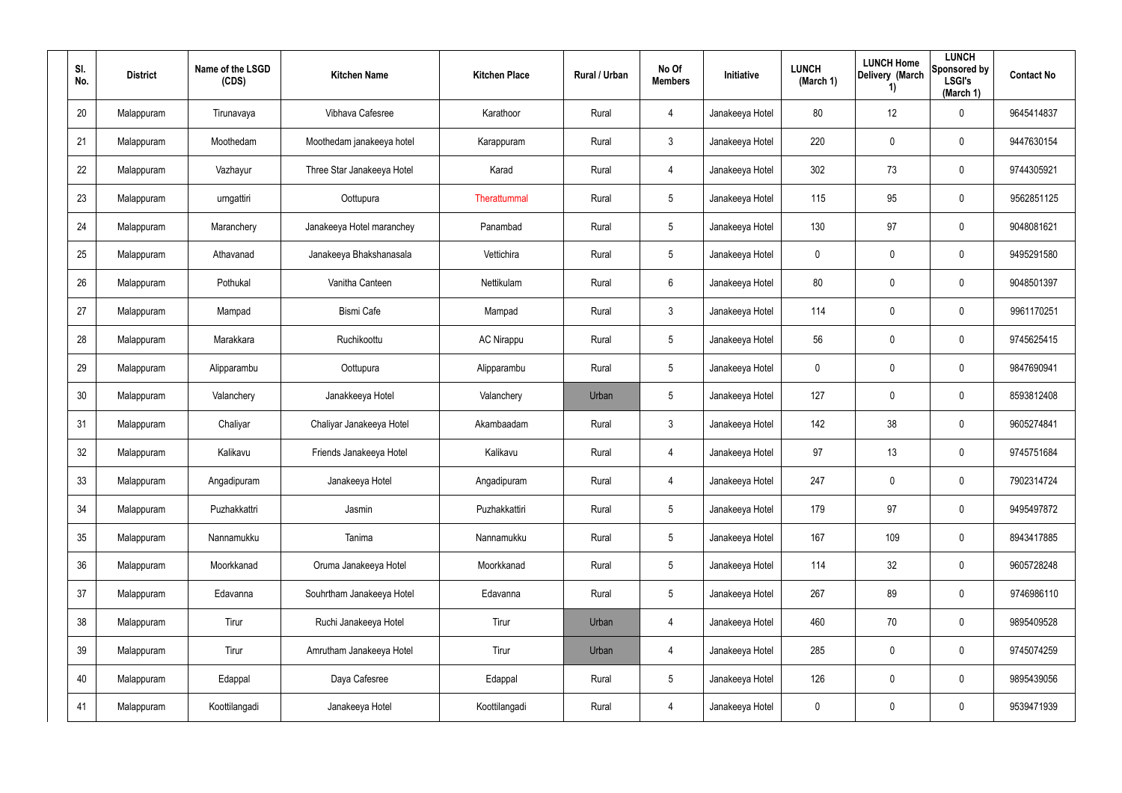| SI.<br>No. | <b>District</b> | Name of the LSGD<br>(CDS) | <b>Kitchen Name</b>        | <b>Kitchen Place</b> | Rural / Urban | No Of<br><b>Members</b> | Initiative      | <b>LUNCH</b><br>(March 1) | <b>LUNCH Home</b><br>Delivery (March<br>1) | <b>LUNCH</b><br>Sponsored by<br><b>LSGI's</b><br>(March 1) | <b>Contact No</b> |
|------------|-----------------|---------------------------|----------------------------|----------------------|---------------|-------------------------|-----------------|---------------------------|--------------------------------------------|------------------------------------------------------------|-------------------|
| 20         | Malappuram      | Tirunavaya                | Vibhava Cafesree           | Karathoor            | Rural         | 4                       | Janakeeya Hotel | 80                        | 12                                         | $\mathbf 0$                                                | 9645414837        |
| 21         | Malappuram      | Moothedam                 | Moothedam janakeeya hotel  | Karappuram           | Rural         | 3                       | Janakeeya Hotel | 220                       | 0                                          | $\mathbf 0$                                                | 9447630154        |
| 22         | Malappuram      | Vazhayur                  | Three Star Janakeeya Hotel | Karad                | Rural         | $\overline{4}$          | Janakeeya Hotel | 302                       | 73                                         | $\mathbf 0$                                                | 9744305921        |
| 23         | Malappuram      | urngattiri                | Oottupura                  | Therattummal         | Rural         | 5                       | Janakeeya Hotel | 115                       | 95                                         | $\mathbf 0$                                                | 9562851125        |
| 24         | Malappuram      | Maranchery                | Janakeeya Hotel maranchey  | Panambad             | Rural         | $5\overline{)}$         | Janakeeya Hotel | 130                       | 97                                         | $\mathbf 0$                                                | 9048081621        |
| 25         | Malappuram      | Athavanad                 | Janakeeya Bhakshanasala    | Vettichira           | Rural         | $5\overline{)}$         | Janakeeya Hotel | 0                         | 0                                          | $\mathbf 0$                                                | 9495291580        |
| 26         | Malappuram      | Pothukal                  | Vanitha Canteen            | Nettikulam           | Rural         | 6                       | Janakeeya Hotel | 80                        | 0                                          | $\mathbf 0$                                                | 9048501397        |
| 27         | Malappuram      | Mampad                    | <b>Bismi Cafe</b>          | Mampad               | Rural         | 3                       | Janakeeya Hotel | 114                       | 0                                          | $\mathbf 0$                                                | 9961170251        |
| 28         | Malappuram      | Marakkara                 | Ruchikoottu                | <b>AC Nirappu</b>    | Rural         | $5\phantom{.0}$         | Janakeeya Hotel | 56                        | 0                                          | $\mathbf 0$                                                | 9745625415        |
| 29         | Malappuram      | Alipparambu               | Oottupura                  | Alipparambu          | Rural         | 5                       | Janakeeya Hotel | 0                         | 0                                          | $\mathbf 0$                                                | 9847690941        |
| 30         | Malappuram      | Valanchery                | Janakkeeya Hotel           | Valanchery           | Urban         | 5                       | Janakeeya Hotel | 127                       | 0                                          | $\mathbf 0$                                                | 8593812408        |
| 31         | Malappuram      | Chaliyar                  | Chaliyar Janakeeya Hotel   | Akambaadam           | Rural         | $\mathbf{3}$            | Janakeeya Hotel | 142                       | 38                                         | $\mathbf 0$                                                | 9605274841        |
| 32         | Malappuram      | Kalikavu                  | Friends Janakeeya Hotel    | Kalikavu             | Rural         | 4                       | Janakeeya Hotel | 97                        | 13                                         | $\mathbf 0$                                                | 9745751684        |
| 33         | Malappuram      | Angadipuram               | Janakeeya Hotel            | Angadipuram          | Rural         | $\overline{4}$          | Janakeeya Hotel | 247                       | $\pmb{0}$                                  | $\pmb{0}$                                                  | 7902314724        |
| 34         | Malappuram      | Puzhakkattri              | Jasmin                     | Puzhakkattiri        | Rural         | $5\phantom{.0}$         | Janakeeya Hotel | 179                       | 97                                         | $\mathsf{0}$                                               | 9495497872        |
| 35         | Malappuram      | Nannamukku                | Tanima                     | Nannamukku           | Rural         | $5\phantom{.0}$         | Janakeeya Hotel | 167                       | 109                                        | $\mathsf{0}$                                               | 8943417885        |
| 36         | Malappuram      | Moorkkanad                | Oruma Janakeeya Hotel      | Moorkkanad           | Rural         | $5\phantom{.0}$         | Janakeeya Hotel | 114                       | 32                                         | $\mathsf{0}$                                               | 9605728248        |
| 37         | Malappuram      | Edavanna                  | Souhrtham Janakeeya Hotel  | Edavanna             | Rural         | $5\phantom{.0}$         | Janakeeya Hotel | 267                       | 89                                         | $\pmb{0}$                                                  | 9746986110        |
| 38         | Malappuram      | Tirur                     | Ruchi Janakeeya Hotel      | Tirur                | Urban         | 4                       | Janakeeya Hotel | 460                       | 70                                         | $\pmb{0}$                                                  | 9895409528        |
| 39         | Malappuram      | Tirur                     | Amrutham Janakeeya Hotel   | Tirur                | Urban         | $\overline{4}$          | Janakeeya Hotel | 285                       | $\mathbf 0$                                | $\pmb{0}$                                                  | 9745074259        |
| 40         | Malappuram      | Edappal                   | Daya Cafesree              | Edappal              | Rural         | $5\phantom{.0}$         | Janakeeya Hotel | 126                       | $\mathbf 0$                                | $\mathbf 0$                                                | 9895439056        |
| 41         | Malappuram      | Koottilangadi             | Janakeeya Hotel            | Koottilangadi        | Rural         | 4                       | Janakeeya Hotel | 0                         | $\mathbf 0$                                | $\pmb{0}$                                                  | 9539471939        |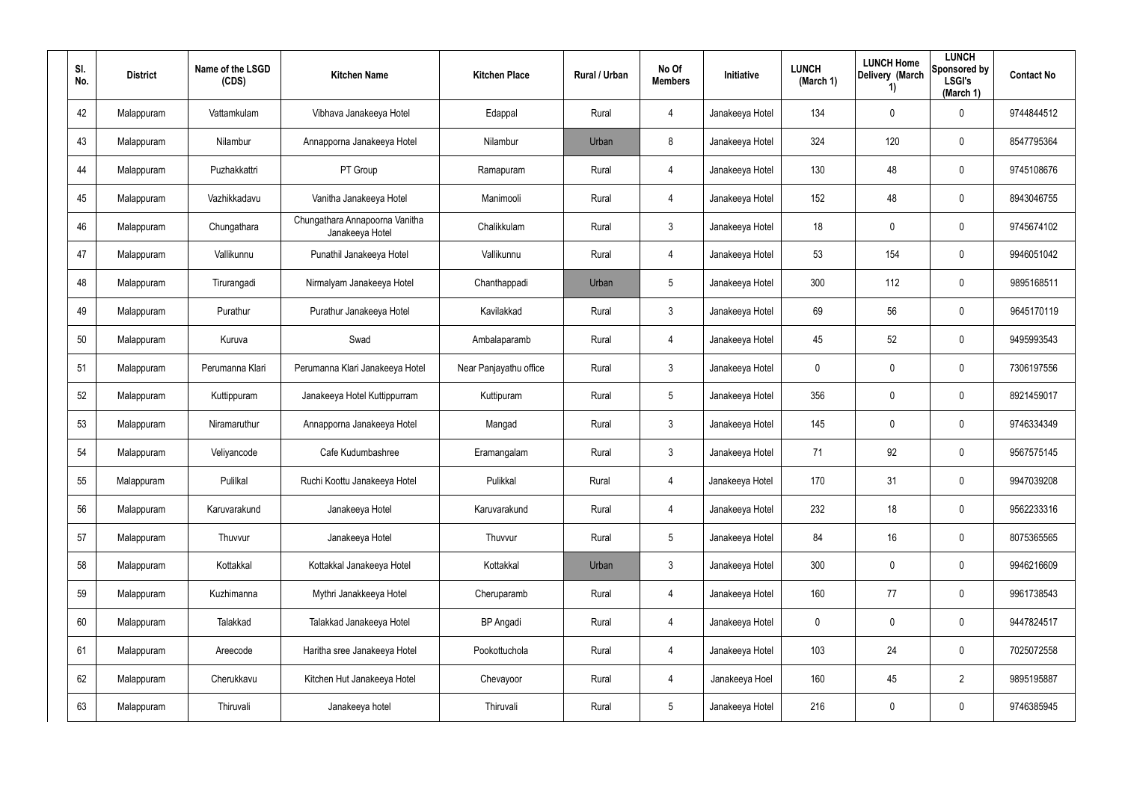| SI.<br>No. | <b>District</b> | Name of the LSGD<br>(CDS) | <b>Kitchen Name</b>                               | <b>Kitchen Place</b>   | Rural / Urban | No Of<br><b>Members</b> | <b>Initiative</b> | <b>LUNCH</b><br>(March 1) | <b>LUNCH Home</b><br>Delivery (March<br>1) | <b>LUNCH</b><br>Sponsored by<br><b>LSGI's</b><br>(March 1) | <b>Contact No</b> |
|------------|-----------------|---------------------------|---------------------------------------------------|------------------------|---------------|-------------------------|-------------------|---------------------------|--------------------------------------------|------------------------------------------------------------|-------------------|
| 42         | Malappuram      | Vattamkulam               | Vibhava Janakeeya Hotel                           | Edappal                | Rural         | 4                       | Janakeeya Hotel   | 134                       | 0                                          | $\mathbf 0$                                                | 9744844512        |
| 43         | Malappuram      | Nilambur                  | Annapporna Janakeeya Hotel                        | Nilambur               | Urban         | 8                       | Janakeeya Hotel   | 324                       | 120                                        | $\mathbf 0$                                                | 8547795364        |
| 44         | Malappuram      | Puzhakkattri              | PT Group                                          | Ramapuram              | Rural         | 4                       | Janakeeya Hotel   | 130                       | 48                                         | $\pmb{0}$                                                  | 9745108676        |
| 45         | Malappuram      | Vazhikkadavu              | Vanitha Janakeeya Hotel                           | Manimooli              | Rural         | 4                       | Janakeeya Hotel   | 152                       | 48                                         | $\pmb{0}$                                                  | 8943046755        |
| 46         | Malappuram      | Chungathara               | Chungathara Annapoorna Vanitha<br>Janakeeya Hotel | Chalikkulam            | Rural         | $\mathbf{3}$            | Janakeeya Hotel   | 18                        | 0                                          | $\pmb{0}$                                                  | 9745674102        |
| 47         | Malappuram      | Vallikunnu                | Punathil Janakeeya Hotel                          | Vallikunnu             | Rural         | 4                       | Janakeeya Hotel   | 53                        | 154                                        | $\mathbf 0$                                                | 9946051042        |
| 48         | Malappuram      | Tirurangadi               | Nirmalyam Janakeeya Hotel                         | Chanthappadi           | Urban         | $5\phantom{.0}$         | Janakeeya Hotel   | 300                       | 112                                        | $\pmb{0}$                                                  | 9895168511        |
| 49         | Malappuram      | Purathur                  | Purathur Janakeeya Hotel                          | Kavilakkad             | Rural         | $\mathbf{3}$            | Janakeeya Hotel   | 69                        | 56                                         | $\mathbf 0$                                                | 9645170119        |
| 50         | Malappuram      | Kuruva                    | Swad                                              | Ambalaparamb           | Rural         | 4                       | Janakeeya Hotel   | 45                        | 52                                         | $\pmb{0}$                                                  | 9495993543        |
| 51         | Malappuram      | Perumanna Klari           | Perumanna Klari Janakeeya Hotel                   | Near Panjayathu office | Rural         | $\mathbf{3}$            | Janakeeya Hotel   | 0                         | $\mathbf 0$                                | $\mathbf 0$                                                | 7306197556        |
| 52         | Malappuram      | Kuttippuram               | Janakeeya Hotel Kuttippurram                      | Kuttipuram             | Rural         | $5\phantom{.0}$         | Janakeeya Hotel   | 356                       | 0                                          | $\pmb{0}$                                                  | 8921459017        |
| 53         | Malappuram      | Niramaruthur              | Annapporna Janakeeya Hotel                        | Mangad                 | Rural         | $\mathbf{3}$            | Janakeeya Hotel   | 145                       | $\mathbf 0$                                | $\mathbf 0$                                                | 9746334349        |
| 54         | Malappuram      | Veliyancode               | Cafe Kudumbashree                                 | Eramangalam            | Rural         | $\mathbf{3}$            | Janakeeya Hotel   | 71                        | 92                                         | $\mathbf 0$                                                | 9567575145        |
| 55         | Malappuram      | Pulilkal                  | Ruchi Koottu Janakeeya Hotel                      | Pulikkal               | Rural         | 4                       | Janakeeya Hotel   | 170                       | 31                                         | $\pmb{0}$                                                  | 9947039208        |
| 56         | Malappuram      | Karuvarakund              | Janakeeya Hotel                                   | Karuvarakund           | Rural         | 4                       | Janakeeya Hotel   | 232                       | 18                                         | $\mathbf 0$                                                | 9562233316        |
| 57         | Malappuram      | Thuvvur                   | Janakeeya Hotel                                   | Thuvvur                | Rural         | $5\phantom{.0}$         | Janakeeya Hotel   | 84                        | 16                                         | $\mathbf 0$                                                | 8075365565        |
| 58         | Malappuram      | Kottakkal                 | Kottakkal Janakeeya Hotel                         | Kottakkal              | Urban         | $\mathbf{3}$            | Janakeeya Hotel   | 300                       | $\mathbf 0$                                | $\mathbf 0$                                                | 9946216609        |
| 59         | Malappuram      | Kuzhimanna                | Mythri Janakkeeya Hotel                           | Cheruparamb            | Rural         | 4                       | Janakeeya Hotel   | 160                       | 77                                         | $\mathbf 0$                                                | 9961738543        |
| 60         | Malappuram      | Talakkad                  | Talakkad Janakeeya Hotel                          | <b>BP</b> Angadi       | Rural         | 4                       | Janakeeya Hotel   | 0                         | 0                                          | $\mathbf 0$                                                | 9447824517        |
| 61         | Malappuram      | Areecode                  | Haritha sree Janakeeya Hotel                      | Pookottuchola          | Rural         | 4                       | Janakeeya Hotel   | 103                       | 24                                         | $\mathbf 0$                                                | 7025072558        |
| 62         | Malappuram      | Cherukkavu                | Kitchen Hut Janakeeya Hotel                       | Chevayoor              | Rural         | 4                       | Janakeeya Hoel    | 160                       | 45                                         | $\overline{2}$                                             | 9895195887        |
| 63         | Malappuram      | Thiruvali                 | Janakeeya hotel                                   | Thiruvali              | Rural         | $5\phantom{.0}$         | Janakeeya Hotel   | 216                       | 0                                          | $\mathbf 0$                                                | 9746385945        |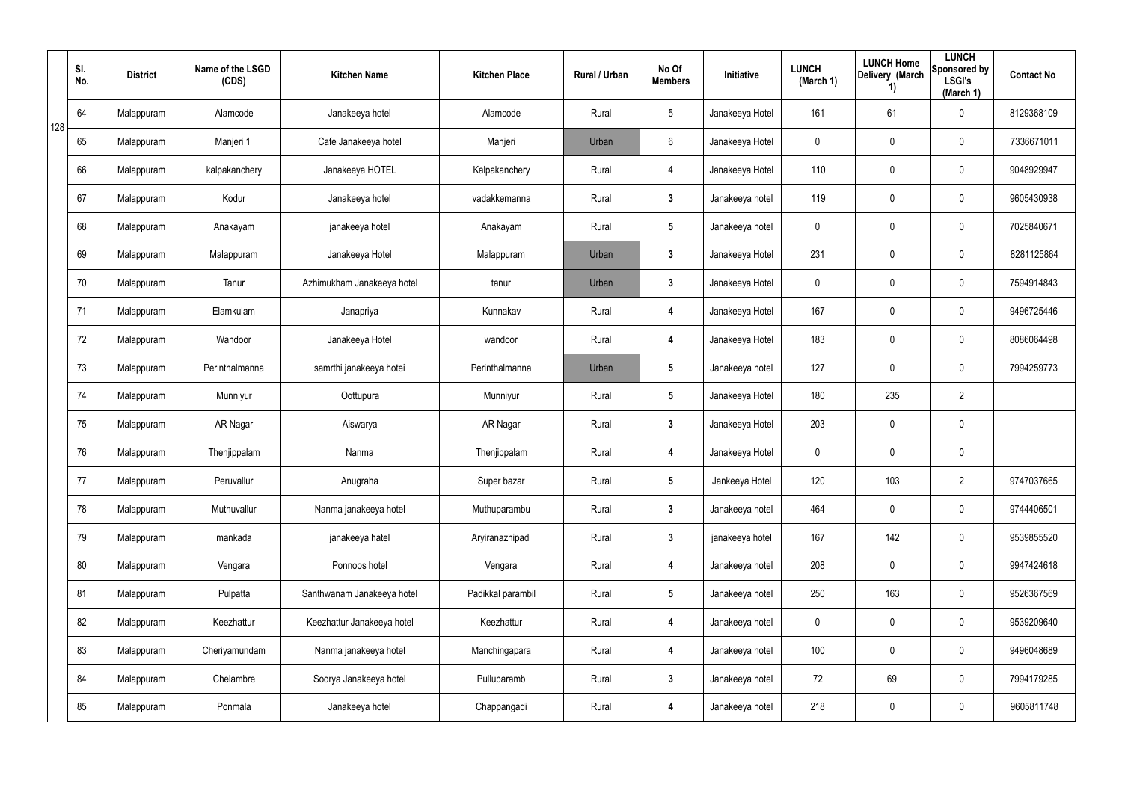|     | SI.<br>No. | <b>District</b> | Name of the LSGD<br>(CDS) | <b>Kitchen Name</b>        | <b>Kitchen Place</b> | Rural / Urban | No Of<br><b>Members</b> | Initiative      | <b>LUNCH</b><br>(March 1) | <b>LUNCH Home</b><br>Delivery (March<br>1) | <b>LUNCH</b><br>Sponsored by<br><b>LSGI's</b><br>(March 1) | <b>Contact No</b> |
|-----|------------|-----------------|---------------------------|----------------------------|----------------------|---------------|-------------------------|-----------------|---------------------------|--------------------------------------------|------------------------------------------------------------|-------------------|
| 128 | 64         | Malappuram      | Alamcode                  | Janakeeya hotel            | Alamcode             | Rural         | $5\overline{)}$         | Janakeeya Hotel | 161                       | 61                                         | 0                                                          | 8129368109        |
|     | 65         | Malappuram      | Manjeri 1                 | Cafe Janakeeya hotel       | Manjeri              | Urban         | 6                       | Janakeeya Hotel | 0                         | 0                                          | $\pmb{0}$                                                  | 7336671011        |
|     | 66         | Malappuram      | kalpakanchery             | Janakeeya HOTEL            | Kalpakanchery        | Rural         | 4                       | Janakeeya Hotel | 110                       | $\mathbf 0$                                | $\pmb{0}$                                                  | 9048929947        |
|     | 67         | Malappuram      | Kodur                     | Janakeeya hotel            | vadakkemanna         | Rural         | $\mathbf{3}$            | Janakeeya hotel | 119                       | $\mathbf 0$                                | $\pmb{0}$                                                  | 9605430938        |
|     | 68         | Malappuram      | Anakayam                  | janakeeya hotel            | Anakayam             | Rural         | $5\overline{)}$         | Janakeeya hotel | 0                         | $\mathbf 0$                                | $\pmb{0}$                                                  | 7025840671        |
|     | 69         | Malappuram      | Malappuram                | Janakeeya Hotel            | Malappuram           | Urban         | $\mathbf{3}$            | Janakeeya Hotel | 231                       | 0                                          | $\pmb{0}$                                                  | 8281125864        |
|     | 70         | Malappuram      | Tanur                     | Azhimukham Janakeeya hotel | tanur                | Urban         | $3\phantom{a}$          | Janakeeya Hotel | 0                         | 0                                          | $\pmb{0}$                                                  | 7594914843        |
|     | 71         | Malappuram      | Elamkulam                 | Janapriya                  | Kunnakav             | Rural         | 4                       | Janakeeya Hotel | 167                       | 0                                          | $\pmb{0}$                                                  | 9496725446        |
|     | 72         | Malappuram      | Wandoor                   | Janakeeya Hotel            | wandoor              | Rural         | 4                       | Janakeeya Hotel | 183                       | $\mathbf 0$                                | $\pmb{0}$                                                  | 8086064498        |
|     | 73         | Malappuram      | Perinthalmanna            | samrthi janakeeya hotei    | Perinthalmanna       | Urban         | $\sqrt{5}$              | Janakeeya hotel | 127                       | 0                                          | $\pmb{0}$                                                  | 7994259773        |
|     | 74         | Malappuram      | Munniyur                  | Oottupura                  | Munniyur             | Rural         | $5\phantom{.0}$         | Janakeeya Hotel | 180                       | 235                                        | $\overline{2}$                                             |                   |
|     | 75         | Malappuram      | AR Nagar                  | Aiswarya                   | AR Nagar             | Rural         | $3\phantom{a}$          | Janakeeya Hotel | 203                       | 0                                          | $\pmb{0}$                                                  |                   |
|     | 76         | Malappuram      | Thenjippalam              | Nanma                      | Thenjippalam         | Rural         | 4                       | Janakeeya Hotel | 0                         | $\mathbf 0$                                | $\pmb{0}$                                                  |                   |
|     | 77         | Malappuram      | Peruvallur                | Anugraha                   | Super bazar          | Rural         | $5\phantom{.0}$         | Jankeeya Hotel  | 120                       | 103                                        | $\overline{2}$                                             | 9747037665        |
|     | 78         | Malappuram      | Muthuvallur               | Nanma janakeeya hotel      | Muthuparambu         | Rural         | $3\phantom{a}$          | Janakeeya hotel | 464                       | $\mathbf 0$                                | $\mathsf{0}$                                               | 9744406501        |
|     | 79         | Malappuram      | mankada                   | janakeeya hatel            | Aryiranazhipadi      | Rural         | $3\phantom{a}$          | janakeeya hotel | 167                       | 142                                        | $\mathsf{0}$                                               | 9539855520        |
|     | 80         | Malappuram      | Vengara                   | Ponnoos hotel              | Vengara              | Rural         | 4                       | Janakeeya hotel | 208                       | $\mathbf 0$                                | $\mathbf 0$                                                | 9947424618        |
|     | 81         | Malappuram      | Pulpatta                  | Santhwanam Janakeeya hotel | Padikkal parambil    | Rural         | $5\phantom{.0}$         | Janakeeya hotel | 250                       | 163                                        | $\mathsf{0}$                                               | 9526367569        |
|     | 82         | Malappuram      | Keezhattur                | Keezhattur Janakeeya hotel | Keezhattur           | Rural         | 4                       | Janakeeya hotel | 0                         | $\mathbf 0$                                | $\mathsf{0}$                                               | 9539209640        |
|     | 83         | Malappuram      | Cheriyamundam             | Nanma janakeeya hotel      | Manchingapara        | Rural         | 4                       | Janakeeya hotel | 100                       | $\mathbf 0$                                | $\mathsf{0}$                                               | 9496048689        |
|     | 84         | Malappuram      | Chelambre                 | Soorya Janakeeya hotel     | Pulluparamb          | Rural         | $3\phantom{a}$          | Janakeeya hotel | 72                        | 69                                         | $\mathsf{0}$                                               | 7994179285        |
|     | 85         | Malappuram      | Ponmala                   | Janakeeya hotel            | Chappangadi          | Rural         | 4                       | Janakeeya hotel | 218                       | 0                                          | $\mathsf{0}$                                               | 9605811748        |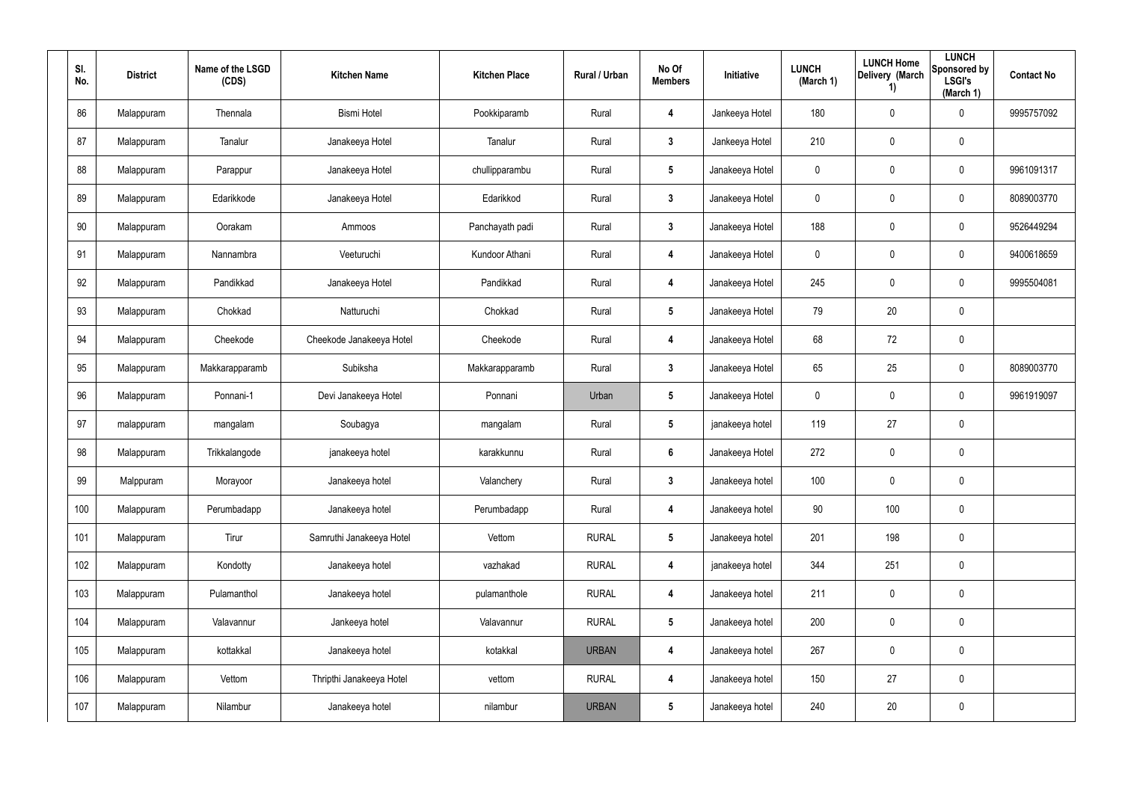| SI.<br>No. | <b>District</b> | Name of the LSGD<br>(CDS) | <b>Kitchen Name</b>      | <b>Kitchen Place</b> | Rural / Urban | No Of<br><b>Members</b> | <b>Initiative</b> | <b>LUNCH</b><br>(March 1) | <b>LUNCH Home</b><br>Delivery (March<br>1) | <b>LUNCH</b><br>Sponsored by<br><b>LSGI's</b><br>(March 1) | <b>Contact No</b> |
|------------|-----------------|---------------------------|--------------------------|----------------------|---------------|-------------------------|-------------------|---------------------------|--------------------------------------------|------------------------------------------------------------|-------------------|
| 86         | Malappuram      | Thennala                  | <b>Bismi Hotel</b>       | Pookkiparamb         | Rural         | 4                       | Jankeeya Hotel    | 180                       | 0                                          | $\mathbf 0$                                                | 9995757092        |
| 87         | Malappuram      | Tanalur                   | Janakeeya Hotel          | Tanalur              | Rural         | $\mathbf{3}$            | Jankeeya Hotel    | 210                       | 0                                          | $\pmb{0}$                                                  |                   |
| 88         | Malappuram      | Parappur                  | Janakeeya Hotel          | chullipparambu       | Rural         | $5\phantom{.0}$         | Janakeeya Hotel   | 0                         | 0                                          | $\boldsymbol{0}$                                           | 9961091317        |
| 89         | Malappuram      | Edarikkode                | Janakeeya Hotel          | Edarikkod            | Rural         | $\mathbf{3}$            | Janakeeya Hotel   | 0                         | 0                                          | $\boldsymbol{0}$                                           | 8089003770        |
| 90         | Malappuram      | Oorakam                   | Ammoos                   | Panchayath padi      | Rural         | $\mathbf{3}$            | Janakeeya Hotel   | 188                       | 0                                          | $\pmb{0}$                                                  | 9526449294        |
| 91         | Malappuram      | Nannambra                 | Veeturuchi               | Kundoor Athani       | Rural         | 4                       | Janakeeya Hotel   | 0                         | 0                                          | $\boldsymbol{0}$                                           | 9400618659        |
| 92         | Malappuram      | Pandikkad                 | Janakeeya Hotel          | Pandikkad            | Rural         | $\overline{\mathbf{4}}$ | Janakeeya Hotel   | 245                       | 0                                          | $\pmb{0}$                                                  | 9995504081        |
| 93         | Malappuram      | Chokkad                   | Natturuchi               | Chokkad              | Rural         | $5\phantom{.0}$         | Janakeeya Hotel   | 79                        | 20                                         | $\pmb{0}$                                                  |                   |
| 94         | Malappuram      | Cheekode                  | Cheekode Janakeeya Hotel | Cheekode             | Rural         | $\overline{\mathbf{4}}$ | Janakeeya Hotel   | 68                        | 72                                         | $\pmb{0}$                                                  |                   |
| 95         | Malappuram      | Makkarapparamb            | Subiksha                 | Makkarapparamb       | Rural         | $\mathbf{3}$            | Janakeeya Hotel   | 65                        | 25                                         | $\pmb{0}$                                                  | 8089003770        |
| 96         | Malappuram      | Ponnani-1                 | Devi Janakeeya Hotel     | Ponnani              | Urban         | $5\phantom{.0}$         | Janakeeya Hotel   | 0                         | 0                                          | $\mathbf 0$                                                | 9961919097        |
| 97         | malappuram      | mangalam                  | Soubagya                 | mangalam             | Rural         | $5\phantom{.0}$         | janakeeya hotel   | 119                       | 27                                         | $\pmb{0}$                                                  |                   |
| 98         | Malappuram      | Trikkalangode             | janakeeya hotel          | karakkunnu           | Rural         | 6                       | Janakeeya Hotel   | 272                       | 0                                          | $\pmb{0}$                                                  |                   |
| 99         | Malppuram       | Morayoor                  | Janakeeya hotel          | Valanchery           | Rural         | $\mathbf{3}$            | Janakeeya hotel   | 100                       | $\pmb{0}$                                  | $\pmb{0}$                                                  |                   |
| 100        | Malappuram      | Perumbadapp               | Janakeeya hotel          | Perumbadapp          | Rural         | $\overline{\mathbf{4}}$ | Janakeeya hotel   | 90                        | 100                                        | $\mathsf{0}$                                               |                   |
| 101        | Malappuram      | Tirur                     | Samruthi Janakeeya Hotel | Vettom               | <b>RURAL</b>  | $5\phantom{.0}$         | Janakeeya hotel   | 201                       | 198                                        | $\mathsf{0}$                                               |                   |
| 102        | Malappuram      | Kondotty                  | Janakeeya hotel          | vazhakad             | <b>RURAL</b>  | $\overline{\mathbf{4}}$ | janakeeya hotel   | 344                       | 251                                        | $\mathsf{0}$                                               |                   |
| 103        | Malappuram      | Pulamanthol               | Janakeeya hotel          | pulamanthole         | <b>RURAL</b>  | $\overline{\mathbf{4}}$ | Janakeeya hotel   | 211                       | $\mathbf 0$                                | $\pmb{0}$                                                  |                   |
| 104        | Malappuram      | Valavannur                | Jankeeya hotel           | Valavannur           | <b>RURAL</b>  | $5\phantom{.0}$         | Janakeeya hotel   | 200                       | $\mathbf 0$                                | $\mathbf 0$                                                |                   |
| 105        | Malappuram      | kottakkal                 | Janakeeya hotel          | kotakkal             | <b>URBAN</b>  | $\overline{\mathbf{4}}$ | Janakeeya hotel   | 267                       | $\mathbf 0$                                | $\pmb{0}$                                                  |                   |
| 106        | Malappuram      | Vettom                    | Thripthi Janakeeya Hotel | vettom               | <b>RURAL</b>  | $\overline{\mathbf{4}}$ | Janakeeya hotel   | 150                       | 27                                         | $\mathbf 0$                                                |                   |
| 107        | Malappuram      | Nilambur                  | Janakeeya hotel          | nilambur             | <b>URBAN</b>  | $5\phantom{.0}$         | Janakeeya hotel   | 240                       | 20                                         | $\pmb{0}$                                                  |                   |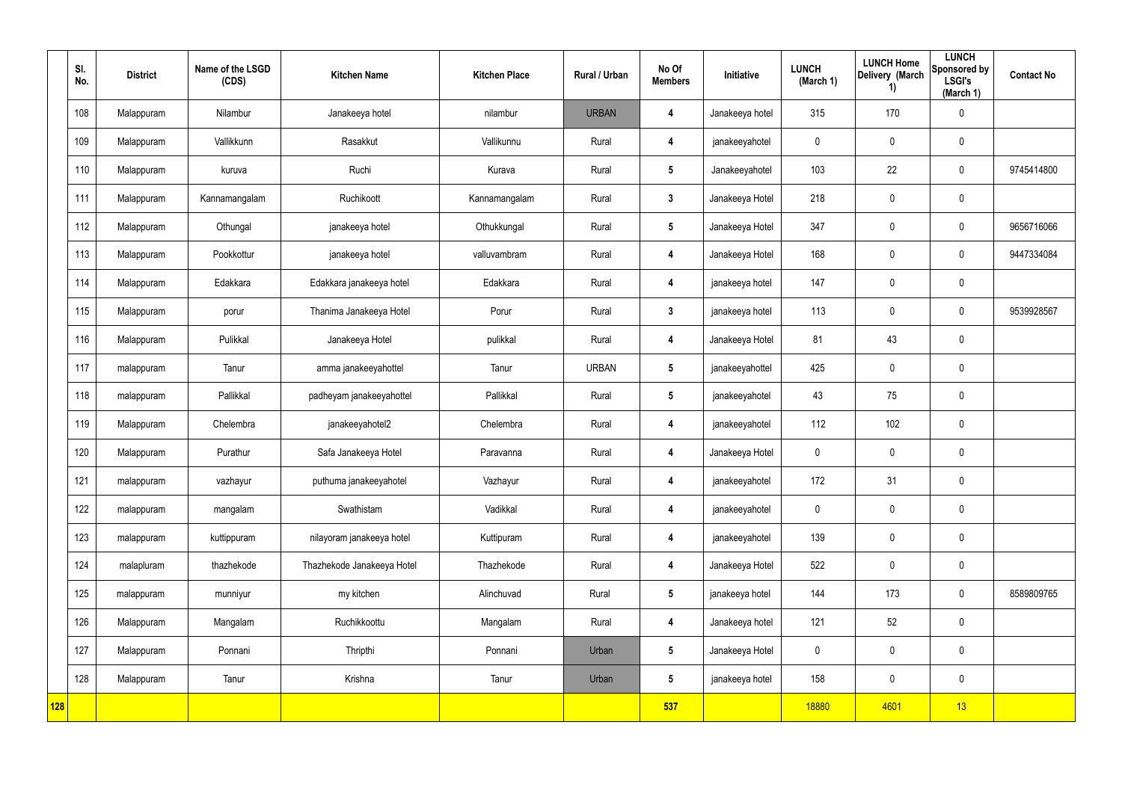|     | SI.<br>No. | <b>District</b> | Name of the LSGD<br>(CDS) | <b>Kitchen Name</b>        | <b>Kitchen Place</b> | Rural / Urban | No Of<br><b>Members</b> | Initiative      | <b>LUNCH</b><br>(March 1) | <b>LUNCH Home</b><br>Delivery (March<br>1) | <b>LUNCH</b><br>Sponsored by<br><b>LSGI's</b><br>(March 1) | <b>Contact No</b> |
|-----|------------|-----------------|---------------------------|----------------------------|----------------------|---------------|-------------------------|-----------------|---------------------------|--------------------------------------------|------------------------------------------------------------|-------------------|
|     | 108        | Malappuram      | Nilambur                  | Janakeeya hotel            | nilambur             | <b>URBAN</b>  | 4                       | Janakeeya hotel | 315                       | 170                                        | $\mathbf 0$                                                |                   |
|     | 109        | Malappuram      | Vallikkunn                | Rasakkut                   | Vallikunnu           | Rural         | 4                       | janakeeyahotel  | $\mathbf 0$               | $\mathbf 0$                                | $\mathbf 0$                                                |                   |
|     | 110        | Malappuram      | kuruva                    | Ruchi                      | Kurava               | Rural         | $5\phantom{.0}$         | Janakeeyahotel  | 103                       | 22                                         | $\mathbf 0$                                                | 9745414800        |
|     | 111        | Malappuram      | Kannamangalam             | Ruchikoott                 | Kannamangalam        | Rural         | $\mathbf{3}$            | Janakeeya Hotel | 218                       | $\mathbf 0$                                | $\mathbf 0$                                                |                   |
|     | 112        | Malappuram      | Othungal                  | janakeeya hotel            | Othukkungal          | Rural         | $5\phantom{.0}$         | Janakeeya Hotel | 347                       | $\mathbf 0$                                | $\mathbf 0$                                                | 9656716066        |
|     | 113        | Malappuram      | Pookkottur                | janakeeya hotel            | valluvambram         | Rural         | 4                       | Janakeeya Hotel | 168                       | $\mathbf 0$                                | $\mathbf 0$                                                | 9447334084        |
|     | 114        | Malappuram      | Edakkara                  | Edakkara janakeeya hotel   | Edakkara             | Rural         | 4                       | janakeeya hotel | 147                       | 0                                          | $\pmb{0}$                                                  |                   |
|     | 115        | Malappuram      | porur                     | Thanima Janakeeya Hotel    | Porur                | Rural         | $\mathbf{3}$            | janakeeya hotel | 113                       | $\mathbf 0$                                | $\mathbf 0$                                                | 9539928567        |
|     | 116        | Malappuram      | Pulikkal                  | Janakeeya Hotel            | pulikkal             | Rural         | 4                       | Janakeeya Hotel | 81                        | 43                                         | $\mathbf 0$                                                |                   |
|     | 117        | malappuram      | Tanur                     | amma janakeeyahottel       | Tanur                | <b>URBAN</b>  | $5\overline{)}$         | janakeeyahottel | 425                       | $\mathbf 0$                                | $\mathbf 0$                                                |                   |
|     | 118        | malappuram      | Pallikkal                 | padheyam janakeeyahottel   | Pallikkal            | Rural         | $5\phantom{.0}$         | janakeeyahotel  | 43                        | 75                                         | $\mathbf 0$                                                |                   |
|     | 119        | Malappuram      | Chelembra                 | janakeeyahotel2            | Chelembra            | Rural         | 4                       | janakeeyahotel  | 112                       | 102                                        | $\mathbf 0$                                                |                   |
|     | 120        | Malappuram      | Purathur                  | Safa Janakeeya Hotel       | Paravanna            | Rural         | $\overline{\mathbf{4}}$ | Janakeeya Hotel | $\mathbf 0$               | 0                                          | $\mathbf 0$                                                |                   |
|     | 121        | malappuram      | vazhayur                  | puthuma janakeeyahotel     | Vazhayur             | Rural         | 4                       | janakeeyahotel  | 172                       | 31                                         | $\pmb{0}$                                                  |                   |
|     | 122        | malappuram      | mangalam                  | Swathistam                 | Vadikkal             | Rural         | $\overline{\mathbf{4}}$ | janakeeyahotel  | $\mathbf 0$               | $\pmb{0}$                                  | $\mathbf 0$                                                |                   |
|     | 123        | malappuram      | kuttippuram               | nilayoram janakeeya hotel  | Kuttipuram           | Rural         | $\overline{\mathbf{4}}$ | janakeeyahotel  | 139                       | $\pmb{0}$                                  | $\mathbf 0$                                                |                   |
|     | 124        | malapluram      | thazhekode                | Thazhekode Janakeeya Hotel | Thazhekode           | Rural         | $\overline{\mathbf{4}}$ | Janakeeya Hotel | 522                       | $\pmb{0}$                                  | $\mathbf 0$                                                |                   |
|     | 125        | malappuram      | munniyur                  | my kitchen                 | Alinchuvad           | Rural         | 5 <sub>5</sub>          | janakeeya hotel | 144                       | 173                                        | $\mathbf 0$                                                | 8589809765        |
|     | 126        | Malappuram      | Mangalam                  | Ruchikkoottu               | Mangalam             | Rural         | $\overline{\mathbf{4}}$ | Janakeeya hotel | 121                       | 52                                         | $\mathbf 0$                                                |                   |
|     | 127        | Malappuram      | Ponnani                   | Thripthi                   | Ponnani              | Urban         | 5 <sub>5</sub>          | Janakeeya Hotel | $\mathbf 0$               | $\pmb{0}$                                  | $\mathbf 0$                                                |                   |
|     | 128        | Malappuram      | Tanur                     | Krishna                    | Tanur                | Urban         | $5\phantom{.0}$         | janakeeya hotel | 158                       | $\pmb{0}$                                  | $\mathbf 0$                                                |                   |
| 128 |            |                 |                           |                            |                      |               | 537                     |                 | 18880                     | 4601                                       | 13                                                         |                   |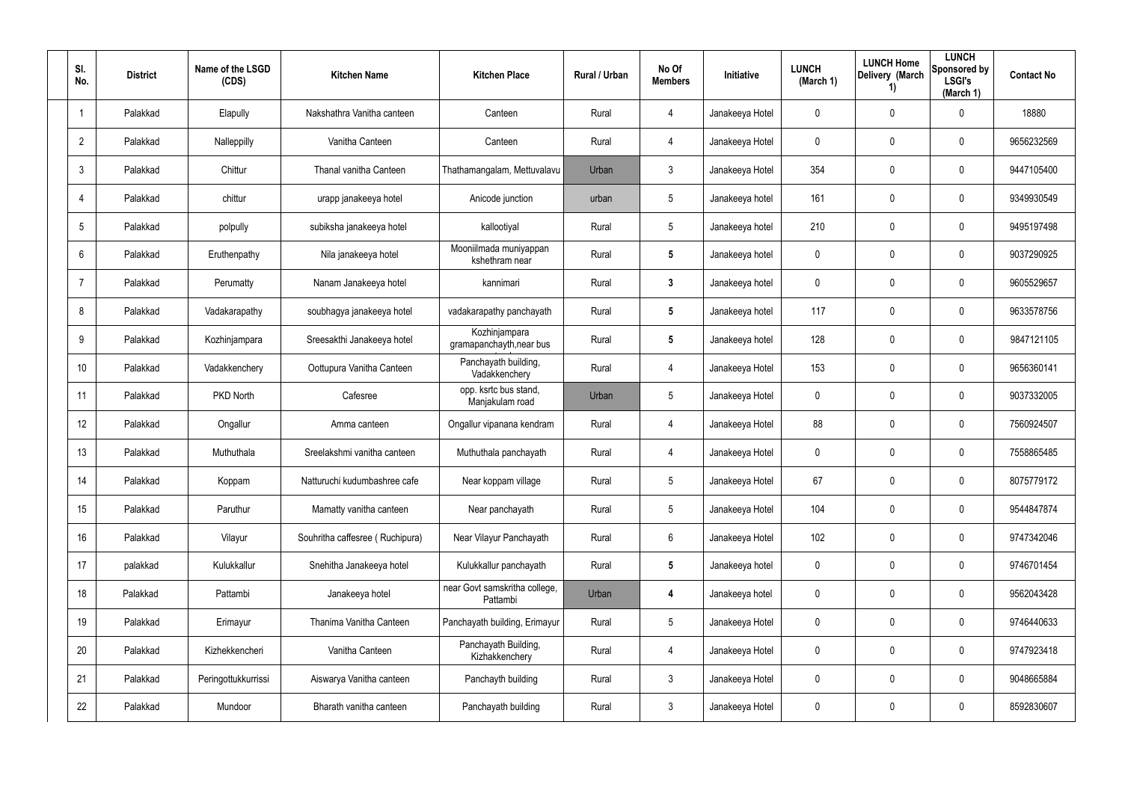| SI.<br>No.      | <b>District</b> | Name of the LSGD<br>(CDS) | <b>Kitchen Name</b>             | <b>Kitchen Place</b>                      | Rural / Urban | No Of<br><b>Members</b> | Initiative      | <b>LUNCH</b><br>(March 1) | <b>LUNCH Home</b><br>Delivery (March<br>1) | <b>LUNCH</b><br>Sponsored by<br><b>LSGI's</b><br>(March 1) | <b>Contact No</b> |
|-----------------|-----------------|---------------------------|---------------------------------|-------------------------------------------|---------------|-------------------------|-----------------|---------------------------|--------------------------------------------|------------------------------------------------------------|-------------------|
| $\overline{1}$  | Palakkad        | Elapully                  | Nakshathra Vanitha canteen      | Canteen                                   | Rural         | 4                       | Janakeeya Hotel | 0                         | 0                                          | $\mathbf 0$                                                | 18880             |
| $\overline{2}$  | Palakkad        | Nalleppilly               | Vanitha Canteen                 | Canteen                                   | Rural         | 4                       | Janakeeya Hotel | 0                         | $\mathbf{0}$                               | $\pmb{0}$                                                  | 9656232569        |
| 3               | Palakkad        | Chittur                   | Thanal vanitha Canteen          | Thathamangalam, Mettuvalavu               | Urban         | 3                       | Janakeeya Hotel | 354                       | 0                                          | $\mathbf 0$                                                | 9447105400        |
| $\overline{4}$  | Palakkad        | chittur                   | urapp janakeeya hotel           | Anicode junction                          | urban         | 5                       | Janakeeya hotel | 161                       | $\mathbf{0}$                               | $\pmb{0}$                                                  | 9349930549        |
| $5\phantom{.0}$ | Palakkad        | polpully                  | subiksha janakeeya hotel        | kallootiyal                               | Rural         | 5                       | Janakeeya hotel | 210                       | 0                                          | $\mathbf 0$                                                | 9495197498        |
| 6               | Palakkad        | Eruthenpathy              | Nila janakeeya hotel            | Mooniilmada muniyappan<br>kshethram near  | Rural         | 5                       | Janakeeya hotel | 0                         | 0                                          | $\mathbf 0$                                                | 9037290925        |
| $\overline{7}$  | Palakkad        | Perumatty                 | Nanam Janakeeya hotel           | kannimari                                 | Rural         | 3                       | Janakeeya hotel | 0                         | 0                                          | $\mathbf 0$                                                | 9605529657        |
| 8               | Palakkad        | Vadakarapathy             | soubhagya janakeeya hotel       | vadakarapathy panchayath                  | Rural         | 5                       | Janakeeya hotel | 117                       | 0                                          | $\mathbf 0$                                                | 9633578756        |
| 9               | Palakkad        | Kozhinjampara             | Sreesakthi Janakeeya hotel      | Kozhinjampara<br>gramapanchayth, near bus | Rural         | 5                       | Janakeeya hotel | 128                       | 0                                          | $\mathbf 0$                                                | 9847121105        |
| 10 <sup>°</sup> | Palakkad        | Vadakkenchery             | Oottupura Vanitha Canteen       | Panchayath building,<br>Vadakkenchery     | Rural         | 4                       | Janakeeya Hotel | 153                       | 0                                          | $\mathbf 0$                                                | 9656360141        |
| 11              | Palakkad        | PKD North                 | Cafesree                        | opp. ksrtc bus stand,<br>Manjakulam road  | Urban         | 5                       | Janakeeya Hotel | 0                         | 0                                          | $\mathbf 0$                                                | 9037332005        |
| 12 <sup>°</sup> | Palakkad        | Ongallur                  | Amma canteen                    | Ongallur vipanana kendram                 | Rural         | 4                       | Janakeeya Hotel | 88                        | 0                                          | $\mathbf 0$                                                | 7560924507        |
| 13              | Palakkad        | Muthuthala                | Sreelakshmi vanitha canteen     | Muthuthala panchayath                     | Rural         | 4                       | Janakeeya Hotel | 0                         | 0                                          | $\mathbf 0$                                                | 7558865485        |
| 14              | Palakkad        | Koppam                    | Natturuchi kudumbashree cafe    | Near koppam village                       | Rural         | 5                       | Janakeeya Hotel | 67                        | 0                                          | $\mathbf 0$                                                | 8075779172        |
| 15              | Palakkad        | Paruthur                  | Mamatty vanitha canteen         | Near panchayath                           | Rural         | $5\phantom{.0}$         | Janakeeya Hotel | 104                       | 0                                          | $\mathbf 0$                                                | 9544847874        |
| 16              | Palakkad        | Vilayur                   | Souhritha caffesree (Ruchipura) | Near Vilayur Panchayath                   | Rural         | $6\phantom{.}$          | Janakeeya Hotel | 102                       | 0                                          | $\pmb{0}$                                                  | 9747342046        |
| 17              | palakkad        | Kulukkallur               | Snehitha Janakeeya hotel        | Kulukkallur panchayath                    | Rural         | $5\phantom{.0}$         | Janakeeya hotel | 0                         | 0                                          | $\mathsf{0}$                                               | 9746701454        |
| 18              | Palakkad        | Pattambi                  | Janakeeya hotel                 | near Govt samskritha college,<br>Pattambi | Urban         | 4                       | Janakeeya hotel | 0                         | 0                                          | $\mathsf{0}$                                               | 9562043428        |
| 19              | Palakkad        | Erimayur                  | Thanima Vanitha Canteen         | Panchayath building, Erimayur             | Rural         | $5\phantom{.0}$         | Janakeeya Hotel | 0                         | 0                                          | $\mathsf{0}$                                               | 9746440633        |
| 20              | Palakkad        | Kizhekkencheri            | Vanitha Canteen                 | Panchayath Building,<br>Kizhakkenchery    | Rural         | 4                       | Janakeeya Hotel | 0                         | 0                                          | $\mathsf{0}$                                               | 9747923418        |
| 21              | Palakkad        | Peringottukkurrissi       | Aiswarya Vanitha canteen        | Panchayth building                        | Rural         | $\mathbf{3}$            | Janakeeya Hotel | 0                         | 0                                          | $\mathsf{0}$                                               | 9048665884        |
| 22              | Palakkad        | Mundoor                   | Bharath vanitha canteen         | Panchayath building                       | Rural         | $\mathfrak{Z}$          | Janakeeya Hotel | 0                         | 0                                          | $\pmb{0}$                                                  | 8592830607        |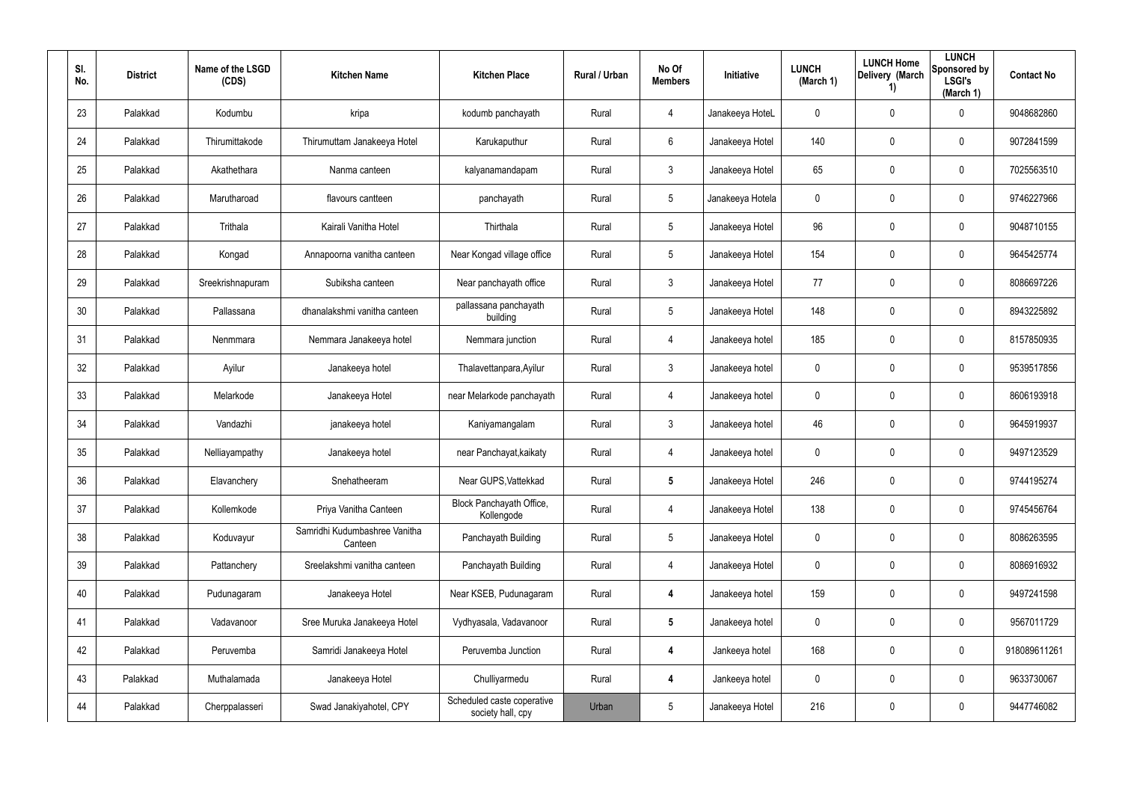| SI.<br>No. | <b>District</b> | Name of the LSGD<br>(CDS) | <b>Kitchen Name</b>                      | <b>Kitchen Place</b>                            | <b>Rural / Urban</b> | No Of<br><b>Members</b> | <b>Initiative</b> | <b>LUNCH</b><br>(March 1) | <b>LUNCH Home</b><br>Delivery (March<br>1) | <b>LUNCH</b><br>Sponsored by<br><b>LSGI's</b><br>(March 1) | <b>Contact No</b> |
|------------|-----------------|---------------------------|------------------------------------------|-------------------------------------------------|----------------------|-------------------------|-------------------|---------------------------|--------------------------------------------|------------------------------------------------------------|-------------------|
| 23         | Palakkad        | Kodumbu                   | kripa                                    | kodumb panchayath                               | Rural                | 4                       | Janakeeya HoteL   | 0                         | 0                                          | $\mathbf 0$                                                | 9048682860        |
| 24         | Palakkad        | Thirumittakode            | Thirumuttam Janakeeya Hotel              | Karukaputhur                                    | Rural                | 6                       | Janakeeya Hotel   | 140                       | 0                                          | $\mathbf 0$                                                | 9072841599        |
| 25         | Palakkad        | Akathethara               | Nanma canteen                            | kalyanamandapam                                 | Rural                | $\mathfrak{Z}$          | Janakeeya Hotel   | 65                        | 0                                          | $\mathbf 0$                                                | 7025563510        |
| 26         | Palakkad        | Marutharoad               | flavours cantteen                        | panchayath                                      | Rural                | 5                       | Janakeeya Hotela  | 0                         | 0                                          | $\mathbf 0$                                                | 9746227966        |
| 27         | Palakkad        | Trithala                  | Kairali Vanitha Hotel                    | Thirthala                                       | Rural                | $5\phantom{.0}$         | Janakeeya Hotel   | 96                        | 0                                          | $\mathbf 0$                                                | 9048710155        |
| 28         | Palakkad        | Kongad                    | Annapoorna vanitha canteen               | Near Kongad village office                      | Rural                | 5                       | Janakeeya Hotel   | 154                       | 0                                          | $\pmb{0}$                                                  | 9645425774        |
| 29         | Palakkad        | Sreekrishnapuram          | Subiksha canteen                         | Near panchayath office                          | Rural                | $\mathbf{3}$            | Janakeeya Hotel   | 77                        | 0                                          | $\pmb{0}$                                                  | 8086697226        |
| 30         | Palakkad        | Pallassana                | dhanalakshmi vanitha canteen             | pallassana panchayath<br>building               | Rural                | 5                       | Janakeeya Hotel   | 148                       | 0                                          | $\mathbf 0$                                                | 8943225892        |
| 31         | Palakkad        | Nenmmara                  | Nemmara Janakeeya hotel                  | Nemmara junction                                | Rural                | 4                       | Janakeeya hotel   | 185                       | 0                                          | $\mathbf 0$                                                | 8157850935        |
| 32         | Palakkad        | Ayilur                    | Janakeeya hotel                          | Thalavettanpara, Ayilur                         | Rural                | 3                       | Janakeeya hotel   | 0                         | 0                                          | $\mathbf 0$                                                | 9539517856        |
| 33         | Palakkad        | Melarkode                 | Janakeeya Hotel                          | near Melarkode panchayath                       | Rural                | 4                       | Janakeeya hotel   | 0                         | 0                                          | $\mathbf 0$                                                | 8606193918        |
| 34         | Palakkad        | Vandazhi                  | janakeeya hotel                          | Kaniyamangalam                                  | Rural                | $\mathfrak{Z}$          | Janakeeya hotel   | 46                        | 0                                          | $\mathbf 0$                                                | 9645919937        |
| 35         | Palakkad        | Nelliayampathy            | Janakeeya hotel                          | near Panchayat, kaikaty                         | Rural                | 4                       | Janakeeya hotel   | 0                         | 0                                          | $\mathbf 0$                                                | 9497123529        |
| 36         | Palakkad        | Elavanchery               | Snehatheeram                             | Near GUPS, Vattekkad                            | Rural                | $5\phantom{.0}$         | Janakeeya Hotel   | 246                       | 0                                          | $\pmb{0}$                                                  | 9744195274        |
| 37         | Palakkad        | Kollemkode                | Priya Vanitha Canteen                    | Block Panchayath Office,<br>Kollengode          | Rural                | 4                       | Janakeeya Hotel   | 138                       | 0                                          | $\mathsf{0}$                                               | 9745456764        |
| 38         | Palakkad        | Koduvayur                 | Samridhi Kudumbashree Vanitha<br>Canteen | Panchayath Building                             | Rural                | $5\phantom{.0}$         | Janakeeya Hotel   | $\mathbf 0$               | 0                                          | $\mathsf{0}$                                               | 8086263595        |
| 39         | Palakkad        | Pattanchery               | Sreelakshmi vanitha canteen              | Panchayath Building                             | Rural                | 4                       | Janakeeya Hotel   | 0                         | 0                                          | $\mathsf{0}$                                               | 8086916932        |
| 40         | Palakkad        | Pudunagaram               | Janakeeya Hotel                          | Near KSEB, Pudunagaram                          | Rural                | 4                       | Janakeeya hotel   | 159                       | 0                                          | $\mathbf 0$                                                | 9497241598        |
| 41         | Palakkad        | Vadavanoor                | Sree Muruka Janakeeya Hotel              | Vydhyasala, Vadavanoor                          | Rural                | $\overline{\mathbf{5}}$ | Janakeeya hotel   | 0                         | 0                                          | $\mathbf 0$                                                | 9567011729        |
| 42         | Palakkad        | Peruvemba                 | Samridi Janakeeya Hotel                  | Peruvemba Junction                              | Rural                | 4                       | Jankeeya hotel    | 168                       | 0                                          | $\mathbf 0$                                                | 918089611261      |
| 43         | Palakkad        | Muthalamada               | Janakeeya Hotel                          | Chulliyarmedu                                   | Rural                | 4                       | Jankeeya hotel    | 0                         | 0                                          | $\mathbf 0$                                                | 9633730067        |
| 44         | Palakkad        | Cherppalasseri            | Swad Janakiyahotel, CPY                  | Scheduled caste coperative<br>society hall, cpy | Urban                | $5\phantom{.0}$         | Janakeeya Hotel   | 216                       | 0                                          | $\mathsf{0}$                                               | 9447746082        |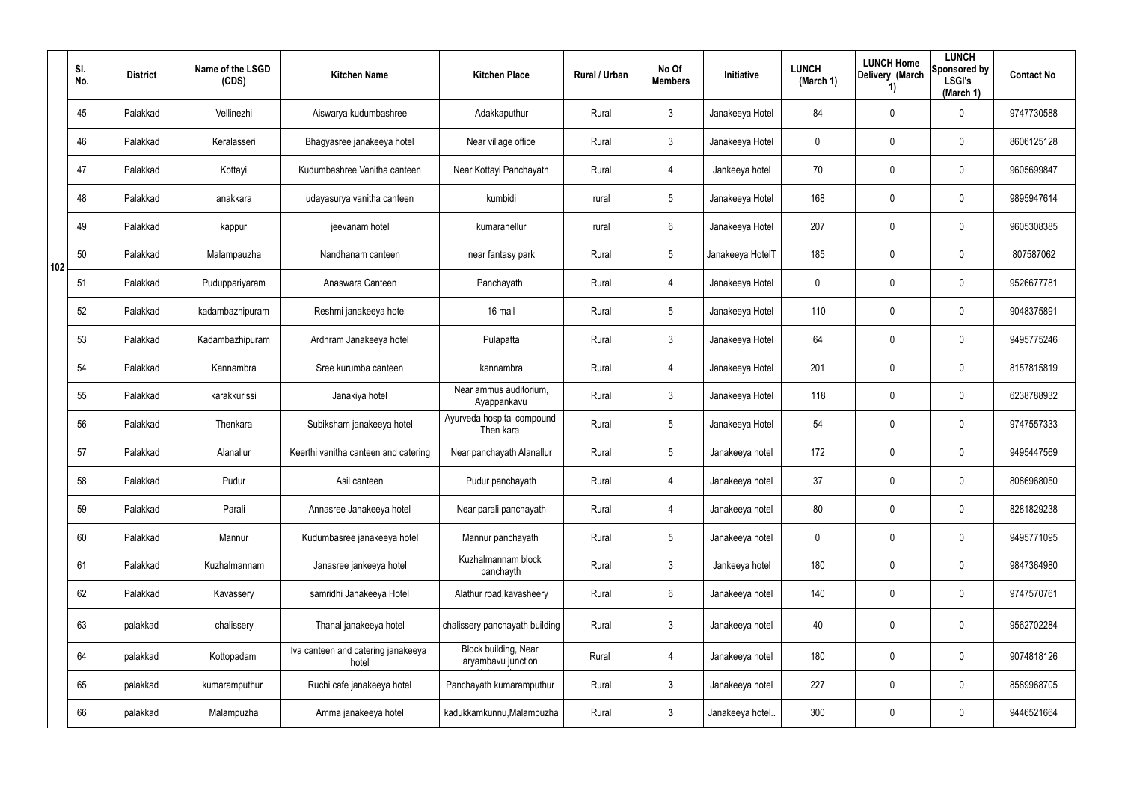|     | SI.<br>No. | <b>District</b> | Name of the LSGD<br>(CDS) | <b>Kitchen Name</b>                         | <b>Kitchen Place</b>                              | Rural / Urban | No Of<br><b>Members</b> | Initiative       | <b>LUNCH</b><br>(March 1) | <b>LUNCH Home</b><br>Delivery (March<br>1) | <b>LUNCH</b><br>Sponsored by<br><b>LSGI's</b><br>(March 1) | <b>Contact No</b> |
|-----|------------|-----------------|---------------------------|---------------------------------------------|---------------------------------------------------|---------------|-------------------------|------------------|---------------------------|--------------------------------------------|------------------------------------------------------------|-------------------|
|     | 45         | Palakkad        | Vellinezhi                | Aiswarya kudumbashree                       | Adakkaputhur                                      | Rural         | $\mathbf{3}$            | Janakeeya Hotel  | 84                        | $\mathbf 0$                                | $\mathbf 0$                                                | 9747730588        |
|     | 46         | Palakkad        | Keralasseri               | Bhagyasree janakeeya hotel                  | Near village office                               | Rural         | $\mathfrak{Z}$          | Janakeeya Hotel  | 0                         | 0                                          | $\pmb{0}$                                                  | 8606125128        |
|     | 47         | Palakkad        | Kottayi                   | Kudumbashree Vanitha canteen                | Near Kottayi Panchayath                           | Rural         | $\overline{4}$          | Jankeeya hotel   | 70                        | 0                                          | $\mathbf 0$                                                | 9605699847        |
|     | 48         | Palakkad        | anakkara                  | udayasurya vanitha canteen                  | kumbidi                                           | rural         | $5\phantom{.0}$         | Janakeeya Hotel  | 168                       | 0                                          | $\boldsymbol{0}$                                           | 9895947614        |
|     | 49         | Palakkad        | kappur                    | jeevanam hotel                              | kumaranellur                                      | rural         | $6\phantom{.}$          | Janakeeya Hotel  | 207                       | 0                                          | $\mathbf 0$                                                | 9605308385        |
| 102 | 50         | Palakkad        | Malampauzha               | Nandhanam canteen                           | near fantasy park                                 | Rural         | $5\phantom{.0}$         | Janakeeya HotelT | 185                       | 0                                          | $\mathbf 0$                                                | 807587062         |
|     | 51         | Palakkad        | Puduppariyaram            | Anaswara Canteen                            | Panchayath                                        | Rural         | $\overline{4}$          | Janakeeya Hotel  | 0                         | 0                                          | $\mathbf 0$                                                | 9526677781        |
|     | 52         | Palakkad        | kadambazhipuram           | Reshmi janakeeya hotel                      | 16 mail                                           | Rural         | $5\phantom{.0}$         | Janakeeya Hotel  | 110                       | 0                                          | $\mathbf 0$                                                | 9048375891        |
|     | 53         | Palakkad        | Kadambazhipuram           | Ardhram Janakeeya hotel                     | Pulapatta                                         | Rural         | $\mathbf{3}$            | Janakeeya Hotel  | 64                        | 0                                          | $\mathbf 0$                                                | 9495775246        |
|     | 54         | Palakkad        | Kannambra                 | Sree kurumba canteen                        | kannambra                                         | Rural         | $\overline{4}$          | Janakeeya Hotel  | 201                       | 0                                          | $\mathbf 0$                                                | 8157815819        |
|     | 55         | Palakkad        | karakkurissi              | Janakiya hotel                              | Near ammus auditorium,<br>Ayappankavu             | Rural         | $\mathbf{3}$            | Janakeeya Hotel  | 118                       | 0                                          | $\mathbf 0$                                                | 6238788932        |
|     | 56         | Palakkad        | Thenkara                  | Subiksham janakeeya hotel                   | Ayurveda hospital compound<br>Then kara           | Rural         | $5\phantom{.0}$         | Janakeeya Hotel  | 54                        | 0                                          | $\mathbf 0$                                                | 9747557333        |
|     | 57         | Palakkad        | Alanallur                 | Keerthi vanitha canteen and catering        | Near panchayath Alanallur                         | Rural         | $5\phantom{.0}$         | Janakeeya hotel  | 172                       | 0                                          | $\mathbf 0$                                                | 9495447569        |
|     | 58         | Palakkad        | Pudur                     | Asil canteen                                | Pudur panchayath                                  | Rural         | $\overline{4}$          | Janakeeya hotel  | 37                        | $\mathbf 0$                                | $\mathbf 0$                                                | 8086968050        |
|     | 59         | Palakkad        | Parali                    | Annasree Janakeeya hotel                    | Near parali panchayath                            | Rural         | 4                       | Janakeeya hotel  | 80                        | $\mathbf 0$                                | $\mathbf 0$                                                | 8281829238        |
|     | 60         | Palakkad        | Mannur                    | Kudumbasree janakeeya hotel                 | Mannur panchayath                                 | Rural         | $5\phantom{.0}$         | Janakeeya hotel  | 0                         | $\mathbf 0$                                | $\mathbf 0$                                                | 9495771095        |
|     | 61         | Palakkad        | Kuzhalmannam              | Janasree jankeeya hotel                     | Kuzhalmannam block<br>panchayth                   | Rural         | $\mathfrak{Z}$          | Jankeeya hotel   | 180                       | $\mathbf 0$                                | $\mathbf 0$                                                | 9847364980        |
|     | 62         | Palakkad        | Kavassery                 | samridhi Janakeeya Hotel                    | Alathur road, kavasheery                          | Rural         | $6\phantom{.}$          | Janakeeya hotel  | 140                       | 0                                          | $\mathbf 0$                                                | 9747570761        |
|     | 63         | palakkad        | chalissery                | Thanal janakeeya hotel                      | chalissery panchayath building                    | Rural         | $\mathfrak{Z}$          | Janakeeya hotel  | 40                        | 0                                          | $\pmb{0}$                                                  | 9562702284        |
|     | 64         | palakkad        | Kottopadam                | Iva canteen and catering janakeeya<br>hotel | <b>Block building, Near</b><br>aryambavu junction | Rural         | $\overline{4}$          | Janakeeya hotel  | 180                       | 0                                          | $\mathbf 0$                                                | 9074818126        |
|     | 65         | palakkad        | kumaramputhur             | Ruchi cafe janakeeya hotel                  | Panchayath kumaramputhur                          | Rural         | $\mathbf{3}$            | Janakeeya hotel  | 227                       | 0                                          | $\mathbf 0$                                                | 8589968705        |
|     | 66         | palakkad        | Malampuzha                | Amma janakeeya hotel                        | kadukkamkunnu, Malampuzha                         | Rural         | $\mathbf{3}$            | Janakeeya hotel  | 300                       | 0                                          | $\mathbf 0$                                                | 9446521664        |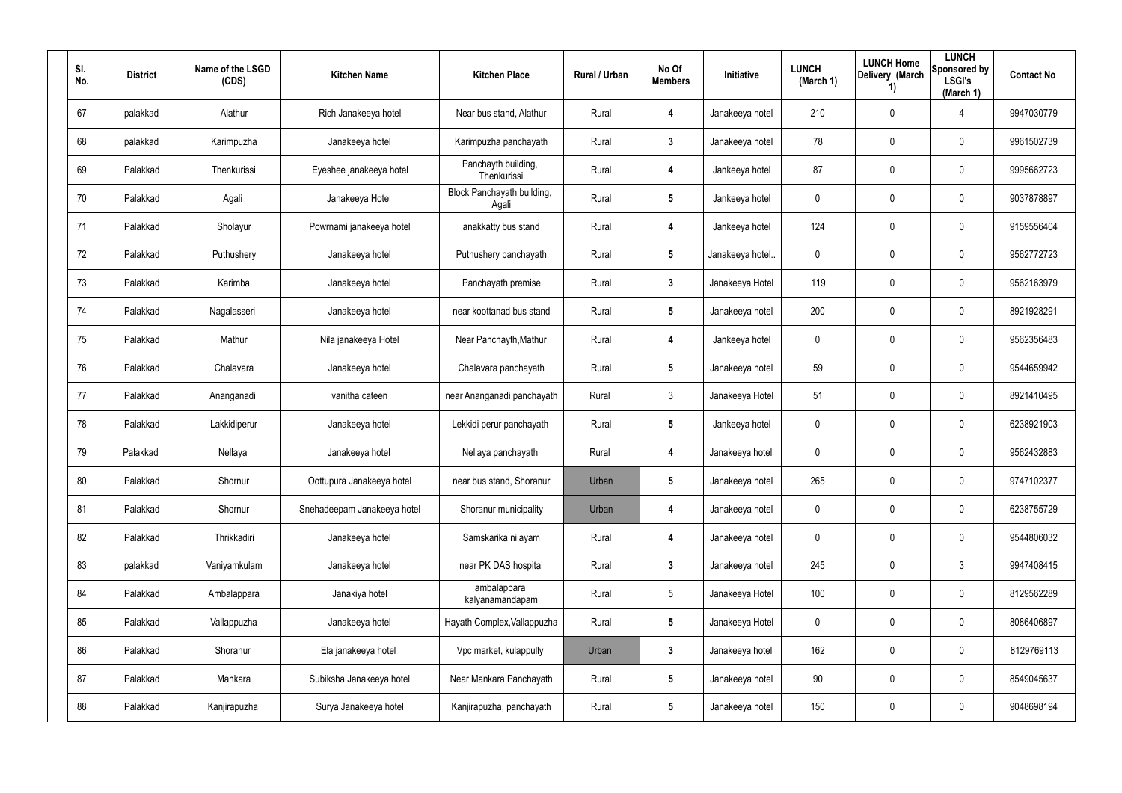| SI.<br>No. | <b>District</b> | Name of the LSGD<br>(CDS) | <b>Kitchen Name</b>         | <b>Kitchen Place</b>                | <b>Rural / Urban</b> | No Of<br><b>Members</b> | <b>Initiative</b> | <b>LUNCH</b><br>(March 1) | <b>LUNCH Home</b><br>Delivery (March<br>1) | <b>LUNCH</b><br>Sponsored by<br><b>LSGI's</b><br>(March 1) | <b>Contact No</b> |
|------------|-----------------|---------------------------|-----------------------------|-------------------------------------|----------------------|-------------------------|-------------------|---------------------------|--------------------------------------------|------------------------------------------------------------|-------------------|
| 67         | palakkad        | Alathur                   | Rich Janakeeya hotel        | Near bus stand, Alathur             | Rural                | 4                       | Janakeeya hotel   | 210                       | 0                                          | 4                                                          | 9947030779        |
| 68         | palakkad        | Karimpuzha                | Janakeeya hotel             | Karimpuzha panchayath               | Rural                | 3                       | Janakeeya hotel   | 78                        | 0                                          | $\mathbf 0$                                                | 9961502739        |
| 69         | Palakkad        | Thenkurissi               | Eyeshee janakeeya hotel     | Panchayth building,<br>Thenkurissi  | Rural                | 4                       | Jankeeya hotel    | 87                        | 0                                          | $\mathbf 0$                                                | 9995662723        |
| 70         | Palakkad        | Agali                     | Janakeeya Hotel             | Block Panchayath building,<br>Agali | Rural                | 5                       | Jankeeya hotel    | 0                         | 0                                          | $\mathbf 0$                                                | 9037878897        |
| 71         | Palakkad        | Sholayur                  | Powrnami janakeeya hotel    | anakkatty bus stand                 | Rural                | 4                       | Jankeeya hotel    | 124                       | 0                                          | $\mathbf 0$                                                | 9159556404        |
| 72         | Palakkad        | Puthushery                | Janakeeya hotel             | Puthushery panchayath               | Rural                | $5\overline{)}$         | Janakeeya hotel.  | 0                         | 0                                          | $\mathbf 0$                                                | 9562772723        |
| 73         | Palakkad        | Karimba                   | Janakeeya hotel             | Panchayath premise                  | Rural                | $\mathbf{3}$            | Janakeeya Hotel   | 119                       | 0                                          | $\pmb{0}$                                                  | 9562163979        |
| 74         | Palakkad        | Nagalasseri               | Janakeeya hotel             | near koottanad bus stand            | Rural                | 5                       | Janakeeya hotel   | 200                       | 0                                          | $\mathbf 0$                                                | 8921928291        |
| 75         | Palakkad        | Mathur                    | Nila janakeeya Hotel        | Near Panchayth, Mathur              | Rural                | 4                       | Jankeeya hotel    | 0                         | 0                                          | $\pmb{0}$                                                  | 9562356483        |
| 76         | Palakkad        | Chalavara                 | Janakeeya hotel             | Chalavara panchayath                | Rural                | 5                       | Janakeeya hotel   | 59                        | 0                                          | $\mathbf 0$                                                | 9544659942        |
| 77         | Palakkad        | Ananganadi                | vanitha cateen              | near Ananganadi panchayath          | Rural                | $\mathbf{3}$            | Janakeeya Hotel   | 51                        | 0                                          | $\mathbf 0$                                                | 8921410495        |
| 78         | Palakkad        | Lakkidiperur              | Janakeeya hotel             | Lekkidi perur panchayath            | Rural                | 5                       | Jankeeya hotel    | 0                         | 0                                          | $\mathbf 0$                                                | 6238921903        |
| 79         | Palakkad        | Nellaya                   | Janakeeya hotel             | Nellaya panchayath                  | Rural                | 4                       | Janakeeya hotel   | 0                         | 0                                          | $\mathbf 0$                                                | 9562432883        |
| 80         | Palakkad        | Shornur                   | Oottupura Janakeeya hotel   | near bus stand, Shoranur            | Urban                | $\overline{\mathbf{5}}$ | Janakeeya hotel   | 265                       | 0                                          | $\pmb{0}$                                                  | 9747102377        |
| 81         | Palakkad        | Shornur                   | Snehadeepam Janakeeya hotel | Shoranur municipality               | Urban                | 4                       | Janakeeya hotel   | 0                         | 0                                          | $\mathsf{0}$                                               | 6238755729        |
| 82         | Palakkad        | Thrikkadiri               | Janakeeya hotel             | Samskarika nilayam                  | Rural                | 4                       | Janakeeya hotel   | 0                         | 0                                          | $\mathsf{0}$                                               | 9544806032        |
| 83         | palakkad        | Vaniyamkulam              | Janakeeya hotel             | near PK DAS hospital                | Rural                | $\mathbf{3}$            | Janakeeya hotel   | 245                       | 0                                          | $\mathbf{3}$                                               | 9947408415        |
| 84         | Palakkad        | Ambalappara               | Janakiya hotel              | ambalappara<br>kalyanamandapam      | Rural                | $5\phantom{.0}$         | Janakeeya Hotel   | 100                       | 0                                          | $\mathsf{0}$                                               | 8129562289        |
| 85         | Palakkad        | Vallappuzha               | Janakeeya hotel             | Hayath Complex, Vallappuzha         | Rural                | $5\phantom{.0}$         | Janakeeya Hotel   | $\mathbf 0$               | 0                                          | $\mathbf 0$                                                | 8086406897        |
| 86         | Palakkad        | Shoranur                  | Ela janakeeya hotel         | Vpc market, kulappully              | Urban                | $\mathbf{3}$            | Janakeeya hotel   | 162                       | 0                                          | $\mathsf{0}$                                               | 8129769113        |
| 87         | Palakkad        | Mankara                   | Subiksha Janakeeya hotel    | Near Mankara Panchayath             | Rural                | $5\phantom{.0}$         | Janakeeya hotel   | 90                        | 0                                          | $\mathbf 0$                                                | 8549045637        |
| 88         | Palakkad        | Kanjirapuzha              | Surya Janakeeya hotel       | Kanjirapuzha, panchayath            | Rural                | $\sqrt{5}$              | Janakeeya hotel   | 150                       | 0                                          | $\mathsf{0}$                                               | 9048698194        |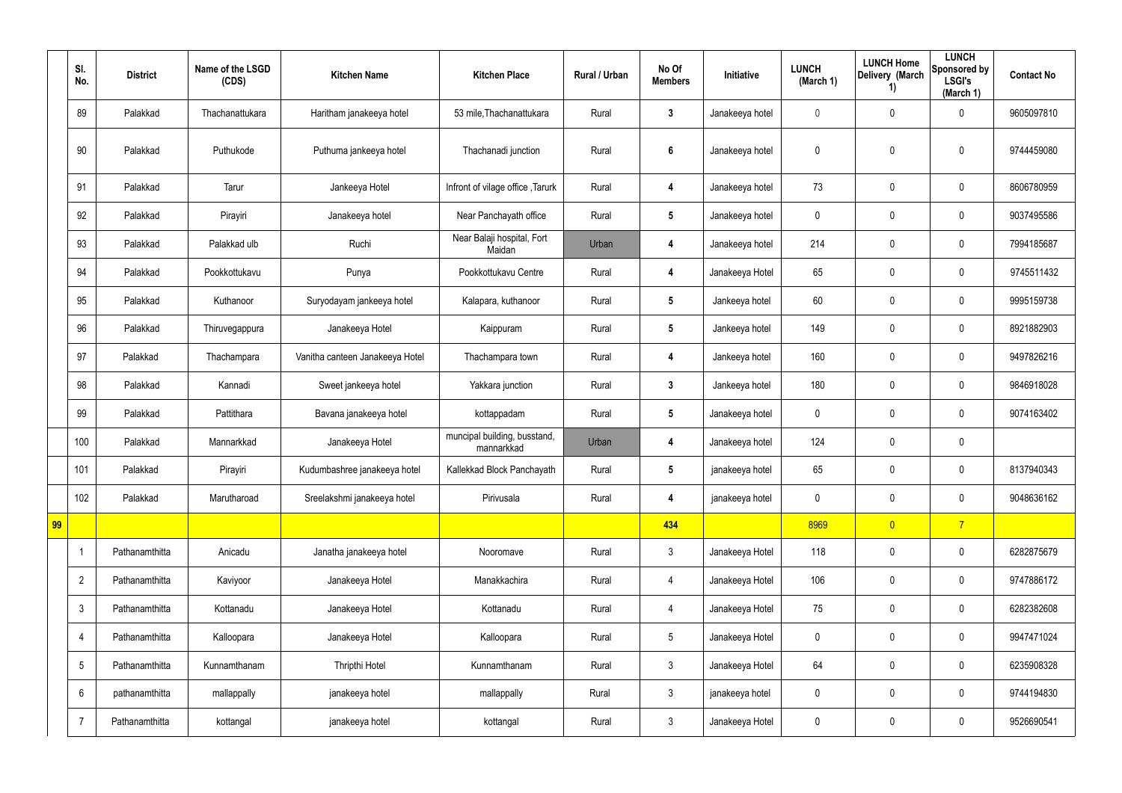|    | SI.<br>No.     | <b>District</b> | Name of the LSGD<br>(CDS) | <b>Kitchen Name</b>             | <b>Kitchen Place</b>                       | Rural / Urban | No Of<br><b>Members</b> | Initiative      | <b>LUNCH</b><br>(March 1) | <b>LUNCH Home</b><br>Delivery (March<br>1) | <b>LUNCH</b><br>Sponsored by<br><b>LSGI's</b><br>(March 1) | <b>Contact No</b> |
|----|----------------|-----------------|---------------------------|---------------------------------|--------------------------------------------|---------------|-------------------------|-----------------|---------------------------|--------------------------------------------|------------------------------------------------------------|-------------------|
|    | 89             | Palakkad        | Thachanattukara           | Haritham janakeeya hotel        | 53 mile, Thachanattukara                   | Rural         | $\mathbf{3}$            | Janakeeya hotel | $\mathbf 0$               | 0                                          | 0                                                          | 9605097810        |
|    | 90             | Palakkad        | Puthukode                 | Puthuma jankeeya hotel          | Thachanadi junction                        | Rural         | $6\phantom{1}$          | Janakeeya hotel | 0                         | 0                                          | $\pmb{0}$                                                  | 9744459080        |
|    | 91             | Palakkad        | Tarur                     | Jankeeya Hotel                  | Infront of vilage office, Tarurk           | Rural         | 4                       | Janakeeya hotel | 73                        | 0                                          | $\pmb{0}$                                                  | 8606780959        |
|    | 92             | Palakkad        | Pirayiri                  | Janakeeya hotel                 | Near Panchayath office                     | Rural         | $5\phantom{.0}$         | Janakeeya hotel | 0                         | 0                                          | $\pmb{0}$                                                  | 9037495586        |
|    | 93             | Palakkad        | Palakkad ulb              | Ruchi                           | Near Balaji hospital, Fort<br>Maidan       | Urban         | 4                       | Janakeeya hotel | 214                       | 0                                          | $\pmb{0}$                                                  | 7994185687        |
|    | 94             | Palakkad        | Pookkottukavu             | Punya                           | Pookkottukavu Centre                       | Rural         | 4                       | Janakeeya Hotel | 65                        | 0                                          | $\pmb{0}$                                                  | 9745511432        |
|    | 95             | Palakkad        | Kuthanoor                 | Suryodayam jankeeya hotel       | Kalapara, kuthanoor                        | Rural         | $5\overline{)}$         | Jankeeya hotel  | 60                        | 0                                          | $\mathbf 0$                                                | 9995159738        |
|    | 96             | Palakkad        | Thiruvegappura            | Janakeeya Hotel                 | Kaippuram                                  | Rural         | $5\phantom{.0}$         | Jankeeya hotel  | 149                       | 0                                          | $\boldsymbol{0}$                                           | 8921882903        |
|    | 97             | Palakkad        | Thachampara               | Vanitha canteen Janakeeya Hotel | Thachampara town                           | Rural         | 4                       | Jankeeya hotel  | 160                       | 0                                          | $\mathbf 0$                                                | 9497826216        |
|    | 98             | Palakkad        | Kannadi                   | Sweet jankeeya hotel            | Yakkara junction                           | Rural         | $3\phantom{a}$          | Jankeeya hotel  | 180                       | 0                                          | $\boldsymbol{0}$                                           | 9846918028        |
|    | 99             | Palakkad        | Pattithara                | Bavana janakeeya hotel          | kottappadam                                | Rural         | $5\phantom{.0}$         | Janakeeya hotel | $\mathbf 0$               | 0                                          | $\mathbf 0$                                                | 9074163402        |
|    | 100            | Palakkad        | Mannarkkad                | Janakeeya Hotel                 | muncipal building, busstand,<br>mannarkkad | Urban         | 4                       | Janakeeya hotel | 124                       | 0                                          | $\pmb{0}$                                                  |                   |
|    | 101            | Palakkad        | Pirayiri                  | Kudumbashree janakeeya hotel    | Kallekkad Block Panchayath                 | Rural         | 5                       | janakeeya hotel | 65                        | 0                                          | 0                                                          | 8137940343        |
|    | 102            | Palakkad        | Marutharoad               | Sreelakshmi janakeeya hotel     | Pirivusala                                 | Rural         | 4                       | janakeeya hotel | 0                         | 0                                          | $\mathbf 0$                                                | 9048636162        |
| 99 |                |                 |                           |                                 |                                            |               | 434                     |                 | 8969                      | $\overline{0}$                             | $\overline{7}$                                             |                   |
|    | -1             | Pathanamthitta  | Anicadu                   | Janatha janakeeya hotel         | Nooromave                                  | Rural         | $\mathbf{3}$            | Janakeeya Hotel | 118                       | 0                                          | $\pmb{0}$                                                  | 6282875679        |
|    | $\overline{2}$ | Pathanamthitta  | Kaviyoor                  | Janakeeya Hotel                 | Manakkachira                               | Rural         | 4                       | Janakeeya Hotel | 106                       | 0                                          | $\mathbf 0$                                                | 9747886172        |
|    | $\mathfrak{Z}$ | Pathanamthitta  | Kottanadu                 | Janakeeya Hotel                 | Kottanadu                                  | Rural         | $\overline{4}$          | Janakeeya Hotel | 75                        | 0                                          | $\pmb{0}$                                                  | 6282382608        |
|    | $\overline{4}$ | Pathanamthitta  | Kalloopara                | Janakeeya Hotel                 | Kalloopara                                 | Rural         | $5\phantom{.0}$         | Janakeeya Hotel | 0                         | 0                                          | $\pmb{0}$                                                  | 9947471024        |
|    | $\sqrt{5}$     | Pathanamthitta  | Kunnamthanam              | Thripthi Hotel                  | Kunnamthanam                               | Rural         | $\mathfrak{Z}$          | Janakeeya Hotel | 64                        | 0                                          | $\pmb{0}$                                                  | 6235908328        |
|    | 6              | pathanamthitta  | mallappally               | janakeeya hotel                 | mallappally                                | Rural         | $\mathfrak{Z}$          | janakeeya hotel | 0                         | 0                                          | $\pmb{0}$                                                  | 9744194830        |
|    | -7             | Pathanamthitta  | kottangal                 | janakeeya hotel                 | kottangal                                  | Rural         | $\mathbf{3}$            | Janakeeya Hotel | 0                         | 0                                          | $\boldsymbol{0}$                                           | 9526690541        |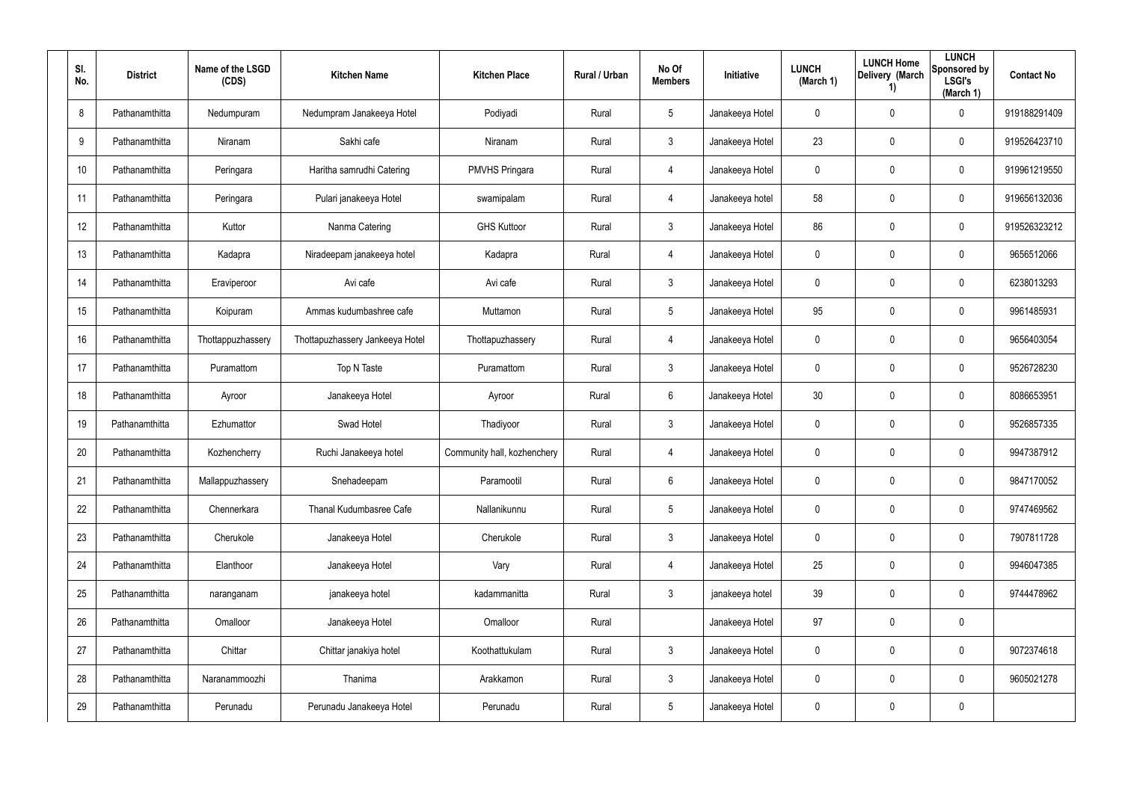| SI.<br>No. | <b>District</b> | Name of the LSGD<br>(CDS) | <b>Kitchen Name</b>             | <b>Kitchen Place</b>        | Rural / Urban | No Of<br><b>Members</b> | <b>Initiative</b> | <b>LUNCH</b><br>(March 1) | <b>LUNCH Home</b><br>Delivery (March<br>1) | <b>LUNCH</b><br>Sponsored by<br><b>LSGI's</b><br>(March 1) | <b>Contact No</b> |
|------------|-----------------|---------------------------|---------------------------------|-----------------------------|---------------|-------------------------|-------------------|---------------------------|--------------------------------------------|------------------------------------------------------------|-------------------|
| 8          | Pathanamthitta  | Nedumpuram                | Nedumpram Janakeeya Hotel       | Podiyadi                    | Rural         | $5\phantom{.0}$         | Janakeeya Hotel   | 0                         | 0                                          | $\mathbf 0$                                                | 919188291409      |
| 9          | Pathanamthitta  | Niranam                   | Sakhi cafe                      | Niranam                     | Rural         | $\mathbf{3}$            | Janakeeya Hotel   | 23                        | 0                                          | $\mathbf 0$                                                | 919526423710      |
| 10         | Pathanamthitta  | Peringara                 | Haritha samrudhi Catering       | <b>PMVHS Pringara</b>       | Rural         | 4                       | Janakeeya Hotel   | 0                         | 0                                          | $\pmb{0}$                                                  | 919961219550      |
| 11         | Pathanamthitta  | Peringara                 | Pulari janakeeya Hotel          | swamipalam                  | Rural         | $\overline{4}$          | Janakeeya hotel   | 58                        | 0                                          | $\pmb{0}$                                                  | 919656132036      |
| 12         | Pathanamthitta  | Kuttor                    | Nanma Catering                  | <b>GHS Kuttoor</b>          | Rural         | $\mathfrak{Z}$          | Janakeeya Hotel   | 86                        | 0                                          | $\pmb{0}$                                                  | 919526323212      |
| 13         | Pathanamthitta  | Kadapra                   | Niradeepam janakeeya hotel      | Kadapra                     | Rural         | 4                       | Janakeeya Hotel   | 0                         | 0                                          | $\mathbf 0$                                                | 9656512066        |
| 14         | Pathanamthitta  | Eraviperoor               | Avi cafe                        | Avi cafe                    | Rural         | $\mathbf{3}$            | Janakeeya Hotel   | 0                         | 0                                          | $\mathbf 0$                                                | 6238013293        |
| 15         | Pathanamthitta  | Koipuram                  | Ammas kudumbashree cafe         | Muttamon                    | Rural         | $5\overline{)}$         | Janakeeya Hotel   | 95                        | 0                                          | $\mathbf 0$                                                | 9961485931        |
| 16         | Pathanamthitta  | Thottappuzhassery         | Thottapuzhassery Jankeeya Hotel | Thottapuzhassery            | Rural         | 4                       | Janakeeya Hotel   | 0                         | 0                                          | $\mathbf 0$                                                | 9656403054        |
| 17         | Pathanamthitta  | Puramattom                | Top N Taste                     | Puramattom                  | Rural         | $\mathbf{3}$            | Janakeeya Hotel   | 0                         | 0                                          | $\mathbf 0$                                                | 9526728230        |
| 18         | Pathanamthitta  | Ayroor                    | Janakeeya Hotel                 | Ayroor                      | Rural         | 6                       | Janakeeya Hotel   | 30 <sub>o</sub>           | 0                                          | $\mathbf 0$                                                | 8086653951        |
| 19         | Pathanamthitta  | Ezhumattor                | Swad Hotel                      | Thadiyoor                   | Rural         | $\mathbf{3}$            | Janakeeya Hotel   | 0                         | 0                                          | $\mathbf 0$                                                | 9526857335        |
| 20         | Pathanamthitta  | Kozhencherry              | Ruchi Janakeeya hotel           | Community hall, kozhenchery | Rural         | 4                       | Janakeeya Hotel   | 0                         | 0                                          | $\boldsymbol{0}$                                           | 9947387912        |
| 21         | Pathanamthitta  | Mallappuzhassery          | Snehadeepam                     | Paramootil                  | Rural         | 6                       | Janakeeya Hotel   | 0                         | 0                                          | $\pmb{0}$                                                  | 9847170052        |
| 22         | Pathanamthitta  | Chennerkara               | Thanal Kudumbasree Cafe         | Nallanikunnu                | Rural         | $5\phantom{.0}$         | Janakeeya Hotel   | $\pmb{0}$                 | 0                                          | $\pmb{0}$                                                  | 9747469562        |
| 23         | Pathanamthitta  | Cherukole                 | Janakeeya Hotel                 | Cherukole                   | Rural         | $\mathfrak{Z}$          | Janakeeya Hotel   | $\pmb{0}$                 | 0                                          | $\pmb{0}$                                                  | 7907811728        |
| 24         | Pathanamthitta  | Elanthoor                 | Janakeeya Hotel                 | Vary                        | Rural         | 4                       | Janakeeya Hotel   | 25                        | 0                                          | $\mathbf 0$                                                | 9946047385        |
| 25         | Pathanamthitta  | naranganam                | janakeeya hotel                 | kadammanitta                | Rural         | $\mathbf{3}$            | janakeeya hotel   | 39                        | 0                                          | $\mathbf 0$                                                | 9744478962        |
| 26         | Pathanamthitta  | Omalloor                  | Janakeeya Hotel                 | Omalloor                    | Rural         |                         | Janakeeya Hotel   | 97                        | 0                                          | $\pmb{0}$                                                  |                   |
| 27         | Pathanamthitta  | Chittar                   | Chittar janakiya hotel          | Koothattukulam              | Rural         | $\mathbf{3}$            | Janakeeya Hotel   | $\mathbf 0$               | 0                                          | $\pmb{0}$                                                  | 9072374618        |
| 28         | Pathanamthitta  | Naranammoozhi             | Thanima                         | Arakkamon                   | Rural         | $\mathbf{3}$            | Janakeeya Hotel   | $\mathbf 0$               | 0                                          | $\mathbf 0$                                                | 9605021278        |
| 29         | Pathanamthitta  | Perunadu                  | Perunadu Janakeeya Hotel        | Perunadu                    | Rural         | $5\phantom{.0}$         | Janakeeya Hotel   | $\mathbf 0$               | 0                                          | $\pmb{0}$                                                  |                   |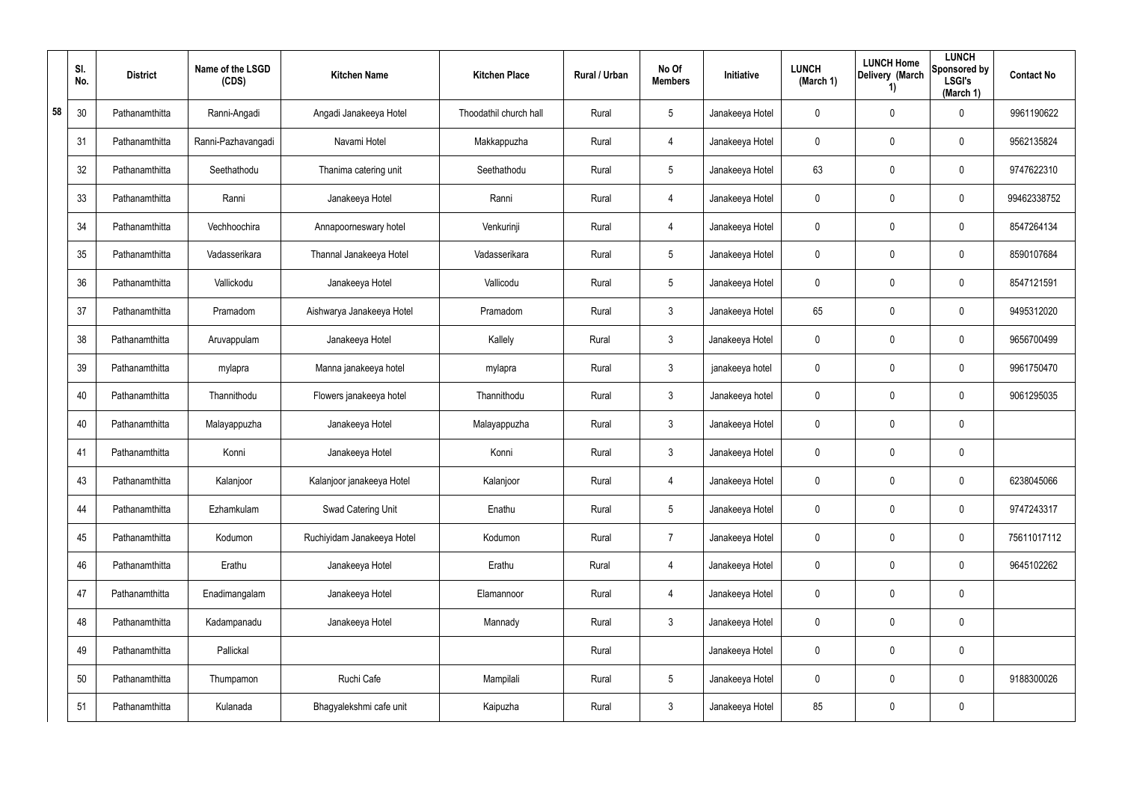|    | SI.<br>No. | <b>District</b> | Name of the LSGD<br>(CDS) | <b>Kitchen Name</b>        | <b>Kitchen Place</b>   | <b>Rural / Urban</b> | No Of<br><b>Members</b> | <b>Initiative</b> | <b>LUNCH</b><br>(March 1) | <b>LUNCH Home</b><br>Delivery (March<br>1) | <b>LUNCH</b><br>Sponsored by<br><b>LSGI's</b><br>(March 1) | <b>Contact No</b> |
|----|------------|-----------------|---------------------------|----------------------------|------------------------|----------------------|-------------------------|-------------------|---------------------------|--------------------------------------------|------------------------------------------------------------|-------------------|
| 58 | 30         | Pathanamthitta  | Ranni-Angadi              | Angadi Janakeeya Hotel     | Thoodathil church hall | Rural                | $5\phantom{.0}$         | Janakeeya Hotel   | 0                         | 0                                          | $\mathbf 0$                                                | 9961190622        |
|    | 31         | Pathanamthitta  | Ranni-Pazhavangadi        | Navami Hotel               | Makkappuzha            | Rural                | 4                       | Janakeeya Hotel   | $\mathbf 0$               | 0                                          | $\mathbf 0$                                                | 9562135824        |
|    | 32         | Pathanamthitta  | Seethathodu               | Thanima catering unit      | Seethathodu            | Rural                | $5\phantom{.0}$         | Janakeeya Hotel   | 63                        | 0                                          | $\mathbf 0$                                                | 9747622310        |
|    | 33         | Pathanamthitta  | Ranni                     | Janakeeya Hotel            | Ranni                  | Rural                | 4                       | Janakeeya Hotel   | 0                         | 0                                          | $\mathbf 0$                                                | 99462338752       |
|    | 34         | Pathanamthitta  | Vechhoochira              | Annapoorneswary hotel      | Venkurinji             | Rural                | 4                       | Janakeeya Hotel   | $\mathbf 0$               | 0                                          | $\mathbf 0$                                                | 8547264134        |
|    | 35         | Pathanamthitta  | Vadasserikara             | Thannal Janakeeya Hotel    | Vadasserikara          | Rural                | $5\overline{)}$         | Janakeeya Hotel   | 0                         | 0                                          | $\mathbf 0$                                                | 8590107684        |
|    | 36         | Pathanamthitta  | Vallickodu                | Janakeeya Hotel            | Vallicodu              | Rural                | $5\phantom{.0}$         | Janakeeya Hotel   | 0                         | 0                                          | $\pmb{0}$                                                  | 8547121591        |
|    | 37         | Pathanamthitta  | Pramadom                  | Aishwarya Janakeeya Hotel  | Pramadom               | Rural                | $\mathbf{3}$            | Janakeeya Hotel   | 65                        | 0                                          | $\mathbf 0$                                                | 9495312020        |
|    | 38         | Pathanamthitta  | Aruvappulam               | Janakeeya Hotel            | Kallely                | Rural                | $\mathbf{3}$            | Janakeeya Hotel   | 0                         | 0                                          | $\pmb{0}$                                                  | 9656700499        |
|    | 39         | Pathanamthitta  | mylapra                   | Manna janakeeya hotel      | mylapra                | Rural                | $\mathbf{3}$            | janakeeya hotel   | 0                         | 0                                          | $\boldsymbol{0}$                                           | 9961750470        |
|    | 40         | Pathanamthitta  | Thannithodu               | Flowers janakeeya hotel    | Thannithodu            | Rural                | $\mathbf{3}$            | Janakeeya hotel   | 0                         | 0                                          | $\boldsymbol{0}$                                           | 9061295035        |
|    | 40         | Pathanamthitta  | Malayappuzha              | Janakeeya Hotel            | Malayappuzha           | Rural                | $\mathbf{3}$            | Janakeeya Hotel   | 0                         | 0                                          | $\pmb{0}$                                                  |                   |
|    | 41         | Pathanamthitta  | Konni                     | Janakeeya Hotel            | Konni                  | Rural                | $\mathbf{3}$            | Janakeeya Hotel   | 0                         | 0                                          | $\pmb{0}$                                                  |                   |
|    | 43         | Pathanamthitta  | Kalanjoor                 | Kalanjoor janakeeya Hotel  | Kalanjoor              | Rural                | 4                       | Janakeeya Hotel   | 0                         | 0                                          | $\pmb{0}$                                                  | 6238045066        |
|    | 44         | Pathanamthitta  | Ezhamkulam                | Swad Catering Unit         | Enathu                 | Rural                | $5\phantom{.0}$         | Janakeeya Hotel   | $\pmb{0}$                 | 0                                          | $\mathsf{0}$                                               | 9747243317        |
|    | 45         | Pathanamthitta  | Kodumon                   | Ruchiyidam Janakeeya Hotel | Kodumon                | Rural                | $\overline{7}$          | Janakeeya Hotel   | $\pmb{0}$                 | 0                                          | $\mathsf{0}$                                               | 75611017112       |
|    | 46         | Pathanamthitta  | Erathu                    | Janakeeya Hotel            | Erathu                 | Rural                | 4                       | Janakeeya Hotel   | $\pmb{0}$                 | 0                                          | $\mathsf{0}$                                               | 9645102262        |
|    | 47         | Pathanamthitta  | Enadimangalam             | Janakeeya Hotel            | Elamannoor             | Rural                | 4                       | Janakeeya Hotel   | $\pmb{0}$                 | 0                                          | $\mathbf 0$                                                |                   |
|    | 48         | Pathanamthitta  | Kadampanadu               | Janakeeya Hotel            | Mannady                | Rural                | $\mathbf{3}$            | Janakeeya Hotel   | $\pmb{0}$                 | 0                                          | $\mathbf 0$                                                |                   |
|    | 49         | Pathanamthitta  | Pallickal                 |                            |                        | Rural                |                         | Janakeeya Hotel   | $\pmb{0}$                 | 0                                          | $\mathbf 0$                                                |                   |
|    | 50         | Pathanamthitta  | Thumpamon                 | Ruchi Cafe                 | Mampilali              | Rural                | $5\phantom{.0}$         | Janakeeya Hotel   | $\mathbf 0$               | 0                                          | $\mathbf 0$                                                | 9188300026        |
|    | 51         | Pathanamthitta  | Kulanada                  | Bhagyalekshmi cafe unit    | Kaipuzha               | Rural                | $\mathfrak{Z}$          | Janakeeya Hotel   | 85                        | 0                                          | $\pmb{0}$                                                  |                   |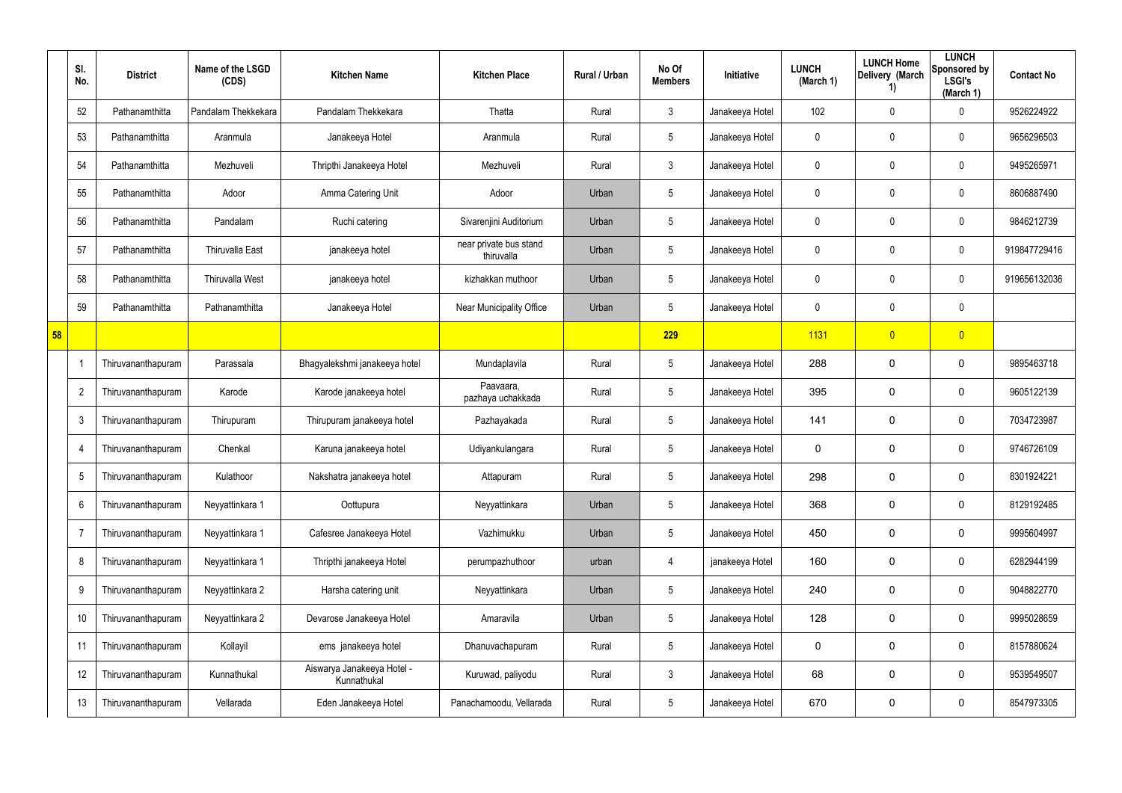|    | SI.<br>No.     | <b>District</b>    | Name of the LSGD<br>(CDS) | <b>Kitchen Name</b>                       | <b>Kitchen Place</b>                 | Rural / Urban | No Of<br><b>Members</b> | Initiative      | <b>LUNCH</b><br>(March 1) | <b>LUNCH Home</b><br>Delivery (March<br>1) | <b>LUNCH</b><br>Sponsored by<br><b>LSGI's</b><br>(March 1) | <b>Contact No</b> |
|----|----------------|--------------------|---------------------------|-------------------------------------------|--------------------------------------|---------------|-------------------------|-----------------|---------------------------|--------------------------------------------|------------------------------------------------------------|-------------------|
|    | 52             | Pathanamthitta     | Pandalam Thekkekara       | Pandalam Thekkekara                       | Thatta                               | Rural         | $\mathbf{3}$            | Janakeeya Hotel | 102                       | 0                                          | 0                                                          | 9526224922        |
|    | 53             | Pathanamthitta     | Aranmula                  | Janakeeya Hotel                           | Aranmula                             | Rural         | $5\phantom{.0}$         | Janakeeya Hotel | 0                         | 0                                          | 0                                                          | 9656296503        |
|    | 54             | Pathanamthitta     | Mezhuveli                 | Thripthi Janakeeya Hotel                  | Mezhuveli                            | Rural         | $\mathbf{3}$            | Janakeeya Hotel | 0                         | 0                                          | $\boldsymbol{0}$                                           | 9495265971        |
|    | 55             | Pathanamthitta     | Adoor                     | Amma Catering Unit                        | Adoor                                | Urban         | $5\phantom{.0}$         | Janakeeya Hotel | 0                         | 0                                          | 0                                                          | 8606887490        |
|    | 56             | Pathanamthitta     | Pandalam                  | Ruchi catering                            | Sivarenjini Auditorium               | Urban         | $5\phantom{.0}$         | Janakeeya Hotel | 0                         | 0                                          | $\boldsymbol{0}$                                           | 9846212739        |
|    | 57             | Pathanamthitta     | <b>Thiruvalla East</b>    | janakeeya hotel                           | near private bus stand<br>thiruvalla | Urban         | $5\phantom{.0}$         | Janakeeya Hotel | 0                         | 0                                          | 0                                                          | 919847729416      |
|    | 58             | Pathanamthitta     | <b>Thiruvalla West</b>    | janakeeya hotel                           | kizhakkan muthoor                    | Urban         | $5\phantom{.0}$         | Janakeeya Hotel | 0                         | 0                                          | $\boldsymbol{0}$                                           | 919656132036      |
|    | 59             | Pathanamthitta     | Pathanamthitta            | Janakeeya Hotel                           | Near Municipality Office             | Urban         | $5\phantom{.0}$         | Janakeeya Hotel | 0                         | 0                                          | $\mathbf 0$                                                |                   |
| 58 |                |                    |                           |                                           |                                      |               | 229                     |                 | 1131                      | $\overline{0}$                             | $\overline{0}$                                             |                   |
|    |                | Thiruvananthapuram | Parassala                 | Bhagyalekshmi janakeeya hotel             | Mundaplavila                         | Rural         | $5\phantom{.0}$         | Janakeeya Hotel | 288                       | 0                                          | $\mathbf 0$                                                | 9895463718        |
|    | $\overline{2}$ | Thiruvananthapuram | Karode                    | Karode janakeeya hotel                    | Paavaara,<br>pazhaya uchakkada       | Rural         | $5\phantom{.0}$         | Janakeeya Hotel | 395                       | 0                                          | $\mathbf 0$                                                | 9605122139        |
|    | 3              | Thiruvananthapuram | Thirupuram                | Thirupuram janakeeya hotel                | Pazhayakada                          | Rural         | $5\phantom{.0}$         | Janakeeya Hotel | 141                       | 0                                          | $\mathbf 0$                                                | 7034723987        |
|    | 4              | Thiruvananthapuram | Chenkal                   | Karuna janakeeya hotel                    | Udiyankulangara                      | Rural         | $5\overline{)}$         | Janakeeya Hotel | $\mathbf 0$               | 0                                          | $\mathbf 0$                                                | 9746726109        |
|    | 5              | Thiruvananthapuram | Kulathoor                 | Nakshatra janakeeya hotel                 | Attapuram                            | Rural         | $5\phantom{.0}$         | Janakeeya Hotel | 298                       | 0                                          | $\mathbf 0$                                                | 8301924221        |
|    | 6              | Thiruvananthapuram | Neyyattinkara 1           | Oottupura                                 | Neyyattinkara                        | Urban         | $5\phantom{.0}$         | Janakeeya Hotel | 368                       | 0                                          | $\mathbf 0$                                                | 8129192485        |
|    | $\overline{7}$ | Thiruvananthapuram | Neyyattinkara 1           | Cafesree Janakeeya Hotel                  | Vazhimukku                           | Urban         | $5\phantom{.0}$         | Janakeeya Hotel | 450                       | 0                                          | $\mathbf 0$                                                | 9995604997        |
|    | 8              | Thiruvananthapuram | Neyyattinkara 1           | Thripthi janakeeya Hotel                  | perumpazhuthoor                      | urban         | 4                       | janakeeya Hotel | 160                       | 0                                          | $\mathbf 0$                                                | 6282944199        |
|    | 9              | Thiruvananthapuram | Neyyattinkara 2           | Harsha catering unit                      | Neyyattinkara                        | Urban         | $5\phantom{.0}$         | Janakeeya Hotel | 240                       | 0                                          | $\mathbf 0$                                                | 9048822770        |
|    | 10             | Thiruvananthapuram | Neyyattinkara 2           | Devarose Janakeeya Hotel                  | Amaravila                            | Urban         | $\sqrt{5}$              | Janakeeya Hotel | 128                       | 0                                          | $\mathbf 0$                                                | 9995028659        |
|    | 11             | Thiruvananthapuram | Kollayil                  | ems janakeeya hotel                       | Dhanuvachapuram                      | Rural         | $\sqrt{5}$              | Janakeeya Hotel | 0                         | 0                                          | $\mathbf 0$                                                | 8157880624        |
|    | 12             | Thiruvananthapuram | Kunnathukal               | Aiswarya Janakeeya Hotel -<br>Kunnathukal | Kuruwad, paliyodu                    | Rural         | $\mathbf{3}$            | Janakeeya Hotel | 68                        | 0                                          | $\mathbf 0$                                                | 9539549507        |
|    | 13             | Thiruvananthapuram | Vellarada                 | Eden Janakeeya Hotel                      | Panachamoodu, Vellarada              | Rural         | $\sqrt{5}$              | Janakeeya Hotel | 670                       | 0                                          | $\pmb{0}$                                                  | 8547973305        |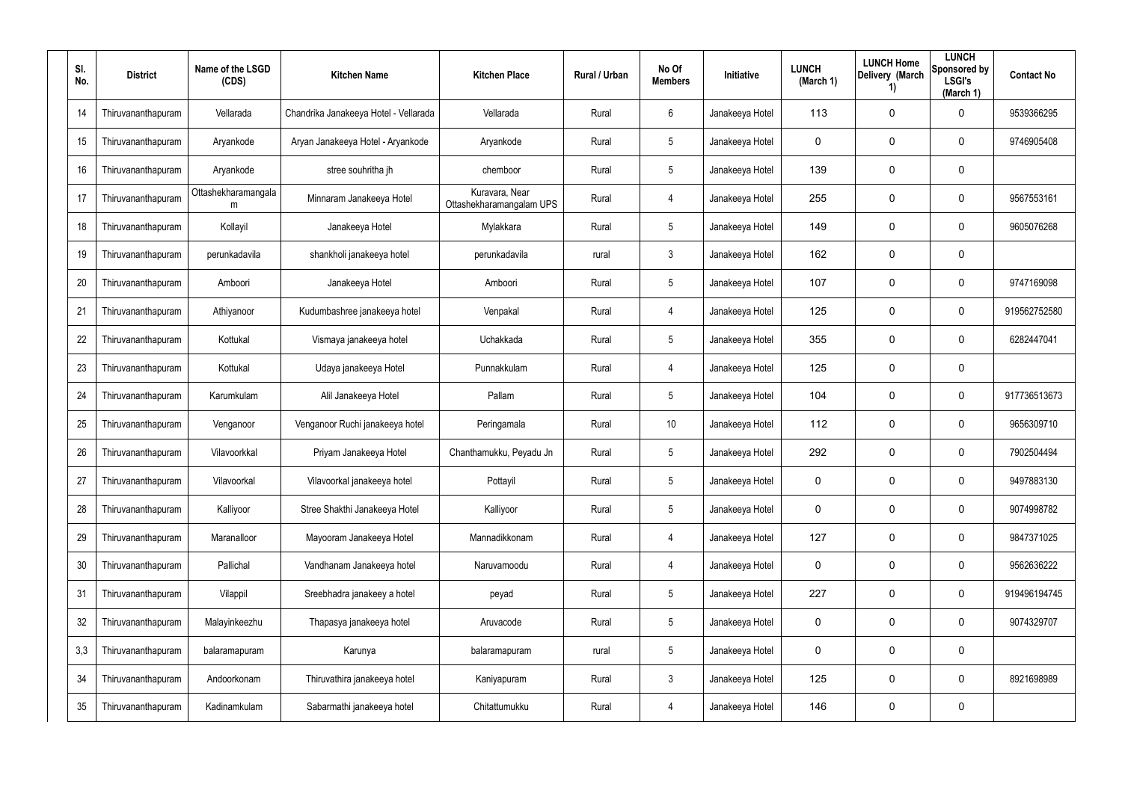| SI.<br>No. | <b>District</b>    | Name of the LSGD<br>(CDS) | <b>Kitchen Name</b>                   | <b>Kitchen Place</b>                       | <b>Rural / Urban</b> | No Of<br><b>Members</b> | <b>Initiative</b> | <b>LUNCH</b><br>(March 1) | <b>LUNCH Home</b><br>Delivery (March<br>1) | <b>LUNCH</b><br>Sponsored by<br><b>LSGI's</b><br>(March 1) | <b>Contact No</b> |
|------------|--------------------|---------------------------|---------------------------------------|--------------------------------------------|----------------------|-------------------------|-------------------|---------------------------|--------------------------------------------|------------------------------------------------------------|-------------------|
| 14         | Thiruvananthapuram | Vellarada                 | Chandrika Janakeeya Hotel - Vellarada | Vellarada                                  | Rural                | 6                       | Janakeeya Hotel   | 113                       | $\mathbf 0$                                | $\mathbf 0$                                                | 9539366295        |
| 15         | Thiruvananthapuram | Aryankode                 | Aryan Janakeeya Hotel - Aryankode     | Aryankode                                  | Rural                | 5                       | Janakeeya Hotel   | $\mathbf 0$               | $\mathbf 0$                                | $\mathbf 0$                                                | 9746905408        |
| 16         | Thiruvananthapuram | Aryankode                 | stree souhritha jh                    | chemboor                                   | Rural                | $5\phantom{.0}$         | Janakeeya Hotel   | 139                       | $\mathbf 0$                                | $\pmb{0}$                                                  |                   |
| 17         | Thiruvananthapuram | Ottashekharamangala<br>m  | Minnaram Janakeeya Hotel              | Kuravara, Near<br>Ottashekharamangalam UPS | Rural                | 4                       | Janakeeya Hotel   | 255                       | $\mathbf 0$                                | 0                                                          | 9567553161        |
| 18         | Thiruvananthapuram | Kollayil                  | Janakeeya Hotel                       | Mylakkara                                  | Rural                | $5\phantom{.0}$         | Janakeeya Hotel   | 149                       | $\mathbf 0$                                | 0                                                          | 9605076268        |
| 19         | Thiruvananthapuram | perunkadavila             | shankholi janakeeya hotel             | perunkadavila                              | rural                | 3                       | Janakeeya Hotel   | 162                       | $\mathbf 0$                                | $\mathbf 0$                                                |                   |
| 20         | Thiruvananthapuram | Amboori                   | Janakeeya Hotel                       | Amboori                                    | Rural                | $5\phantom{.0}$         | Janakeeya Hotel   | 107                       | $\mathbf 0$                                | $\mathbf 0$                                                | 9747169098        |
| 21         | Thiruvananthapuram | Athiyanoor                | Kudumbashree janakeeya hotel          | Venpakal                                   | Rural                | 4                       | Janakeeya Hotel   | 125                       | $\mathbf 0$                                | $\mathbf 0$                                                | 919562752580      |
| 22         | Thiruvananthapuram | Kottukal                  | Vismaya janakeeya hotel               | Uchakkada                                  | Rural                | $5\phantom{.0}$         | Janakeeya Hotel   | 355                       | $\mathbf 0$                                | $\mathbf 0$                                                | 6282447041        |
| 23         | Thiruvananthapuram | Kottukal                  | Udaya janakeeya Hotel                 | Punnakkulam                                | Rural                | 4                       | Janakeeya Hotel   | 125                       | $\mathbf 0$                                | $\mathbf 0$                                                |                   |
| 24         | Thiruvananthapuram | Karumkulam                | Alil Janakeeya Hotel                  | Pallam                                     | Rural                | $5\phantom{.0}$         | Janakeeya Hotel   | 104                       | $\mathbf 0$                                | $\mathbf 0$                                                | 917736513673      |
| 25         | Thiruvananthapuram | Venganoor                 | Venganoor Ruchi janakeeya hotel       | Peringamala                                | Rural                | 10                      | Janakeeya Hotel   | 112                       | $\mathbf 0$                                | $\mathbf 0$                                                | 9656309710        |
| 26         | Thiruvananthapuram | Vilavoorkkal              | Priyam Janakeeya Hotel                | Chanthamukku, Peyadu Jn                    | Rural                | $5\phantom{.0}$         | Janakeeya Hotel   | 292                       | $\mathbf 0$                                | $\mathbf 0$                                                | 7902504494        |
| 27         | Thiruvananthapuram | Vilavoorkal               | Vilavoorkal janakeeya hotel           | Pottayil                                   | Rural                | 5                       | Janakeeya Hotel   | $\mathbf 0$               | $\pmb{0}$                                  | $\pmb{0}$                                                  | 9497883130        |
| 28         | Thiruvananthapuram | Kalliyoor                 | Stree Shakthi Janakeeya Hotel         | Kalliyoor                                  | Rural                | $5\phantom{.0}$         | Janakeeya Hotel   | $\mathbf 0$               | 0                                          | 0                                                          | 9074998782        |
| 29         | Thiruvananthapuram | Maranalloor               | Mayooram Janakeeya Hotel              | Mannadikkonam                              | Rural                | 4                       | Janakeeya Hotel   | 127                       | $\pmb{0}$                                  | $\mathbf 0$                                                | 9847371025        |
| 30         | Thiruvananthapuram | Pallichal                 | Vandhanam Janakeeya hotel             | Naruvamoodu                                | Rural                | 4                       | Janakeeya Hotel   | $\mathbf 0$               | $\mathbf 0$                                | $\mathbf 0$                                                | 9562636222        |
| 31         | Thiruvananthapuram | Vilappil                  | Sreebhadra janakeey a hotel           | peyad                                      | Rural                | $5\phantom{.0}$         | Janakeeya Hotel   | 227                       | $\mathbf 0$                                | $\mathbf 0$                                                | 919496194745      |
| 32         | Thiruvananthapuram | Malayinkeezhu             | Thapasya janakeeya hotel              | Aruvacode                                  | Rural                | $5\phantom{.0}$         | Janakeeya Hotel   | $\mathbf 0$               | $\mathbf 0$                                | $\mathbf 0$                                                | 9074329707        |
| 3,3        | Thiruvananthapuram | balaramapuram             | Karunya                               | balaramapuram                              | rural                | $5\phantom{.0}$         | Janakeeya Hotel   | $\mathbf 0$               | $\mathbf 0$                                | $\mathbf 0$                                                |                   |
| 34         | Thiruvananthapuram | Andoorkonam               | Thiruvathira janakeeya hotel          | Kaniyapuram                                | Rural                | $\mathbf{3}$            | Janakeeya Hotel   | 125                       | 0                                          | $\mathbf 0$                                                | 8921698989        |
| 35         | Thiruvananthapuram | Kadinamkulam              | Sabarmathi janakeeya hotel            | Chitattumukku                              | Rural                | 4                       | Janakeeya Hotel   | 146                       | 0                                          | $\pmb{0}$                                                  |                   |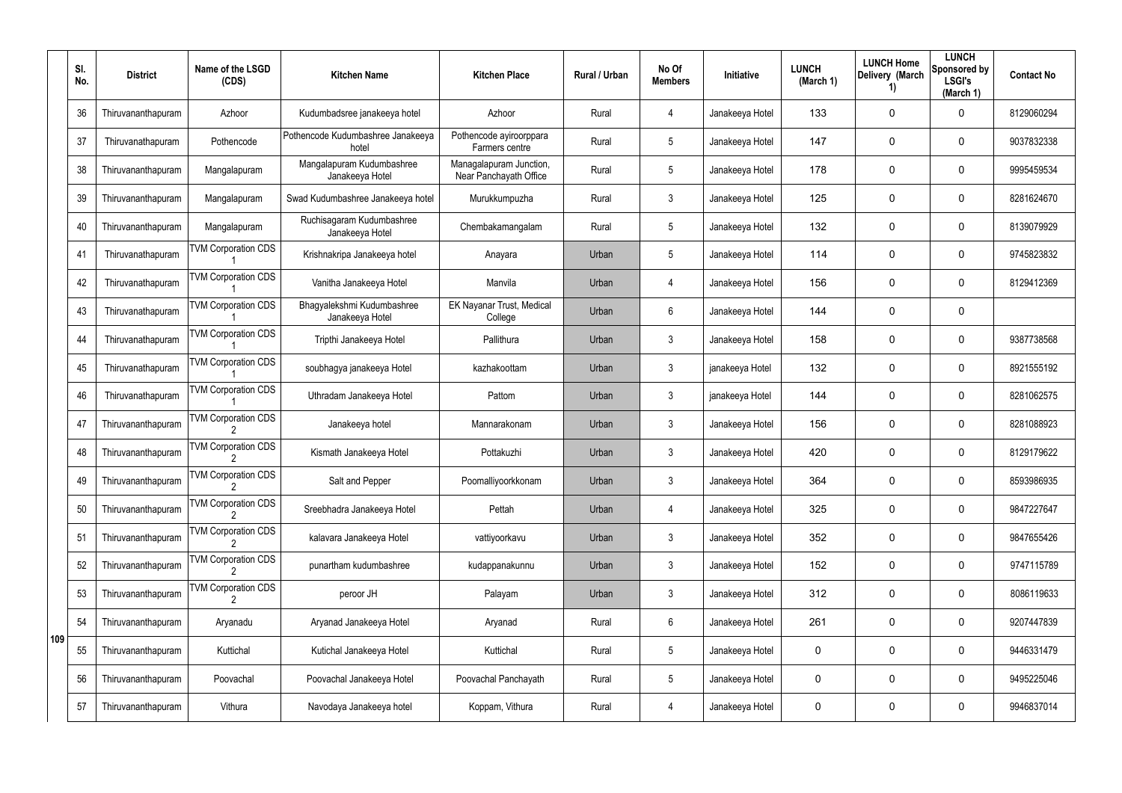|     | SI.<br>No. | <b>District</b>    | Name of the LSGD<br>(CDS)  | <b>Kitchen Name</b>                           | <b>Kitchen Place</b>                              | Rural / Urban | No Of<br><b>Members</b> | Initiative      | <b>LUNCH</b><br>(March 1) | <b>LUNCH Home</b><br>Delivery (March<br>1) | <b>LUNCH</b><br>Sponsored by<br><b>LSGI's</b><br>(March 1) | <b>Contact No</b> |
|-----|------------|--------------------|----------------------------|-----------------------------------------------|---------------------------------------------------|---------------|-------------------------|-----------------|---------------------------|--------------------------------------------|------------------------------------------------------------|-------------------|
|     | 36         | Thiruvananthapuram | Azhoor                     | Kudumbadsree janakeeya hotel                  | Azhoor                                            | Rural         | 4                       | Janakeeya Hotel | 133                       | 0                                          | $\mathbf 0$                                                | 8129060294        |
|     | 37         | Thiruvanathapuram  | Pothencode                 | Pothencode Kudumbashree Janakeeya<br>hotel    | Pothencode ayiroorppara<br>Farmers centre         | Rural         | $5\phantom{.0}$         | Janakeeya Hotel | 147                       | 0                                          | 0                                                          | 9037832338        |
|     | 38         | Thiruvananthapuram | Mangalapuram               | Mangalapuram Kudumbashree<br>Janakeeya Hotel  | Managalapuram Junction,<br>Near Panchayath Office | Rural         | $5\phantom{.0}$         | Janakeeya Hotel | 178                       | 0                                          | $\mathbf 0$                                                | 9995459534        |
|     | 39         | Thiruvananthapuram | Mangalapuram               | Swad Kudumbashree Janakeeya hotel             | Murukkumpuzha                                     | Rural         | 3                       | Janakeeya Hotel | 125                       | 0                                          | $\mathbf 0$                                                | 8281624670        |
|     | 40         | Thiruvananthapuram | Mangalapuram               | Ruchisagaram Kudumbashree<br>Janakeeya Hotel  | Chembakamangalam                                  | Rural         | $5\phantom{.0}$         | Janakeeya Hotel | 132                       | 0                                          | $\mathbf 0$                                                | 8139079929        |
|     | 41         | Thiruvanathapuram  | <b>TVM Corporation CDS</b> | Krishnakripa Janakeeya hotel                  | Anayara                                           | Urban         | $5\phantom{.0}$         | Janakeeya Hotel | 114                       | 0                                          | $\mathbf 0$                                                | 9745823832        |
|     | 42         | Thiruvanathapuram  | <b>TVM Corporation CDS</b> | Vanitha Janakeeya Hotel                       | Manvila                                           | Urban         | $\overline{4}$          | Janakeeya Hotel | 156                       | 0                                          | $\mathbf 0$                                                | 8129412369        |
|     | 43         | Thiruvanathapuram  | <b>TVM Corporation CDS</b> | Bhagyalekshmi Kudumbashree<br>Janakeeya Hotel | EK Nayanar Trust, Medical<br>College              | Urban         | 6                       | Janakeeya Hotel | 144                       | 0                                          | $\mathbf 0$                                                |                   |
|     | 44         | Thiruvanathapuram  | <b>TVM Corporation CDS</b> | Tripthi Janakeeya Hotel                       | Pallithura                                        | Urban         | $\mathbf{3}$            | Janakeeya Hotel | 158                       | 0                                          | $\mathbf 0$                                                | 9387738568        |
|     | 45         | Thiruvanathapuram  | <b>TVM Corporation CDS</b> | soubhagya janakeeya Hotel                     | kazhakoottam                                      | Urban         | $\mathbf{3}$            | janakeeya Hotel | 132                       | 0                                          | $\mathbf 0$                                                | 8921555192        |
|     | 46         | Thiruvanathapuram  | <b>TVM Corporation CDS</b> | Uthradam Janakeeya Hotel                      | Pattom                                            | Urban         | $\mathbf{3}$            | janakeeya Hotel | 144                       | 0                                          | $\mathbf 0$                                                | 8281062575        |
|     | 47         | Thiruvananthapuram | <b>TVM Corporation CDS</b> | Janakeeya hotel                               | Mannarakonam                                      | Urban         | 3                       | Janakeeya Hotel | 156                       | 0                                          | $\mathbf 0$                                                | 8281088923        |
|     | 48         | Thiruvananthapuram | <b>TVM Corporation CDS</b> | Kismath Janakeeya Hotel                       | Pottakuzhi                                        | Urban         | $\mathbf{3}$            | Janakeeya Hotel | 420                       | 0                                          | $\mathbf 0$                                                | 8129179622        |
|     | 49         | Thiruvananthapuram | <b>TVM Corporation CDS</b> | Salt and Pepper                               | Poomalliyoorkkonam                                | Urban         | 3                       | Janakeeya Hotel | 364                       | 0                                          | $\mathbf 0$                                                | 8593986935        |
|     | 50         | Thiruvananthapuram | <b>TVM Corporation CDS</b> | Sreebhadra Janakeeya Hotel                    | Pettah                                            | Urban         | $\overline{4}$          | Janakeeya Hotel | 325                       | 0                                          | $\mathbf 0$                                                | 9847227647        |
|     | 51         | Thiruvananthapuram | <b>TVM Corporation CDS</b> | kalavara Janakeeya Hotel                      | vattiyoorkavu                                     | Urban         | $\mathbf{3}$            | Janakeeya Hotel | 352                       | 0                                          | 0                                                          | 9847655426        |
|     | 52         | Thiruvananthapuram | <b>TVM Corporation CDS</b> | punartham kudumbashree                        | kudappanakunnu                                    | Urban         | $\mathbf{3}$            | Janakeeya Hotel | 152                       | 0                                          | $\mathbf 0$                                                | 9747115789        |
|     | 53         | Thiruvananthapuram | <b>TVM Corporation CDS</b> | peroor JH                                     | Palayam                                           | Urban         | $\mathbf{3}$            | Janakeeya Hotel | 312                       | 0                                          | $\mathbf 0$                                                | 8086119633        |
|     | 54         | Thiruvananthapuram | Aryanadu                   | Aryanad Janakeeya Hotel                       | Aryanad                                           | Rural         | 6                       | Janakeeya Hotel | 261                       | 0                                          | $\mathbf 0$                                                | 9207447839        |
| 109 | 55         | Thiruvananthapuram | Kuttichal                  | Kutichal Janakeeya Hotel                      | Kuttichal                                         | Rural         | $5\phantom{.0}$         | Janakeeya Hotel | 0                         | 0                                          | $\mathbf 0$                                                | 9446331479        |
|     | 56         | Thiruvananthapuram | Poovachal                  | Poovachal Janakeeya Hotel                     | Poovachal Panchayath                              | Rural         | $\sqrt{5}$              | Janakeeya Hotel | 0                         | 0                                          | $\mathbf 0$                                                | 9495225046        |
|     | 57         | Thiruvananthapuram | Vithura                    | Navodaya Janakeeya hotel                      | Koppam, Vithura                                   | Rural         | 4                       | Janakeeya Hotel | 0                         | 0                                          | $\mathbf 0$                                                | 9946837014        |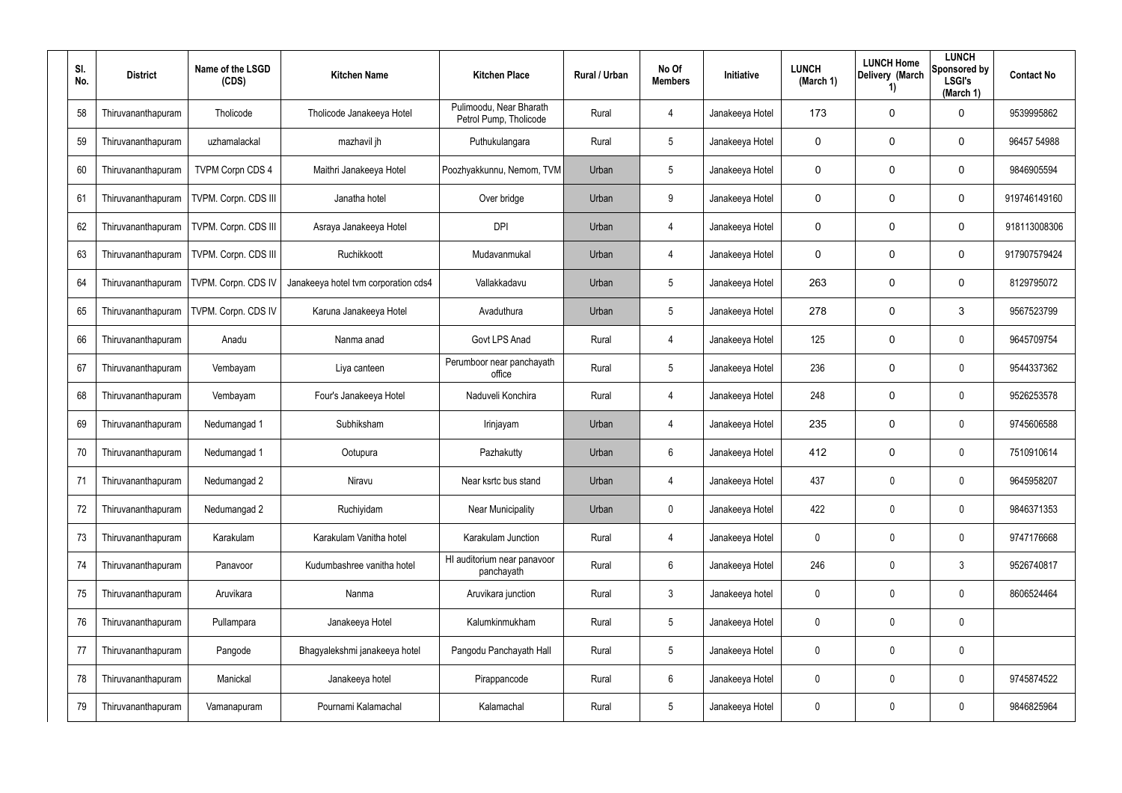| SI.<br>No. | <b>District</b>    | Name of the LSGD<br>(CDS) | <b>Kitchen Name</b>                  | <b>Kitchen Place</b>                              | Rural / Urban | No Of<br><b>Members</b> | <b>Initiative</b> | <b>LUNCH</b><br>(March 1) | <b>LUNCH Home</b><br>Delivery (March<br>1) | <b>LUNCH</b><br>Sponsored by<br><b>LSGI's</b><br>(March 1) | <b>Contact No</b> |
|------------|--------------------|---------------------------|--------------------------------------|---------------------------------------------------|---------------|-------------------------|-------------------|---------------------------|--------------------------------------------|------------------------------------------------------------|-------------------|
| 58         | Thiruvananthapuram | Tholicode                 | Tholicode Janakeeya Hotel            | Pulimoodu, Near Bharath<br>Petrol Pump, Tholicode | Rural         | 4                       | Janakeeya Hotel   | 173                       | $\mathbf 0$                                | $\mathbf 0$                                                | 9539995862        |
| 59         | Thiruvananthapuram | uzhamalackal              | mazhavil jh                          | Puthukulangara                                    | Rural         | $5\phantom{.0}$         | Janakeeya Hotel   | $\mathbf 0$               | $\mathbf 0$                                | $\mathbf 0$                                                | 96457 54988       |
| 60         | Thiruvananthapuram | <b>TVPM Corpn CDS 4</b>   | Maithri Janakeeya Hotel              | Poozhyakkunnu, Nemom, TVM                         | Urban         | $5\phantom{.0}$         | Janakeeya Hotel   | $\mathbf 0$               | $\mathbf 0$                                | $\mathbf 0$                                                | 9846905594        |
| 61         | Thiruvananthapuram | TVPM. Corpn. CDS III      | Janatha hotel                        | Over bridge                                       | Urban         | 9                       | Janakeeya Hotel   | $\mathbf 0$               | $\mathbf 0$                                | $\mathbf 0$                                                | 919746149160      |
| 62         | Thiruvananthapuram | TVPM. Corpn. CDS III      | Asraya Janakeeya Hotel               | <b>DPI</b>                                        | Urban         | 4                       | Janakeeya Hotel   | $\mathbf 0$               | $\mathbf 0$                                | $\mathbf 0$                                                | 918113008306      |
| 63         | Thiruvananthapuram | TVPM. Corpn. CDS III      | Ruchikkoott                          | Mudavanmukal                                      | Urban         | 4                       | Janakeeya Hotel   | $\mathbf 0$               | $\mathbf 0$                                | $\mathbf 0$                                                | 917907579424      |
| 64         | Thiruvananthapuram | TVPM. Corpn. CDS IV       | Janakeeya hotel tvm corporation cds4 | Vallakkadavu                                      | Urban         | $5\phantom{.0}$         | Janakeeya Hotel   | 263                       | $\mathbf 0$                                | $\mathbf 0$                                                | 8129795072        |
| 65         | Thiruvananthapuram | TVPM. Corpn. CDS IV       | Karuna Janakeeya Hotel               | Avaduthura                                        | Urban         | $5\phantom{.0}$         | Janakeeya Hotel   | 278                       | $\mathbf 0$                                | 3                                                          | 9567523799        |
| 66         | Thiruvananthapuram | Anadu                     | Nanma anad                           | Govt LPS Anad                                     | Rural         | 4                       | Janakeeya Hotel   | 125                       | $\mathbf 0$                                | $\boldsymbol{0}$                                           | 9645709754        |
| 67         | Thiruvananthapuram | Vembayam                  | Liya canteen                         | Perumboor near panchayath<br>office               | Rural         | $5\phantom{.0}$         | Janakeeya Hotel   | 236                       | $\mathbf 0$                                | $\mathbf 0$                                                | 9544337362        |
| 68         | Thiruvananthapuram | Vembayam                  | Four's Janakeeya Hotel               | Naduveli Konchira                                 | Rural         | 4                       | Janakeeya Hotel   | 248                       | $\mathbf 0$                                | $\boldsymbol{0}$                                           | 9526253578        |
| 69         | Thiruvananthapuram | Nedumangad 1              | Subhiksham                           | Irinjayam                                         | Urban         | 4                       | Janakeeya Hotel   | 235                       | $\mathbf 0$                                | $\mathbf 0$                                                | 9745606588        |
| 70         | Thiruvananthapuram | Nedumangad 1              | Ootupura                             | Pazhakutty                                        | Urban         | 6                       | Janakeeya Hotel   | 412                       | $\mathbf 0$                                | $\boldsymbol{0}$                                           | 7510910614        |
| 71         | Thiruvananthapuram | Nedumangad 2              | Niravu                               | Near ksrtc bus stand                              | Urban         | 4                       | Janakeeya Hotel   | 437                       | 0                                          | $\pmb{0}$                                                  | 9645958207        |
| 72         | Thiruvananthapuram | Nedumangad 2              | Ruchiyidam                           | <b>Near Municipality</b>                          | Urban         | $\mathbf 0$             | Janakeeya Hotel   | 422                       | 0                                          | $\pmb{0}$                                                  | 9846371353        |
| 73         | Thiruvananthapuram | Karakulam                 | Karakulam Vanitha hotel              | Karakulam Junction                                | Rural         | 4                       | Janakeeya Hotel   | $\mathbf 0$               | 0                                          | $\pmb{0}$                                                  | 9747176668        |
| 74         | Thiruvananthapuram | Panavoor                  | Kudumbashree vanitha hotel           | HI auditorium near panavoor<br>panchayath         | Rural         | 6                       | Janakeeya Hotel   | 246                       | 0                                          | $3\phantom{.0}$                                            | 9526740817        |
| 75         | Thiruvananthapuram | Aruvikara                 | Nanma                                | Aruvikara junction                                | Rural         | $\mathbf{3}$            | Janakeeya hotel   | 0                         | 0                                          | $\pmb{0}$                                                  | 8606524464        |
| 76         | Thiruvananthapuram | Pullampara                | Janakeeya Hotel                      | Kalumkinmukham                                    | Rural         | $5\phantom{.0}$         | Janakeeya Hotel   | 0                         | 0                                          | $\pmb{0}$                                                  |                   |
| 77         | Thiruvananthapuram | Pangode                   | Bhagyalekshmi janakeeya hotel        | Pangodu Panchayath Hall                           | Rural         | $5\phantom{.0}$         | Janakeeya Hotel   | 0                         | 0                                          | $\pmb{0}$                                                  |                   |
| 78         | Thiruvananthapuram | Manickal                  | Janakeeya hotel                      | Pirappancode                                      | Rural         | 6                       | Janakeeya Hotel   | 0                         | 0                                          | $\pmb{0}$                                                  | 9745874522        |
| 79         | Thiruvananthapuram | Vamanapuram               | Pournami Kalamachal                  | Kalamachal                                        | Rural         | $5\phantom{.0}$         | Janakeeya Hotel   | 0                         | 0                                          | $\pmb{0}$                                                  | 9846825964        |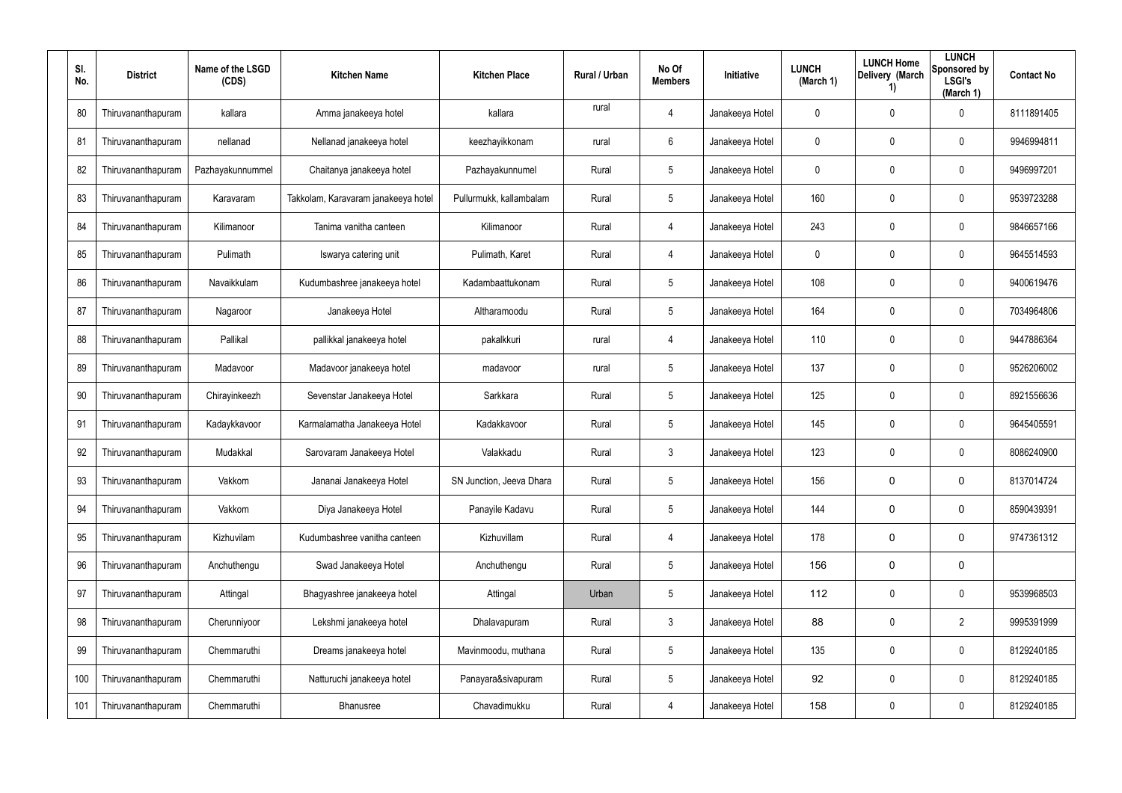| SI.<br>No. | <b>District</b>    | Name of the LSGD<br>(CDS) | <b>Kitchen Name</b>                 | <b>Kitchen Place</b>     | <b>Rural / Urban</b> | No Of<br><b>Members</b> | Initiative      | <b>LUNCH</b><br>(March 1) | <b>LUNCH Home</b><br>Delivery (March<br>1) | <b>LUNCH</b><br>Sponsored by<br><b>LSGI's</b><br>(March 1) | <b>Contact No</b> |
|------------|--------------------|---------------------------|-------------------------------------|--------------------------|----------------------|-------------------------|-----------------|---------------------------|--------------------------------------------|------------------------------------------------------------|-------------------|
| 80         | Thiruvananthapuram | kallara                   | Amma janakeeya hotel                | kallara                  | rural                | 4                       | Janakeeya Hotel | 0                         | $\mathbf 0$                                | $\mathbf 0$                                                | 8111891405        |
| 81         | Thiruvananthapuram | nellanad                  | Nellanad janakeeya hotel            | keezhayikkonam           | rural                | 6                       | Janakeeya Hotel | 0                         | 0                                          | $\mathbf 0$                                                | 9946994811        |
| 82         | Thiruvananthapuram | Pazhayakunnummel          | Chaitanya janakeeya hotel           | Pazhayakunnumel          | Rural                | 5                       | Janakeeya Hotel | 0                         | $\mathbf 0$                                | $\mathbf 0$                                                | 9496997201        |
| 83         | Thiruvananthapuram | Karavaram                 | Takkolam, Karavaram janakeeya hotel | Pullurmukk, kallambalam  | Rural                | 5                       | Janakeeya Hotel | 160                       | 0                                          | $\mathbf 0$                                                | 9539723288        |
| 84         | Thiruvananthapuram | Kilimanoor                | Tanima vanitha canteen              | Kilimanoor               | Rural                | 4                       | Janakeeya Hotel | 243                       | $\mathbf 0$                                | $\mathbf 0$                                                | 9846657166        |
| 85         | Thiruvananthapuram | Pulimath                  | Iswarya catering unit               | Pulimath, Karet          | Rural                | 4                       | Janakeeya Hotel | 0                         | 0                                          | $\mathbf 0$                                                | 9645514593        |
| 86         | Thiruvananthapuram | Navaikkulam               | Kudumbashree janakeeya hotel        | Kadambaattukonam         | Rural                | $5\overline{)}$         | Janakeeya Hotel | 108                       | $\mathbf 0$                                | $\mathbf 0$                                                | 9400619476        |
| 87         | Thiruvananthapuram | Nagaroor                  | Janakeeya Hotel                     | Altharamoodu             | Rural                | $5\overline{)}$         | Janakeeya Hotel | 164                       | $\mathbf 0$                                | $\mathbf 0$                                                | 7034964806        |
| 88         | Thiruvananthapuram | Pallikal                  | pallikkal janakeeya hotel           | pakalkkuri               | rural                | 4                       | Janakeeya Hotel | 110                       | $\mathbf 0$                                | $\mathbf 0$                                                | 9447886364        |
| 89         | Thiruvananthapuram | Madavoor                  | Madavoor janakeeya hotel            | madavoor                 | rural                | $5\overline{)}$         | Janakeeya Hotel | 137                       | $\mathbf 0$                                | $\mathbf 0$                                                | 9526206002        |
| 90         | Thiruvananthapuram | Chirayinkeezh             | Sevenstar Janakeeya Hotel           | Sarkkara                 | Rural                | 5                       | Janakeeya Hotel | 125                       | $\mathbf 0$                                | $\mathbf 0$                                                | 8921556636        |
| 91         | Thiruvananthapuram | Kadaykkavoor              | Karmalamatha Janakeeya Hotel        | Kadakkavoor              | Rural                | $5\overline{)}$         | Janakeeya Hotel | 145                       | $\mathbf 0$                                | $\mathbf 0$                                                | 9645405591        |
| 92         | Thiruvananthapuram | Mudakkal                  | Sarovaram Janakeeya Hotel           | Valakkadu                | Rural                | $\mathbf{3}$            | Janakeeya Hotel | 123                       | $\mathbf 0$                                | $\mathbf 0$                                                | 8086240900        |
| 93         | Thiruvananthapuram | Vakkom                    | Jananai Janakeeya Hotel             | SN Junction, Jeeva Dhara | Rural                | 5                       | Janakeeya Hotel | 156                       | 0                                          | 0                                                          | 8137014724        |
| 94         | Thiruvananthapuram | Vakkom                    | Diya Janakeeya Hotel                | Panayile Kadavu          | Rural                | $5\overline{)}$         | Janakeeya Hotel | 144                       | 0                                          | 0                                                          | 8590439391        |
| 95         | Thiruvananthapuram | Kizhuvilam                | Kudumbashree vanitha canteen        | Kizhuvillam              | Rural                | 4                       | Janakeeya Hotel | 178                       | 0                                          | 0                                                          | 9747361312        |
| 96         | Thiruvananthapuram | Anchuthengu               | Swad Janakeeya Hotel                | Anchuthengu              | Rural                | $5\overline{)}$         | Janakeeya Hotel | 156                       | 0                                          | 0                                                          |                   |
| 97         | Thiruvananthapuram | Attingal                  | Bhagyashree janakeeya hotel         | Attingal                 | Urban                | 5                       | Janakeeya Hotel | 112                       | $\mathbf 0$                                | $\mathbf 0$                                                | 9539968503        |
| 98         | Thiruvananthapuram | Cherunniyoor              | Lekshmi janakeeya hotel             | Dhalavapuram             | Rural                | $\mathbf{3}$            | Janakeeya Hotel | 88                        | 0                                          | $\overline{2}$                                             | 9995391999        |
| 99         | Thiruvananthapuram | Chemmaruthi               | Dreams janakeeya hotel              | Mavinmoodu, muthana      | Rural                | 5                       | Janakeeya Hotel | 135                       | $\mathbf 0$                                | $\mathbf 0$                                                | 8129240185        |
| 100        | Thiruvananthapuram | Chemmaruthi               | Natturuchi janakeeya hotel          | Panayara&sivapuram       | Rural                | 5                       | Janakeeya Hotel | 92                        | 0                                          | $\mathbf 0$                                                | 8129240185        |
| 101        | Thiruvananthapuram | Chemmaruthi               | Bhanusree                           | Chavadimukku             | Rural                | 4                       | Janakeeya Hotel | 158                       | 0                                          | $\pmb{0}$                                                  | 8129240185        |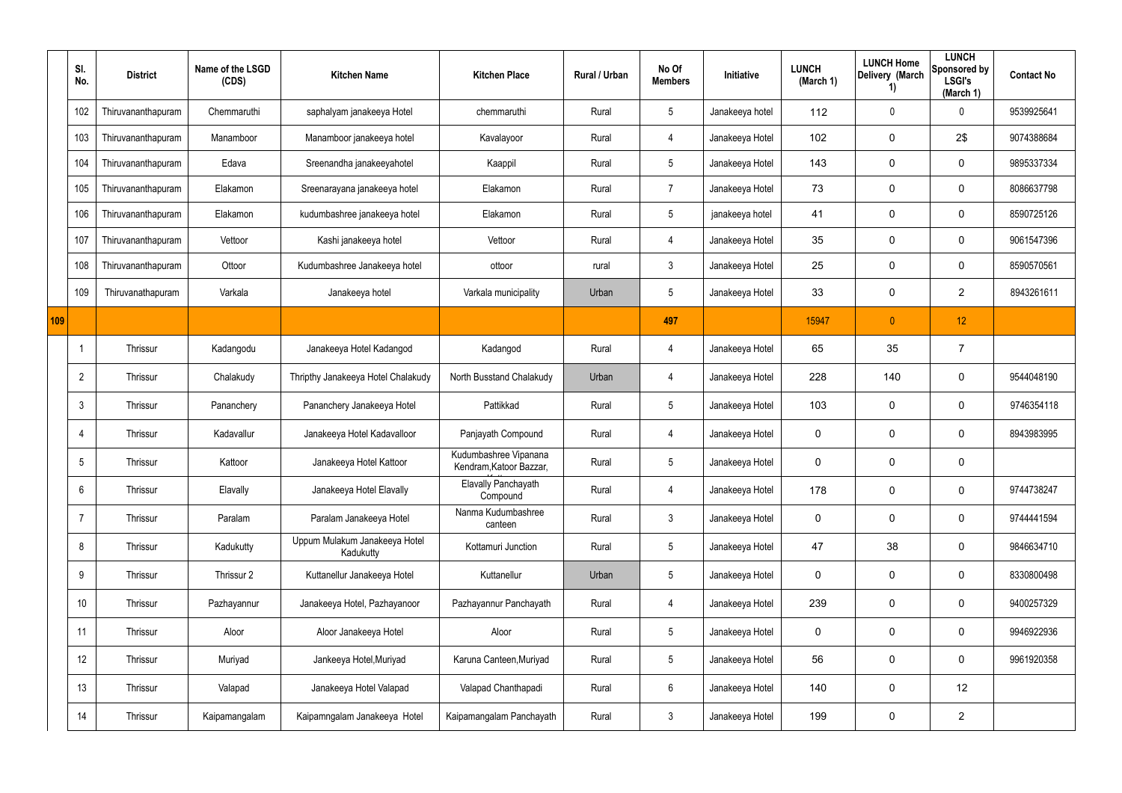|     | SI.<br>No.     | <b>District</b>    | Name of the LSGD<br>(CDS) | <b>Kitchen Name</b>                        | <b>Kitchen Place</b>                             | Rural / Urban | No Of<br><b>Members</b> | Initiative      | <b>LUNCH</b><br>(March 1) | <b>LUNCH Home</b><br>Delivery (March<br>1) | <b>LUNCH</b><br>Sponsored by<br><b>LSGI's</b><br>(March 1) | <b>Contact No</b> |
|-----|----------------|--------------------|---------------------------|--------------------------------------------|--------------------------------------------------|---------------|-------------------------|-----------------|---------------------------|--------------------------------------------|------------------------------------------------------------|-------------------|
|     | 102            | Thiruvananthapuram | Chemmaruthi               | saphalyam janakeeya Hotel                  | chemmaruthi                                      | Rural         | $5\phantom{.0}$         | Janakeeya hotel | 112                       | 0                                          | 0                                                          | 9539925641        |
|     | 103            | Thiruvananthapuram | Manamboor                 | Manamboor janakeeya hotel                  | Kavalayoor                                       | Rural         | 4                       | Janakeeya Hotel | 102                       | 0                                          | 2\$                                                        | 9074388684        |
|     | 104            | Thiruvananthapuram | Edava                     | Sreenandha janakeeyahotel                  | Kaappil                                          | Rural         | $5\phantom{.0}$         | Janakeeya Hotel | 143                       | 0                                          | $\mathbf 0$                                                | 9895337334        |
|     | 105            | Thiruvananthapuram | Elakamon                  | Sreenarayana janakeeya hotel               | Elakamon                                         | Rural         | $\overline{7}$          | Janakeeya Hotel | 73                        | 0                                          | 0                                                          | 8086637798        |
|     | 106            | Thiruvananthapuram | Elakamon                  | kudumbashree janakeeya hotel               | Elakamon                                         | Rural         | $5\overline{)}$         | janakeeya hotel | 41                        | 0                                          | $\mathbf 0$                                                | 8590725126        |
|     | 107            | Thiruvananthapuram | Vettoor                   | Kashi janakeeya hotel                      | Vettoor                                          | Rural         | 4                       | Janakeeya Hotel | 35                        | 0                                          | $\mathbf 0$                                                | 9061547396        |
|     | 108            | Thiruvananthapuram | Ottoor                    | Kudumbashree Janakeeya hotel               | ottoor                                           | rural         | $\mathbf{3}$            | Janakeeya Hotel | 25                        | 0                                          | $\mathbf 0$                                                | 8590570561        |
|     | 109            | Thiruvanathapuram  | Varkala                   | Janakeeya hotel                            | Varkala municipality                             | Urban         | $5\overline{)}$         | Janakeeya Hotel | 33                        | 0                                          | $\overline{2}$                                             | 8943261611        |
| 109 |                |                    |                           |                                            |                                                  |               | 497                     |                 | 15947                     | $\overline{0}$                             | 12                                                         |                   |
|     |                | Thrissur           | Kadangodu                 | Janakeeya Hotel Kadangod                   | Kadangod                                         | Rural         | 4                       | Janakeeya Hotel | 65                        | 35                                         | $\overline{7}$                                             |                   |
|     | $\overline{2}$ | Thrissur           | Chalakudy                 | Thripthy Janakeeya Hotel Chalakudy         | North Busstand Chalakudy                         | Urban         | 4                       | Janakeeya Hotel | 228                       | 140                                        | $\mathbf 0$                                                | 9544048190        |
|     | 3              | Thrissur           | Pananchery                | Pananchery Janakeeya Hotel                 | Pattikkad                                        | Rural         | $5\phantom{.0}$         | Janakeeya Hotel | 103                       | 0                                          | $\mathbf 0$                                                | 9746354118        |
|     | -4             | Thrissur           | Kadavallur                | Janakeeya Hotel Kadavalloor                | Panjayath Compound                               | Rural         | 4                       | Janakeeya Hotel | $\mathbf 0$               | 0                                          | $\mathbf 0$                                                | 8943983995        |
|     | 5              | Thrissur           | Kattoor                   | Janakeeya Hotel Kattoor                    | Kudumbashree Vipanana<br>Kendram, Katoor Bazzar, | Rural         | $5\phantom{.0}$         | Janakeeya Hotel | $\mathbf 0$               | 0                                          | $\mathbf 0$                                                |                   |
|     | 6              | Thrissur           | Elavally                  | Janakeeya Hotel Elavally                   | Elavally Panchayath<br>Compound                  | Rural         | $\overline{4}$          | Janakeeya Hotel | 178                       | 0                                          | $\mathbf 0$                                                | 9744738247        |
|     | $\overline{7}$ | Thrissur           | Paralam                   | Paralam Janakeeya Hotel                    | Nanma Kudumbashree<br>canteen                    | Rural         | $\mathbf{3}$            | Janakeeya Hotel | $\mathbf 0$               | 0                                          | $\mathbf 0$                                                | 9744441594        |
|     | 8              | Thrissur           | Kadukutty                 | Uppum Mulakum Janakeeya Hotel<br>Kadukutty | Kottamuri Junction                               | Rural         | $5\phantom{.0}$         | Janakeeya Hotel | 47                        | 38                                         | $\mathbf 0$                                                | 9846634710        |
|     | 9              | Thrissur           | Thrissur 2                | Kuttanellur Janakeeya Hotel                | Kuttanellur                                      | Urban         | $5\,$                   | Janakeeya Hotel | $\mathbf 0$               | 0                                          | $\mathbf 0$                                                | 8330800498        |
|     | 10             | Thrissur           | Pazhayannur               | Janakeeya Hotel, Pazhayanoor               | Pazhayannur Panchayath                           | Rural         | $\overline{4}$          | Janakeeya Hotel | 239                       | 0                                          | $\mathbf 0$                                                | 9400257329        |
|     | 11             | Thrissur           | Aloor                     | Aloor Janakeeya Hotel                      | Aloor                                            | Rural         | $5\phantom{.0}$         | Janakeeya Hotel | $\pmb{0}$                 | 0                                          | $\mathbf 0$                                                | 9946922936        |
|     | 12             | Thrissur           | Muriyad                   | Jankeeya Hotel, Muriyad                    | Karuna Canteen, Muriyad                          | Rural         | $5\phantom{.0}$         | Janakeeya Hotel | 56                        | 0                                          | $\mathbf 0$                                                | 9961920358        |
|     | 13             | Thrissur           | Valapad                   | Janakeeya Hotel Valapad                    | Valapad Chanthapadi                              | Rural         | $6\phantom{.}6$         | Janakeeya Hotel | 140                       | 0                                          | 12                                                         |                   |
|     | 14             | Thrissur           | Kaipamangalam             | Kaipamngalam Janakeeya Hotel               | Kaipamangalam Panchayath                         | Rural         | $\mathbf{3}$            | Janakeeya Hotel | 199                       | 0                                          | $\overline{2}$                                             |                   |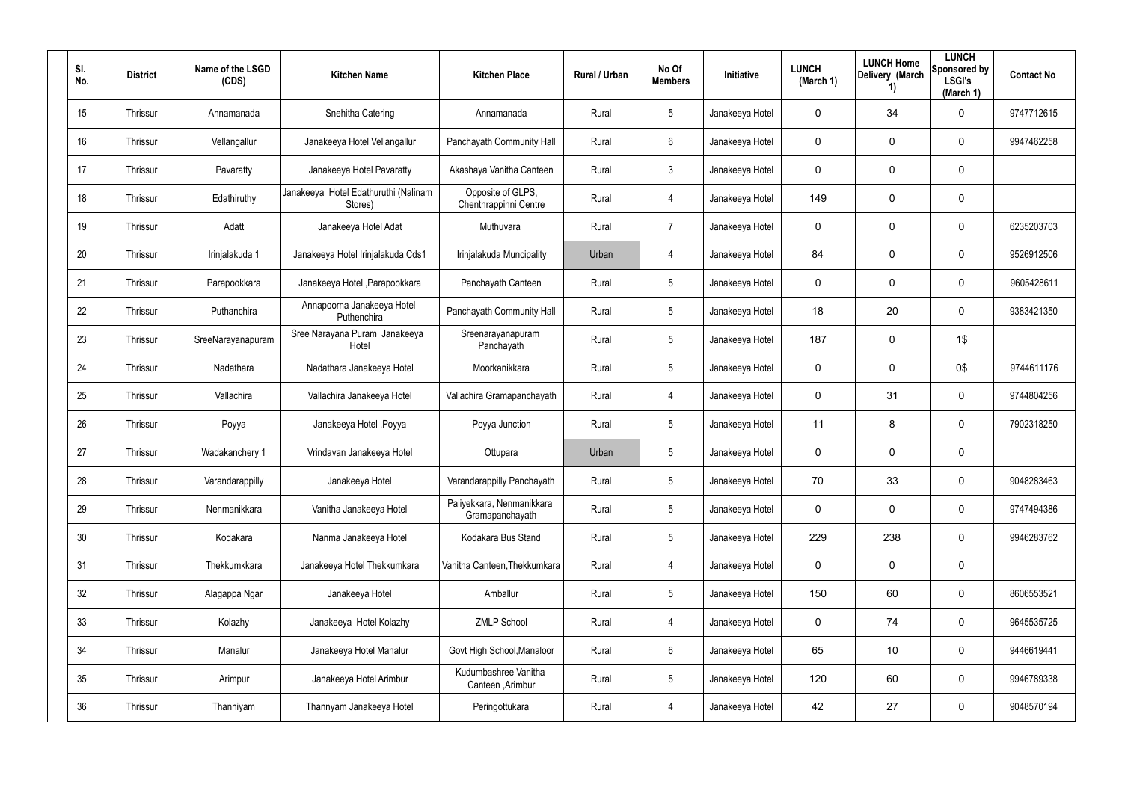| SI.<br>No. | <b>District</b> | Name of the LSGD<br>(CDS) | <b>Kitchen Name</b>                             | <b>Kitchen Place</b>                         | <b>Rural / Urban</b> | No Of<br><b>Members</b> | <b>Initiative</b> | <b>LUNCH</b><br>(March 1) | <b>LUNCH Home</b><br>Delivery (March<br>1) | <b>LUNCH</b><br>Sponsored by<br><b>LSGI's</b><br>(March 1) | <b>Contact No</b> |
|------------|-----------------|---------------------------|-------------------------------------------------|----------------------------------------------|----------------------|-------------------------|-------------------|---------------------------|--------------------------------------------|------------------------------------------------------------|-------------------|
| 15         | Thrissur        | Annamanada                | Snehitha Catering                               | Annamanada                                   | Rural                | 5                       | Janakeeya Hotel   | $\mathbf 0$               | 34                                         | 0                                                          | 9747712615        |
| 16         | Thrissur        | Vellangallur              | Janakeeya Hotel Vellangallur                    | Panchayath Community Hall                    | Rural                | 6                       | Janakeeya Hotel   | $\mathbf 0$               | 0                                          | 0                                                          | 9947462258        |
| 17         | Thrissur        | Pavaratty                 | Janakeeya Hotel Pavaratty                       | Akashaya Vanitha Canteen                     | Rural                | $\mathfrak{Z}$          | Janakeeya Hotel   | $\mathbf 0$               | 0                                          | 0                                                          |                   |
| 18         | Thrissur        | Edathiruthy               | Janakeeya Hotel Edathuruthi (Nalinam<br>Stores) | Opposite of GLPS,<br>Chenthrappinni Centre   | Rural                | 4                       | Janakeeya Hotel   | 149                       | 0                                          | 0                                                          |                   |
| 19         | Thrissur        | Adatt                     | Janakeeya Hotel Adat                            | Muthuvara                                    | Rural                | $\overline{7}$          | Janakeeya Hotel   | $\mathbf 0$               | 0                                          | $\mathbf 0$                                                | 6235203703        |
| 20         | Thrissur        | Irinjalakuda 1            | Janakeeya Hotel Irinjalakuda Cds1               | Irinjalakuda Muncipality                     | Urban                | 4                       | Janakeeya Hotel   | 84                        | 0                                          | $\mathbf 0$                                                | 9526912506        |
| 21         | Thrissur        | Parapookkara              | Janakeeya Hotel, Parapookkara                   | Panchayath Canteen                           | Rural                | $5\phantom{.0}$         | Janakeeya Hotel   | $\mathbf 0$               | 0                                          | $\mathbf 0$                                                | 9605428611        |
| 22         | Thrissur        | Puthanchira               | Annapoorna Janakeeya Hotel<br>Puthenchira       | Panchayath Community Hall                    | Rural                | $5\overline{)}$         | Janakeeya Hotel   | 18                        | 20                                         | $\mathbf 0$                                                | 9383421350        |
| 23         | Thrissur        | SreeNarayanapuram         | Sree Narayana Puram Janakeeya<br>Hotel          | Sreenarayanapuram<br>Panchayath              | Rural                | $5\phantom{.0}$         | Janakeeya Hotel   | 187                       | 0                                          | 1\$                                                        |                   |
| 24         | Thrissur        | Nadathara                 | Nadathara Janakeeya Hotel                       | Moorkanikkara                                | Rural                | $5\overline{)}$         | Janakeeya Hotel   | $\mathbf 0$               | 0                                          | 0\$                                                        | 9744611176        |
| 25         | Thrissur        | Vallachira                | Vallachira Janakeeya Hotel                      | Vallachira Gramapanchayath                   | Rural                | 4                       | Janakeeya Hotel   | $\mathbf 0$               | 31                                         | $\mathbf 0$                                                | 9744804256        |
| 26         | Thrissur        | Poyya                     | Janakeeya Hotel, Poyya                          | Poyya Junction                               | Rural                | $5\phantom{.0}$         | Janakeeya Hotel   | 11                        | 8                                          | $\mathbf 0$                                                | 7902318250        |
| 27         | Thrissur        | Wadakanchery 1            | Vrindavan Janakeeya Hotel                       | Ottupara                                     | Urban                | $5\phantom{.0}$         | Janakeeya Hotel   | $\mathbf 0$               | 0                                          | 0                                                          |                   |
| 28         | Thrissur        | Varandarappilly           | Janakeeya Hotel                                 | Varandarappilly Panchayath                   | Rural                | $5\phantom{.0}$         | Janakeeya Hotel   | 70                        | 33                                         | 0                                                          | 9048283463        |
| 29         | Thrissur        | Nenmanikkara              | Vanitha Janakeeya Hotel                         | Paliyekkara, Nenmanikkara<br>Gramapanchayath | Rural                | $5\phantom{.0}$         | Janakeeya Hotel   | $\mathbf 0$               | 0                                          | 0                                                          | 9747494386        |
| 30         | Thrissur        | Kodakara                  | Nanma Janakeeya Hotel                           | Kodakara Bus Stand                           | Rural                | $5\phantom{.0}$         | Janakeeya Hotel   | 229                       | 238                                        | 0                                                          | 9946283762        |
| 31         | Thrissur        | Thekkumkkara              | Janakeeya Hotel Thekkumkara                     | Vanitha Canteen, Thekkumkara                 | Rural                | 4                       | Janakeeya Hotel   | $\mathbf 0$               | 0                                          | $\mathbf 0$                                                |                   |
| 32         | Thrissur        | Alagappa Ngar             | Janakeeya Hotel                                 | Amballur                                     | Rural                | $5\phantom{.0}$         | Janakeeya Hotel   | 150                       | 60                                         | 0                                                          | 8606553521        |
| 33         | Thrissur        | Kolazhy                   | Janakeeya Hotel Kolazhy                         | <b>ZMLP School</b>                           | Rural                | 4                       | Janakeeya Hotel   | $\mathbf 0$               | 74                                         | 0                                                          | 9645535725        |
| 34         | Thrissur        | Manalur                   | Janakeeya Hotel Manalur                         | Govt High School, Manaloor                   | Rural                | $6\phantom{.}$          | Janakeeya Hotel   | 65                        | 10                                         | 0                                                          | 9446619441        |
| 35         | Thrissur        | Arimpur                   | Janakeeya Hotel Arimbur                         | Kudumbashree Vanitha<br>Canteen, Arimbur     | Rural                | $5\phantom{.0}$         | Janakeeya Hotel   | 120                       | 60                                         | 0                                                          | 9946789338        |
| 36         | Thrissur        | Thanniyam                 | Thannyam Janakeeya Hotel                        | Peringottukara                               | Rural                | 4                       | Janakeeya Hotel   | 42                        | 27                                         | $\pmb{0}$                                                  | 9048570194        |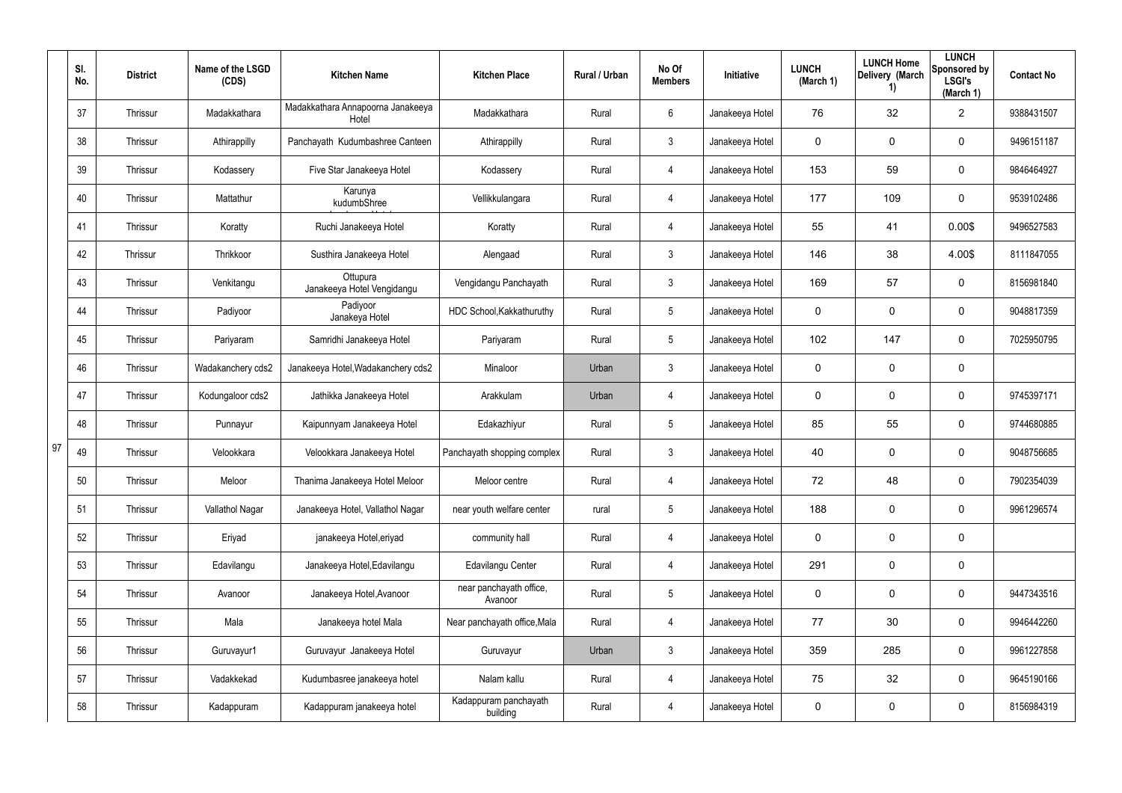|    | SI.<br>No. | <b>District</b> | Name of the LSGD<br>(CDS) | <b>Kitchen Name</b>                        | <b>Kitchen Place</b>               | Rural / Urban | No Of<br><b>Members</b> | Initiative      | <b>LUNCH</b><br>(March 1) | <b>LUNCH Home</b><br>Delivery (March<br>1) | <b>LUNCH</b><br>Sponsored by<br><b>LSGI's</b><br>(March 1) | <b>Contact No</b> |
|----|------------|-----------------|---------------------------|--------------------------------------------|------------------------------------|---------------|-------------------------|-----------------|---------------------------|--------------------------------------------|------------------------------------------------------------|-------------------|
|    | 37         | Thrissur        | Madakkathara              | Madakkathara Annapoorna Janakeeya<br>Hotel | Madakkathara                       | Rural         | 6                       | Janakeeya Hotel | 76                        | 32                                         | $\overline{2}$                                             | 9388431507        |
|    | 38         | Thrissur        | Athirappilly              | Panchayath Kudumbashree Canteen            | Athirappilly                       | Rural         | 3                       | Janakeeya Hotel | 0                         | 0                                          | 0                                                          | 9496151187        |
|    | 39         | Thrissur        | Kodassery                 | Five Star Janakeeya Hotel                  | Kodassery                          | Rural         | 4                       | Janakeeya Hotel | 153                       | 59                                         | $\mathbf 0$                                                | 9846464927        |
|    | 40         | Thrissur        | Mattathur                 | Karunya<br>kudumbShree                     | Vellikkulangara                    | Rural         | 4                       | Janakeeya Hotel | 177                       | 109                                        | 0                                                          | 9539102486        |
|    | 41         | Thrissur        | Koratty                   | Ruchi Janakeeya Hotel                      | Koratty                            | Rural         | 4                       | Janakeeya Hotel | 55                        | 41                                         | 0.00\$                                                     | 9496527583        |
|    | 42         | Thrissur        | Thrikkoor                 | Susthira Janakeeya Hotel                   | Alengaad                           | Rural         | 3                       | Janakeeya Hotel | 146                       | 38                                         | 4.00\$                                                     | 8111847055        |
|    | 43         | Thrissur        | Venkitangu                | Ottupura<br>Janakeeya Hotel Vengidangu     | Vengidangu Panchayath              | Rural         | $\mathbf{3}$            | Janakeeya Hotel | 169                       | 57                                         | 0                                                          | 8156981840        |
|    | 44         | Thrissur        | Padiyoor                  | Padiyoor<br>Janakeya Hotel                 | HDC School, Kakkathuruthy          | Rural         | 5                       | Janakeeya Hotel | 0                         | 0                                          | 0                                                          | 9048817359        |
|    | 45         | Thrissur        | Pariyaram                 | Samridhi Janakeeya Hotel                   | Pariyaram                          | Rural         | $\sqrt{5}$              | Janakeeya Hotel | 102                       | 147                                        | 0                                                          | 7025950795        |
|    | 46         | Thrissur        | Wadakanchery cds2         | Janakeeya Hotel, Wadakanchery cds2         | Minaloor                           | Urban         | 3                       | Janakeeya Hotel | 0                         | 0                                          | $\mathbf 0$                                                |                   |
|    | 47         | Thrissur        | Kodungaloor cds2          | Jathikka Janakeeya Hotel                   | Arakkulam                          | Urban         | 4                       | Janakeeya Hotel | 0                         | 0                                          | $\pmb{0}$                                                  | 9745397171        |
|    | 48         | Thrissur        | Punnayur                  | Kaipunnyam Janakeeya Hotel                 | Edakazhiyur                        | Rural         | 5                       | Janakeeya Hotel | 85                        | 55                                         | $\mathbf 0$                                                | 9744680885        |
| 97 | 49         | Thrissur        | Velookkara                | Velookkara Janakeeya Hotel                 | Panchayath shopping complex        | Rural         | $\mathfrak{Z}$          | Janakeeya Hotel | 40                        | 0                                          | 0                                                          | 9048756685        |
|    | 50         | Thrissur        | Meloor                    | Thanima Janakeeya Hotel Meloor             | Meloor centre                      | Rural         | 4                       | Janakeeya Hotel | 72                        | 48                                         | $\pmb{0}$                                                  | 7902354039        |
|    | 51         | Thrissur        | Vallathol Nagar           | Janakeeya Hotel, Vallathol Nagar           | near youth welfare center          | rural         | $5\phantom{.0}$         | Janakeeya Hotel | 188                       | $\mathbf 0$                                | $\mathbf 0$                                                | 9961296574        |
|    | 52         | Thrissur        | Eriyad                    | janakeeya Hotel, eriyad                    | community hall                     | Rural         | $\overline{4}$          | Janakeeya Hotel | 0                         | $\mathbf 0$                                | $\mathbf 0$                                                |                   |
|    | 53         | Thrissur        | Edavilangu                | Janakeeya Hotel, Edavilangu                | <b>Edavilangu Center</b>           | Rural         | $\overline{4}$          | Janakeeya Hotel | 291                       | $\mathbf 0$                                | $\mathbf 0$                                                |                   |
|    | 54         | Thrissur        | Avanoor                   | Janakeeya Hotel, Avanoor                   | near panchayath office,<br>Avanoor | Rural         | $5\phantom{.0}$         | Janakeeya Hotel | 0                         | $\mathbf 0$                                | 0                                                          | 9447343516        |
|    | 55         | Thrissur        | Mala                      | Janakeeya hotel Mala                       | Near panchayath office, Mala       | Rural         | $\overline{4}$          | Janakeeya Hotel | 77                        | 30                                         | 0                                                          | 9946442260        |
|    | 56         | Thrissur        | Guruvayur1                | Guruvayur Janakeeya Hotel                  | Guruvayur                          | Urban         | $\mathbf{3}$            | Janakeeya Hotel | 359                       | 285                                        | 0                                                          | 9961227858        |
|    | 57         | Thrissur        | Vadakkekad                | Kudumbasree janakeeya hotel                | Nalam kallu                        | Rural         | $\overline{4}$          | Janakeeya Hotel | 75                        | 32                                         | 0                                                          | 9645190166        |
|    | 58         | Thrissur        | Kadappuram                | Kadappuram janakeeya hotel                 | Kadappuram panchayath<br>building  | Rural         | 4                       | Janakeeya Hotel | 0                         | 0                                          | 0                                                          | 8156984319        |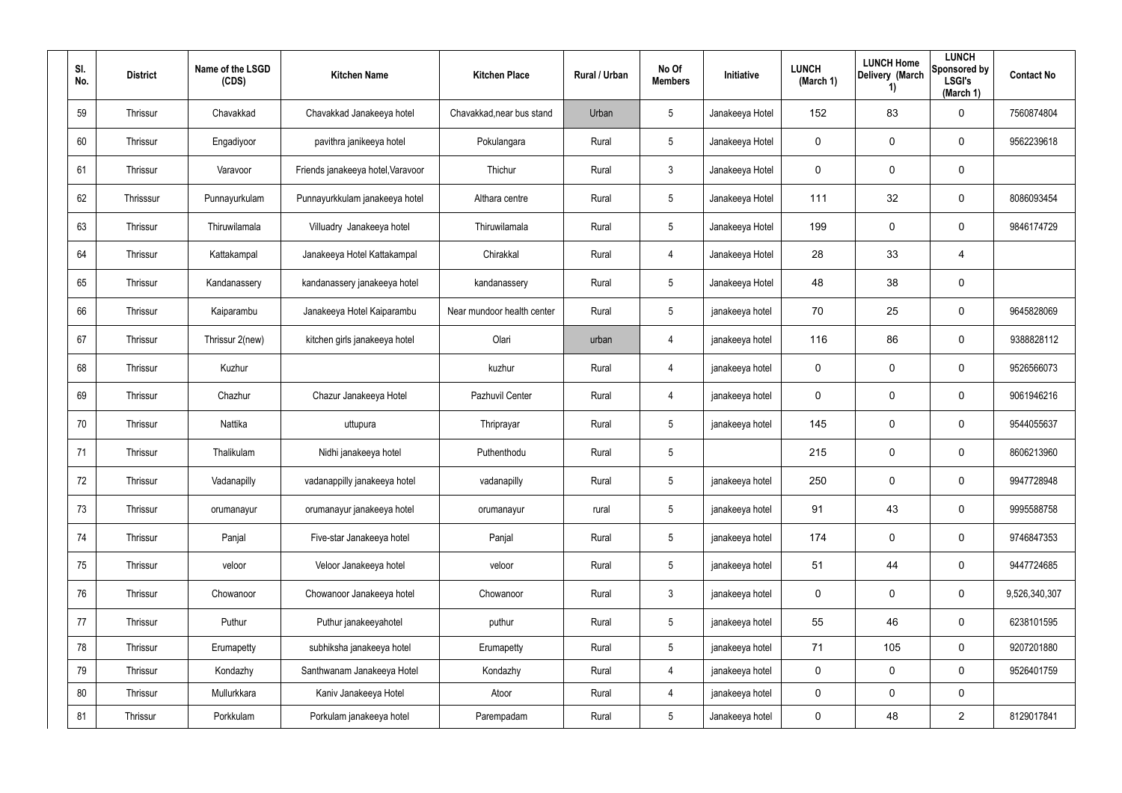| SI.<br>No. | <b>District</b> | Name of the LSGD<br>(CDS) | <b>Kitchen Name</b>               | <b>Kitchen Place</b>       | Rural / Urban | No Of<br><b>Members</b> | Initiative      | <b>LUNCH</b><br>(March 1) | <b>LUNCH Home</b><br>Delivery (March<br>1) | <b>LUNCH</b><br>Sponsored by<br><b>LSGI's</b><br>(March 1) | <b>Contact No</b> |
|------------|-----------------|---------------------------|-----------------------------------|----------------------------|---------------|-------------------------|-----------------|---------------------------|--------------------------------------------|------------------------------------------------------------|-------------------|
| 59         | Thrissur        | Chavakkad                 | Chavakkad Janakeeya hotel         | Chavakkad, near bus stand  | Urban         | $5\phantom{.0}$         | Janakeeya Hotel | 152                       | 83                                         | $\mathbf 0$                                                | 7560874804        |
| 60         | Thrissur        | Engadiyoor                | pavithra janikeeya hotel          | Pokulangara                | Rural         | $5\phantom{.0}$         | Janakeeya Hotel | 0                         | 0                                          | $\mathbf 0$                                                | 9562239618        |
| 61         | Thrissur        | Varavoor                  | Friends janakeeya hotel, Varavoor | Thichur                    | Rural         | $\mathfrak{Z}$          | Janakeeya Hotel | 0                         | 0                                          | $\mathbf 0$                                                |                   |
| 62         | Thrisssur       | Punnayurkulam             | Punnayurkkulam janakeeya hotel    | Althara centre             | Rural         | $5\phantom{.0}$         | Janakeeya Hotel | 111                       | 32                                         | $\mathbf 0$                                                | 8086093454        |
| 63         | Thrissur        | Thiruwilamala             | Villuadry Janakeeya hotel         | Thiruwilamala              | Rural         | $5\phantom{.0}$         | Janakeeya Hotel | 199                       | 0                                          | $\mathbf 0$                                                | 9846174729        |
| 64         | Thrissur        | Kattakampal               | Janakeeya Hotel Kattakampal       | Chirakkal                  | Rural         | 4                       | Janakeeya Hotel | 28                        | 33                                         | 4                                                          |                   |
| 65         | Thrissur        | Kandanassery              | kandanassery janakeeya hotel      | kandanassery               | Rural         | $5\phantom{.0}$         | Janakeeya Hotel | 48                        | 38                                         | $\mathbf 0$                                                |                   |
| 66         | Thrissur        | Kaiparambu                | Janakeeya Hotel Kaiparambu        | Near mundoor health center | Rural         | $5\phantom{.0}$         | janakeeya hotel | 70                        | 25                                         | $\mathbf 0$                                                | 9645828069        |
| 67         | Thrissur        | Thrissur 2(new)           | kitchen girls janakeeya hotel     | Olari                      | urban         | 4                       | janakeeya hotel | 116                       | 86                                         | $\mathbf 0$                                                | 9388828112        |
| 68         | Thrissur        | Kuzhur                    |                                   | kuzhur                     | Rural         | 4                       | janakeeya hotel | 0                         | 0                                          | $\mathbf 0$                                                | 9526566073        |
| 69         | Thrissur        | Chazhur                   | Chazur Janakeeya Hotel            | Pazhuvil Center            | Rural         | 4                       | janakeeya hotel | 0                         | 0                                          | $\mathbf 0$                                                | 9061946216        |
| 70         | Thrissur        | Nattika                   | uttupura                          | Thriprayar                 | Rural         | $5\phantom{.0}$         | janakeeya hotel | 145                       | 0                                          | $\mathbf 0$                                                | 9544055637        |
| 71         | Thrissur        | Thalikulam                | Nidhi janakeeya hotel             | Puthenthodu                | Rural         | $5\phantom{.0}$         |                 | 215                       | $\mathbf 0$                                | $\mathbf 0$                                                | 8606213960        |
| 72         | Thrissur        | Vadanapilly               | vadanappilly janakeeya hotel      | vadanapilly                | Rural         | $5\phantom{.0}$         | janakeeya hotel | 250                       | 0                                          | $\mathbf 0$                                                | 9947728948        |
| 73         | Thrissur        | orumanayur                | orumanayur janakeeya hotel        | orumanayur                 | rural         | $5\phantom{.0}$         | janakeeya hotel | 91                        | 43                                         | $\mathbf 0$                                                | 9995588758        |
| 74         | Thrissur        | Panjal                    | Five-star Janakeeya hotel         | Panjal                     | Rural         | $5\overline{)}$         | janakeeya hotel | 174                       | 0                                          | $\mathbf 0$                                                | 9746847353        |
| 75         | Thrissur        | veloor                    | Veloor Janakeeya hotel            | veloor                     | Rural         | $5\phantom{.0}$         | janakeeya hotel | 51                        | 44                                         | $\mathbf 0$                                                | 9447724685        |
| 76         | Thrissur        | Chowanoor                 | Chowanoor Janakeeya hotel         | Chowanoor                  | Rural         | $\mathfrak{Z}$          | janakeeya hotel | 0                         | 0                                          | $\mathbf 0$                                                | 9,526,340,307     |
| 77         | Thrissur        | Puthur                    | Puthur janakeeyahotel             | puthur                     | Rural         | $5\phantom{.0}$         | janakeeya hotel | 55                        | 46                                         | $\mathbf 0$                                                | 6238101595        |
| 78         | Thrissur        | Erumapetty                | subhiksha janakeeya hotel         | Erumapetty                 | Rural         | $5\phantom{.0}$         | janakeeya hotel | 71                        | 105                                        | $\mathbf 0$                                                | 9207201880        |
| 79         | Thrissur        | Kondazhy                  | Santhwanam Janakeeya Hotel        | Kondazhy                   | Rural         | 4                       | janakeeya hotel | $\mathbf 0$               | 0                                          | $\mathbf 0$                                                | 9526401759        |
| 80         | Thrissur        | Mullurkkara               | Kaniv Janakeeya Hotel             | Atoor                      | Rural         | 4                       | janakeeya hotel | 0                         | 0                                          | $\mathbf 0$                                                |                   |
| 81         | Thrissur        | Porkkulam                 | Porkulam janakeeya hotel          | Parempadam                 | Rural         | $\overline{5}$          | Janakeeya hotel | 0                         | 48                                         | $\overline{2}$                                             | 8129017841        |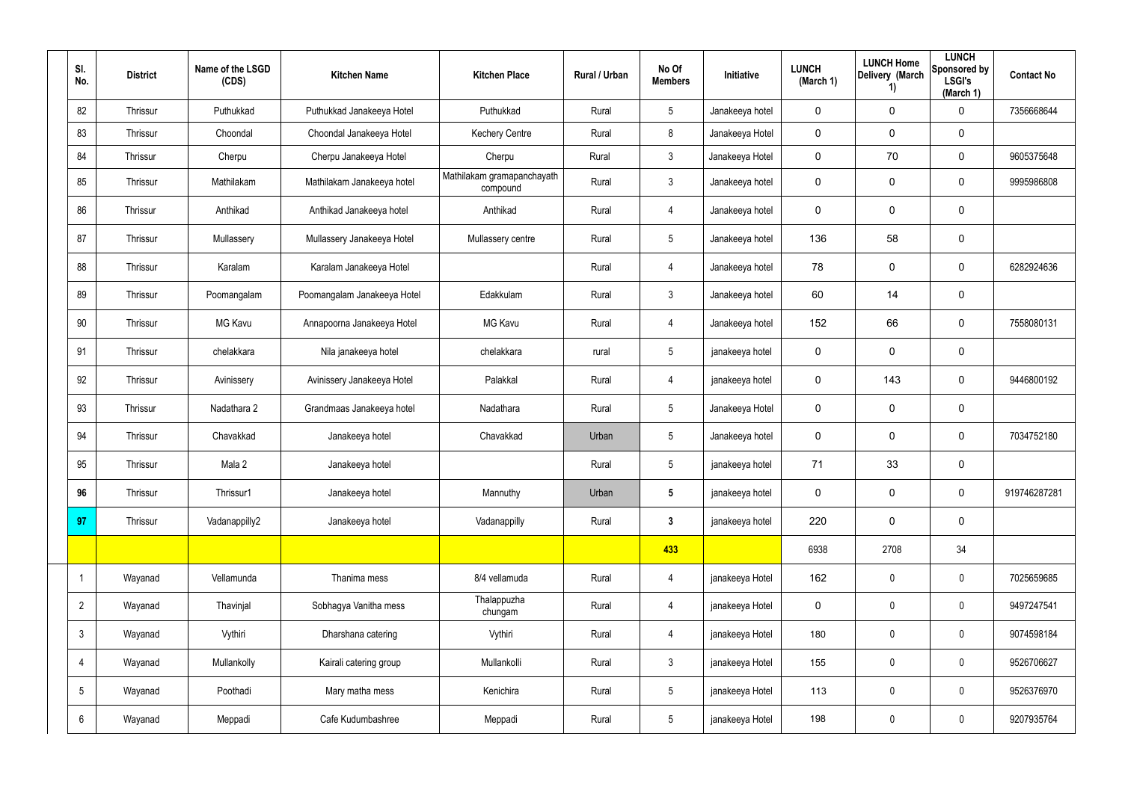| SI.<br>No.      | <b>District</b> | Name of the LSGD<br>(CDS) | <b>Kitchen Name</b>         | <b>Kitchen Place</b>                   | Rural / Urban | No Of<br><b>Members</b> | Initiative      | <b>LUNCH</b><br>(March 1) | <b>LUNCH Home</b><br>Delivery (March<br>1) | <b>LUNCH</b><br>Sponsored by<br><b>LSGI's</b><br>(March 1) | <b>Contact No</b> |
|-----------------|-----------------|---------------------------|-----------------------------|----------------------------------------|---------------|-------------------------|-----------------|---------------------------|--------------------------------------------|------------------------------------------------------------|-------------------|
| 82              | Thrissur        | Puthukkad                 | Puthukkad Janakeeya Hotel   | Puthukkad                              | Rural         | $5\phantom{.0}$         | Janakeeya hotel | $\pmb{0}$                 | 0                                          | $\mathbf 0$                                                | 7356668644        |
| 83              | Thrissur        | Choondal                  | Choondal Janakeeya Hotel    | <b>Kechery Centre</b>                  | Rural         | 8                       | Janakeeya Hotel | $\mathbf 0$               | 0                                          | $\mathbf 0$                                                |                   |
| 84              | Thrissur        | Cherpu                    | Cherpu Janakeeya Hotel      | Cherpu                                 | Rural         | $\mathbf{3}$            | Janakeeya Hotel | $\mathbf 0$               | 70                                         | $\mathbf 0$                                                | 9605375648        |
| 85              | Thrissur        | Mathilakam                | Mathilakam Janakeeya hotel  | Mathilakam gramapanchayath<br>compound | Rural         | $\mathbf{3}$            | Janakeeya hotel | $\pmb{0}$                 | 0                                          | $\mathbf 0$                                                | 9995986808        |
| 86              | Thrissur        | Anthikad                  | Anthikad Janakeeya hotel    | Anthikad                               | Rural         | 4                       | Janakeeya hotel | $\mathbf 0$               | 0                                          | $\mathbf 0$                                                |                   |
| 87              | Thrissur        | Mullassery                | Mullassery Janakeeya Hotel  | Mullassery centre                      | Rural         | $5\overline{)}$         | Janakeeya hotel | 136                       | 58                                         | $\mathbf 0$                                                |                   |
| 88              | Thrissur        | Karalam                   | Karalam Janakeeya Hotel     |                                        | Rural         | 4                       | Janakeeya hotel | 78                        | 0                                          | $\mathbf 0$                                                | 6282924636        |
| 89              | Thrissur        | Poomangalam               | Poomangalam Janakeeya Hotel | Edakkulam                              | Rural         | $\mathbf{3}$            | Janakeeya hotel | 60                        | 14                                         | $\mathbf 0$                                                |                   |
| 90              | Thrissur        | <b>MG Kavu</b>            | Annapoorna Janakeeya Hotel  | <b>MG Kavu</b>                         | Rural         | 4                       | Janakeeya hotel | 152                       | 66                                         | $\mathbf 0$                                                | 7558080131        |
| 91              | Thrissur        | chelakkara                | Nila janakeeya hotel        | chelakkara                             | rural         | $5\phantom{.0}$         | janakeeya hotel | $\mathbf 0$               | 0                                          | $\mathbf 0$                                                |                   |
| 92              | Thrissur        | Avinissery                | Avinissery Janakeeya Hotel  | Palakkal                               | Rural         | 4                       | janakeeya hotel | $\mathbf 0$               | 143                                        | $\mathbf 0$                                                | 9446800192        |
| 93              | Thrissur        | Nadathara 2               | Grandmaas Janakeeya hotel   | Nadathara                              | Rural         | $5\phantom{.0}$         | Janakeeya Hotel | $\mathbf 0$               | 0                                          | $\mathbf 0$                                                |                   |
| 94              | Thrissur        | Chavakkad                 | Janakeeya hotel             | Chavakkad                              | Urban         | $5\overline{)}$         | Janakeeya hotel | $\mathbf 0$               | 0                                          | $\mathbf 0$                                                | 7034752180        |
| 95              | Thrissur        | Mala 2                    | Janakeeya hotel             |                                        | Rural         | $5\phantom{.0}$         | janakeeya hotel | 71                        | 33                                         | $\mathbf 0$                                                |                   |
| 96              | Thrissur        | Thrissur1                 | Janakeeya hotel             | Mannuthy                               | Urban         | $5\phantom{.0}$         | janakeeya hotel | $\pmb{0}$                 | 0                                          | $\mathbf 0$                                                | 919746287281      |
| 97              | Thrissur        | Vadanappilly2             | Janakeeya hotel             | Vadanappilly                           | Rural         | $\mathbf{3}$            | janakeeya hotel | 220                       | 0                                          | $\mathbf 0$                                                |                   |
|                 |                 |                           |                             |                                        |               | 433                     |                 | 6938                      | 2708                                       | 34                                                         |                   |
|                 | Wayanad         | Vellamunda                | Thanima mess                | 8/4 vellamuda                          | Rural         | 4                       | janakeeya Hotel | 162                       | 0                                          | $\mathbf 0$                                                | 7025659685        |
| $\overline{2}$  | Wayanad         | Thavinjal                 | Sobhagya Vanitha mess       | Thalappuzha<br>chungam                 | Rural         | $\overline{4}$          | janakeeya Hotel | $\pmb{0}$                 | $\pmb{0}$                                  | $\mathbf 0$                                                | 9497247541        |
| $\mathbf{3}$    | Wayanad         | Vythiri                   | Dharshana catering          | Vythiri                                | Rural         | 4                       | janakeeya Hotel | 180                       | 0                                          | $\mathbf 0$                                                | 9074598184        |
| 4               | Wayanad         | Mullankolly               | Kairali catering group      | Mullankolli                            | Rural         | $\mathbf{3}$            | janakeeya Hotel | 155                       | $\pmb{0}$                                  | $\mathbf 0$                                                | 9526706627        |
| $5\overline{)}$ | Wayanad         | Poothadi                  | Mary matha mess             | Kenichira                              | Rural         | $5\phantom{.0}$         | janakeeya Hotel | 113                       | 0                                          | $\mathbf 0$                                                | 9526376970        |
| 6               | Wayanad         | Meppadi                   | Cafe Kudumbashree           | Meppadi                                | Rural         | $5\phantom{.0}$         | janakeeya Hotel | 198                       | $\pmb{0}$                                  | $\boldsymbol{0}$                                           | 9207935764        |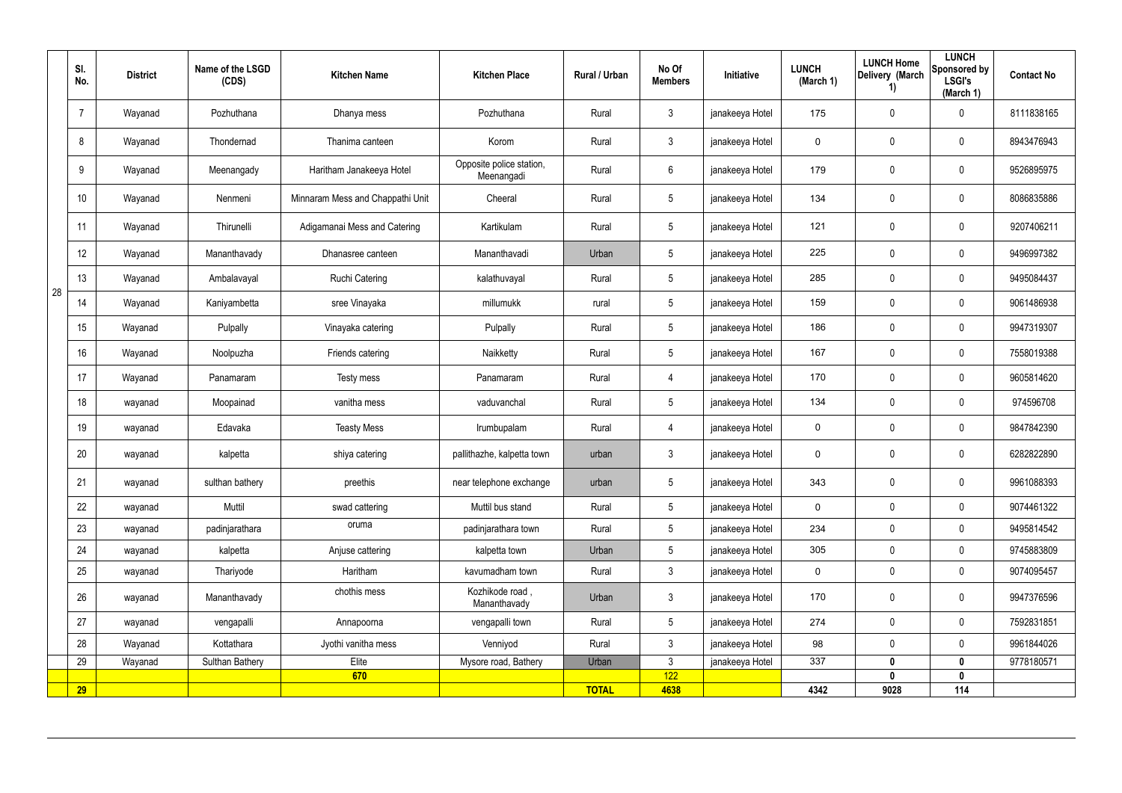|    | SI.<br>No. | <b>District</b> | Name of the LSGD<br>(CDS) | <b>Kitchen Name</b>              | <b>Kitchen Place</b>                   | Rural / Urban | No Of<br><b>Members</b> | Initiative      | <b>LUNCH</b><br>(March 1) | <b>LUNCH Home</b><br>Delivery (March<br>1) | <b>LUNCH</b><br>Sponsored by<br><b>LSGI's</b><br>(March 1) | <b>Contact No</b> |
|----|------------|-----------------|---------------------------|----------------------------------|----------------------------------------|---------------|-------------------------|-----------------|---------------------------|--------------------------------------------|------------------------------------------------------------|-------------------|
|    |            | Wayanad         | Pozhuthana                | Dhanya mess                      | Pozhuthana                             | Rural         | $\mathbf{3}$            | janakeeya Hotel | 175                       | 0                                          | $\mathbf 0$                                                | 8111838165        |
|    | 8          | Wayanad         | Thondernad                | Thanima canteen                  | Korom                                  | Rural         | $\mathbf{3}$            | janakeeya Hotel | 0                         | 0                                          | $\pmb{0}$                                                  | 8943476943        |
|    | 9          | Wayanad         | Meenangady                | Haritham Janakeeya Hotel         | Opposite police station,<br>Meenangadi | Rural         | $6\,$                   | janakeeya Hotel | 179                       | 0                                          | $\pmb{0}$                                                  | 9526895975        |
|    | 10         | Wayanad         | Nenmeni                   | Minnaram Mess and Chappathi Unit | Cheeral                                | Rural         | $\sqrt{5}$              | janakeeya Hotel | 134                       | 0                                          | $\pmb{0}$                                                  | 8086835886        |
|    | 11         | Wayanad         | Thirunelli                | Adigamanai Mess and Catering     | Kartikulam                             | Rural         | $5\phantom{.0}$         | janakeeya Hotel | 121                       | 0                                          | $\pmb{0}$                                                  | 9207406211        |
|    | 12         | Wayanad         | Mananthavady              | Dhanasree canteen                | Mananthavadi                           | Urban         | $5\phantom{.0}$         | janakeeya Hotel | 225                       | 0                                          | $\mathbf 0$                                                | 9496997382        |
|    | 13         | Wayanad         | Ambalavayal               | <b>Ruchi Catering</b>            | kalathuvayal                           | Rural         | $5\phantom{.0}$         | janakeeya Hotel | 285                       | 0                                          | $\mathbf 0$                                                | 9495084437        |
| 28 | 14         | Wayanad         | Kaniyambetta              | sree Vinayaka                    | millumukk                              | rural         | $5\overline{)}$         | janakeeya Hotel | 159                       | 0                                          | $\pmb{0}$                                                  | 9061486938        |
|    | 15         | Wayanad         | Pulpally                  | Vinayaka catering                | Pulpally                               | Rural         | $5\overline{)}$         | janakeeya Hotel | 186                       | 0                                          | $\mathbf 0$                                                | 9947319307        |
|    | 16         | Wayanad         | Noolpuzha                 | Friends catering                 | Naikketty                              | Rural         | $5\phantom{.0}$         | janakeeya Hotel | 167                       | $\mathbf 0$                                | $\pmb{0}$                                                  | 7558019388        |
|    | 17         | Wayanad         | Panamaram                 | Testy mess                       | Panamaram                              | Rural         | 4                       | janakeeya Hotel | 170                       | 0                                          | $\mathbf 0$                                                | 9605814620        |
|    | 18         | wayanad         | Moopainad                 | vanitha mess                     | vaduvanchal                            | Rural         | $5\phantom{.0}$         | janakeeya Hotel | 134                       | 0                                          | $\mathbf 0$                                                | 974596708         |
|    | 19         | wayanad         | Edavaka                   | <b>Teasty Mess</b>               | Irumbupalam                            | Rural         | 4                       | janakeeya Hotel | 0                         | 0                                          | $\boldsymbol{0}$                                           | 9847842390        |
|    | 20         | wayanad         | kalpetta                  | shiya catering                   | pallithazhe, kalpetta town             | urban         | $\mathbf{3}$            | janakeeya Hotel | 0                         | 0                                          | $\boldsymbol{0}$                                           | 6282822890        |
|    | 21         | wayanad         | sulthan bathery           | preethis                         | near telephone exchange                | urban         | $5\phantom{.0}$         | janakeeya Hotel | 343                       | 0                                          | $\pmb{0}$                                                  | 9961088393        |
|    | 22         | wayanad         | Muttil                    | swad cattering                   | Muttil bus stand                       | Rural         | $5\overline{)}$         | janakeeya Hotel | $\mathbf 0$               | 0                                          | $\mathbf 0$                                                | 9074461322        |
|    | 23         | wayanad         | padinjarathara            | oruma                            | padinjarathara town                    | Rural         | $5\overline{)}$         | janakeeya Hotel | 234                       | 0                                          | $\mathbf 0$                                                | 9495814542        |
|    | 24         | wayanad         | kalpetta                  | Anjuse cattering                 | kalpetta town                          | Urban         | $5\phantom{.0}$         | janakeeya Hotel | 305                       | $\pmb{0}$                                  | $\pmb{0}$                                                  | 9745883809        |
|    | 25         | wayanad         | Thariyode                 | Haritham                         | kavumadham town                        | Rural         | $3\phantom{.0}$         | janakeeya Hotel | $\mathbf 0$               | 0                                          | $\mathbf 0$                                                | 9074095457        |
|    | 26         | wayanad         | Mananthavady              | chothis mess                     | Kozhikode road,<br>Mananthavady        | Urban         | $\mathbf{3}$            | janakeeya Hotel | 170                       | 0                                          | $\mathbf 0$                                                | 9947376596        |
|    | 27         | wayanad         | vengapalli                | Annapoorna                       | vengapalli town                        | Rural         | $5\phantom{.0}$         | janakeeya Hotel | 274                       | 0                                          | $\mathbf 0$                                                | 7592831851        |
|    | 28         | Wayanad         | Kottathara                | Jyothi vanitha mess              | Venniyod                               | Rural         | $\mathfrak{Z}$          | janakeeya Hotel | 98                        | 0                                          | $\mathbf 0$                                                | 9961844026        |
|    | 29         | Wayanad         | Sulthan Bathery           | Elite                            | Mysore road, Bathery                   | Urban         | $\mathbf{3}$            | janakeeya Hotel | 337                       | $\mathbf{0}$                               | $\mathbf 0$                                                | 9778180571        |
|    | <b>29</b>  |                 |                           | 670                              |                                        | <b>TOTAL</b>  | 122<br>4638             |                 | 4342                      | $\mathbf{0}$<br>9028                       | $\pmb{0}$<br>114                                           |                   |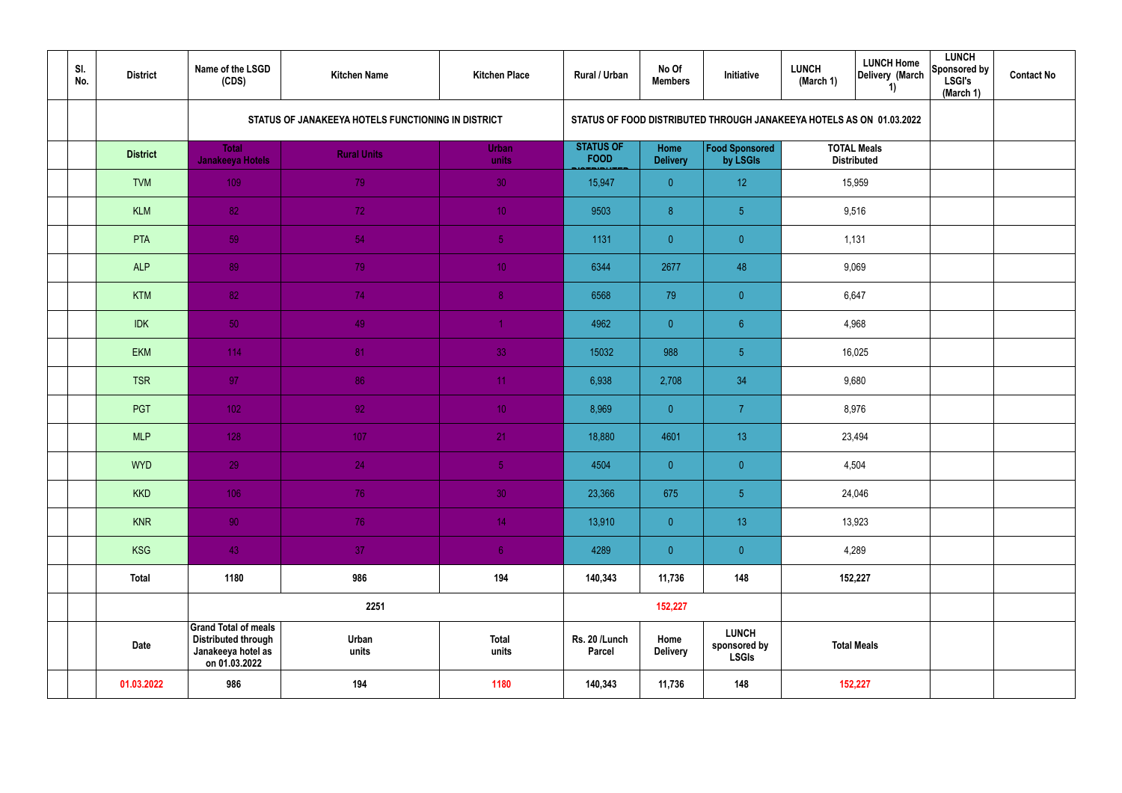| SI.<br>No. | <b>District</b> | Name of the LSGD<br>(CDS)                                                                        | <b>Kitchen Name</b>                                | <b>Kitchen Place</b>  | Rural / Urban                   | No Of<br><b>Members</b> | Initiative                                                           | <b>LUNCH</b><br>(March 1) | <b>LUNCH Home</b><br>Delivery (March<br>1) | <b>LUNCH</b><br>Sponsored by<br><b>LSGI's</b><br>(March 1) | <b>Contact No</b> |
|------------|-----------------|--------------------------------------------------------------------------------------------------|----------------------------------------------------|-----------------------|---------------------------------|-------------------------|----------------------------------------------------------------------|---------------------------|--------------------------------------------|------------------------------------------------------------|-------------------|
|            |                 |                                                                                                  | STATUS OF JANAKEEYA HOTELS FUNCTIONING IN DISTRICT |                       |                                 |                         | STATUS OF FOOD DISTRIBUTED THROUGH JANAKEEYA HOTELS AS ON 01.03.2022 |                           |                                            |                                                            |                   |
|            | <b>District</b> | <b>Total</b><br>Janakeeya Hotels                                                                 | <b>Rural Units</b>                                 | Urban<br>units        | <b>STATUS OF</b><br><b>FOOD</b> | Home<br><b>Delivery</b> | <b>Food Sponsored</b><br>by LSGIs                                    |                           | <b>TOTAL Meals</b><br><b>Distributed</b>   |                                                            |                   |
|            | <b>TVM</b>      | 109                                                                                              | 79                                                 | 30                    | 15,947                          | $\overline{0}$          | 12 <sup>°</sup>                                                      |                           | 15,959                                     |                                                            |                   |
|            | <b>KLM</b>      | 82                                                                                               | 72                                                 | 10 <sup>°</sup>       | 9503                            | $\boldsymbol{8}$        | 5 <sub>5</sub>                                                       |                           | 9,516                                      |                                                            |                   |
|            | <b>PTA</b>      | 59                                                                                               | 54                                                 | 5 <sub>1</sub>        | 1131                            | $\overline{0}$          | $\overline{0}$                                                       |                           | 1,131                                      |                                                            |                   |
|            | <b>ALP</b>      | 89                                                                                               | 79                                                 | 10 <sup>°</sup>       | 6344                            | 2677                    | 48                                                                   |                           | 9,069                                      |                                                            |                   |
|            | <b>KTM</b>      | 82                                                                                               | 74                                                 | 8 <sup>°</sup>        | 6568                            | 79                      | $\pmb{0}$                                                            |                           | 6,647                                      |                                                            |                   |
|            | <b>IDK</b>      | 50                                                                                               | 49                                                 |                       | 4962                            | $\overline{0}$          | $6\phantom{.}$                                                       |                           | 4,968                                      |                                                            |                   |
|            | <b>EKM</b>      | 114                                                                                              | 81                                                 | 33                    | 15032                           | 988                     | 5 <sub>5</sub>                                                       |                           | 16,025                                     |                                                            |                   |
|            | <b>TSR</b>      | 97                                                                                               | 86                                                 | 11                    | 6,938                           | 2,708                   | 34                                                                   |                           | 9,680                                      |                                                            |                   |
|            | PGT             | 102 <sub>1</sub>                                                                                 | 92 <sub>1</sub>                                    | 10 <sup>°</sup>       | 8,969                           | $\overline{0}$          | $\overline{7}$                                                       |                           | 8,976                                      |                                                            |                   |
|            | <b>MLP</b>      | 128                                                                                              | 107                                                | 21                    | 18,880                          | 4601                    | 13                                                                   |                           | 23,494                                     |                                                            |                   |
|            | <b>WYD</b>      | 29                                                                                               | 24                                                 | 5 <sub>1</sub>        | 4504                            | $\overline{0}$          | $\overline{0}$                                                       |                           | 4,504                                      |                                                            |                   |
|            | <b>KKD</b>      | 106                                                                                              | 76                                                 | 30                    | 23,366                          | 675                     | $\overline{5}$                                                       |                           | 24,046                                     |                                                            |                   |
|            | <b>KNR</b>      | 90                                                                                               | 76                                                 | 14 <sup>°</sup>       | 13,910                          | $\overline{0}$          | 13                                                                   |                           | 13,923                                     |                                                            |                   |
|            | KSG             | 43                                                                                               | 37 <sub>z</sub>                                    | 6 <sup>1</sup>        | 4289                            | $\overline{0}$          | $\pmb{0}$                                                            |                           | 4,289                                      |                                                            |                   |
|            | <b>Total</b>    | 1180                                                                                             | 986                                                | 194                   | 140,343                         | 11,736                  | 148                                                                  |                           | 152,227                                    |                                                            |                   |
|            |                 |                                                                                                  | 2251                                               |                       |                                 | 152,227                 |                                                                      |                           |                                            |                                                            |                   |
|            | <b>Date</b>     | <b>Grand Total of meals</b><br><b>Distributed through</b><br>Janakeeya hotel as<br>on 01.03.2022 | Urban<br>units                                     | <b>Total</b><br>units | Rs. 20 /Lunch<br>Parcel         | Home<br><b>Delivery</b> | <b>LUNCH</b><br>sponsored by<br><b>LSGIs</b>                         |                           | <b>Total Meals</b>                         |                                                            |                   |
|            | 01.03.2022      | 986                                                                                              | 194                                                | 1180                  | 140,343                         | 11,736                  | 148                                                                  |                           | 152,227                                    |                                                            |                   |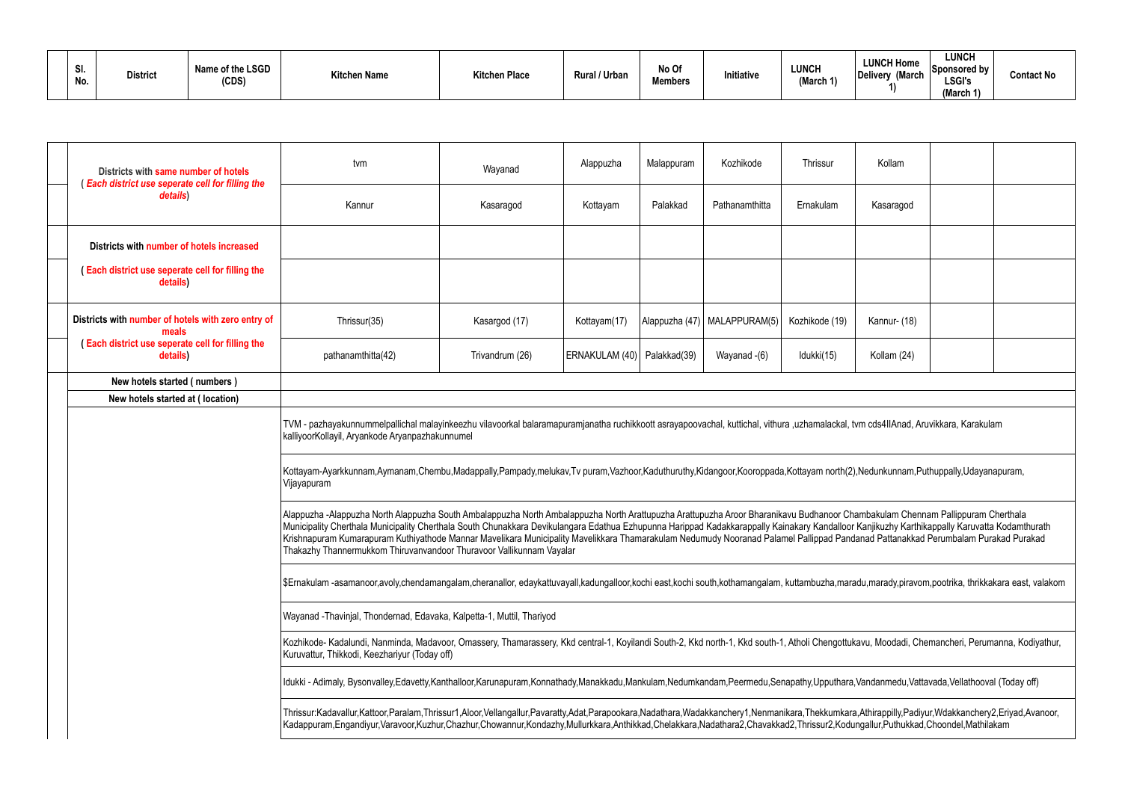| $\mathbf c$<br>vı.<br>No. | Name of the LSGD<br><b>District</b><br>(CDS) | <b>Kitchen Name</b> | <sup>k</sup> itchen Place | <b>Rural / Urbar</b> | No Of<br><b>Members</b> | Initiative | <b>LUNCH</b><br>(March 1) | <b>LUNCH Home</b><br>(March<br>Delivery | <b>LUNCH</b><br><b>Sponsored by</b><br><b>LSGI's</b><br>(March 1)<br>$\cdots$ | <b>Contact No</b> |
|---------------------------|----------------------------------------------|---------------------|---------------------------|----------------------|-------------------------|------------|---------------------------|-----------------------------------------|-------------------------------------------------------------------------------|-------------------|
|---------------------------|----------------------------------------------|---------------------|---------------------------|----------------------|-------------------------|------------|---------------------------|-----------------------------------------|-------------------------------------------------------------------------------|-------------------|

| Districts with same number of hotels<br>(Each district use seperate cell for filling the | tvm                                                                                                                                                                                                                                                                                                                                                                                                                                                                                                                                                                                                                                          | Wayanad                                                                                                                                                                                                                                                                                                                                                          | Thrissur     | Kollam   |                                |                |              |  |  |  |  |  |  |
|------------------------------------------------------------------------------------------|----------------------------------------------------------------------------------------------------------------------------------------------------------------------------------------------------------------------------------------------------------------------------------------------------------------------------------------------------------------------------------------------------------------------------------------------------------------------------------------------------------------------------------------------------------------------------------------------------------------------------------------------|------------------------------------------------------------------------------------------------------------------------------------------------------------------------------------------------------------------------------------------------------------------------------------------------------------------------------------------------------------------|--------------|----------|--------------------------------|----------------|--------------|--|--|--|--|--|--|
| details)                                                                                 | Kannur                                                                                                                                                                                                                                                                                                                                                                                                                                                                                                                                                                                                                                       | Kasaragod                                                                                                                                                                                                                                                                                                                                                        | Kottayam     | Palakkad | Pathanamthitta                 | Ernakulam      | Kasaragod    |  |  |  |  |  |  |
| Districts with number of hotels increased                                                |                                                                                                                                                                                                                                                                                                                                                                                                                                                                                                                                                                                                                                              |                                                                                                                                                                                                                                                                                                                                                                  |              |          |                                |                |              |  |  |  |  |  |  |
| (Each district use seperate cell for filling the<br>details)                             |                                                                                                                                                                                                                                                                                                                                                                                                                                                                                                                                                                                                                                              |                                                                                                                                                                                                                                                                                                                                                                  |              |          |                                |                |              |  |  |  |  |  |  |
| Districts with number of hotels with zero entry of<br>meals                              | Thrissur(35)                                                                                                                                                                                                                                                                                                                                                                                                                                                                                                                                                                                                                                 | Kasargod (17)                                                                                                                                                                                                                                                                                                                                                    | Kottayam(17) |          | Alappuzha (47)   MALAPPURAM(5) | Kozhikode (19) | Kannur- (18) |  |  |  |  |  |  |
| (Each district use seperate cell for filling the<br>details)                             | Trivandrum (26)<br>ERNAKULAM (40)   Palakkad(39)<br>Idukki(15)<br>pathanamthitta(42)<br>Wayanad -(6)<br>Kollam (24)                                                                                                                                                                                                                                                                                                                                                                                                                                                                                                                          |                                                                                                                                                                                                                                                                                                                                                                  |              |          |                                |                |              |  |  |  |  |  |  |
| New hotels started (numbers)                                                             |                                                                                                                                                                                                                                                                                                                                                                                                                                                                                                                                                                                                                                              |                                                                                                                                                                                                                                                                                                                                                                  |              |          |                                |                |              |  |  |  |  |  |  |
| New hotels started at (location)                                                         |                                                                                                                                                                                                                                                                                                                                                                                                                                                                                                                                                                                                                                              |                                                                                                                                                                                                                                                                                                                                                                  |              |          |                                |                |              |  |  |  |  |  |  |
|                                                                                          | kalliyoorKollayil, Aryankode Aryanpazhakunnumel                                                                                                                                                                                                                                                                                                                                                                                                                                                                                                                                                                                              | TVM - pazhayakunnummelpallichal malayinkeezhu vilavoorkal balaramapuramjanatha ruchikkoott asrayapoovachal, kuttichal, vithura ,uzhamalackal, tvm cds4llAnad, Aruvikkara, Karakulam<br>Kottayam-Ayarkkunnam,Aymanam,Chembu,Madappally,Pampady,melukav,Tv puram,Vazhoor,Kaduthuruthy,Kidangoor,Kooroppada,Kottayam north(2),Nedunkunnam,Puthuppally,Udayanapuram, |              |          |                                |                |              |  |  |  |  |  |  |
|                                                                                          | Vijayapuram                                                                                                                                                                                                                                                                                                                                                                                                                                                                                                                                                                                                                                  |                                                                                                                                                                                                                                                                                                                                                                  |              |          |                                |                |              |  |  |  |  |  |  |
|                                                                                          | Alappuzha -Alappuzha North Alappuzha South Ambalappuzha North Ambalappuzha North Arattupuzha Arattupuzha Aroor Bharanikavu Budhanoor Chambakulam Chennam Pallippuram Cherthala<br>Municipality Cherthala Municipality Cherthala South Chunakkara Devikulangara Edathua Ezhupunna Harippad Kadakkarappally Kainakary Kandalloor Kanjikuzhy Karthikappally Karuvatta Kodamthurath<br>Krishnapuram Kumarapuram Kuthiyathode Mannar Mavelikara Municipality Mavelikkara Thamarakulam Nedumudy Nooranad Palamel Pallippad Pandanad Pattanakkad Perumbalam Purakad Purakad<br>Thakazhy Thannermukkom Thiruvanvandoor Thuravoor Vallikunnam Vayalar |                                                                                                                                                                                                                                                                                                                                                                  |              |          |                                |                |              |  |  |  |  |  |  |
|                                                                                          | \$Ernakulam -asamanoor,avoly,chendamangalam,cheranallor, edaykattuvayall,kadungalloor,kochi east,kochi south,kothamangalam, kuttambuzha,maradu,marady,piravom,pootrika, thrikkakara east, valakom                                                                                                                                                                                                                                                                                                                                                                                                                                            |                                                                                                                                                                                                                                                                                                                                                                  |              |          |                                |                |              |  |  |  |  |  |  |
|                                                                                          | Wayanad -Thavinjal, Thondernad, Edavaka, Kalpetta-1, Muttil, Thariyod                                                                                                                                                                                                                                                                                                                                                                                                                                                                                                                                                                        |                                                                                                                                                                                                                                                                                                                                                                  |              |          |                                |                |              |  |  |  |  |  |  |
|                                                                                          | Kuruvattur, Thikkodi, Keezhariyur (Today off)                                                                                                                                                                                                                                                                                                                                                                                                                                                                                                                                                                                                | Kozhikode- Kadalundi, Nanminda, Madavoor, Omassery, Thamarassery, Kkd central-1, Koyilandi South-2, Kkd north-1, Kkd south-1, Atholi Chengottukavu, Moodadi, Chemancheri, Perumanna, Kodiyathur,                                                                                                                                                                 |              |          |                                |                |              |  |  |  |  |  |  |
|                                                                                          |                                                                                                                                                                                                                                                                                                                                                                                                                                                                                                                                                                                                                                              | Idukki - Adimaly, Bysonvalley,Edavetty,Kanthalloor,Karunapuram,Konnathady,Manakkadu,Mankulam,Nedumkandam,Peermedu,Senapathy,Upputhara,Vandanmedu,Vattavada,Vellathooval (Today off)                                                                                                                                                                              |              |          |                                |                |              |  |  |  |  |  |  |
|                                                                                          | Thrissur:Kadavallur,Kattoor,Paralam,Thrissur1,Aloor,Vellangallur,Pavaratty,Adat,Parapookara,Nadathara,Wadakkanchery1,Nenmanikara,Thekkumkara,Athirappilly,Padiyur,Wdakkanchery2,Eriyad,Avanoor,<br>Kadappuram,Engandiyur,Varavoor,Kuzhur,Chazhur,Chowannur,Kondazhy,Mullurkkara,Anthikkad,Chelakkara,Nadathara2,Chavakkad2,Thrissur2,Kodungallur,Puthukkad,Choondel,Mathilakam                                                                                                                                                                                                                                                               |                                                                                                                                                                                                                                                                                                                                                                  |              |          |                                |                |              |  |  |  |  |  |  |
|                                                                                          |                                                                                                                                                                                                                                                                                                                                                                                                                                                                                                                                                                                                                                              |                                                                                                                                                                                                                                                                                                                                                                  |              |          |                                |                |              |  |  |  |  |  |  |

| Kollam                                                                                                                                            |  |  |  |  |  |  |  |  |  |  |
|---------------------------------------------------------------------------------------------------------------------------------------------------|--|--|--|--|--|--|--|--|--|--|
| Kasaragod                                                                                                                                         |  |  |  |  |  |  |  |  |  |  |
|                                                                                                                                                   |  |  |  |  |  |  |  |  |  |  |
|                                                                                                                                                   |  |  |  |  |  |  |  |  |  |  |
| Kannur- (18)                                                                                                                                      |  |  |  |  |  |  |  |  |  |  |
| Kollam (24)                                                                                                                                       |  |  |  |  |  |  |  |  |  |  |
|                                                                                                                                                   |  |  |  |  |  |  |  |  |  |  |
|                                                                                                                                                   |  |  |  |  |  |  |  |  |  |  |
| , tvm cds4IIAnad, Aruvikkara, Karakulam                                                                                                           |  |  |  |  |  |  |  |  |  |  |
| (2), Nedunkunnam, Puthuppally, Udayanapuram,                                                                                                      |  |  |  |  |  |  |  |  |  |  |
| Chambakulam Chennam Pallippuram Cherthala<br>or Kanjikuzhy Karthikappally Karuvatta Kodamthurath<br>ndanad Pattanakkad Perumbalam Purakad Purakad |  |  |  |  |  |  |  |  |  |  |
| aradu,marady,piravom,pootrika, thrikkakara east, valakom                                                                                          |  |  |  |  |  |  |  |  |  |  |
|                                                                                                                                                   |  |  |  |  |  |  |  |  |  |  |
| ukavu, Moodadi, Chemancheri, Perumanna, Kodiyathur,                                                                                               |  |  |  |  |  |  |  |  |  |  |
| ra,Vandanmedu,Vattavada,Vellathooval (Today off)                                                                                                  |  |  |  |  |  |  |  |  |  |  |
| ara,Athirappilly,Padiyur,Wdakkanchery2,Eriyad,Avanoor,<br>dungallur,Puthukkad,Choondel,Mathilakam                                                 |  |  |  |  |  |  |  |  |  |  |